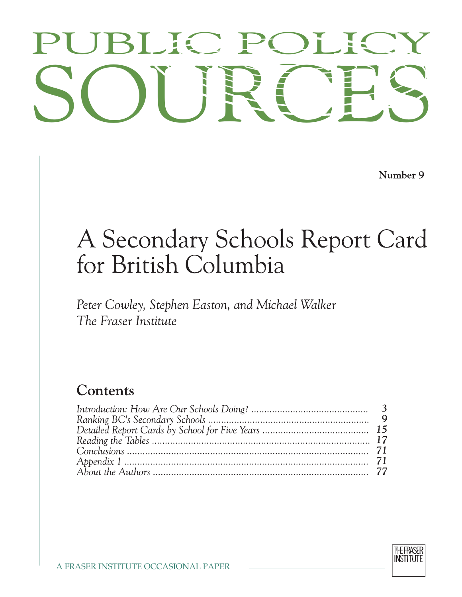# PUBLIC POLICY<br>SOURCES PUBLIC POLICY

Number 9

## A Secondary Schools Report Card for British Columbia

Peter Cowley, Stephen Easton, and Michael Walker The Fraser Institute

### Contents

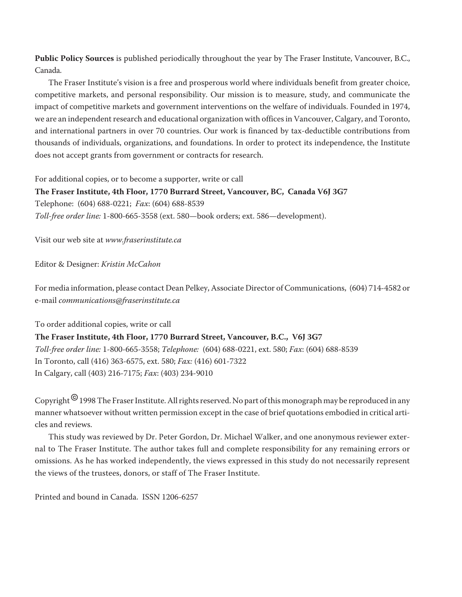**Public Policy Sources** is published periodically throughout the year by The Fraser Institute, Vancouver, B.C., Canada.

The Fraser Institute's vision is a free and prosperous world where individuals benefit from greater choice, competitive markets, and personal responsibility. Our mission is to measure, study, and communicate the impact of competitive markets and government interventions on the welfare of individuals. Founded in 1974, we are an independent research and educational organization with offices in Vancouver, Calgary, and Toronto, and international partners in over 70 countries. Our work is financed by tax-deductible contributions from thousands of individuals, organizations, and foundations. In order to protect its independence, the Institute does not accept grants from government or contracts for research.

For additional copies, or to become a supporter, write or call

**The Fraser Institute, 4th Floor, 1770 Burrard Street, Vancouver, BC, Canada V6J 3G7** Telephone: (604) 688-0221; *Fax*: (604) 688-8539 *Toll-free order line:* 1-800-665-3558 (ext. 580—book orders; ext. 586—development).

Visit our web site at *www.fraserinstitute.ca*

Editor & Designer: *Kristin McCahon*

For media information, please contact Dean Pelkey, Associate Director of Communications, (604) 714-4582 or e-mail *communications@fraserinstitute.ca*

To order additional copies, write or call

**The Fraser Institute, 4th Floor, 1770 Burrard Street, Vancouver, B.C., V6J 3G7** *Toll-free order line:* 1-800-665-3558; *Telephone:* (604) 688-0221, ext. 580; *Fax*: (604) 688-8539 In Toronto, call (416) 363-6575, ext. 580; *Fax:* (416) 601-7322 In Calgary, call (403) 216-7175; *Fax*: (403) 234-9010

Copyright<sup>©</sup> 1998 The Fraser Institute. All rights reserved. No part of this monograph may be reproduced in any manner whatsoever without written permission except in the case of brief quotations embodied in critical articles and reviews.

This study was reviewed by Dr. Peter Gordon, Dr. Michael Walker, and one anonymous reviewer external to The Fraser Institute. The author takes full and complete responsibility for any remaining errors or omissions. As he has worked independently, the views expressed in this study do not necessarily represent the views of the trustees, donors, or staff of The Fraser Institute.

Printed and bound in Canada. ISSN 1206-6257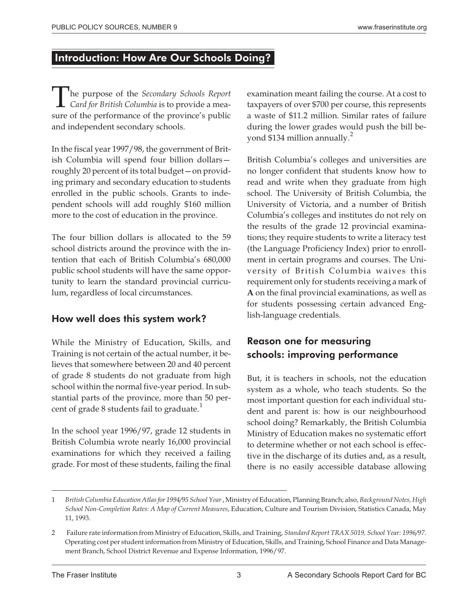#### **Introduction: How Are Our Schools Doing?**

The purpose of the *Secondary Schools Report*<br>Card for British Columbia is to provide a mea-<br>cure of the performance of the province's public *Card for British Columbia* is to provide a measure of the performance of the province's public and independent secondary schools.

In the fiscal year 1997/98, the government of British Columbia will spend four billion dollars roughly 20 percent of its total budget—on providing primary and secondary education to students enrolled in the public schools. Grants to independent schools will add roughly \$160 million more to the cost of education in the province.

The four billion dollars is allocated to the 59 school districts around the province with the intention that each of British Columbia's 680,000 public school students will have the same opportunity to learn the standard provincial curriculum, regardless of local circumstances.

#### How well does this system work?

While the Ministry of Education, Skills, and Training is not certain of the actual number, it believes that somewhere between 20 and 40 percent of grade 8 students do not graduate from high school within the normal five-year period. In substantial parts of the province, more than 50 percent of grade 8 students fail to graduate. $<sup>1</sup>$ </sup>

In the school year 1996/97, grade 12 students in British Columbia wrote nearly 16,000 provincial examinations for which they received a failing grade. For most of these students, failing the final examination meant failing the course. At a cost to taxpayers of over \$700 per course, this represents a waste of \$11.2 million. Similar rates of failure during the lower grades would push the bill beyond \$134 million annually.<sup>2</sup>

British Columbia's colleges and universities are no longer confident that students know how to read and write when they graduate from high school. The University of British Columbia, the University of Victoria, and a number of British Columbia's colleges and institutes do not rely on the results of the grade 12 provincial examinations; they require students to write a literacy test (the Language Proficiency Index) prior to enrollment in certain programs and courses. The University of British Columbia waives this requirement only for students receiving a mark of **A** on the final provincial examinations, as well as for students possessing certain advanced English-language credentials.

#### Reason one for measuring schools: improving performance

But, it is teachers in schools, not the education system as a whole, who teach students. So the most important question for each individual student and parent is: how is our neighbourhood school doing? Remarkably, the British Columbia Ministry of Education makes no systematic effort to determine whether or not each school is effective in the discharge of its duties and, as a result, there is no easily accessible database allowing

<sup>1</sup> *British Columbia Education Atlas for 1994/95 School Year*, Ministry of Education, Planning Branch; also, *Background Notes, High School Non-Completion Rates: A Map of Current Measures*, Education, Culture and Tourism Division, Statistics Canada, May 11, 1993.

<sup>2</sup> Failure rate information from Ministry of Education, Skills, and Training, *Standard Report TRAX 5019, School Year: 1996/97*. Operating cost per student information from Ministry of Education, Skills, and Training, School Finance and Data Management Branch, School District Revenue and Expense Information, 1996/97.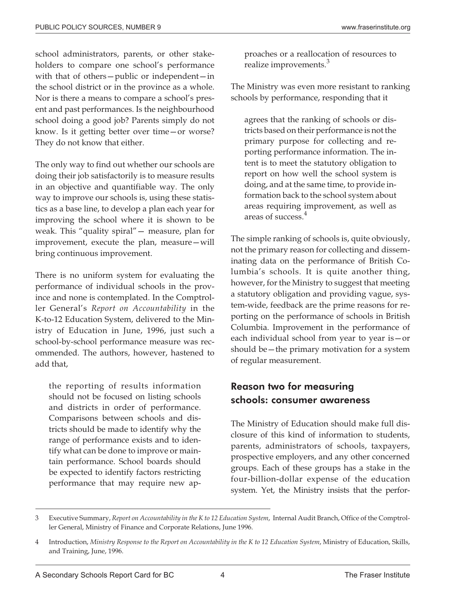school administrators, parents, or other stakeholders to compare one school's performance with that of others—public or independent—in the school district or in the province as a whole. Nor is there a means to compare a school's present and past performances. Is the neighbourhood school doing a good job? Parents simply do not know. Is it getting better over time—or worse? They do not know that either.

The only way to find out whether our schools are doing their job satisfactorily is to measure results in an objective and quantifiable way. The only way to improve our schools is, using these statistics as a base line, to develop a plan each year for improving the school where it is shown to be weak. This "quality spiral"— measure, plan for improvement, execute the plan, measure—will bring continuous improvement.

There is no uniform system for evaluating the performance of individual schools in the province and none is contemplated. In the Comptroller General's *Report on Accountability* in the K-to-12 Education System, delivered to the Ministry of Education in June, 1996, just such a school-by-school performance measure was recommended. The authors, however, hastened to add that,

the reporting of results information should not be focused on listing schools and districts in order of performance. Comparisons between schools and districts should be made to identify why the range of performance exists and to identify what can be done to improve or maintain performance. School boards should be expected to identify factors restricting performance that may require new ap-

proaches or a reallocation of resources to realize improvements.<sup>3</sup>

The Ministry was even more resistant to ranking schools by performance, responding that it

agrees that the ranking of schools or districts based on their performance is not the primary purpose for collecting and reporting performance information. The intent is to meet the statutory obligation to report on how well the school system is doing, and at the same time, to provide information back to the school system about areas requiring improvement, as well as areas of success.<sup>4</sup>

The simple ranking of schools is, quite obviously, not the primary reason for collecting and disseminating data on the performance of British Columbia's schools. It is quite another thing, however, for the Ministry to suggest that meeting a statutory obligation and providing vague, system-wide, feedback are the prime reasons for reporting on the performance of schools in British Columbia. Improvement in the performance of each individual school from year to year is—or should be—the primary motivation for a system of regular measurement.

#### Reason two for measuring schools: consumer awareness

The Ministry of Education should make full disclosure of this kind of information to students, parents, administrators of schools, taxpayers, prospective employers, and any other concerned groups. Each of these groups has a stake in the four-billion-dollar expense of the education system. Yet, the Ministry insists that the perfor-

<sup>3</sup> Executive Summary, *Report on Accountability in the K to 12 Education System*, Internal Audit Branch, Office of the Comptroller General, Ministry of Finance and Corporate Relations, June 1996.

<sup>4</sup> Introduction, *Ministry Response to the Report on Accountability in the K to 12 Education System*, Ministry of Education, Skills, and Training, June, 1996.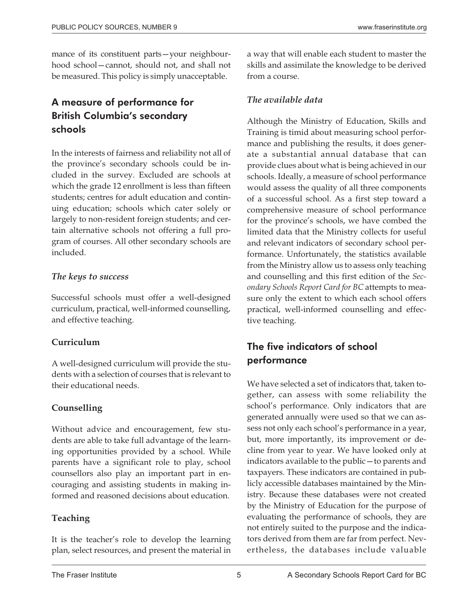mance of its constituent parts—your neighbourhood school—cannot, should not, and shall not be measured. This policy is simply unacceptable.

#### A measure of performance for British Columbia's secondary schools

In the interests of fairness and reliability not all of the province's secondary schools could be included in the survey. Excluded are schools at which the grade 12 enrollment is less than fifteen students; centres for adult education and continuing education; schools which cater solely or largely to non-resident foreign students; and certain alternative schools not offering a full program of courses. All other secondary schools are included.

#### *The keys to success*

Successful schools must offer a well-designed curriculum, practical, well-informed counselling, and effective teaching.

#### **Curriculum**

A well-designed curriculum will provide the students with a selection of courses that is relevant to their educational needs.

#### **Counselling**

Without advice and encouragement, few students are able to take full advantage of the learning opportunities provided by a school. While parents have a significant role to play, school counsellors also play an important part in encouraging and assisting students in making informed and reasoned decisions about education.

#### **Teaching**

It is the teacher's role to develop the learning plan, select resources, and present the material in a way that will enable each student to master the skills and assimilate the knowledge to be derived from a course.

#### *The available data*

Although the Ministry of Education, Skills and Training is timid about measuring school performance and publishing the results, it does generate a substantial annual database that can provide clues about what is being achieved in our schools. Ideally, a measure of school performance would assess the quality of all three components of a successful school. As a first step toward a comprehensive measure of school performance for the province's schools, we have combed the limited data that the Ministry collects for useful and relevant indicators of secondary school performance. Unfortunately, the statistics available from the Ministry allow us to assess only teaching and counselling and this first edition of the *Secondary Schools Report Card for BC* attempts to measure only the extent to which each school offers practical, well-informed counselling and effective teaching.

#### The five indicators of school performance

We have selected a set of indicators that, taken together, can assess with some reliability the school's performance. Only indicators that are generated annually were used so that we can assess not only each school's performance in a year, but, more importantly, its improvement or decline from year to year. We have looked only at indicators available to the public—to parents and taxpayers. These indicators are contained in publicly accessible databases maintained by the Ministry. Because these databases were not created by the Ministry of Education for the purpose of evaluating the performance of schools, they are not entirely suited to the purpose and the indicators derived from them are far from perfect. Nevertheless, the databases include valuable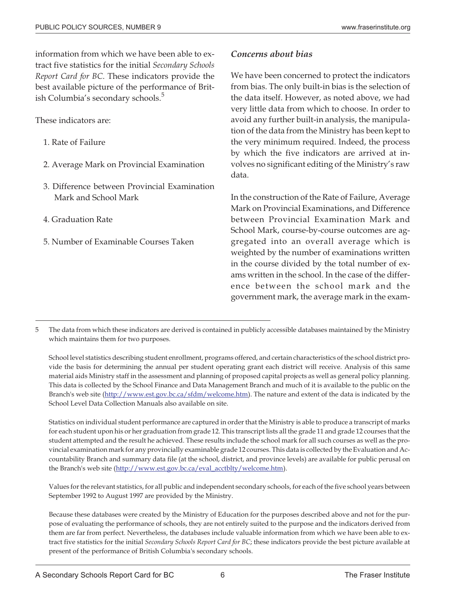information from which we have been able to extract five statistics for the initial *Secondary Schools Report Card for BC*. These indicators provide the best available picture of the performance of British Columbia's secondary schools.<sup>5</sup>

These indicators are:

- 1. Rate of Failure
- 2. Average Mark on Provincial Examination
- 3. Difference between Provincial Examination Mark and School Mark
- 4. Graduation Rate
- 5. Number of Examinable Courses Taken

#### *Concerns about bias*

We have been concerned to protect the indicators from bias. The only built-in bias is the selection of the data itself. However, as noted above, we had very little data from which to choose. In order to avoid any further built-in analysis, the manipulation of the data from the Ministry has been kept to the very minimum required. Indeed, the process by which the five indicators are arrived at involves no significant editing of the Ministry's raw data.

In the construction of the Rate of Failure, Average Mark on Provincial Examinations, and Difference between Provincial Examination Mark and School Mark, course-by-course outcomes are aggregated into an overall average which is weighted by the number of examinations written in the course divided by the total number of exams written in the school. In the case of the difference between the school mark and the government mark, the average mark in the exam-

5 The data from which these indicators are derived is contained in publicly accessible databases maintained by the Ministry which maintains them for two purposes.

School level statistics describing student enrollment, programs offered, and certain characteristics of the school district provide the basis for determining the annual per student operating grant each district will receive. Analysis of this same material aids Ministry staff in the assessment and planning of proposed capital projects as well as general policy planning. This data is collected by the School Finance and Data Management Branch and much of it is available to the public on the Branch's web site (http://www.est.gov.bc.ca/sfdm/welcome.htm). The nature and extent of the data is indicated by the School Level Data Collection Manuals also available on site.

Statistics on individual student performance are captured in order that the Ministry is able to produce a transcript of marks for each student upon his or her graduation from grade 12. This transcript lists all the grade 11 and grade 12 courses that the student attempted and the result he achieved. These results include the school mark for all such courses as well as the provincial examination mark for any provincially examinable grade 12 courses. This data is collected by the Evaluation and Accountability Branch and summary data file (at the school, district, and province levels) are available for public perusal on the Branch's web site (http://www.est.gov.bc.ca/eval\_acctblty/welcome.htm).

Values for the relevant statistics, for all public and independent secondary schools, for each of the five school years between September 1992 to August 1997 are provided by the Ministry.

Because these databases were created by the Ministry of Education for the purposes described above and not for the purpose of evaluating the performance of schools, they are not entirely suited to the purpose and the indicators derived from them are far from perfect. Nevertheless, the databases include valuable information from which we have been able to extract five statistics for the initial *Secondary Schools Report Card for BC*; these indicators provide the best picture available at present of the performance of British Columbia's secondary schools.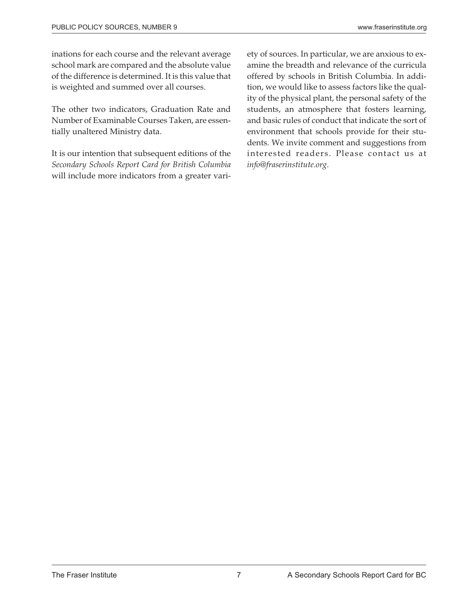inations for each course and the relevant average school mark are compared and the absolute value of the difference is determined. It is this value that is weighted and summed over all courses.

The other two indicators, Graduation Rate and Number of Examinable Courses Taken, are essentially unaltered Ministry data.

It is our intention that subsequent editions of the *Secondary Schools Report Card for British Columbia* will include more indicators from a greater vari-

ety of sources. In particular, we are anxious to examine the breadth and relevance of the curricula offered by schools in British Columbia. In addition, we would like to assess factors like the quality of the physical plant, the personal safety of the students, an atmosphere that fosters learning, and basic rules of conduct that indicate the sort of environment that schools provide for their students. We invite comment and suggestions from interested readers. Please contact us at *info@fraserinstitute.org*.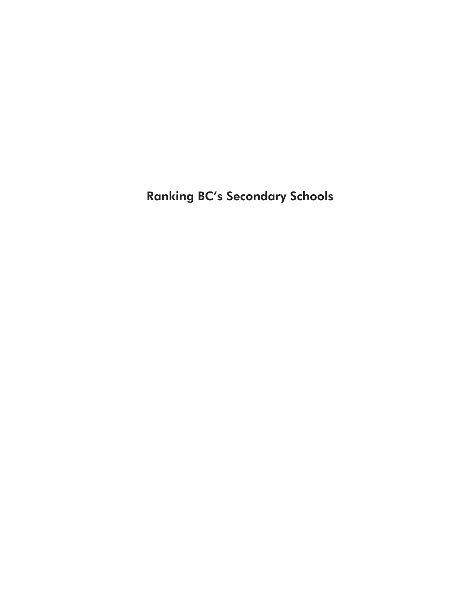Ranking BC's Secondary Schools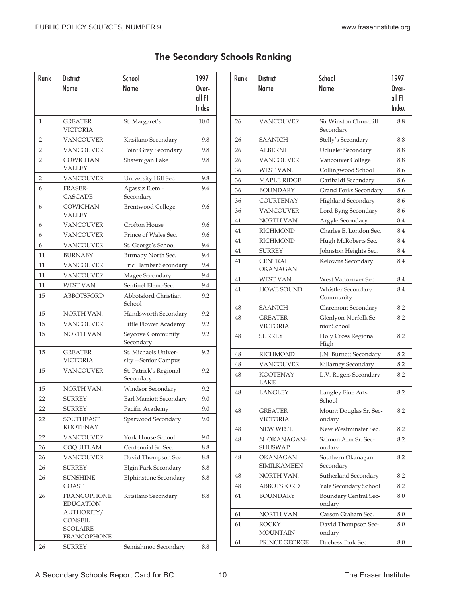#### The Secondary Schools Ranking

| <b>Rank</b>    | <b>District</b><br><b>Name</b>                                                                           | <b>School</b><br>Name                      | 1997<br>Over-   |
|----------------|----------------------------------------------------------------------------------------------------------|--------------------------------------------|-----------------|
|                |                                                                                                          |                                            | all FI<br>Index |
| $\mathbf{1}$   | <b>GREATER</b><br><b>VICTORIA</b>                                                                        | St. Margaret's                             | 10.0            |
| 2              | <b>VANCOUVER</b>                                                                                         | Kitsilano Secondary                        | 9.8             |
| $\overline{2}$ | VANCOUVER                                                                                                | Point Grey Secondary                       | 9.8             |
| $\overline{2}$ | <b>COWICHAN</b><br><b>VALLEY</b>                                                                         | Shawnigan Lake                             | 9.8             |
| $\overline{2}$ | <b>VANCOUVER</b>                                                                                         | University Hill Sec.                       | 9.8             |
| 6              | <b>FRASER-</b><br><b>CASCADE</b>                                                                         | Agassiz Elem.-<br>Secondary                | 9.6             |
| 6              | <b>COWICHAN</b><br><b>VALLEY</b>                                                                         | <b>Brentwood College</b>                   | 9.6             |
| 6              | <b>VANCOUVER</b>                                                                                         | Crofton House                              | 9.6             |
| 6              | <b>VANCOUVER</b>                                                                                         | Prince of Wales Sec.                       | 9.6             |
| 6              | <b>VANCOUVER</b>                                                                                         | St. George's School                        | 9.6             |
| 11             | <b>BURNABY</b>                                                                                           | Burnaby North Sec.                         | 9.4             |
| 11             | VANCOUVER                                                                                                | Eric Hamber Secondary                      | 9.4             |
| 11             | <b>VANCOUVER</b>                                                                                         | Magee Secondary                            | 9.4             |
| 11             | WEST VAN.                                                                                                | Sentinel Elem.-Sec.                        | 9.4             |
| 15             | <b>ABBOTSFORD</b>                                                                                        | Abbotsford Christian<br>School             | 9.2             |
| 15             | NORTH VAN.                                                                                               | Handsworth Secondary                       | 9.2             |
| 15             | VANCOUVER                                                                                                | Little Flower Academy                      | 9.2             |
| 15             | NORTH VAN.                                                                                               | Seycove Community<br>Secondary             | 9.2             |
| 15             | <b>GREATER</b><br><b>VICTORIA</b>                                                                        | St. Michaels Univer-<br>sity-Senior Campus | 9.2             |
| 15             | <b>VANCOUVER</b>                                                                                         | St. Patrick's Regional<br>Secondary        | 9.2             |
| 15             | NORTH VAN.                                                                                               | Windsor Secondary                          | 9.2             |
| 22             | <b>SURREY</b>                                                                                            | Earl Marriott Secondary                    | 9.0             |
| 22             | <b>SURREY</b>                                                                                            | Pacific Academy                            | 9.0             |
| 22             | SOUTHEAST<br>KOOTENAY                                                                                    | Sparwood Secondary                         | 9.0             |
| 22             | <b>VANCOUVER</b>                                                                                         | York House School                          | 9.0             |
| 26             | COQUITLAM                                                                                                | Centennial Sr. Sec.                        | 8.8             |
| 26             | VANCOUVER                                                                                                | David Thompson Sec.                        | 8.8             |
| 26             | <b>SURREY</b>                                                                                            | Elgin Park Secondary                       | 8.8             |
| 26             | <b>SUNSHINE</b><br>COAST                                                                                 | <b>Elphinstone Secondary</b>               | 8.8             |
| 26             | <b>FRANCOPHONE</b><br><b>EDUCATION</b><br>AUTHORITY/<br>CONSEIL<br><b>SCOLAIRE</b><br><b>FRANCOPHONE</b> | Kitsilano Secondary                        | 8.8             |
| 26             | SURREY                                                                                                   | Semiahmoo Secondary                        | 8.8             |

| <b>School</b><br><b>District</b>  |                                        |        |  |  |  |
|-----------------------------------|----------------------------------------|--------|--|--|--|
| Name                              | <b>Name</b>                            | Over-  |  |  |  |
|                                   |                                        | all FI |  |  |  |
|                                   |                                        | Index  |  |  |  |
| <b>VANCOUVER</b>                  | Sir Winston Churchill<br>Secondary     | 8.8    |  |  |  |
| SAANICH                           | Stelly's Secondary                     | 8.8    |  |  |  |
| <b>ALBERNI</b>                    | <b>Ucluelet Secondary</b>              | 8.8    |  |  |  |
| <b>VANCOUVER</b>                  | Vancouver College                      | 8.8    |  |  |  |
| WEST VAN.                         | Collingwood School                     | 8.6    |  |  |  |
| <b>MAPLE RIDGE</b>                | Garibaldi Secondary                    | 8.6    |  |  |  |
| <b>BOUNDARY</b>                   | Grand Forks Secondary                  | 8.6    |  |  |  |
| COURTENAY                         | Highland Secondary                     | 8.6    |  |  |  |
| <b>VANCOUVER</b>                  | Lord Byng Secondary                    | 8.6    |  |  |  |
| NORTH VAN.                        | Argyle Secondary                       | 8.4    |  |  |  |
| <b>RICHMOND</b>                   | Charles E. London Sec.                 | 8.4    |  |  |  |
| RICHMOND                          | Hugh McRoberts Sec.                    | 8.4    |  |  |  |
| <b>SURREY</b>                     | Johnston Heights Sec.                  | 8.4    |  |  |  |
| <b>CENTRAL</b>                    | Kelowna Secondary                      | 8.4    |  |  |  |
| <b>OKANAGAN</b>                   |                                        |        |  |  |  |
| WEST VAN.                         | West Vancouver Sec.                    | 8.4    |  |  |  |
| <b>HOWE SOUND</b>                 | Whistler Secondary                     | 8.4    |  |  |  |
|                                   | Community                              |        |  |  |  |
| SAANICH                           | Claremont Secondary                    | 8.2    |  |  |  |
| <b>GREATER</b><br><b>VICTORIA</b> | Glenlyon-Norfolk Se-<br>nior School    | 8.2    |  |  |  |
| <b>SURREY</b>                     | Holy Cross Regional<br>High            | 8.2    |  |  |  |
| <b>RICHMOND</b>                   | J.N. Burnett Secondary                 | 8.2    |  |  |  |
| <b>VANCOUVER</b>                  | Killarney Secondary                    | 8.2    |  |  |  |
| <b>KOOTENAY</b><br>LAKE           | L.V. Rogers Secondary                  | 8.2    |  |  |  |
| <b>LANGLEY</b>                    | Langley Fine Arts<br>School            | 8.2    |  |  |  |
| <b>GREATER</b><br><b>VICTORIA</b> | Mount Douglas Sr. Sec-<br>ondary       | 8.2    |  |  |  |
| NEW WEST.                         | New Westminster Sec.                   | 8.2    |  |  |  |
| N. OKANAGAN-<br><b>SHUSWAP</b>    | Salmon Arm Sr. Sec-<br>ondary          | 8.2    |  |  |  |
| <b>OKANAGAN</b><br>SIMILKAMEEN    | Southern Okanagan<br>Secondary         | 8.2    |  |  |  |
| NORTH VAN.                        | Sutherland Secondary                   | 8.2    |  |  |  |
| <b>ABBOTSFORD</b>                 | Yale Secondary School                  | 8.2    |  |  |  |
| <b>BOUNDARY</b>                   | <b>Boundary Central Sec-</b><br>ondary | 8.0    |  |  |  |
| NORTH VAN.                        | Carson Graham Sec.                     | 8.0    |  |  |  |
| <b>ROCKY</b><br><b>MOUNTAIN</b>   | David Thompson Sec-<br>ondary          | 8.0    |  |  |  |
| PRINCE GEORGE                     | Duchess Park Sec.                      | 8.0    |  |  |  |
|                                   |                                        |        |  |  |  |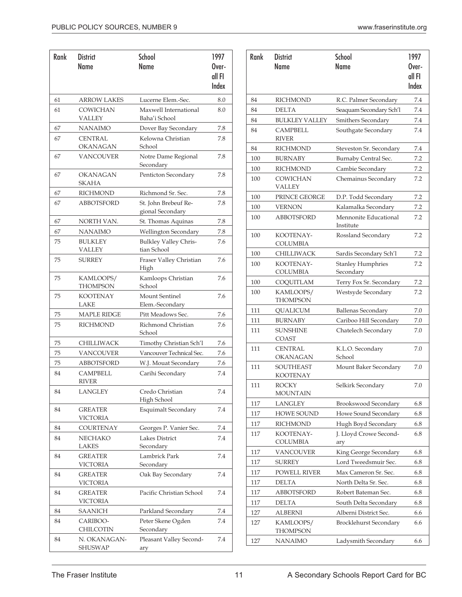| Rank | <b>District</b><br><b>Name</b>    | <b>School</b><br><b>Name</b>                | 1997<br>Over-<br>all FI<br>Index | Rank       |
|------|-----------------------------------|---------------------------------------------|----------------------------------|------------|
| 61   | <b>ARROW LAKES</b>                | Lucerne Elem.-Sec.                          | 8.0                              | 84         |
| 61   | COWICHAN<br>VALLEY                | Maxwell International<br>Baha'i School      | 8.0                              | 84<br>84   |
| 67   | NANAIMO                           | Dover Bay Secondary                         | 7.8                              | 84         |
| 67   | <b>CENTRAL</b><br><b>OKANAGAN</b> | Kelowna Christian<br>School                 | 7.8                              | 84         |
| 67   | VANCOUVER                         | Notre Dame Regional<br>Secondary            | 7.8                              | 100        |
| 67   | <b>OKANAGAN</b><br>SKAHA          | Penticton Secondary                         | 7.8                              | 100<br>100 |
| 67   | <b>RICHMOND</b>                   | Richmond Sr. Sec.                           | 7.8                              | 100        |
| 67   | <b>ABBOTSFORD</b>                 | St. John Brebeuf Re-<br>gional Secondary    | 7.8                              | 100        |
| 67   | NORTH VAN.                        | St. Thomas Aquinas                          | 7.8                              | 100        |
| 67   | <b>NANAIMO</b>                    | <b>Wellington Secondary</b>                 | 7.8                              |            |
| 75   | <b>BULKLEY</b><br><b>VALLEY</b>   | <b>Bulkley Valley Chris-</b><br>tian School | 7.6                              | 100        |
| 75   | <b>SURREY</b>                     | Fraser Valley Christian<br>High             | 7.6                              | 100<br>100 |
| 75   | KAMLOOPS/<br><b>THOMPSON</b>      | Kamloops Christian<br>School                | 7.6                              | 100        |
| 75   | <b>KOOTENAY</b><br>LAKE           | Mount Sentinel<br>Elem.-Secondary           | 7.6                              | 100        |
| 75   | <b>MAPLE RIDGE</b>                | Pitt Meadows Sec.                           | 7.6                              | 111        |
| 75   | <b>RICHMOND</b>                   | Richmond Christian<br>School                | 7.6                              | 111<br>111 |
| 75   | <b>CHILLIWACK</b>                 | Timothy Christian Sch'l                     | 7.6                              |            |
| 75   | VANCOUVER                         | Vancouver Technical Sec.                    | 7.6                              | 111        |
| 75   | <b>ABBOTSFORD</b>                 | W.J. Mouat Secondary                        | 7.6                              | 111        |
| 84   | <b>CAMPBELL</b><br><b>RIVER</b>   | Carihi Secondary                            | 7.4                              | 111        |
| 84   | <b>LANGLEY</b>                    | Credo Christian<br>High School              | 7.4                              |            |
| 84   | <b>GREATER</b>                    | <b>Esquimalt Secondary</b>                  | 7.4                              | 117<br>117 |
|      | <b>VICTORIA</b>                   |                                             |                                  | 117        |
| 84   | COURTENAY                         | Georges P. Vanier Sec.                      | 7.4                              | 117        |
| 84   | <b>NECHAKO</b><br>LAKES           | Lakes District<br>Secondary                 | 7.4                              |            |
| 84   | <b>GREATER</b><br><b>VICTORIA</b> | Lambrick Park<br>Secondary                  | 7.4                              | 117<br>117 |
| 84   | <b>GREATER</b><br><b>VICTORIA</b> | Oak Bay Secondary                           | 7.4                              | 117<br>117 |
| 84   | <b>GREATER</b><br><b>VICTORIA</b> | Pacific Christian School                    | 7.4                              | 117<br>117 |
| 84   | SAANICH                           | Parkland Secondary                          | 7.4                              | 127        |
| 84   | CARIBOO-<br><b>CHILCOTIN</b>      | Peter Skene Ogden<br>Secondary              | 7.4                              | 127        |
| 84   | N. OKANAGAN-<br><b>SHUSWAP</b>    | Pleasant Valley Second-<br>ary              | 7.4                              | 127        |

| Rank | <b>District</b><br>Name             | <b>School</b><br>Name                 | 1997<br>Over-<br>all FI<br>Index |
|------|-------------------------------------|---------------------------------------|----------------------------------|
| 84   | RICHMOND                            | R.C. Palmer Secondary                 | 7.4                              |
| 84   | <b>DELTA</b>                        | Seaquam Secondary Sch'l               | 7.4                              |
| 84   | <b>BULKLEY VALLEY</b>               | Smithers Secondary                    | 7.4                              |
| 84   | <b>CAMPBELL</b><br><b>RIVER</b>     | Southgate Secondary                   | 7.4                              |
| 84   | <b>RICHMOND</b>                     | Steveston Sr. Secondary               | 7.4                              |
| 100  | <b>BURNABY</b>                      | Burnaby Central Sec.                  | 7.2                              |
| 100  | <b>RICHMOND</b>                     | Cambie Secondary                      | 7.2                              |
| 100  | <b>COWICHAN</b><br>VALLEY           | Chemainus Secondary                   | 7.2                              |
| 100  | PRINCE GEORGE                       | D.P. Todd Secondary                   | 7.2                              |
| 100  | <b>VERNON</b>                       | Kalamalka Secondary                   | 7.2                              |
| 100  | <b>ABBOTSFORD</b>                   | Mennonite Educational<br>Institute    | 7.2                              |
| 100  | KOOTENAY-<br><b>COLUMBIA</b>        | Rossland Secondary                    | 7.2                              |
| 100  | CHILLIWACK                          | Sardis Secondary Sch'l                | 7.2                              |
| 100  | KOOTENAY-<br>COLUMBIA               | <b>Stanley Humphries</b><br>Secondary | 7.2                              |
| 100  | COQUITLAM                           | Terry Fox Sr. Secondary               | 7.2                              |
| 100  | KAMLOOPS/<br><b>THOMPSON</b>        | Westsyde Secondary                    | 7.2                              |
| 111  | <b>OUALICUM</b>                     | <b>Ballenas Secondary</b>             | 7.0                              |
| 111  | <b>BURNABY</b>                      | Cariboo Hill Secondary                | 7.0                              |
| 111  | <b>SUNSHINE</b><br><b>COAST</b>     | Chatelech Secondary                   | 7.0                              |
| 111  | <b>CENTRAL</b><br><b>OKANAGAN</b>   | K.L.O. Secondary<br>School            | 7.0                              |
| 111  | <b>SOUTHEAST</b><br><b>KOOTENAY</b> | Mount Baker Secondary                 | 7.0                              |
| 111  | <b>ROCKY</b><br><b>MOUNTAIN</b>     | Selkirk Secondary                     | 7.0                              |
| 117  | <b>LANGLEY</b>                      | <b>Brookswood Secondary</b>           | 6.8                              |
| 117  | HOWE SOUND                          | Howe Sound Secondary                  | 6.8                              |
| 117  | <b>RICHMOND</b>                     | Hugh Boyd Secondary                   | 6.8                              |
| 117  | KOOTENAY-<br>COLUMBIA               | J. Lloyd Crowe Second-<br>ary         | 6.8                              |
| 117  | <b>VANCOUVER</b>                    | King George Secondary                 | 6.8                              |
| 117  | <b>SURREY</b>                       | Lord Tweedsmuir Sec.                  | 6.8                              |
| 117  | <b>POWELL RIVER</b>                 | Max Cameron Sr. Sec.                  | 6.8                              |
| 117  | <b>DELTA</b>                        | North Delta Sr. Sec.                  | 6.8                              |
| 117  | ABBOTSFORD                          | Robert Bateman Sec.                   | 6.8                              |
| 117  | <b>DELTA</b>                        | South Delta Secondary                 | 6.8                              |
| 127  | <b>ALBERNI</b>                      | Alberni District Sec.                 | 6.6                              |
| 127  | KAMLOOPS/<br><b>THOMPSON</b>        | Brocklehurst Secondary                | 6.6                              |
| 127  | <b>NANAIMO</b>                      | Ladysmith Secondary                   | 6.6                              |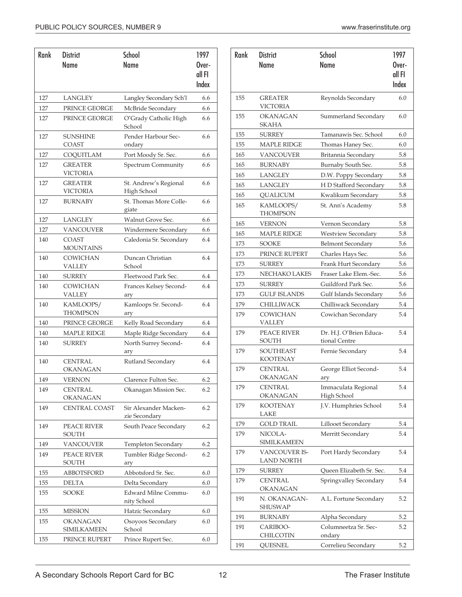| Rank | <b>District</b>                   | 1997                                   |                 |
|------|-----------------------------------|----------------------------------------|-----------------|
|      | <b>Name</b>                       | <b>Name</b>                            | Over-           |
|      |                                   |                                        | all FI<br>Index |
| 127  | LANGLEY                           | Langley Secondary Sch'l                | 66              |
| 127  | PRINCE GEORGE                     | McBride Secondary                      | 6.6             |
| 127  | PRINCE GEORGE                     | O'Grady Catholic High                  | 6.6             |
|      |                                   | School                                 |                 |
| 127  | <b>SUNSHINE</b><br><b>COAST</b>   | Pender Harbour Sec-<br>ondary          | 6.6             |
| 127  | COQUITLAM                         | Port Moody Sr. Sec.                    | 6.6             |
| 127  | <b>GREATER</b><br><b>VICTORIA</b> | Spectrum Community                     | 6.6             |
| 127  | <b>GREATER</b><br><b>VICTORIA</b> | St. Andrew's Regional<br>High School   | 6.6             |
| 127  | <b>BURNABY</b>                    | St. Thomas More Colle-<br>giate        | 6.6             |
| 127  | LANGLEY                           | Walnut Grove Sec.                      | 6.6             |
| 127  | <b>VANCOUVER</b>                  | Windermere Secondary                   | 6.6             |
| 140  | <b>COAST</b><br><b>MOUNTAINS</b>  | Caledonia Sr. Secondary                | 6.4             |
| 140  | <b>COWICHAN</b><br><b>VALLEY</b>  | Duncan Christian<br>School             | 6.4             |
| 140  | <b>SURREY</b>                     | Fleetwood Park Sec.                    | 6.4             |
| 140  | <b>COWICHAN</b><br>VALLEY         | Frances Kelsey Second-<br>ary          | 6.4             |
| 140  | KAMLOOPS/<br><b>THOMPSON</b>      | Kamloops Sr. Second-<br>ary            | 6.4             |
| 140  | PRINCE GEORGE                     | Kelly Road Secondary                   | 6.4             |
| 140  | <b>MAPLE RIDGE</b>                | Maple Ridge Secondary                  | 6.4             |
| 140  | SURREY                            | North Surrey Second-<br>ary            | 6.4             |
| 140  | <b>CENTRAL</b><br>OKANAGAN        | Rutland Secondary                      | 6.4             |
| 149  | <b>VERNON</b>                     | Clarence Fulton Sec.                   | 6.2             |
| 149  | <b>CENTRAL</b><br>OKANAGAN        | Okanagan Mission Sec.                  | 6.2             |
| 149  | <b>CENTRAL COAST</b>              | Sir Alexander Macken-<br>zie Secondary | 6.2             |
| 149  | PEACE RIVER<br>SOUTH              | South Peace Secondary                  | 6.2             |
| 149  | VANCOUVER                         | Templeton Secondary                    | 6.2             |
| 149  | PEACE RIVER<br>SOUTH              | Tumbler Ridge Second-<br>ary           | 6.2             |
| 155  | ABBOTSFORD                        | Abbotsford Sr. Sec.                    | 6.0             |
| 155  | <b>DELTA</b>                      | Delta Secondary                        | 6.0             |
| 155  | <b>SOOKE</b>                      | Edward Milne Commu-<br>nity School     | 6.0             |
| 155  | MISSION                           | Hatzic Secondary                       | 6.0             |
| 155  | OKANAGAN<br><b>SIMILKAMEEN</b>    | Osoyoos Secondary<br>School            | 6.0             |
| 155  | PRINCE RUPERT                     | Prince Rupert Sec.                     | 6.0             |

| 155 | <b>GREATER</b><br><b>VICTORIA</b>  | Reynolds Secondary                       | 6.0 |
|-----|------------------------------------|------------------------------------------|-----|
| 155 | <b>OKANAGAN</b><br><b>SKAHA</b>    | Summerland Secondary                     | 6.0 |
| 155 | <b>SURREY</b>                      | Tamanawis Sec. School                    | 6.0 |
| 155 | <b>MAPLE RIDGE</b>                 | Thomas Haney Sec.                        | 6.0 |
| 165 | <b>VANCOUVER</b>                   | Britannia Secondary                      | 5.8 |
| 165 | <b>BURNABY</b>                     | Burnaby South Sec.                       | 5.8 |
| 165 | <b>LANGLEY</b>                     | D.W. Poppy Secondary                     | 5.8 |
| 165 | <b>LANGLEY</b>                     | H D Stafford Secondary                   | 5.8 |
| 165 | <b>QUALICUM</b>                    | Kwalikum Secondary                       | 5.8 |
| 165 | KAMLOOPS/<br><b>THOMPSON</b>       | St. Ann's Academy                        | 5.8 |
| 165 | <b>VERNON</b>                      | Vernon Secondary                         | 5.8 |
| 165 | <b>MAPLE RIDGE</b>                 | <b>Westview Secondary</b>                | 5.8 |
| 173 | SOOKE                              | <b>Belmont Secondary</b>                 | 5.6 |
| 173 | PRINCE RUPERT                      | Charles Hays Sec.                        | 5.6 |
| 173 | <b>SURREY</b>                      | Frank Hurt Secondary                     | 5.6 |
| 173 | NECHAKO LAKES                      | Fraser Lake Elem.-Sec.                   | 5.6 |
| 173 | SURREY                             | Guildford Park Sec.                      | 5.6 |
| 173 | <b>GULF ISLANDS</b>                | Gulf Islands Secondary                   | 5.6 |
| 179 | CHILLIWACK                         | Chilliwack Secondary                     | 5.4 |
| 179 | COWICHAN<br>VALLEY                 | Cowichan Secondary                       | 5.4 |
| 179 | PEACE RIVER<br><b>SOUTH</b>        | Dr. H.J. O'Brien Educa-<br>tional Centre | 5.4 |
| 179 | SOUTHEAST<br><b>KOOTENAY</b>       | Fernie Secondary                         | 5.4 |
| 179 | <b>CENTRAL</b><br><b>OKANAGAN</b>  | George Elliot Second-<br>ary             | 5.4 |
| 179 | <b>CENTRAL</b><br><b>OKANAGAN</b>  | Immaculata Regional<br>High School       | 5.4 |
| 179 | <b>KOOTENAY</b><br>LAKE            | J.V. Humphries School                    | 5.4 |
| 179 | <b>GOLD TRAIL</b>                  | Lillooet Secondary                       | 5.4 |
| 179 | NICOLA-<br><b>SIMILKAMEEN</b>      | Merritt Secondary                        | 5.4 |
| 179 | VANCOUVER IS-<br><b>LAND NORTH</b> | Port Hardy Secondary                     | 5.4 |
| 179 | <b>SURREY</b>                      | Queen Elizabeth Sr. Sec.                 | 5.4 |
| 179 | <b>CENTRAL</b><br><b>OKANAGAN</b>  | Springvalley Secondary                   | 5.4 |
| 191 | N. OKANAGAN-<br><b>SHUSWAP</b>     | A.L. Fortune Secondary                   | 5.2 |
| 191 | BURNABY                            | Alpha Secondary                          | 5.2 |
| 191 | CARIBOO-<br>CHILCOTIN              | Columneetza Sr. Sec-<br>ondary           | 5.2 |
| 191 | QUESNEL                            | Correlieu Secondary                      | 5.2 |

1997 Overall FI Index

School Name

Rank District Name

155

 $155$ 

 $165$ 

179

179

179

179

179

179

179

179

179

191

191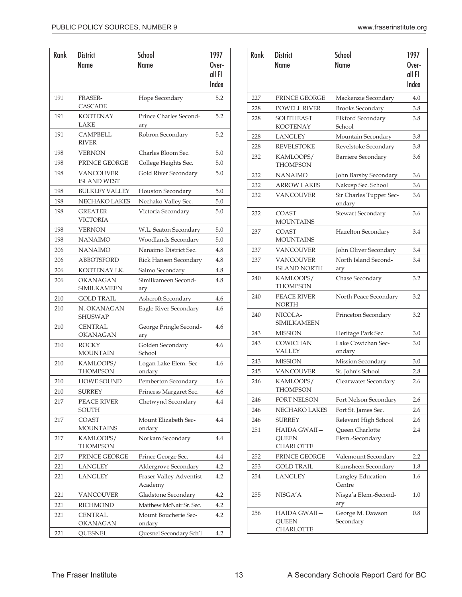| Rank | <b>School</b><br><b>District</b>       |                                    |                 |  |  |  |
|------|----------------------------------------|------------------------------------|-----------------|--|--|--|
|      | Name                                   | <b>Name</b>                        | Over-           |  |  |  |
|      |                                        |                                    | all FI<br>Index |  |  |  |
|      |                                        |                                    |                 |  |  |  |
| 191  | <b>FRASER-</b><br><b>CASCADE</b>       | Hope Secondary                     | 5.2             |  |  |  |
| 191  | <b>KOOTENAY</b><br>LAKE                | Prince Charles Second-<br>ary      | 5.2             |  |  |  |
| 191  | <b>CAMPBELL</b><br><b>RIVER</b>        | Robron Secondary                   | 5.2             |  |  |  |
| 198  | <b>VERNON</b>                          | Charles Bloom Sec.                 | 5.0             |  |  |  |
| 198  | PRINCE GEORGE                          | College Heights Sec.               | 5.0             |  |  |  |
| 198  | <b>VANCOUVER</b><br><b>ISLAND WEST</b> | Gold River Secondary               | 5.0             |  |  |  |
| 198  | <b>BULKLEY VALLEY</b>                  | Houston Secondary                  | 5.0             |  |  |  |
| 198  | NECHAKO LAKES                          | Nechako Valley Sec.                | 5.0             |  |  |  |
| 198  | <b>GREATER</b><br><b>VICTORIA</b>      | Victoria Secondary                 | 5.0             |  |  |  |
| 198  | <b>VERNON</b>                          | W.L. Seaton Secondary              | 5.0             |  |  |  |
| 198  | <b>NANAIMO</b>                         | Woodlands Secondary                | 5.0             |  |  |  |
| 206  | <b>NANAIMO</b>                         | Nanaimo District Sec.              | 4.8             |  |  |  |
| 206  | <b>ABBOTSFORD</b>                      | Rick Hansen Secondary              | 4.8             |  |  |  |
| 206  | KOOTENAY LK.                           | Salmo Secondary                    | 4.8             |  |  |  |
| 206  | <b>OKANAGAN</b><br>SIMILKAMEEN         | Similkameen Second-<br>ary         | 4.8             |  |  |  |
| 210  | GOLD TRAIL                             | Ashcroft Secondary                 | 4.6             |  |  |  |
| 210  | N. OKANAGAN-<br><b>SHUSWAP</b>         | Eagle River Secondary              | 4.6             |  |  |  |
| 210  | <b>CENTRAL</b><br>OKANAGAN             | George Pringle Second-<br>ary      | 4.6             |  |  |  |
| 210  | <b>ROCKY</b><br>MOUNTAIN               | Golden Secondary<br>School         | 4.6             |  |  |  |
| 210  | KAMLOOPS/<br><b>THOMPSON</b>           | Logan Lake Elem.-Sec-<br>ondary    | 4.6             |  |  |  |
| 210  | <b>HOWE SOUND</b>                      | Pemberton Secondary                | 4.6             |  |  |  |
| 210  | <b>SURREY</b>                          | Princess Margaret Sec.             | 4.6             |  |  |  |
| 217  | PEACE RIVER<br>SOUTH                   | Chetwynd Secondary                 | 4.4             |  |  |  |
| 217  | COAST<br><b>MOUNTAINS</b>              | Mount Elizabeth Sec-<br>ondary     | 4.4             |  |  |  |
| 217  | KAMLOOPS/<br><b>THOMPSON</b>           | Norkam Secondary                   | 4.4             |  |  |  |
| 217  | PRINCE GEORGE                          | Prince George Sec.                 | 4.4             |  |  |  |
| 221  | LANGLEY                                | Aldergrove Secondary               | 4.2             |  |  |  |
| 221  | <b>LANGLEY</b>                         | Fraser Valley Adventist<br>Academy | 4.2             |  |  |  |
| 221  | <b>VANCOUVER</b>                       | Gladstone Secondary                | 4.2             |  |  |  |
| 221  | <b>RICHMOND</b>                        | Matthew McNair Sr. Sec.            | 4.2             |  |  |  |
| 221  | <b>CENTRAL</b><br><b>OKANAGAN</b>      | Mount Boucherie Sec-<br>ondary     | 4.2             |  |  |  |
| 221  | QUESNEL                                | Quesnel Secondary Sch'l            | 4.2             |  |  |  |

| Rank | <b>District</b><br>Name                          | <b>School</b><br>Name                     | 1997<br>Over-<br>all FI<br>Index |
|------|--------------------------------------------------|-------------------------------------------|----------------------------------|
| 227  | PRINCE GEORGE                                    | Mackenzie Secondary                       | 4.0                              |
| 228  | <b>POWELL RIVER</b>                              | <b>Brooks Secondary</b>                   | 3.8                              |
| 228  | <b>SOUTHEAST</b><br><b>KOOTENAY</b>              | Elkford Secondary<br>School               | 3.8                              |
| 228  | LANGLEY                                          | Mountain Secondary                        | 3.8                              |
| 228  | <b>REVELSTOKE</b>                                | Revelstoke Secondary                      | 3.8                              |
| 232  | KAMLOOPS/<br><b>THOMPSON</b>                     | <b>Barriere Secondary</b>                 | 3.6                              |
| 232  | <b>NANAIMO</b>                                   | John Barsby Secondary                     | 3.6                              |
| 232  | <b>ARROW LAKES</b>                               | Nakusp Sec. School                        | 3.6                              |
| 232  | VANCOUVER                                        | Sir Charles Tupper Sec-<br>ondary         | 3.6                              |
| 232  | COAST<br><b>MOUNTAINS</b>                        | Stewart Secondary                         | 3.6                              |
| 237  | COAST<br><b>MOUNTAINS</b>                        | Hazelton Secondary                        | 3.4                              |
| 237  | <b>VANCOUVER</b>                                 | John Oliver Secondary                     | 3.4                              |
| 237  | <b>VANCOUVER</b><br><b>ISLAND NORTH</b>          | North Island Second-<br>ary               | 3.4                              |
| 240  | KAMLOOPS/<br>THOMPSON                            | Chase Secondary                           | 3.2                              |
| 240  | PEACE RIVER<br>NORTH                             | North Peace Secondary                     | 3.2                              |
| 240  | NICOLA-<br><b>SIMILKAMEEN</b>                    | Princeton Secondary                       | 3.2                              |
| 243  | <b>MISSION</b>                                   | Heritage Park Sec.                        | 3.0                              |
| 243  | <b>COWICHAN</b><br>VALLEY                        | Lake Cowichan Sec-<br>ondary              | 3.0                              |
| 243  | <b>MISSION</b>                                   | Mission Secondary                         | 3.0                              |
| 245  | VANCOUVER                                        | St. John's School                         | 2.8                              |
| 246  | KAMLOOPS/<br><b>THOMPSON</b>                     | Clearwater Secondary                      | 2.6                              |
| 246  | FORT NELSON                                      | Fort Nelson Secondary                     | 2.6                              |
| 246  | NECHAKO LAKES                                    | Fort St. James Sec.                       | 2.6                              |
| 246  | SURREY                                           | Relevant High School                      | 2.6                              |
| 251  | HAIDA GWAII—<br><b>QUEEN</b><br>CHARLOTTE        | <b>Oueen Charlotte</b><br>Elem.-Secondary | 2.4                              |
| 252  | PRINCE GEORGE                                    | Valemount Secondary                       | 2.2                              |
| 253  | GOLD TRAIL                                       | Kumsheen Secondary                        | 1.8                              |
| 254  | <b>LANGLEY</b>                                   | Langley Education<br>Centre               | 1.6                              |
| 255  | NISGA'A                                          | Nisga'a Elem.-Second-<br>ary              | 1.0                              |
| 256  | <b>HAIDA GWAII-</b><br><b>QUEEN</b><br>CHARLOTTE | George M. Dawson<br>Secondary             | 0.8                              |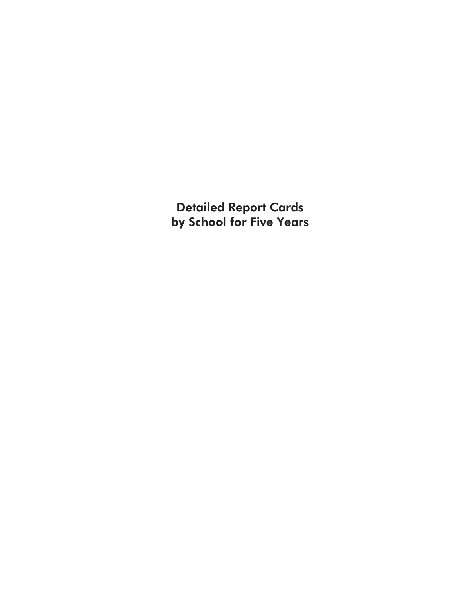Detailed Report Cards by School for Five Years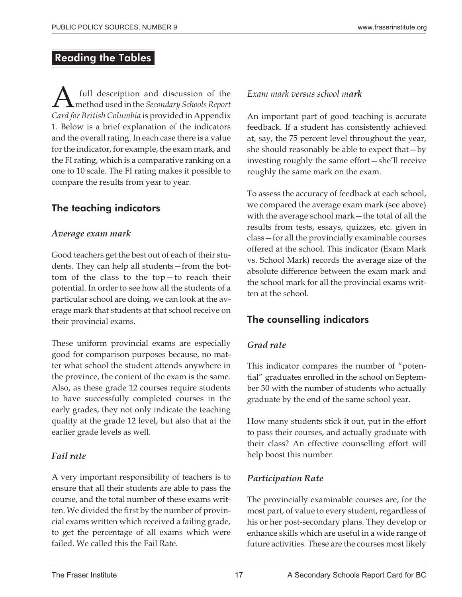#### Reading the Tables

 $\sum_{\text{c} \text{ and } \text{free}}$  full description and discussion of the Secondary Schools Report method used in the *Secondary Schools Report Card for British Columbia* is provided in Appendix 1. Below is a brief explanation of the indicators and the overall rating. In each case there is a value for the indicator, for example, the exam mark, and the FI rating, which is a comparative ranking on a one to 10 scale. The FI rating makes it possible to compare the results from year to year.

#### The teaching indicators

#### *Average exam mark*

Good teachers get the best out of each of their students. They can help all students—from the bottom of the class to the top—to reach their potential. In order to see how all the students of a particular school are doing, we can look at the average mark that students at that school receive on their provincial exams.

These uniform provincial exams are especially good for comparison purposes because, no matter what school the student attends anywhere in the province, the content of the exam is the same. Also, as these grade 12 courses require students to have successfully completed courses in the early grades, they not only indicate the teaching quality at the grade 12 level, but also that at the earlier grade levels as well.

#### *Fail rate*

A very important responsibility of teachers is to ensure that all their students are able to pass the course, and the total number of these exams written. We divided the first by the number of provincial exams written which received a failing grade, to get the percentage of all exams which were failed. We called this the Fail Rate.

#### *Exam mark versus school mark*

An important part of good teaching is accurate feedback. If a student has consistently achieved at, say, the 75 percent level throughout the year, she should reasonably be able to expect that—by investing roughly the same effort—she'll receive roughly the same mark on the exam.

To assess the accuracy of feedback at each school, we compared the average exam mark (see above) with the average school mark—the total of all the results from tests, essays, quizzes, etc. given in class—for all the provincially examinable courses offered at the school. This indicator (Exam Mark vs. School Mark) records the average size of the absolute difference between the exam mark and the school mark for all the provincial exams written at the school.

#### The counselling indicators

#### *Grad rate*

This indicator compares the number of "potential" graduates enrolled in the school on September 30 with the number of students who actually graduate by the end of the same school year.

How many students stick it out, put in the effort to pass their courses, and actually graduate with their class? An effective counselling effort will help boost this number.

#### *Participation Rate*

The provincially examinable courses are, for the most part, of value to every student, regardless of his or her post-secondary plans. They develop or enhance skills which are useful in a wide range of future activities. These are the courses most likely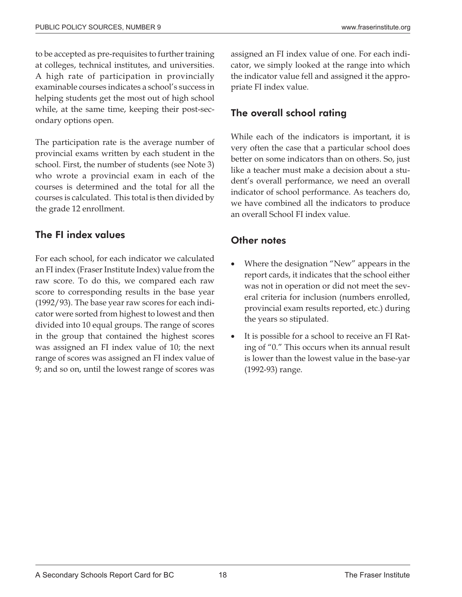to be accepted as pre-requisites to further training at colleges, technical institutes, and universities. A high rate of participation in provincially examinable courses indicates a school's success in helping students get the most out of high school while, at the same time, keeping their post-secondary options open.

The participation rate is the average number of provincial exams written by each student in the school. First, the number of students (see Note 3) who wrote a provincial exam in each of the courses is determined and the total for all the courses is calculated. This total is then divided by the grade 12 enrollment.

#### The FI index values

For each school, for each indicator we calculated an FI index (Fraser Institute Index) value from the raw score. To do this, we compared each raw score to corresponding results in the base year (1992/93). The base year raw scores for each indicator were sorted from highest to lowest and then divided into 10 equal groups. The range of scores in the group that contained the highest scores was assigned an FI index value of 10; the next range of scores was assigned an FI index value of 9; and so on, until the lowest range of scores was assigned an FI index value of one. For each indicator, we simply looked at the range into which the indicator value fell and assigned it the appropriate FI index value.

#### The overall school rating

While each of the indicators is important, it is very often the case that a particular school does better on some indicators than on others. So, just like a teacher must make a decision about a student's overall performance, we need an overall indicator of school performance. As teachers do, we have combined all the indicators to produce an overall School FI index value.

#### Other notes

- - Where the designation "New" appears in the report cards, it indicates that the school either was not in operation or did not meet the several criteria for inclusion (numbers enrolled, provincial exam results reported, etc.) during the years so stipulated.
- - It is possible for a school to receive an FI Rating of "0." This occurs when its annual result is lower than the lowest value in the base-yar (1992-93) range.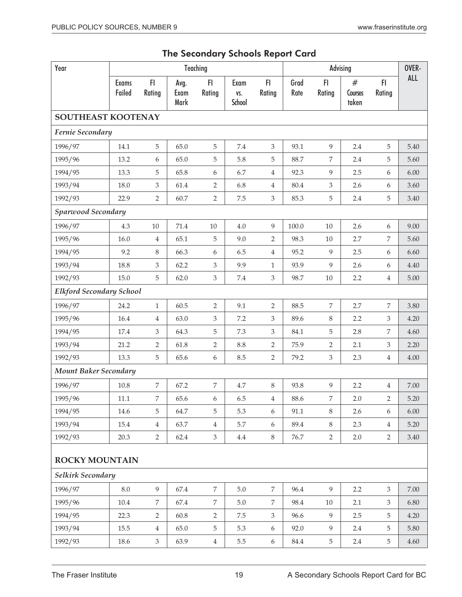|  |  | The Secondary Schools Report Card |  |  |  |
|--|--|-----------------------------------|--|--|--|
|--|--|-----------------------------------|--|--|--|

| Year<br>Teaching                |                        |                |                      |                  | Advising              |                  |              |                  | OVER-                 |                |            |
|---------------------------------|------------------------|----------------|----------------------|------------------|-----------------------|------------------|--------------|------------------|-----------------------|----------------|------------|
|                                 | <b>Exams</b><br>Failed | F<br>Rating    | Avg.<br>Exam<br>Mark | F<br>Rating      | Exam<br>VS.<br>School | FI.<br>Rating    | Grad<br>Rate | FI<br>Rating     | #<br>Courses<br>taken | FI.<br>Rating  | <b>ALL</b> |
| SOUTHEAST KOOTENAY              |                        |                |                      |                  |                       |                  |              |                  |                       |                |            |
| Fernie Secondary                |                        |                |                      |                  |                       |                  |              |                  |                       |                |            |
| 1996/97                         | 14.1                   | 5              | 65.0                 | 5                | 7.4                   | 3                | 93.1         | 9                | 2.4                   | 5              | 5.40       |
| 1995/96                         | 13.2                   | 6              | 65.0                 | 5                | 5.8                   | 5                | 88.7         | $\overline{7}$   | 2.4                   | 5              | 5.60       |
| 1994/95                         | 13.3                   | 5              | 65.8                 | 6                | 6.7                   | $\overline{4}$   | 92.3         | 9                | 2.5                   | 6              | 6.00       |
| 1993/94                         | 18.0                   | 3              | 61.4                 | $\overline{2}$   | 6.8                   | $\overline{4}$   | 80.4         | $\mathfrak{Z}$   | 2.6                   | 6              | 3.60       |
| 1992/93                         | 22.9                   | $\overline{2}$ | 60.7                 | $\overline{2}$   | 7.5                   | $\mathfrak{Z}$   | 85.3         | $\mathbf 5$      | 2.4                   | 5              | 3.40       |
| <b>Sparwood Secondary</b>       |                        |                |                      |                  |                       |                  |              |                  |                       |                |            |
| 1996/97                         | 4.3                    | $10\,$         | 71.4                 | 10               | $4.0\,$               | 9                | 100.0        | $10\,$           | 2.6                   | 6              | 9.00       |
| 1995/96                         | 16.0                   | $\overline{4}$ | 65.1                 | 5                | 9.0                   | $\overline{2}$   | 98.3         | 10               | 2.7                   | 7              | 5.60       |
| 1994/95                         | 9.2                    | 8              | 66.3                 | 6                | 6.5                   | $\overline{4}$   | 95.2         | 9                | 2.5                   | 6              | 6.60       |
| 1993/94                         | 18.8                   | 3              | 62.2                 | 3                | 9.9                   | $\mathbf{1}$     | 93.9         | $\overline{9}$   | 2.6                   | 6              | 4.40       |
| 1992/93                         | 15.0                   | 5              | 62.0                 | $\mathfrak{Z}$   | 7.4                   | $\mathfrak{Z}$   | 98.7         | 10               | 2.2                   | $\overline{4}$ | 5.00       |
| <b>Elkford Secondary School</b> |                        |                |                      |                  |                       |                  |              |                  |                       |                |            |
| 1996/97                         | 24.2                   | $\mathbf{1}$   | 60.5                 | $\overline{2}$   | 9.1                   | $\overline{2}$   | 88.5         | $\boldsymbol{7}$ | 2.7                   | 7              | 3.80       |
| 1995/96                         | 16.4                   | 4              | 63.0                 | 3                | 7.2                   | 3                | 89.6         | $8\,$            | 2.2                   | 3              | 4.20       |
| 1994/95                         | 17.4                   | 3              | 64.3                 | 5                | $7.3\,$               | $\mathfrak{Z}$   | 84.1         | $\mathbf 5$      | 2.8                   | 7              | 4.60       |
| 1993/94                         | 21.2                   | $\overline{2}$ | 61.8                 | $\sqrt{2}$       | 8.8                   | $\overline{2}$   | 75.9         | $\overline{2}$   | 2.1                   | 3              | 2.20       |
| 1992/93                         | 13.3                   | 5              | 65.6                 | 6                | 8.5                   | $\overline{2}$   | 79.2         | $\mathfrak{Z}$   | 2.3                   | $\overline{4}$ | 4.00       |
| <b>Mount Baker Secondary</b>    |                        |                |                      |                  |                       |                  |              |                  |                       |                |            |
| 1996/97                         | 10.8                   | 7              | 67.2                 | $\overline{7}$   | 4.7                   | $\,8\,$          | 93.8         | 9                | 2.2                   | $\overline{4}$ | $7.00\,$   |
| 1995/96                         | $11.1\,$               | 7              | 65.6                 | 6                | 6.5                   | $\overline{4}$   | 88.6         | 7                | 2.0                   | $\overline{2}$ | 5.20       |
| 1994/95                         | 14.6                   | 5              | 64.7                 | 5                | 5.3                   | $\boldsymbol{6}$ | 91.1         | $8\,$            | 2.6                   | 6              | 6.00       |
| 1993/94                         | 15.4                   | 4              | 63.7                 | $\overline{4}$   | 5.7                   | $\boldsymbol{6}$ | 89.4         | $8\,$            | 2.3                   | $\overline{4}$ | 5.20       |
| 1992/93                         | 20.3                   | $\overline{2}$ | 62.4                 | $\mathfrak{Z}$   | $4.4\,$               | $8\,$            | 76.7         | $\overline{2}$   | 2.0                   | $\overline{2}$ | 3.40       |
| <b>ROCKY MOUNTAIN</b>           |                        |                |                      |                  |                       |                  |              |                  |                       |                |            |
| Selkirk Secondary               |                        |                |                      |                  |                       |                  |              |                  |                       |                |            |
| 1996/97                         | $8.0\,$                | 9              | 67.4                 | $\overline{7}$   | $5.0\,$               | $\overline{7}$   | 96.4         | 9                | 2.2                   | $\mathfrak{Z}$ | 7.00       |
| 1995/96                         | $10.4\,$               | 7              | 67.4                 | $\boldsymbol{7}$ | $5.0\,$               | 7                | 98.4         | 10               | 2.1                   | 3              | 6.80       |
| 1994/95                         | 22.3                   | $\overline{2}$ | 60.8                 | $\overline{2}$   | $7.5\,$               | $\mathfrak{Z}$   | 96.6         | 9                | 2.5                   | 5              | 4.20       |
| 1993/94                         | 15.5                   | $\overline{4}$ | 65.0                 | $\mathbf 5$      | 5.3                   | $\boldsymbol{6}$ | 92.0         | 9                | 2.4                   | 5              | 5.80       |
| 1992/93                         | 18.6                   | $\mathfrak{Z}$ | 63.9                 | $\,4$            | 5.5                   | $\boldsymbol{6}$ | 84.4         | $\mathbf 5$      | 2.4                   | 5              | 4.60       |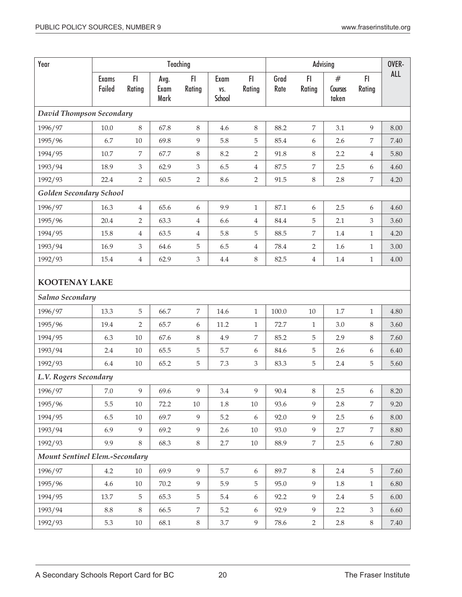| Year                           | Teaching                 |                |                      |                             |                       | Advising         |              |                  |                       | OVER-            |            |
|--------------------------------|--------------------------|----------------|----------------------|-----------------------------|-----------------------|------------------|--------------|------------------|-----------------------|------------------|------------|
|                                | <b>Exams</b><br>Failed   | FI<br>Rating   | Avg.<br>Exam<br>Mark | F1<br>Rating                | Exam<br>VS.<br>School | FI.<br>Rating    | Grad<br>Rate | FI<br>Rating     | #<br>Courses<br>taken | FI.<br>Rating    | <b>ALL</b> |
|                                | David Thompson Secondary |                |                      |                             |                       |                  |              |                  |                       |                  |            |
| 1996/97                        | $10.0\,$                 | $\,8\,$        | 67.8                 | $\,8\,$                     | 4.6                   | $\,8$            | 88.2         | $\boldsymbol{7}$ | 3.1                   | 9                | 8.00       |
| 1995/96                        | 6.7                      | $10\,$         | 69.8                 | $\overline{9}$              | 5.8                   | 5                | 85.4         | 6                | 2.6                   | 7                | 7.40       |
| 1994/95                        | 10.7                     | 7              | 67.7                 | $\,8\,$                     | 8.2                   | $\overline{2}$   | 91.8         | $8\,$            | 2.2                   | $\overline{4}$   | 5.80       |
| 1993/94                        | 18.9                     | 3              | 62.9                 | $\ensuremath{\mathfrak{Z}}$ | 6.5                   | $\overline{4}$   | 87.5         | 7                | 2.5                   | 6                | 4.60       |
| 1992/93                        | 22.4                     | $\overline{2}$ | 60.5                 | $\overline{2}$              | 8.6                   | $\overline{2}$   | 91.5         | $\,8\,$          | 2.8                   | 7                | 4.20       |
| Golden Secondary School        |                          |                |                      |                             |                       |                  |              |                  |                       |                  |            |
| 1996/97                        | 16.3                     | 4              | 65.6                 | 6                           | 9.9                   | $1\,$            | 87.1         | 6                | 2.5                   | 6                | 4.60       |
| 1995/96                        | 20.4                     | $\overline{2}$ | 63.3                 | 4                           | 6.6                   | $\overline{4}$   | 84.4         | 5                | 2.1                   | 3                | 3.60       |
| 1994/95                        | 15.8                     | 4              | 63.5                 | 4                           | 5.8                   | 5                | 88.5         | 7                | 1.4                   | 1                | 4.20       |
| 1993/94                        | 16.9                     | 3              | 64.6                 | 5                           | 6.5                   | $\overline{4}$   | 78.4         | $\overline{2}$   | 1.6                   | 1                | 3.00       |
| 1992/93                        | 15.4                     | 4              | 62.9                 | $\ensuremath{\mathsf{3}}$   | 4.4                   | $\,8$            | 82.5         | $\,4\,$          | $1.4\,$               | $\mathbf{1}$     | 4.00       |
| <b>KOOTENAY LAKE</b>           |                          |                |                      |                             |                       |                  |              |                  |                       |                  |            |
| Salmo Secondary                |                          |                |                      |                             |                       |                  |              |                  |                       |                  |            |
| 1996/97                        | 13.3                     | 5              | 66.7                 | $\overline{7}$              | 14.6                  | $1\,$            | 100.0        | 10               | 1.7                   | $\mathbf{1}$     | 4.80       |
| 1995/96                        | 19.4                     | $\overline{2}$ | 65.7                 | $\boldsymbol{6}$            | 11.2                  | $\mathbf{1}$     | 72.7         | 1                | 3.0                   | 8                | 3.60       |
| 1994/95                        | 6.3                      | $10\,$         | 67.6                 | $\,8\,$                     | 4.9                   | 7                | 85.2         | 5                | 2.9                   | 8                | 7.60       |
| 1993/94                        | 2.4                      | 10             | 65.5                 | $\mathbf 5$                 | 5.7                   | $\boldsymbol{6}$ | 84.6         | 5                | 2.6                   | 6                | 6.40       |
| 1992/93                        | 6.4                      | $10\,$         | 65.2                 | $\mathbf 5$                 | 7.3                   | $\mathfrak{Z}$   | 83.3         | $\mathbf 5$      | 2.4                   | 5                | 5.60       |
| L.V. Rogers Secondary          |                          |                |                      |                             |                       |                  |              |                  |                       |                  |            |
| 1996/97                        | $7.0\,$                  | 9              | 69.6                 | 9                           | 3.4                   | 9                | $90.4\,$     | 8                | 2.5                   | 6                | 8.20       |
| 1995/96                        | 5.5                      | $10\,$         | 72.2                 | $10\,$                      | 1.8                   | $10\,$           | 93.6         | 9                | 2.8                   | $\overline{7}$   | 9.20       |
| 1994/95                        | 6.5                      | 10             | 69.7                 | $\overline{9}$              | $5.2\,$               | $\boldsymbol{6}$ | 92.0         | 9                | 2.5                   | $\boldsymbol{6}$ | 8.00       |
| 1993/94                        | 6.9                      | 9              | 69.2                 | 9                           | 2.6                   | $10\,$           | 93.0         | 9                | 2.7                   | $\overline{7}$   | 8.80       |
| 1992/93                        | 9.9                      | $8\,$          | 68.3                 | $\, 8$                      | $2.7\,$               | $10\,$           | 88.9         | $\boldsymbol{7}$ | 2.5                   | 6                | 7.80       |
| Mount Sentinel Elem.-Secondary |                          |                |                      |                             |                       |                  |              |                  |                       |                  |            |
| 1996/97                        | 4.2                      | $10\,$         | 69.9                 | $\overline{9}$              | 5.7                   | 6                | 89.7         | $8\,$            | 2.4                   | 5                | 7.60       |
| 1995/96                        | 4.6                      | $10\,$         | 70.2                 | $\overline{9}$              | 5.9                   | 5                | 95.0         | $\overline{9}$   | $1.8\,$               | $\mathbf{1}$     | 6.80       |
| 1994/95                        | 13.7                     | 5              | 65.3                 | 5                           | $5.4\,$               | $\boldsymbol{6}$ | 92.2         | 9                | 2.4                   | 5                | 6.00       |
| 1993/94                        | $8.8\,$                  | 8              | 66.5                 | $\overline{7}$              | 5.2                   | $\boldsymbol{6}$ | 92.9         | 9                | 2.2                   | $\mathfrak{Z}$   | 6.60       |
| 1992/93                        | 5.3                      | $10\,$         | 68.1                 | $8\,$                       | $3.7\,$               | 9                | 78.6         | $\overline{2}$   | 2.8                   | $8\,$            | 7.40       |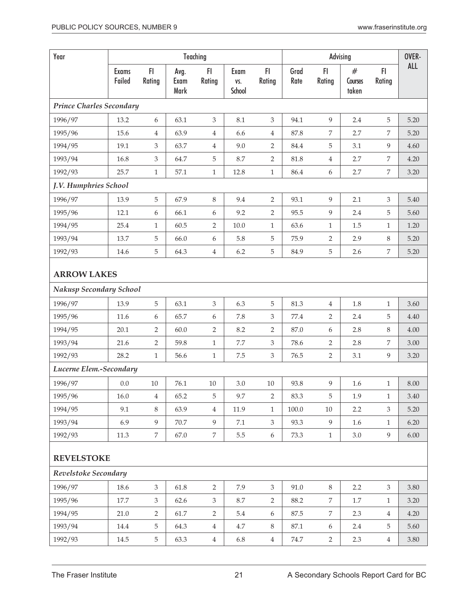| Year                                          |                        |                |                      | Teaching         |                       |                  |              |                | Advising              | F1             | OVER-      |
|-----------------------------------------------|------------------------|----------------|----------------------|------------------|-----------------------|------------------|--------------|----------------|-----------------------|----------------|------------|
|                                               | <b>Exams</b><br>Failed | F1<br>Rating   | Avg.<br>Exam<br>Mark | FI<br>Rating     | Exam<br>VS.<br>School | FI.<br>Rating    | Grad<br>Rate | FI<br>Rating   | #<br>Courses<br>taken | Rating         | <b>ALL</b> |
| <b>Prince Charles Secondary</b>               |                        |                |                      |                  |                       |                  |              |                |                       |                |            |
| 1996/97                                       | 13.2                   | 6              | 63.1                 | $\mathfrak{Z}$   | 8.1                   | 3                | 94.1         | 9              | 2.4                   | 5              | 5.20       |
| 1995/96                                       | 15.6                   | 4              | 63.9                 | $\overline{4}$   | 6.6                   | $\overline{4}$   | 87.8         | 7              | 2.7                   | 7              | 5.20       |
| 1994/95                                       | 19.1                   | 3              | 63.7                 | $\overline{4}$   | 9.0                   | $\overline{2}$   | 84.4         | 5              | 3.1                   | 9              | 4.60       |
| 1993/94                                       | 16.8                   | 3              | 64.7                 | $\mathbf 5$      | 8.7                   | $\overline{2}$   | 81.8         | $\overline{4}$ | 2.7                   | 7              | 4.20       |
| 1992/93                                       | 25.7                   | $\mathbf{1}$   | 57.1                 | $\,1\,$          | 12.8                  | $\,1$            | 86.4         | 6              | 2.7                   | $\overline{7}$ | 3.20       |
| J.V. Humphries School                         |                        |                |                      |                  |                       |                  |              |                |                       |                |            |
| 1996/97                                       | 13.9                   | 5              | 67.9                 | 8                | 9.4                   | $\overline{2}$   | 93.1         | 9              | 2.1                   | $\mathfrak{Z}$ | 5.40       |
| 1995/96                                       | 12.1                   | 6              | 66.1                 | 6                | 9.2                   | $\overline{2}$   | 95.5         | 9              | 2.4                   | 5              | 5.60       |
| 1994/95                                       | 25.4                   | $\mathbf{1}$   | 60.5                 | $\overline{2}$   | 10.0                  | $1\,$            | 63.6         | $\mathbf{1}$   | $1.5\,$               | $\mathbf{1}$   | 1.20       |
| 1993/94                                       | 13.7                   | 5              | 66.0                 | $\boldsymbol{6}$ | 5.8                   | 5                | 75.9         | 2              | 2.9                   | $\,8\,$        | 5.20       |
| 1992/93                                       | 14.6                   | 5              | 64.3                 | 4                | 6.2                   | 5                | 84.9         | 5              | 2.6                   | 7              | 5.20       |
| <b>ARROW LAKES</b><br>Nakusp Secondary School |                        |                |                      |                  |                       |                  |              |                |                       |                |            |
| 1996/97                                       | 13.9                   | 5              | 63.1                 | $\mathfrak{Z}$   | 6.3                   | 5                | 81.3         | $\overline{4}$ | 1.8                   | $\mathbf{1}$   | 3.60       |
| 1995/96                                       | 11.6                   | 6              | 65.7                 | 6                | 7.8                   | $\mathfrak{Z}$   | 77.4         | $\overline{2}$ | 2.4                   | 5              | 4.40       |
| 1994/95                                       | 20.1                   | $\overline{2}$ | 60.0                 | 2                | 8.2                   | $\overline{2}$   | 87.0         | 6              | 2.8                   | $\, 8$         | 4.00       |
| 1993/94                                       | 21.6                   | 2              | 59.8                 | $1\,$            | $7.7\,$               | $\mathfrak{Z}$   | 78.6         | 2              | 2.8                   | 7              | 3.00       |
| 1992/93                                       | 28.2                   | $\mathbf{1}$   | 56.6                 | $\mathbf{1}$     | $7.5\,$               | $\mathfrak{Z}$   | 76.5         | $\overline{2}$ | 3.1                   | 9              | 3.20       |
| Lucerne Elem.-Secondary                       |                        |                |                      |                  |                       |                  |              |                |                       |                |            |
| 1996/97                                       | 0.0                    | $10\,$         | $76.1\,$             | $10\,$           | $3.0\,$               | $10\,$           | 93.8         | 9              | 1.6                   | 1              | $8.00\,$   |
| 1995/96                                       | 16.0                   | 4              | 65.2                 | 5                | 9.7                   | 2                | 83.3         | 5              | 1.9                   | 1              | 3.40       |
| 1994/95                                       | 9.1                    | 8              | 63.9                 | $\overline{4}$   | 11.9                  | $\mathbf{1}$     | 100.0        | $10\,$         | 2.2                   | 3              | 5.20       |
| 1993/94                                       | 6.9                    | 9              | 70.7                 | 9                | 7.1                   | $\mathfrak{Z}$   | 93.3         | 9              | 1.6                   | 1              | 6.20       |
| 1992/93                                       | 11.3                   | $\overline{7}$ | 67.0                 | $\,7$            | 5.5                   | $\boldsymbol{6}$ | 73.3         | $1\,$          | 3.0                   | 9              | $6.00\,$   |
| <b>REVELSTOKE</b>                             |                        |                |                      |                  |                       |                  |              |                |                       |                |            |
| Revelstoke Secondary                          |                        |                |                      |                  |                       |                  |              |                |                       |                |            |
| 1996/97                                       | 18.6                   | $\mathfrak{Z}$ | 61.8                 | 2                | 7.9                   | 3                | 91.0         | $8\,$          | 2.2                   | 3              | 3.80       |
| 1995/96                                       | 17.7                   | $\mathfrak{Z}$ | 62.6                 | 3                | 8.7                   | 2                | 88.2         | 7              | 1.7                   | 1              | 3.20       |
| 1994/95                                       | 21.0                   | $\overline{2}$ | 61.7                 | $\overline{2}$   | 5.4                   | 6                | 87.5         | $\overline{7}$ | 2.3                   | $\overline{4}$ | 4.20       |
| 1993/94                                       | 14.4                   | 5              | 64.3                 | $\overline{4}$   | 4.7                   | $8\,$            | 87.1         | 6              | 2.4                   | 5              | 5.60       |
| 1992/93                                       | 14.5                   | 5              | 63.3                 | $\overline{4}$   | 6.8                   | $\overline{4}$   | 74.7         | $\overline{2}$ | 2.3                   | $\overline{4}$ | 3.80       |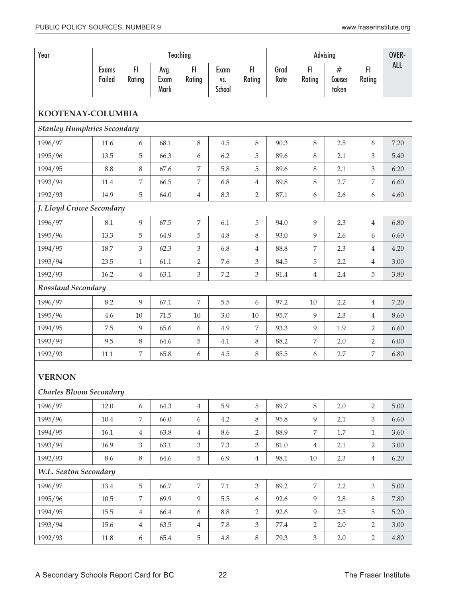| Year                               |                        |                  |                      | Teaching       |                       |                  |              | Advising       |                       |                | OVER-      |
|------------------------------------|------------------------|------------------|----------------------|----------------|-----------------------|------------------|--------------|----------------|-----------------------|----------------|------------|
|                                    | <b>Exams</b><br>Failed | F1<br>Rating     | Avg.<br>Exam<br>Mark | FI.<br>Rating  | Exam<br>VS.<br>School | FI.<br>Rating    | Grad<br>Rate | FI<br>Rating   | #<br>Courses<br>taken | FI.<br>Rating  | <b>ALL</b> |
| KOOTENAY-COLUMBIA                  |                        |                  |                      |                |                       |                  |              |                |                       |                |            |
| <b>Stanley Humphries Secondary</b> |                        |                  |                      |                |                       |                  |              |                |                       |                |            |
| 1996/97                            | 11.6                   | 6                | 68.1                 | 8              | 4.5                   | $8\,$            | 90.3         | 8              | 2.5                   | 6              | 7.20       |
| 1995/96                            | 13.5                   | 5                | 66.3                 | 6              | 6.2                   | 5                | 89.6         | 8              | 2.1                   | 3              | 5.40       |
| 1994/95                            | 8.8                    | 8                | 67.6                 | 7              | 5.8                   | 5                | 89.6         | 8              | 2.1                   | 3              | 6.20       |
| 1993/94                            | 11.4                   | 7                | 66.5                 | 7              | 6.8                   | $\overline{4}$   | 89.8         | $8\,$          | 2.7                   | 7              | 6.60       |
| 1992/93                            | 14.9                   | 5                | 64.0                 | $\,4\,$        | 8.3                   | $\overline{2}$   | 87.1         | 6              | 2.6                   | 6              | 4.60       |
| J. Lloyd Crowe Secondary           |                        |                  |                      |                |                       |                  |              |                |                       |                |            |
| 1996/97                            | 8.1                    | 9                | 67.5                 | 7              | 6.1                   | 5                | 94.0         | 9              | 2.3                   | $\overline{4}$ | 6.80       |
| 1995/96                            | 13.3                   | 5                | 64.9                 | $\mathbf 5$    | 4.8                   | $8\,$            | 93.0         | 9              | 2.6                   | 6              | 6.60       |
| 1994/95                            | 18.7                   | 3                | 62.3                 | 3              | 6.8                   | $\overline{4}$   | 88.8         | 7              | 2.3                   | 4              | 4.20       |
| 1993/94                            | 23.5                   | $\mathbf{1}$     | 61.1                 | $\overline{2}$ | 7.6                   | $\mathfrak{Z}$   | 84.5         | 5              | 2.2                   | 4              | 3.00       |
| 1992/93                            | 16.2                   | $\overline{4}$   | 63.1                 | 3              | 7.2                   | $\mathfrak{Z}$   | 81.4         | $\,4\,$        | 2.4                   | 5              | 3.80       |
| <b>Rossland Secondary</b>          |                        |                  |                      |                |                       |                  |              |                |                       |                |            |
| 1996/97                            | 8.2                    | 9                | 67.1                 | $\overline{7}$ | 5.5                   | $\boldsymbol{6}$ | 97.2         | $10\,$         | 2.2                   | 4              | 7.20       |
| 1995/96                            | 4.6                    | $10\,$           | 71.5                 | $10\,$         | $3.0\,$               | $10\,$           | 95.7         | 9              | 2.3                   | 4              | 8.60       |
| 1994/95                            | 7.5                    | 9                | 65.6                 | 6              | 4.9                   | $\overline{7}$   | 93.3         | 9              | 1.9                   | $\overline{2}$ | 6.60       |
| 1993/94                            | 9.5                    | 8                | 64.6                 | 5              | 4.1                   | 8                | 88.2         | 7              | 2.0                   | $\overline{2}$ | 6.00       |
| 1992/93                            | 11.1                   | 7                | 65.8                 | 6              | 4.5                   | $8\,$            | 85.5         | 6              | 2.7                   | 7              | 6.80       |
| <b>VERNON</b>                      |                        |                  |                      |                |                       |                  |              |                |                       |                |            |
| <b>Charles Bloom Secondary</b>     |                        |                  |                      |                |                       |                  |              |                |                       |                |            |
| 1996/97                            | 12.0                   | 6                | 64.3                 | $\overline{4}$ | 5.9                   | 5                | 89.7         | 8              | 2.0                   | $\overline{2}$ | 5.00       |
| 1995/96                            | 10.4                   | $\overline{7}$   | 66.0                 | 6              | 4.2                   | $8\,$            | 95.8         | 9              | 2.1                   | $\mathfrak{Z}$ | 6.60       |
| 1994/95                            | 16.1                   | $\overline{4}$   | 63.8                 | $\overline{4}$ | 8.6                   | $\overline{2}$   | 88.9         | $\,7$          | $1.7\,$               | $\mathbf{1}$   | 3.60       |
| 1993/94                            | 16.9                   | 3                | 63.1                 | $\mathfrak{Z}$ | 7.3                   | $\mathfrak{Z}$   | $81.0\,$     | $\overline{4}$ | 2.1                   | $\overline{2}$ | 3.00       |
| 1992/93                            | 8.6                    | 8                | 64.6                 | $\mathbf 5$    | 6.9                   | $\overline{4}$   | 98.1         | 10             | 2.3                   | $\overline{4}$ | 6.20       |
| W.L. Seaton Secondary              |                        |                  |                      |                |                       |                  |              |                |                       |                |            |
| 1996/97                            | 13.4                   | $\overline{5}$   | 66.7                 | $\overline{7}$ | $7.1\,$               | $\mathfrak{Z}$   | 89.2         | $\,7$          | 2.2                   | $\mathfrak{Z}$ | 5.00       |
| 1995/96                            | $10.5\,$               | 7                | 69.9                 | $\overline{9}$ | 5.5                   | 6                | 92.6         | 9              | 2.8                   | 8              | 7.80       |
| 1994/95                            | 15.5                   | $\overline{4}$   | 66.4                 | 6              | $8.8\,$               | $\overline{2}$   | 92.6         | 9              | 2.5                   | 5              | 5.20       |
| 1993/94                            | 15.6                   | $\overline{4}$   | 63.5                 | $\overline{4}$ | 7.8                   | $\mathfrak{Z}$   | 77.4         | $\overline{2}$ | 2.0                   | $\overline{2}$ | 3.00       |
| 1992/93                            | 11.8                   | $\boldsymbol{6}$ | 65.4                 | $\overline{5}$ | $4.8\,$               | 8                | 79.3         | $\mathfrak{Z}$ | 2.0                   | $\overline{2}$ | $4.80\,$   |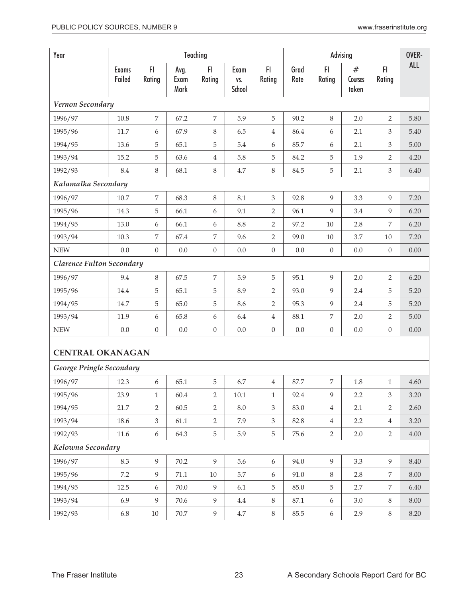| Year                             |                        |                  |                      | Teaching         |                       |                  | Advising     |                  |                       |                  | OVER-      |
|----------------------------------|------------------------|------------------|----------------------|------------------|-----------------------|------------------|--------------|------------------|-----------------------|------------------|------------|
|                                  | <b>Exams</b><br>Failed | F<br>Rating      | Avg.<br>Exam<br>Mark | F<br>Rating      | Exam<br>VS.<br>School | F1<br>Rating     | Grad<br>Rate | F1<br>Rating     | #<br>Courses<br>taken | F1<br>Rating     | <b>ALL</b> |
| Vernon Secondary                 |                        |                  |                      |                  |                       |                  |              |                  |                       |                  |            |
| 1996/97                          | 10.8                   | 7                | 67.2                 | 7                | 5.9                   | $\mathbf 5$      | 90.2         | $\,8\,$          | 2.0                   | $\overline{2}$   | 5.80       |
| 1995/96                          | 11.7                   | 6                | 67.9                 | $\,8\,$          | 6.5                   | $\overline{4}$   | 86.4         | 6                | 2.1                   | 3                | 5.40       |
| 1994/95                          | 13.6                   | 5                | 65.1                 | 5                | 5.4                   | 6                | 85.7         | 6                | 2.1                   | 3                | 5.00       |
| 1993/94                          | 15.2                   | 5                | 63.6                 | 4                | 5.8                   | 5                | 84.2         | 5                | 1.9                   | $\overline{2}$   | 4.20       |
| 1992/93                          | 8.4                    | $8\,$            | 68.1                 | $\,8\,$          | 4.7                   | $\, 8$           | 84.5         | $\mathbf 5$      | 2.1                   | 3                | 6.40       |
| Kalamalka Secondary              |                        |                  |                      |                  |                       |                  |              |                  |                       |                  |            |
| 1996/97                          | $10.7\,$               | 7                | 68.3                 | $\,8\,$          | 8.1                   | $\mathfrak{Z}$   | 92.8         | 9                | 3.3                   | 9                | 7.20       |
| 1995/96                          | 14.3                   | 5                | 66.1                 | 6                | 9.1                   | 2                | 96.1         | 9                | 3.4                   | 9                | 6.20       |
| 1994/95                          | 13.0                   | 6                | 66.1                 | 6                | 8.8                   | 2                | 97.2         | 10               | 2.8                   | 7                | 6.20       |
| 1993/94                          | 10.3                   | 7                | 67.4                 | 7                | 9.6                   | $\overline{2}$   | 99.0         | $10\,$           | 3.7                   | 10               | 7.20       |
| <b>NEW</b>                       | 0.0                    | $\mathbf{0}$     | $0.0\,$              | $\boldsymbol{0}$ | 0.0                   | $\boldsymbol{0}$ | $0.0\,$      | $\boldsymbol{0}$ | $0.0\,$               | $\boldsymbol{0}$ | 0.00       |
| <b>Clarence Fulton Secondary</b> |                        |                  |                      |                  |                       |                  |              |                  |                       |                  |            |
| 1996/97                          | 9.4                    | $\,8\,$          | 67.5                 | 7                | 5.9                   | 5                | 95.1         | 9                | 2.0                   | $\overline{2}$   | 6.20       |
| 1995/96                          | 14.4                   | 5                | 65.1                 | 5                | 8.9                   | $\overline{2}$   | 93.0         | 9                | 2.4                   | 5                | 5.20       |
| 1994/95                          | 14.7                   | 5                | 65.0                 | 5                | 8.6                   | $\overline{2}$   | 95.3         | 9                | 2.4                   | 5                | 5.20       |
| 1993/94                          | 11.9                   | 6                | 65.8                 | 6                | 6.4                   | $\,4\,$          | 88.1         | $\overline{7}$   | 2.0                   | $\overline{2}$   | 5.00       |
| <b>NEW</b>                       | 0.0                    | $\boldsymbol{0}$ | 0.0                  | $\boldsymbol{0}$ | 0.0                   | $\boldsymbol{0}$ | $0.0\,$      | $\boldsymbol{0}$ | $0.0\,$               | $\boldsymbol{0}$ | 0.00       |
| <b>CENTRAL OKANAGAN</b>          |                        |                  |                      |                  |                       |                  |              |                  |                       |                  |            |
| George Pringle Secondary         |                        |                  |                      |                  |                       |                  |              |                  |                       |                  |            |
| 1996/97                          | 12.3                   | 6                | 65.1                 | 5                | 6.7                   | $\,4$            | 87.7         | 7                | $1.8\,$               | 1                | 4.60       |
| 1995/96                          | 23.9                   | $\mathbf{1}$     | 60.4                 | 2                | $10.1\,$              | $\mathbf{1}$     | 92.4         | 9                | 2.2                   | $\mathfrak{Z}$   | 3.20       |
| 1994/95                          | 21.7                   | $\overline{2}$   | 60.5                 | $\overline{2}$   | $8.0\,$               | $\mathfrak{Z}$   | 83.0         | $\,4\,$          | 2.1                   | $\overline{2}$   | 2.60       |
| 1993/94                          | 18.6                   | 3                | 61.1                 | $\overline{2}$   | 7.9                   | $\mathfrak{Z}$   | 82.8         | $\,4\,$          | 2.2                   | $\overline{4}$   | 3.20       |
| 1992/93                          | 11.6                   | $\boldsymbol{6}$ | 64.3                 | 5                | 5.9                   | $\overline{5}$   | 75.6         | $\overline{2}$   | 2.0                   | $\overline{2}$   | 4.00       |
| Kelowna Secondary                |                        |                  |                      |                  |                       |                  |              |                  |                       |                  |            |
| 1996/97                          | 8.3                    | 9                | $70.2\,$             | 9                | 5.6                   | $6\,$            | 94.0         | 9                | 3.3                   | 9                | 8.40       |
| 1995/96                          | 7.2                    | 9                | 71.1                 | $10\,$           | 5.7                   | 6                | 91.0         | $\,8\,$          | 2.8                   | 7                | 8.00       |
| 1994/95                          | 12.5                   | $\boldsymbol{6}$ | 70.0                 | $\overline{9}$   | 6.1                   | 5                | 85.0         | $\mathbf 5$      | 2.7                   | 7                | 6.40       |
| 1993/94                          | 6.9                    | 9                | 70.6                 | 9                | 4.4                   | $8\,$            | 87.1         | $\boldsymbol{6}$ | 3.0                   | $8\,$            | 8.00       |
| 1992/93                          | 6.8                    | 10               | 70.7                 | 9                | 4.7                   | $8\,$            | 85.5         | 6                | 2.9                   | 8                | 8.20       |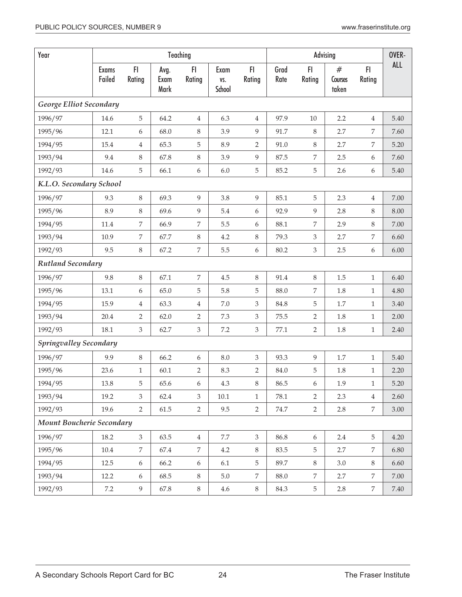| Year                          |                        |                |                      | Teaching         |                       |                             |              |                  | Advising | FI.<br>#<br>Rating<br>Courses<br>taken |            |
|-------------------------------|------------------------|----------------|----------------------|------------------|-----------------------|-----------------------------|--------------|------------------|----------|----------------------------------------|------------|
|                               | <b>Exams</b><br>Failed | FI<br>Rating   | Avg.<br>Exam<br>Mark | FI<br>Rating     | Exam<br>VS.<br>School | FI.<br>Rating               | Grad<br>Rate | FI<br>Rating     |          |                                        | <b>ALL</b> |
| George Elliot Secondary       |                        |                |                      |                  |                       |                             |              |                  |          |                                        |            |
| 1996/97                       | 14.6                   | $\mathbf 5$    | 64.2                 | $\overline{4}$   | 6.3                   | $\overline{4}$              | 97.9         | 10               | 2.2      | $\overline{4}$                         | 5.40       |
| 1995/96                       | 12.1                   | 6              | 68.0                 | $\,8\,$          | 3.9                   | 9                           | 91.7         | 8                | 2.7      | 7                                      | 7.60       |
| 1994/95                       | 15.4                   | $\overline{4}$ | 65.3                 | 5                | 8.9                   | $\overline{2}$              | 91.0         | $8\,$            | 2.7      | 7                                      | 5.20       |
| 1993/94                       | 9.4                    | $\,8\,$        | 67.8                 | $\,8\,$          | 3.9                   | 9                           | 87.5         | 7                | 2.5      | 6                                      | 7.60       |
| 1992/93                       | 14.6                   | 5              | 66.1                 | 6                | 6.0                   | 5                           | 85.2         | 5                | 2.6      | 6                                      | 5.40       |
| K.L.O. Secondary School       |                        |                |                      |                  |                       |                             |              |                  |          |                                        |            |
| 1996/97                       | 9.3                    | $\,8\,$        | 69.3                 | 9                | 3.8                   | 9                           | 85.1         | 5                | 2.3      | $\overline{4}$                         | 7.00       |
| 1995/96                       | 8.9                    | $\,8\,$        | 69.6                 | $\overline{9}$   | 5.4                   | $\boldsymbol{6}$            | 92.9         | 9                | 2.8      | 8                                      | 8.00       |
| 1994/95                       | $11.4\,$               | 7              | 66.9                 | 7                | 5.5                   | 6                           | 88.1         | 7                | 2.9      | 8                                      | 7.00       |
| 1993/94                       | 10.9                   | 7              | 67.7                 | $\, 8$           | 4.2                   | $8\,$                       | 79.3         | 3                | 2.7      | 7                                      | 6.60       |
| 1992/93                       | 9.5                    | $\,8\,$        | 67.2                 | 7                | 5.5                   | 6                           | 80.2         | $\mathfrak{Z}$   | 2.5      | 6                                      | 6.00       |
| Rutland Secondary             |                        |                |                      |                  |                       |                             |              |                  |          |                                        |            |
| 1996/97                       | 9.8                    | $\,8\,$        | 67.1                 | 7                | $4.5\,$               | $8\,$                       | 91.4         | 8                | $1.5\,$  | $\mathbf{1}$                           | 6.40       |
| 1995/96                       | 13.1                   | 6              | 65.0                 | $\mathbf 5$      | 5.8                   | 5                           | 88.0         | $\overline{7}$   | 1.8      | $\mathbf{1}$                           | 4.80       |
| 1994/95                       | 15.9                   | $\overline{4}$ | 63.3                 | $\overline{4}$   | $7.0\,$               | 3                           | 84.8         | 5                | 1.7      | $\mathbf{1}$                           | 3.40       |
| 1993/94                       | 20.4                   | $\overline{2}$ | 62.0                 | $\overline{2}$   | 7.3                   | $\ensuremath{\mathfrak{Z}}$ | $75.5\,$     | $\overline{2}$   | 1.8      | $\mathbf{1}$                           | 2.00       |
| 1992/93                       | 18.1                   | $\mathfrak{Z}$ | 62.7                 | 3                | 7.2                   | $\mathfrak{Z}$              | 77.1         | 2                | 1.8      | $\mathbf{1}$                           | 2.40       |
| <b>Springvalley Secondary</b> |                        |                |                      |                  |                       |                             |              |                  |          |                                        |            |
| 1996/97                       | 9.9                    | $\,8\,$        | 66.2                 | 6                | $8.0\,$               | $\mathfrak{Z}$              | 93.3         | 9                | 1.7      | $\mathbf{1}$                           | 5.40       |
| 1995/96                       | 23.6                   | $\mathbf{1}$   | 60.1                 | $\overline{2}$   | 8.3                   | $\overline{2}$              | 84.0         | 5                | 1.8      | $1\,$                                  | 2.20       |
| 1994/95                       | 13.8                   | 5              | 65.6                 | 6                | $4.3\,$               | $8\,$                       | 86.5         | $6\,$            | 1.9      | $\mathbf{1}$                           | $5.20\,$   |
| 1993/94                       | 19.2                   | 3              | 62.4                 | 3                | 10.1                  | $\mathbf{1}$                | 78.1         | $\overline{2}$   | 2.3      | $\overline{4}$                         | 2.60       |
| 1992/93                       | 19.6                   | $\overline{2}$ | 61.5                 | 2                | 9.5                   | $\overline{2}$              | 74.7         | $\overline{2}$   | 2.8      | 7                                      | 3.00       |
| Mount Boucherie Secondary     |                        |                |                      |                  |                       |                             |              |                  |          |                                        |            |
| 1996/97                       | 18.2                   | $\mathfrak{Z}$ | 63.5                 | $\overline{4}$   | $7.7\,$               | $\mathfrak{Z}$              | 86.8         | $\boldsymbol{6}$ | 2.4      | 5                                      | 4.20       |
| 1995/96                       | 10.4                   | 7              | 67.4                 | 7                | 4.2                   | 8                           | 83.5         | 5                | 2.7      | 7                                      | 6.80       |
| 1994/95                       | 12.5                   | 6              | 66.2                 | $\boldsymbol{6}$ | 6.1                   | 5                           | 89.7         | $8\,$            | 3.0      | 8                                      | 6.60       |
| 1993/94                       | 12.2                   | 6              | 68.5                 | $\, 8$           | $5.0\,$               | 7                           | 88.0         | 7                | 2.7      | 7                                      | $7.00\,$   |
| 1992/93                       | $7.2\,$                | 9              | 67.8                 | $8\,$            | $4.6\,$               | 8                           | 84.3         | 5                | 2.8      | 7                                      | $7.40\,$   |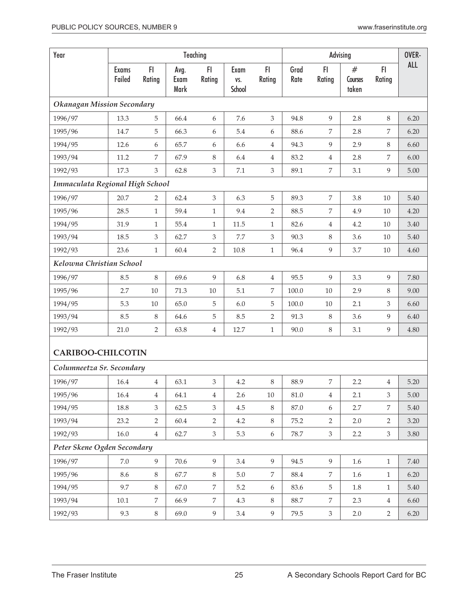| Year                              |                        |                         |                      | Teaching                    |                              | Advising                    |              |                  |                       |                | OVER- |
|-----------------------------------|------------------------|-------------------------|----------------------|-----------------------------|------------------------------|-----------------------------|--------------|------------------|-----------------------|----------------|-------|
|                                   | <b>Exams</b><br>Failed | FI<br>Rating            | Avg.<br>Exam<br>Mark | FI<br>Rating                | Exam<br>VS.<br><b>School</b> | FI.<br>Rating               | Grad<br>Rate | F1<br>Rating     | #<br>Courses<br>taken | FI.<br>Rating  | ALL   |
| <b>Okanagan Mission Secondary</b> |                        |                         |                      |                             |                              |                             |              |                  |                       |                |       |
| 1996/97                           | 13.3                   | 5                       | 66.4                 | 6                           | 7.6                          | 3                           | 94.8         | 9                | 2.8                   | 8              | 6.20  |
| 1995/96                           | 14.7                   | 5                       | 66.3                 | 6                           | 5.4                          | 6                           | 88.6         | $\boldsymbol{7}$ | 2.8                   | 7              | 6.20  |
| 1994/95                           | 12.6                   | 6                       | 65.7                 | 6                           | 6.6                          | $\overline{4}$              | 94.3         | 9                | 2.9                   | 8              | 6.60  |
| 1993/94                           | 11.2                   | 7                       | 67.9                 | 8                           | 6.4                          | 4                           | 83.2         | $\,4\,$          | 2.8                   | 7              | 6.00  |
| 1992/93                           | 17.3                   | 3                       | 62.8                 | 3                           | $7.1\,$                      | $\mathfrak{Z}$              | 89.1         | $\boldsymbol{7}$ | 3.1                   | 9              | 5.00  |
| Immaculata Regional High School   |                        |                         |                      |                             |                              |                             |              |                  |                       |                |       |
| 1996/97                           | 20.7                   | 2                       | 62.4                 | 3                           | 6.3                          | 5                           | 89.3         | 7                | 3.8                   | 10             | 5.40  |
| 1995/96                           | 28.5                   | $\mathbf{1}$            | 59.4                 | $\mathbf{1}$                | 9.4                          | $\overline{2}$              | 88.5         | 7                | 4.9                   | 10             | 4.20  |
| 1994/95                           | 31.9                   | 1                       | 55.4                 | $\mathbf{1}$                | 11.5                         | 1                           | 82.6         | $\overline{4}$   | 4.2                   | 10             | 3.40  |
| 1993/94                           | 18.5                   | 3                       | 62.7                 | $\ensuremath{\mathfrak{Z}}$ | 7.7                          | $\ensuremath{\mathfrak{Z}}$ | 90.3         | $\,8\,$          | 3.6                   | 10             | 5.40  |
| 1992/93                           | 23.6                   | $\mathbf{1}$            | 60.4                 | 2                           | 10.8                         | 1                           | 96.4         | 9                | 3.7                   | 10             | 4.60  |
| Kelowna Christian School          |                        |                         |                      |                             |                              |                             |              |                  |                       |                |       |
| 1996/97                           | 8.5                    | $\,8\,$                 | 69.6                 | 9                           | 6.8                          | $\overline{4}$              | 95.5         | 9                | 3.3                   | 9              | 7.80  |
| 1995/96                           | 2.7                    | $10\,$                  | 71.3                 | $10\,$                      | 5.1                          | 7                           | 100.0        | $10\,$           | 2.9                   | 8              | 9.00  |
| 1994/95                           | 5.3                    | $10\,$                  | 65.0                 | 5                           | 6.0                          | 5                           | 100.0        | 10               | 2.1                   | 3              | 6.60  |
| 1993/94                           | 8.5                    | 8                       | 64.6                 | 5                           | 8.5                          | 2                           | 91.3         | $\,8\,$          | 3.6                   | 9              | 6.40  |
| 1992/93                           | 21.0                   | $\overline{2}$          | 63.8                 | $\overline{4}$              | 12.7                         | $\mathbf{1}$                | 90.0         | $\,8\,$          | 3.1                   | 9              | 4.80  |
| <b>CARIBOO-CHILCOTIN</b>          |                        |                         |                      |                             |                              |                             |              |                  |                       |                |       |
| Columneetza Sr. Secondary         |                        |                         |                      |                             |                              |                             |              |                  |                       |                |       |
| 1996/97                           | $16.4\,$               | $\overline{\mathbf{4}}$ | 63.1                 | 3                           | 4.2                          | 8                           | 88.9         | 7                | 2.2                   | $\overline{4}$ | 5.20  |
| 1995/96                           | 16.4                   | 4                       | 64.1                 | $\overline{4}$              | 2.6                          | $10\,$                      | $81.0\,$     | $\overline{4}$   | 2.1                   | 3              | 5.00  |
| 1994/95                           | 18.8                   | 3                       | 62.5                 | $\mathfrak{Z}$              | 4.5                          | $8\,$                       | 87.0         | $\boldsymbol{6}$ | 2.7                   | $\overline{7}$ | 5.40  |
| 1993/94                           | 23.2                   | $\overline{2}$          | 60.4                 | $\overline{2}$              | 4.2                          | $8\,$                       | 75.2         | $\overline{2}$   | 2.0                   | 2              | 3.20  |
| 1992/93                           | 16.0                   | $\overline{4}$          | 62.7                 | $\mathfrak{Z}$              | 5.3                          | $\boldsymbol{6}$            | 78.7         | $\mathfrak{Z}$   | 2.2                   | $\mathfrak{Z}$ | 3.80  |
| Peter Skene Ogden Secondary       |                        |                         |                      |                             |                              |                             |              |                  |                       |                |       |
| 1996/97                           | 7.0                    | 9                       | 70.6                 | 9                           | 3.4                          | 9                           | 94.5         | 9                | 1.6                   | $1\,$          | 7.40  |
| 1995/96                           | 8.6                    | $8\,$                   | 67.7                 | 8                           | $5.0\,$                      | $\overline{7}$              | 88.4         | $\overline{7}$   | 1.6                   | $\mathbf{1}$   | 6.20  |
| 1994/95                           | 9.7                    | 8                       | 67.0                 | 7                           | 5.2                          | 6                           | 83.6         | 5                | 1.8                   | $\mathbf{1}$   | 5.40  |
| 1993/94                           | $10.1\,$               | 7                       | 66.9                 | 7                           | 4.3                          | $\,8\,$                     | 88.7         | 7                | 2.3                   | $\overline{4}$ | 6.60  |
| 1992/93                           | 9.3                    | 8                       | 69.0                 | 9                           | 3.4                          | 9                           | 79.5         | $\mathfrak{Z}$   | 2.0                   | $\overline{2}$ | 6.20  |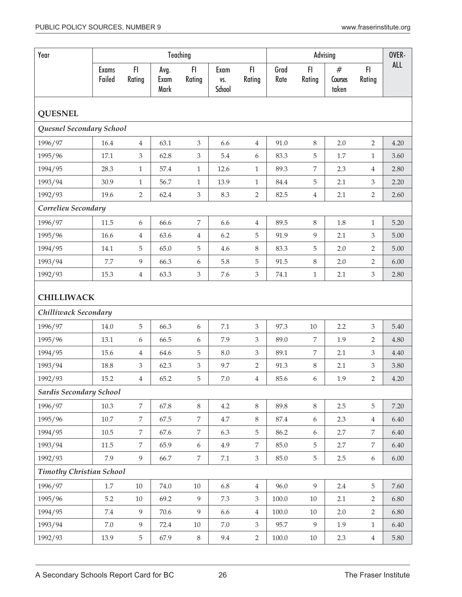| Year                            |                        |                |                      | Teaching                    |                       |                |              |                  | Advising              |                | OVER-      |
|---------------------------------|------------------------|----------------|----------------------|-----------------------------|-----------------------|----------------|--------------|------------------|-----------------------|----------------|------------|
|                                 | <b>Exams</b><br>Failed | F1<br>Rating   | Avg.<br>Exam<br>Mark | F1<br>Rating                | Exam<br>VS.<br>School | FI.<br>Rating  | Grad<br>Rate | FI<br>Rating     | #<br>Courses<br>taken | FI.<br>Rating  | <b>ALL</b> |
| <b>QUESNEL</b>                  |                        |                |                      |                             |                       |                |              |                  |                       |                |            |
| Quesnel Secondary School        |                        |                |                      |                             |                       |                |              |                  |                       |                |            |
| 1996/97                         | 16.4                   | $\overline{4}$ | 63.1                 | $\mathfrak{Z}$              | 6.6                   | $\overline{4}$ | 91.0         | 8                | 2.0                   | $\overline{2}$ | 4.20       |
| 1995/96                         | 17.1                   | 3              | 62.8                 | 3                           | 5.4                   | 6              | 83.3         | 5                | 1.7                   | $\mathbf{1}$   | 3.60       |
| 1994/95                         | 28.3                   | $\mathbf{1}$   | 57.4                 | $\,1\,$                     | 12.6                  | $\mathbf{1}$   | 89.3         | $\boldsymbol{7}$ | 2.3                   | $\overline{4}$ | 2.80       |
| 1993/94                         | 30.9                   | $\mathbf{1}$   | 56.7                 | $\mathbf{1}$                | 13.9                  | $\mathbf{1}$   | 84.4         | 5                | 2.1                   | 3              | 2.20       |
| 1992/93                         | 19.6                   | $\overline{2}$ | 62.4                 | $\ensuremath{\mathfrak{Z}}$ | 8.3                   | $\overline{2}$ | 82.5         | $\,4\,$          | 2.1                   | $\overline{2}$ | 2.60       |
| Correlieu Secondary             |                        |                |                      |                             |                       |                |              |                  |                       |                |            |
| 1996/97                         | 11.5                   | 6              | 66.6                 | 7                           | 6.6                   | $\overline{4}$ | 89.5         | 8                | 1.8                   | 1              | 5.20       |
| 1995/96                         | 16.6                   | 4              | 63.6                 | $\overline{4}$              | 6.2                   | 5              | 91.9         | 9                | 2.1                   | 3              | 5.00       |
| 1994/95                         | 14.1                   | 5              | 65.0                 | 5                           | 4.6                   | $\,8\,$        | 83.3         | 5                | 2.0                   | $\overline{2}$ | 5.00       |
| 1993/94                         | 7.7                    | 9              | 66.3                 | 6                           | 5.8                   | 5              | 91.5         | $8\,$            | 2.0                   | $\overline{2}$ | 6.00       |
| 1992/93                         | 15.3                   | $\overline{4}$ | 63.3                 | 3                           | 7.6                   | $\mathfrak{Z}$ | 74.1         | $\mathbf{1}$     | 2.1                   | $\mathfrak{Z}$ | 2.80       |
| <b>CHILLIWACK</b>               |                        |                |                      |                             |                       |                |              |                  |                       |                |            |
| Chilliwack Secondary            |                        |                |                      |                             |                       |                |              |                  |                       |                |            |
| 1996/97                         | 14.0                   | 5              | 66.3                 | 6                           | 7.1                   | $\mathfrak{Z}$ | 97.3         | 10               | 2.2                   | 3              | 5.40       |
| 1995/96                         | 13.1                   | 6              | 66.5                 | 6                           | 7.9                   | 3              | 89.0         | 7                | 1.9                   | 2              | 4.80       |
| 1994/95                         | 15.6                   | 4              | 64.6                 | 5                           | 8.0                   | $\mathfrak{Z}$ | 89.1         | $\boldsymbol{7}$ | 2.1                   | 3              | 4.40       |
| 1993/94                         | 18.8                   | 3              | 62.3                 | $\mathfrak{Z}$              | 9.7                   | $\overline{2}$ | 91.3         | 8                | 2.1                   | 3              | 3.80       |
| 1992/93                         | 15.2                   | 4              | 65.2                 | 5                           | 7.0                   | 4              | 85.6         | 6                | 1.9                   | 2              | 4.20       |
| <b>Sardis Secondary School</b>  |                        |                |                      |                             |                       |                |              |                  |                       |                |            |
| 1996/97                         | 10.3                   | $\overline{7}$ | 67.8                 | $\,8\,$                     | 4.2                   | $8\,$          | 89.8         | 8                | 2.5                   | $\mathbf 5$    | 7.20       |
| 1995/96                         | $10.7\,$               | $\overline{7}$ | 67.5                 | $\overline{7}$              | $4.7\,$               | $8\,$          | 87.4         | 6                | 2.3                   | $\overline{4}$ | 6.40       |
| 1994/95                         | $10.5\,$               | $\overline{7}$ | 67.6                 | $\overline{7}$              | 6.3                   | $\overline{5}$ | 86.2         | $\boldsymbol{6}$ | 2.7                   | $\overline{7}$ | 6.40       |
| 1993/94                         | 11.5                   | $\overline{7}$ | 65.9                 | 6                           | 4.9                   | $\overline{7}$ | 85.0         | 5                | 2.7                   | $\overline{7}$ | 6.40       |
| 1992/93                         | 7.9                    | 9              | 66.7                 | 7                           | $7.1\,$               | 3              | 85.0         | 5                | 2.5                   | 6              | 6.00       |
| <b>Timothy Christian School</b> |                        |                |                      |                             |                       |                |              |                  |                       |                |            |
| 1996/97                         | $1.7\,$                | $10\,$         | 74.0                 | $10\,$                      | 6.8                   | $\overline{4}$ | 96.0         | 9                | 2.4                   | 5              | 7.60       |
| 1995/96                         | 5.2                    | $10\,$         | 69.2                 | 9                           | 7.3                   | 3              | 100.0        | $10\,$           | 2.1                   | 2              | 6.80       |
| 1994/95                         | 7.4                    | 9              | 70.6                 | 9                           | 6.6                   | $\,4\,$        | 100.0        | 10               | 2.0                   | $\overline{2}$ | 6.80       |
| 1993/94                         | 7.0                    | 9              | 72.4                 | $10\,$                      | $7.0\,$               | $\mathfrak{Z}$ | 95.7         | 9                | 1.9                   | $\mathbf{1}$   | 6.40       |
| 1992/93                         | 13.9                   | $\overline{5}$ | 67.9                 | $\,8\,$                     | 9.4                   | $\overline{2}$ | 100.0        | 10               | 2.3                   | $\overline{4}$ | 5.80       |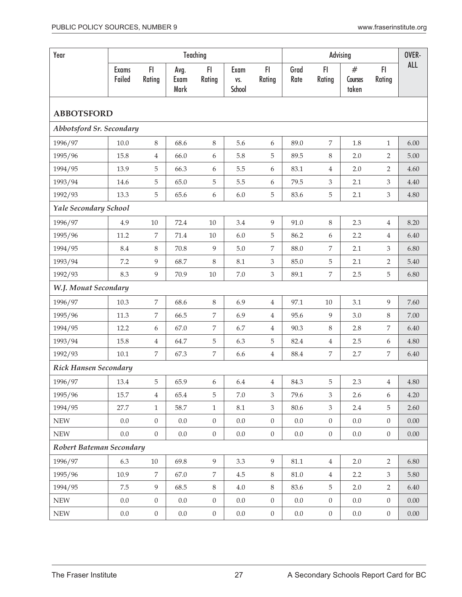| Year                         |                        |                  |                      | Teaching         |                       | Advising         |              |                  |                          |                  | OVER-      |
|------------------------------|------------------------|------------------|----------------------|------------------|-----------------------|------------------|--------------|------------------|--------------------------|------------------|------------|
|                              | <b>Exams</b><br>Failed | F1<br>Rating     | Avg.<br>Exam<br>Mark | FI<br>Rating     | Exam<br>VS.<br>School | FI<br>Rating     | Grad<br>Rate | FI.<br>Rating    | $\#$<br>Courses<br>taken | FI.<br>Rating    | <b>ALL</b> |
| <b>ABBOTSFORD</b>            |                        |                  |                      |                  |                       |                  |              |                  |                          |                  |            |
| Abbotsford Sr. Secondary     |                        |                  |                      |                  |                       |                  |              |                  |                          |                  |            |
| 1996/97                      | $10.0\,$               | $\,8\,$          | 68.6                 | $\,8\,$          | 5.6                   | 6                | 89.0         | 7                | 1.8                      | $\mathbf{1}$     | 6.00       |
| 1995/96                      | 15.8                   | $\,4\,$          | 66.0                 | 6                | 5.8                   | 5                | 89.5         | $\,8\,$          | 2.0                      | $\overline{2}$   | 5.00       |
| 1994/95                      | 13.9                   | 5                | 66.3                 | 6                | 5.5                   | 6                | 83.1         | $\overline{4}$   | 2.0                      | 2                | 4.60       |
| 1993/94                      | 14.6                   | 5                | 65.0                 | 5                | 5.5                   | 6                | 79.5         | 3                | 2.1                      | 3                | 4.40       |
| 1992/93                      | 13.3                   | 5                | 65.6                 | 6                | 6.0                   | $\mathbf 5$      | 83.6         | 5                | 2.1                      | 3                | 4.80       |
| Yale Secondary School        |                        |                  |                      |                  |                       |                  |              |                  |                          |                  |            |
| 1996/97                      | 4.9                    | $10\,$           | 72.4                 | $10\,$           | 3.4                   | 9                | 91.0         | 8                | 2.3                      | $\overline{4}$   | 8.20       |
| 1995/96                      | 11.2                   | 7                | 71.4                 | 10               | 6.0                   | 5                | 86.2         | 6                | 2.2                      | $\overline{4}$   | 6.40       |
| 1994/95                      | 8.4                    | $\,8\,$          | 70.8                 | $\overline{9}$   | $5.0\,$               | 7                | 88.0         | 7                | 2.1                      | 3                | 6.80       |
| 1993/94                      | 7.2                    | $\overline{9}$   | 68.7                 | $\,8\,$          | 8.1                   | $\mathfrak{Z}$   | 85.0         | 5                | 2.1                      | 2                | 5.40       |
| 1992/93                      | 8.3                    | 9                | 70.9                 | $10\,$           | $7.0\,$               | $\mathfrak{Z}$   | 89.1         | 7                | 2.5                      | 5                | 6.80       |
| W.J. Mouat Secondary         |                        |                  |                      |                  |                       |                  |              |                  |                          |                  |            |
| 1996/97                      | 10.3                   | $\boldsymbol{7}$ | 68.6                 | $8\,$            | 6.9                   | $\overline{4}$   | 97.1         | 10               | 3.1                      | 9                | 7.60       |
| 1995/96                      | 11.3                   | $\overline{7}$   | 66.5                 | $\boldsymbol{7}$ | 6.9                   | $\overline{4}$   | 95.6         | 9                | 3.0                      | 8                | 7.00       |
| 1994/95                      | 12.2                   | 6                | 67.0                 | $\boldsymbol{7}$ | 6.7                   | $\overline{4}$   | 90.3         | 8                | 2.8                      | 7                | 6.40       |
| 1993/94                      | 15.8                   | 4                | 64.7                 | $\mathbf 5$      | 6.3                   | 5                | 82.4         | 4                | 2.5                      | 6                | 4.80       |
| 1992/93                      | 10.1                   | 7                | 67.3                 | 7                | 6.6                   | $\overline{4}$   | 88.4         | 7                | 2.7                      | 7                | 6.40       |
| <b>Rick Hansen Secondary</b> |                        |                  |                      |                  |                       |                  |              |                  |                          |                  |            |
| 1996/97                      | 13.4                   | 5                | 65.9                 | 6                | 6.4                   | $\overline{4}$   | 84.3         | 5                | 2.3                      | $\overline{4}$   | $4.80\,$   |
| 1995/96                      | 15.7                   | $\overline{4}$   | 65.4                 | 5                | 7.0                   | 3                | 79.6         | 3                | 2.6                      | 6                | 4.20       |
| 1994/95                      | 27.7                   | $\mathbf{1}$     | 58.7                 | $\mathbf{1}$     | 8.1                   | $\mathfrak{Z}$   | 80.6         | $\mathfrak{Z}$   | 2.4                      | 5                | 2.60       |
| ${\rm NEW}$                  | 0.0                    | $\overline{0}$   | $0.0\,$              | $\boldsymbol{0}$ | $0.0\,$               | $\boldsymbol{0}$ | $0.0\,$      | $\boldsymbol{0}$ | 0.0                      | $\mathbf{0}$     | 0.00       |
| ${\rm NEW}$                  | $0.0\,$                | $\boldsymbol{0}$ | $0.0\,$              | $\boldsymbol{0}$ | $0.0\,$               | $\boldsymbol{0}$ | $0.0\,$      | $\boldsymbol{0}$ | $0.0\,$                  | $\boldsymbol{0}$ | 0.00       |
| Robert Bateman Secondary     |                        |                  |                      |                  |                       |                  |              |                  |                          |                  |            |
| 1996/97                      | 6.3                    | $10\,$           | 69.8                 | $\overline{9}$   | 3.3                   | 9                | 81.1         | $\overline{4}$   | 2.0                      | $\overline{2}$   | 6.80       |
| 1995/96                      | 10.9                   | $\overline{7}$   | 67.0                 | $\,7$            | 4.5                   | 8                | $81.0\,$     | $\overline{4}$   | 2.2                      | $\mathfrak{Z}$   | 5.80       |
| 1994/95                      | 7.5                    | $\overline{9}$   | 68.5                 | $\,8\,$          | 4.0                   | $8\,$            | 83.6         | $\mathbf 5$      | 2.0                      | 2                | 6.40       |
| ${\rm NEW}$                  | $0.0\,$                | $\boldsymbol{0}$ | $0.0\,$              | $\boldsymbol{0}$ | $0.0\,$               | $\boldsymbol{0}$ | $0.0\,$      | $\boldsymbol{0}$ | $0.0\,$                  | $\overline{0}$   | $0.00\,$   |
| ${\rm NEW}$                  | $0.0\,$                | $\boldsymbol{0}$ | $0.0\,$              | $\boldsymbol{0}$ | $0.0\,$               | $\boldsymbol{0}$ | $0.0\,$      | $\boldsymbol{0}$ | $0.0\,$                  | $\boldsymbol{0}$ | $0.00\,$   |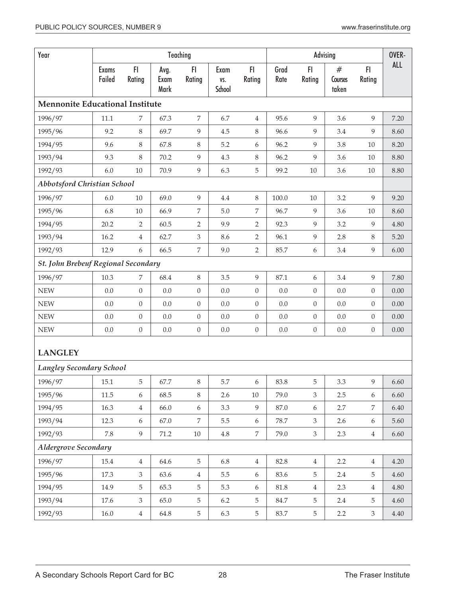| Year                                       |                        |                  |                      | Teaching         |                       |                  |              |                  | Advising                    |                  | OVER-      |
|--------------------------------------------|------------------------|------------------|----------------------|------------------|-----------------------|------------------|--------------|------------------|-----------------------------|------------------|------------|
|                                            | <b>Exams</b><br>Failed | F1<br>Rating     | Avg.<br>Exam<br>Mark | FI<br>Rating     | Exam<br>VS.<br>School | FI.<br>Rating    | Grad<br>Rate | FI<br>Rating     | $^{\#}$<br>Courses<br>taken | F1<br>Rating     | <b>ALL</b> |
| <b>Mennonite Educational Institute</b>     |                        |                  |                      |                  |                       |                  |              |                  |                             |                  |            |
| 1996/97                                    | 11.1                   | 7                | 67.3                 | $\boldsymbol{7}$ | 6.7                   | $\overline{4}$   | 95.6         | 9                | 3.6                         | 9                | 7.20       |
| 1995/96                                    | 9.2                    | 8                | 69.7                 | 9                | 4.5                   | 8                | 96.6         | 9                | 3.4                         | 9                | 8.60       |
| 1994/95                                    | 9.6                    | 8                | 67.8                 | 8                | 5.2                   | $\boldsymbol{6}$ | 96.2         | 9                | 3.8                         | 10               | 8.20       |
| 1993/94                                    | 9.3                    | 8                | 70.2                 | 9                | 4.3                   | $8\,$            | 96.2         | 9                | 3.6                         | 10               | 8.80       |
| 1992/93                                    | $6.0\,$                | $10\,$           | 70.9                 | $\boldsymbol{9}$ | 6.3                   | 5                | 99.2         | $10\,$           | 3.6                         | $10\,$           | 8.80       |
| Abbotsford Christian School                |                        |                  |                      |                  |                       |                  |              |                  |                             |                  |            |
| 1996/97                                    | 6.0                    | $10\,$           | 69.0                 | $\overline{9}$   | $4.4\,$               | $8\,$            | 100.0        | $10\,$           | 3.2                         | 9                | 9.20       |
| 1995/96                                    | 6.8                    | $10\,$           | 66.9                 | 7                | 5.0                   | 7                | 96.7         | 9                | 3.6                         | $10\,$           | 8.60       |
| 1994/95                                    | 20.2                   | $\overline{2}$   | 60.5                 | $\overline{2}$   | 9.9                   | $\overline{2}$   | 92.3         | 9                | 3.2                         | 9                | 4.80       |
| 1993/94                                    | 16.2                   | 4                | 62.7                 | $\mathfrak{Z}$   | 8.6                   | 2                | 96.1         | 9                | 2.8                         | $\, 8$           | 5.20       |
| 1992/93                                    | 12.9                   | 6                | 66.5                 | 7                | 9.0                   | $\overline{2}$   | 85.7         | 6                | 3.4                         | 9                | 6.00       |
| St. John Brebeuf Regional Secondary        |                        |                  |                      |                  |                       |                  |              |                  |                             |                  |            |
| 1996/97                                    | 10.3                   | 7                | 68.4                 | $8\,$            | 3.5                   | 9                | 87.1         | 6                | 3.4                         | 9                | 7.80       |
| <b>NEW</b>                                 | 0.0                    | $\boldsymbol{0}$ | 0.0                  | $\boldsymbol{0}$ | 0.0                   | $\boldsymbol{0}$ | 0.0          | $\boldsymbol{0}$ | 0.0                         | $\boldsymbol{0}$ | 0.00       |
| <b>NEW</b>                                 | $0.0\,$                | $\boldsymbol{0}$ | 0.0                  | $\boldsymbol{0}$ | 0.0                   | $\boldsymbol{0}$ | 0.0          | $\boldsymbol{0}$ | 0.0                         | $\boldsymbol{0}$ | 0.00       |
| <b>NEW</b>                                 | 0.0                    | $\boldsymbol{0}$ | 0.0                  | $\boldsymbol{0}$ | 0.0                   | $\boldsymbol{0}$ | $0.0\,$      | $\boldsymbol{0}$ | 0.0                         | $\boldsymbol{0}$ | 0.00       |
| <b>NEW</b>                                 | $0.0\,$                | $\boldsymbol{0}$ | 0.0                  | $\boldsymbol{0}$ | 0.0                   | $\boldsymbol{0}$ | $0.0\,$      | $\boldsymbol{0}$ | 0.0                         | $\boldsymbol{0}$ | 0.00       |
| <b>LANGLEY</b><br>Langley Secondary School |                        |                  |                      |                  |                       |                  |              |                  |                             |                  |            |
|                                            | 15.1                   | 5                | 67.7                 | 8                | 5.7                   | 6                | 83.8         | 5                | 3.3                         | 9                | 6.60       |
| 1996/97<br>1995/96                         | 11.5                   | 6                | 68.5                 | 8                | 2.6                   | 10               | 79.0         | 3                | 2.5                         | 6                | 6.60       |
| 1994/95                                    | 16.3                   | $\overline{4}$   | 66.0                 | 6                | 3.3                   | 9                | 87.0         | 6                | 2.7                         | 7                | 6.40       |
| 1993/94                                    | 12.3                   | 6                | 67.0                 | 7                | 5.5                   | 6                | 78.7         | 3                | 2.6                         | 6                | 5.60       |
| 1992/93                                    | 7.8                    | 9                | 71.2                 | $10\,$           | 4.8                   | $\overline{7}$   | 79.0         | $\mathfrak{Z}$   | 2.3                         | $\overline{4}$   | 6.60       |
| Aldergrove Secondary                       |                        |                  |                      |                  |                       |                  |              |                  |                             |                  |            |
| 1996/97                                    | 15.4                   | $\overline{4}$   | 64.6                 | $\overline{5}$   | 6.8                   | $\overline{4}$   | 82.8         | $\overline{4}$   | 2.2                         | $\overline{4}$   | 4.20       |
| 1995/96                                    | 17.3                   | $\mathfrak{Z}$   | 63.6                 | $\,4\,$          | 5.5                   | 6                | 83.6         | 5                | 2.4                         | $\mathbf 5$      | 4.60       |
| 1994/95                                    | 14.9                   | 5                | 65.3                 | $\overline{5}$   | 5.3                   | 6                | $81.8\,$     | $\overline{4}$   | 2.3                         | $\overline{4}$   | 4.80       |
| 1993/94                                    | 17.6                   | 3                | 65.0                 | 5                | 6.2                   | 5                | 84.7         | 5                | 2.4                         | 5                | 4.60       |
| 1992/93                                    | 16.0                   | $\overline{4}$   | 64.8                 | $\overline{5}$   | 6.3                   | $5\phantom{.0}$  | 83.7         | $\overline{5}$   | $2.2\phantom{0}$            | $\mathfrak{Z}$   | 4.40       |
|                                            |                        |                  |                      |                  |                       |                  |              |                  |                             |                  |            |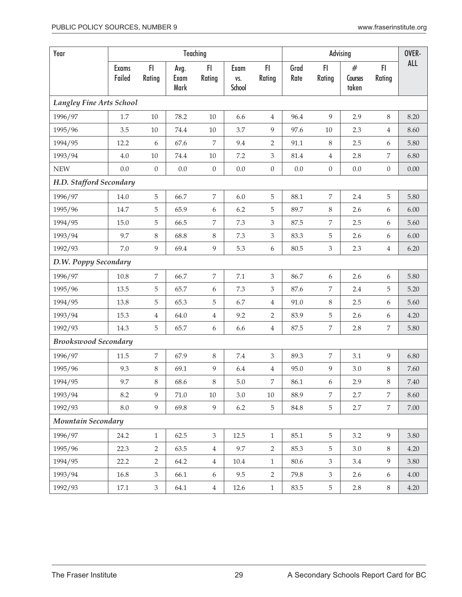| Year                            |                 |                  |                      | Teaching         |                       |                  |              |                             | Advising<br>#<br>FI.<br>FI<br>Courses |                  |          |
|---------------------------------|-----------------|------------------|----------------------|------------------|-----------------------|------------------|--------------|-----------------------------|---------------------------------------|------------------|----------|
|                                 | Exams<br>Failed | F1<br>Rating     | Avg.<br>Exam<br>Mark | FI<br>Rating     | Exam<br>VS.<br>School | FI.<br>Rating    | Grad<br>Rate | Rating                      | taken                                 | Rating           | ALL      |
| <b>Langley Fine Arts School</b> |                 |                  |                      |                  |                       |                  |              |                             |                                       |                  |          |
| 1996/97                         | 1.7             | 10               | 78.2                 | 10               | 6.6                   | $\overline{4}$   | 96.4         | 9                           | 2.9                                   | 8                | 8.20     |
| 1995/96                         | 3.5             | $10\,$           | 74.4                 | 10               | 3.7                   | 9                | 97.6         | 10                          | 2.3                                   | 4                | 8.60     |
| 1994/95                         | 12.2            | 6                | 67.6                 | 7                | 9.4                   | $\overline{2}$   | 91.1         | 8                           | 2.5                                   | 6                | 5.80     |
| 1993/94                         | $4.0\,$         | $10\,$           | 74.4                 | $10\,$           | 7.2                   | 3                | 81.4         | $\overline{4}$              | 2.8                                   | 7                | 6.80     |
| <b>NEW</b>                      | 0.0             | $\boldsymbol{0}$ | 0.0                  | $\boldsymbol{0}$ | 0.0                   | $\boldsymbol{0}$ | $0.0\,$      | $\boldsymbol{0}$            | $0.0\,$                               | $\boldsymbol{0}$ | 0.00     |
| H.D. Stafford Secondary         |                 |                  |                      |                  |                       |                  |              |                             |                                       |                  |          |
| 1996/97                         | $14.0\,$        | $\sqrt{5}$       | 66.7                 | $\boldsymbol{7}$ | 6.0                   | 5                | 88.1         | 7                           | 2.4                                   | 5                | 5.80     |
| 1995/96                         | 14.7            | 5                | 65.9                 | 6                | 6.2                   | 5                | 89.7         | 8                           | 2.6                                   | 6                | 6.00     |
| 1994/95                         | $15.0\,$        | 5                | 66.5                 | $\boldsymbol{7}$ | 7.3                   | $\mathfrak{Z}$   | 87.5         | 7                           | 2.5                                   | 6                | 5.60     |
| 1993/94                         | 9.7             | 8                | 68.8                 | $\,8\,$          | 7.3                   | $\mathfrak{Z}$   | 83.3         | 5                           | 2.6                                   | 6                | 6.00     |
| 1992/93                         | $7.0\,$         | $\overline{9}$   | 69.4                 | $\boldsymbol{9}$ | 5.3                   | 6                | 80.5         | $\ensuremath{\mathfrak{Z}}$ | 2.3                                   | $\overline{4}$   | 6.20     |
| D.W. Poppy Secondary            |                 |                  |                      |                  |                       |                  |              |                             |                                       |                  |          |
| 1996/97                         | $10.8\,$        | $\overline{7}$   | 66.7                 | $\boldsymbol{7}$ | $7.1\,$               | $\mathfrak{Z}$   | 86.7         | 6                           | 2.6                                   | 6                | 5.80     |
| 1995/96                         | 13.5            | 5                | 65.7                 | 6                | 7.3                   | 3                | 87.6         | 7                           | 2.4                                   | 5                | 5.20     |
| 1994/95                         | 13.8            | 5                | 65.3                 | $\mathbf 5$      | 6.7                   | $\overline{4}$   | 91.0         | 8                           | 2.5                                   | 6                | 5.60     |
| 1993/94                         | 15.3            | $\,4\,$          | 64.0                 | $\,4\,$          | 9.2                   | $\overline{2}$   | 83.9         | 5                           | 2.6                                   | 6                | 4.20     |
| 1992/93                         | 14.3            | $\mathbf 5$      | 65.7                 | 6                | 6.6                   | $\overline{4}$   | 87.5         | 7                           | 2.8                                   | 7                | 5.80     |
| <b>Brookswood Secondary</b>     |                 |                  |                      |                  |                       |                  |              |                             |                                       |                  |          |
| 1996/97                         | 11.5            | $\boldsymbol{7}$ | 67.9                 | $8\,$            | 7.4                   | $\mathfrak{Z}$   | 89.3         | 7                           | 3.1                                   | 9                | 6.80     |
| 1995/96                         | 9.3             | $\,8\,$          | 69.1                 | 9                | 6.4                   | $\overline{4}$   | 95.0         | 9                           | 3.0                                   | 8                | 7.60     |
| 1994/95                         | 9.7             | 8                | 68.6                 | 8                | $5.0\,$               | $\,7$            | 86.1         | 6                           | 2.9                                   | $8\,$            | $7.40\,$ |
| 1993/94                         | 8.2             | 9                | 71.0                 | 10               | 3.0                   | 10               | 88.9         | 7                           | 2.7                                   | 7                | 8.60     |
| 1992/93                         | $8.0\,$         | 9                | 69.8                 | 9                | $6.2\,$               | 5                | 84.8         | 5                           | $2.7\,$                               | $\overline{7}$   | $7.00\,$ |
| <b>Mountain Secondary</b>       |                 |                  |                      |                  |                       |                  |              |                             |                                       |                  |          |
| 1996/97                         | 24.2            | $\mathbf{1}$     | 62.5                 | $\mathfrak{Z}$   | 12.5                  | $\mathbf{1}$     | 85.1         | 5                           | 3.2                                   | 9                | 3.80     |
| 1995/96                         | 22.3            | 2                | 63.5                 | $\,4\,$          | 9.7                   | $\overline{2}$   | 85.3         | 5                           | $3.0\,$                               | 8                | 4.20     |
| 1994/95                         | 22.2            | 2                | 64.2                 | $\,4\,$          | 10.4                  | $\mathbf{1}$     | 80.6         | 3                           | 3.4                                   | 9                | 3.80     |
| 1993/94                         | 16.8            | 3                | 66.1                 | 6                | 9.5                   | $\overline{2}$   | 79.8         | 3                           | 2.6                                   | 6                | $4.00\,$ |
| 1992/93                         | 17.1            | $\mathfrak{Z}$   | 64.1                 | $\,4$            | 12.6                  | $\mathbf{1}$     | 83.5         | 5                           | 2.8                                   | 8                | 4.20     |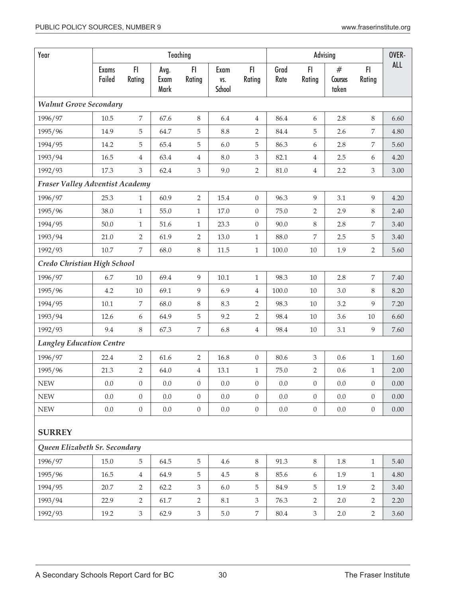| Year                                   |                        |                  |                      | Teaching         |                              |                             |              |                  | Advising              |                  | OVER-      |
|----------------------------------------|------------------------|------------------|----------------------|------------------|------------------------------|-----------------------------|--------------|------------------|-----------------------|------------------|------------|
|                                        | <b>Exams</b><br>Failed | FI<br>Rating     | Avg.<br>Exam<br>Mark | FI<br>Rating     | Exam<br>VS.<br><b>School</b> | FI.<br>Rating               | Grad<br>Rate | FI<br>Rating     | #<br>Courses<br>taken | FI<br>Rating     | <b>ALL</b> |
| <b>Walnut Grove Secondary</b>          |                        |                  |                      |                  |                              |                             |              |                  |                       |                  |            |
| 1996/97                                | 10.5                   | $\overline{7}$   | 67.6                 | $\,8\,$          | 6.4                          | $\overline{4}$              | 86.4         | 6                | 2.8                   | $\,8\,$          | 6.60       |
| 1995/96                                | 14.9                   | 5                | 64.7                 | 5                | $8.8\,$                      | $\overline{2}$              | 84.4         | 5                | 2.6                   | 7                | 4.80       |
| 1994/95                                | 14.2                   | 5                | 65.4                 | 5                | $6.0\,$                      | 5                           | 86.3         | 6                | 2.8                   | 7                | 5.60       |
| 1993/94                                | 16.5                   | $\overline{4}$   | 63.4                 | $\overline{4}$   | $8.0\,$                      | $\ensuremath{\mathfrak{Z}}$ | 82.1         | $\overline{4}$   | 2.5                   | 6                | 4.20       |
| 1992/93                                | 17.3                   | 3                | 62.4                 | $\mathfrak{Z}$   | 9.0                          | $\overline{2}$              | 81.0         | $\,4\,$          | 2.2                   | $\mathfrak{Z}$   | 3.00       |
| <b>Fraser Valley Adventist Academy</b> |                        |                  |                      |                  |                              |                             |              |                  |                       |                  |            |
| 1996/97                                | 25.3                   | $\mathbf{1}$     | 60.9                 | $\overline{2}$   | 15.4                         | $\boldsymbol{0}$            | 96.3         | 9                | 3.1                   | 9                | 4.20       |
| 1995/96                                | 38.0                   | $\mathbf{1}$     | 55.0                 | $\mathbf{1}$     | 17.0                         | $\boldsymbol{0}$            | 75.0         | $\overline{2}$   | 2.9                   | $\,8\,$          | 2.40       |
| 1994/95                                | 50.0                   | $\mathbf{1}$     | 51.6                 | $\mathbf{1}$     | 23.3                         | $\boldsymbol{0}$            | 90.0         | $8\,$            | 2.8                   | 7                | 3.40       |
| 1993/94                                | 21.0                   | $\overline{2}$   | 61.9                 | $\sqrt{2}$       | 13.0                         | $\,1\,$                     | 88.0         | $\boldsymbol{7}$ | 2.5                   | 5                | 3.40       |
| 1992/93                                | $10.7\,$               | $\overline{7}$   | 68.0                 | $\,8\,$          | 11.5                         | $\,1\,$                     | 100.0        | $10\,$           | 1.9                   | $\overline{2}$   | 5.60       |
| Credo Christian High School            |                        |                  |                      |                  |                              |                             |              |                  |                       |                  |            |
| 1996/97                                | 6.7                    | $10\,$           | 69.4                 | 9                | $10.1\,$                     | $\mathbf{1}$                | 98.3         | 10               | 2.8                   | 7                | 7.40       |
| 1995/96                                | 4.2                    | $10\,$           | 69.1                 | 9                | 6.9                          | $\,4\,$                     | 100.0        | 10               | 3.0                   | 8                | 8.20       |
| 1994/95                                | 10.1                   | 7                | 68.0                 | 8                | 8.3                          | $\overline{2}$              | 98.3         | 10               | 3.2                   | 9                | 7.20       |
| 1993/94                                | 12.6                   | 6                | 64.9                 | 5                | 9.2                          | $\overline{2}$              | 98.4         | 10               | 3.6                   | $10\,$           | 6.60       |
| 1992/93                                | 9.4                    | 8                | 67.3                 | 7                | 6.8                          | $\,4$                       | 98.4         | $10\,$           | 3.1                   | 9                | 7.60       |
| <b>Langley Education Centre</b>        |                        |                  |                      |                  |                              |                             |              |                  |                       |                  |            |
| 1996/97                                | 22.4                   | $\overline{2}$   | 61.6                 | $\overline{2}$   | 16.8                         | $\boldsymbol{0}$            | 80.6         | 3                | 0.6                   | $\mathbf{1}$     | 1.60       |
| 1995/96                                | 21.3                   | 2                | 64.0                 | $\overline{4}$   | 13.1                         | $\mathbf{1}$                | 75.0         | $\overline{2}$   | 0.6                   | $\mathbf{1}$     | 2.00       |
| ${\rm NEW}$                            | $0.0\,$                | $\boldsymbol{0}$ | 0.0                  | $\boldsymbol{0}$ | $0.0\,$                      | $\boldsymbol{0}$            | $0.0\,$      | $\boldsymbol{0}$ | $0.0\,$               | $\overline{0}$   | $0.00\,$   |
| <b>NEW</b>                             | 0.0                    | $\overline{0}$   | 0.0                  | $\overline{0}$   | 0.0                          | $\boldsymbol{0}$            | 0.0          | $\boldsymbol{0}$ | 0.0                   | $\overline{0}$   | 0.00       |
| ${\rm NEW}$                            | $0.0\,$                | $\boldsymbol{0}$ | $0.0\,$              | $\boldsymbol{0}$ | $0.0\,$                      | $\boldsymbol{0}$            | $0.0\,$      | $\overline{0}$   | $0.0\,$               | $\boldsymbol{0}$ | $0.00\,$   |
| <b>SURREY</b>                          |                        |                  |                      |                  |                              |                             |              |                  |                       |                  |            |
| Queen Elizabeth Sr. Secondary          |                        |                  |                      |                  |                              |                             |              |                  |                       |                  |            |
| 1996/97                                | 15.0                   | 5                | 64.5                 | 5                | 4.6                          | $\,8\,$                     | 91.3         | $8\,$            | 1.8                   | $\mathbf{1}$     | 5.40       |
| 1995/96                                | 16.5                   | $\overline{4}$   | 64.9                 | $\mathbf 5$      | 4.5                          | $\,8\,$                     | 85.6         | $\boldsymbol{6}$ | 1.9                   | $\mathbf{1}$     | 4.80       |
| 1994/95                                | 20.7                   | $\overline{2}$   | 62.2                 | $\mathfrak{Z}$   | $6.0\,$                      | 5                           | 84.9         | 5                | 1.9                   | $\overline{2}$   | 3.40       |
| 1993/94                                | 22.9                   | $\overline{2}$   | $61.7\,$             | $\overline{2}$   | 8.1                          | $\mathfrak{Z}$              | 76.3         | $\overline{2}$   | 2.0                   | $\overline{2}$   | 2.20       |
| 1992/93                                | 19.2                   | 3                | 62.9                 | $\mathfrak{Z}$   | $5.0\,$                      | 7                           | 80.4         | $\mathfrak{Z}$   | 2.0                   | $\overline{2}$   | 3.60       |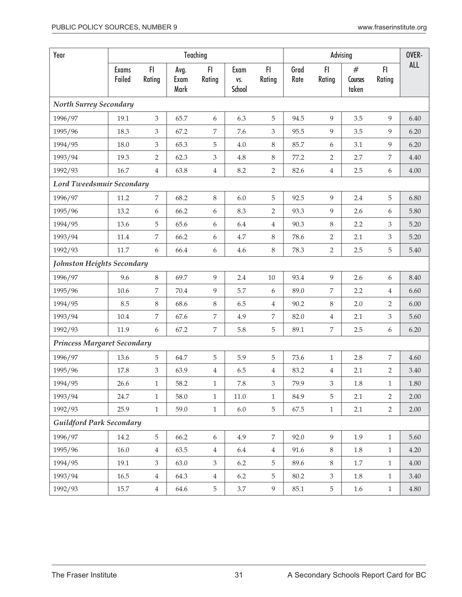| Year                               |                        |                |                      | Teaching                    |                       |                |              |                  | Advising              |                | OVER-      |
|------------------------------------|------------------------|----------------|----------------------|-----------------------------|-----------------------|----------------|--------------|------------------|-----------------------|----------------|------------|
|                                    | <b>Exams</b><br>Failed | FI<br>Rating   | Avg.<br>Exam<br>Mark | FI.<br>Rating               | Exam<br>VS.<br>School | FI.<br>Rating  | Grad<br>Rate | FI.<br>Rating    | #<br>Courses<br>taken | F1<br>Rating   | <b>ALL</b> |
| <b>North Surrey Secondary</b>      |                        |                |                      |                             |                       |                |              |                  |                       |                |            |
| 1996/97                            | 19.1                   | 3              | 65.7                 | 6                           | 6.3                   | 5              | 94.5         | 9                | 3.5                   | 9              | 6.40       |
| 1995/96                            | 18.3                   | 3              | 67.2                 | 7                           | 7.6                   | 3              | 95.5         | 9                | 3.5                   | 9              | 6.20       |
| 1994/95                            | 18.0                   | 3              | 65.3                 | 5                           | $4.0\,$               | $8\,$          | 85.7         | 6                | 3.1                   | 9              | 6.20       |
| 1993/94                            | 19.3                   | $\overline{2}$ | 62.3                 | $\mathfrak{Z}$              | 4.8                   | $\,8\,$        | 77.2         | $\overline{2}$   | 2.7                   | $\overline{7}$ | 4.40       |
| 1992/93                            | 16.7                   | $\overline{4}$ | 63.8                 | $\overline{4}$              | 8.2                   | $\overline{2}$ | 82.6         | $\,4\,$          | 2.5                   | 6              | 4.00       |
| <b>Lord Tweedsmuir Secondary</b>   |                        |                |                      |                             |                       |                |              |                  |                       |                |            |
| 1996/97                            | 11.2                   | $\overline{7}$ | 68.2                 | $\,8\,$                     | 6.0                   | 5              | 92.5         | 9                | 2.4                   | 5              | 6.80       |
| 1995/96                            | 13.2                   | 6              | 66.2                 | 6                           | 8.3                   | $\overline{2}$ | 93.3         | 9                | 2.6                   | 6              | 5.80       |
| 1994/95                            | 13.6                   | 5              | 65.6                 | 6                           | 6.4                   | $\,4\,$        | 90.3         | 8                | 2.2                   | 3              | 5.20       |
| 1993/94                            | 11.4                   | 7              | 66.2                 | 6                           | 4.7                   | $\, 8$         | 78.6         | $\overline{2}$   | 2.1                   | 3              | 5.20       |
| 1992/93                            | 11.7                   | 6              | 66.4                 | 6                           | 4.6                   | $\, 8$         | 78.3         | $\overline{2}$   | 2.5                   | 5              | 5.40       |
| Johnston Heights Secondary         |                        |                |                      |                             |                       |                |              |                  |                       |                |            |
| 1996/97                            | 9.6                    | 8              | 69.7                 | 9                           | 2.4                   | 10             | 93.4         | 9                | 2.6                   | 6              | 8.40       |
| 1995/96                            | 10.6                   | 7              | 70.4                 | $\overline{9}$              | 5.7                   | 6              | 89.0         | $\boldsymbol{7}$ | 2.2                   | $\overline{4}$ | 6.60       |
| 1994/95                            | 8.5                    | 8              | 68.6                 | $\,8\,$                     | 6.5                   | $\,4\,$        | 90.2         | 8                | 2.0                   | $\overline{2}$ | 6.00       |
| 1993/94                            | 10.4                   | 7              | 67.6                 | $\boldsymbol{7}$            | 4.9                   | $\overline{7}$ | 82.0         | $\,4\,$          | 2.1                   | $\mathfrak{Z}$ | 5.60       |
| 1992/93                            | 11.9                   | 6              | 67.2                 | $\overline{7}$              | 5.8                   | 5              | 89.1         | $\overline{7}$   | 2.5                   | 6              | 6.20       |
| <b>Princess Margaret Secondary</b> |                        |                |                      |                             |                       |                |              |                  |                       |                |            |
| 1996/97                            | 13.6                   | 5              | 64.7                 | $\overline{5}$              | 5.9                   | 5              | 73.6         | $\mathbf{1}$     | 2.8                   | 7              | 4.60       |
| 1995/96                            | 17.8                   | 3              | 63.9                 | $\overline{4}$              | 6.5                   | $\,4\,$        | 83.2         | $\overline{4}$   | 2.1                   | $\overline{2}$ | 3.40       |
| 1994/95                            | 26.6                   | $\mathbf{1}$   | 58.2                 | $\mathbf 1$                 | $7.8\,$               | 3              | 79.9         | 3                | $1.8\,$               | $\mathbf{1}$   | 1.80       |
| 1993/94                            | 24.7                   | $\mathbf{1}$   | 58.0                 | $\mathbf{1}$                | $11.0\,$              | $\mathbf{1}$   | 84.9         | 5                | 2.1                   | 2              | 2.00       |
| 1992/93                            | 25.9                   | $\mathbf{1}$   | 59.0                 | $\mathbf{1}$                | $6.0\,$               | 5              | 67.5         | $\mathbf{1}$     | 2.1                   | $\overline{2}$ | 2.00       |
| <b>Guildford Park Secondary</b>    |                        |                |                      |                             |                       |                |              |                  |                       |                |            |
| 1996/97                            | 14.2                   | 5              | 66.2                 | $\boldsymbol{6}$            | 4.9                   | $\overline{7}$ | 92.0         | 9                | 1.9                   | $\mathbf{1}$   | 5.60       |
| 1995/96                            | 16.0                   | $\overline{4}$ | 63.5                 | $\overline{4}$              | 6.4                   | $\overline{4}$ | 91.6         | 8                | 1.8                   | $\mathbf{1}$   | 4.20       |
| 1994/95                            | 19.1                   | 3              | 63.0                 | $\ensuremath{\mathfrak{Z}}$ | 6.2                   | 5              | 89.6         | $\,8\,$          | 1.7                   | $\mathbf{1}$   | 4.00       |
| 1993/94                            | 16.5                   | $\overline{4}$ | 64.3                 | $\overline{4}$              | 6.2                   | 5              | 80.2         | $\mathfrak{Z}$   | 1.8                   | $\mathbf{1}$   | 3.40       |
| 1992/93                            | 15.7                   | $\overline{4}$ | 64.6                 | 5                           | 3.7                   | 9              | 85.1         | 5                | 1.6                   | $\mathbf{1}$   | 4.80       |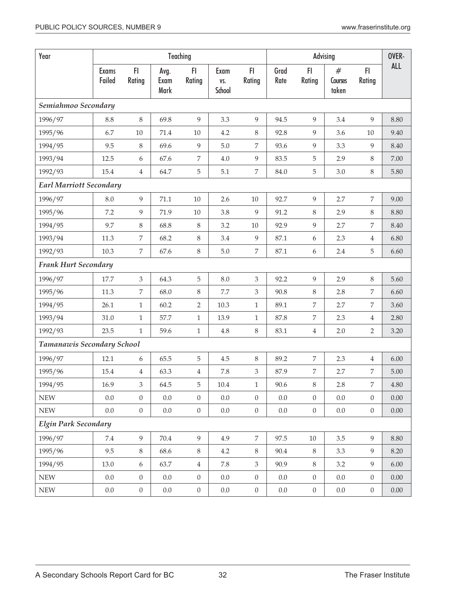| Year                           |                        |                  |                      | Teaching         |                       |                  |              |                  | Advising              |                  | OVER-    |
|--------------------------------|------------------------|------------------|----------------------|------------------|-----------------------|------------------|--------------|------------------|-----------------------|------------------|----------|
|                                | <b>Exams</b><br>Failed | FI.<br>Rating    | Avg.<br>Exam<br>Mark | FI.<br>Rating    | Exam<br>VS.<br>School | FI.<br>Rating    | Grad<br>Rate | FI<br>Rating     | #<br>Courses<br>taken | FI<br>Rating     | ALL      |
| Semiahmoo Secondary            |                        |                  |                      |                  |                       |                  |              |                  |                       |                  |          |
| 1996/97                        | 8.8                    | $\,8\,$          | 69.8                 | 9                | 3.3                   | 9                | 94.5         | 9                | 3.4                   | 9                | 8.80     |
| 1995/96                        | 6.7                    | $10\,$           | 71.4                 | $10\,$           | 4.2                   | $8\,$            | 92.8         | 9                | 3.6                   | 10               | 9.40     |
| 1994/95                        | 9.5                    | $\,8\,$          | 69.6                 | $\overline{9}$   | $5.0\,$               | $\overline{7}$   | 93.6         | 9                | 3.3                   | 9                | 8.40     |
| 1993/94                        | 12.5                   | 6                | 67.6                 | $\boldsymbol{7}$ | 4.0                   | $\overline{9}$   | 83.5         | 5                | 2.9                   | 8                | 7.00     |
| 1992/93                        | 15.4                   | $\overline{4}$   | 64.7                 | $\mathbf 5$      | 5.1                   | $\overline{7}$   | 84.0         | 5                | 3.0                   | 8                | 5.80     |
| <b>Earl Marriott Secondary</b> |                        |                  |                      |                  |                       |                  |              |                  |                       |                  |          |
| 1996/97                        | 8.0                    | 9                | 71.1                 | $10\,$           | 2.6                   | $10\,$           | 92.7         | 9                | 2.7                   | 7                | 9.00     |
| 1995/96                        | 7.2                    | 9                | 71.9                 | $10\,$           | 3.8                   | 9                | 91.2         | $8\,$            | 2.9                   | 8                | 8.80     |
| 1994/95                        | 9.7                    | 8                | 68.8                 | $\,8\,$          | 3.2                   | $10\,$           | 92.9         | 9                | 2.7                   | 7                | 8.40     |
| 1993/94                        | 11.3                   | 7                | 68.2                 | 8                | 3.4                   | $\overline{9}$   | 87.1         | $\boldsymbol{6}$ | 2.3                   | $\overline{4}$   | 6.80     |
| 1992/93                        | 10.3                   | 7                | 67.6                 | $\,8\,$          | $5.0\,$               | $\overline{7}$   | 87.1         | 6                | 2.4                   | 5                | 6.60     |
| <b>Frank Hurt Secondary</b>    |                        |                  |                      |                  |                       |                  |              |                  |                       |                  |          |
| 1996/97                        | 17.7                   | 3                | 64.3                 | 5                | 8.0                   | $\mathfrak{Z}$   | 92.2         | 9                | 2.9                   | 8                | 5.60     |
| 1995/96                        | 11.3                   | $\overline{7}$   | 68.0                 | 8                | 7.7                   | $\mathfrak{Z}$   | 90.8         | 8                | 2.8                   | 7                | 6.60     |
| 1994/95                        | 26.1                   | $\mathbf{1}$     | 60.2                 | $\overline{2}$   | 10.3                  | $\,1\,$          | 89.1         | $\overline{7}$   | 2.7                   | 7                | 3.60     |
| 1993/94                        | 31.0                   | $\mathbf{1}$     | 57.7                 | $\mathbf{1}$     | 13.9                  | $\mathbf{1}$     | 87.8         | $\overline{7}$   | 2.3                   | $\overline{4}$   | 2.80     |
| 1992/93                        | 23.5                   | $\mathbf{1}$     | 59.6                 | $\mathbf{1}$     | 4.8                   | $8\,$            | 83.1         | $\overline{4}$   | 2.0                   | 2                | 3.20     |
| Tamanawis Secondary School     |                        |                  |                      |                  |                       |                  |              |                  |                       |                  |          |
| 1996/97                        | 12.1                   | 6                | 65.5                 | 5                | 4.5                   | 8                | 89.2         | 7                | 2.3                   | $\overline{4}$   | 6.00     |
| 1995/96                        | 15.4                   | $\overline{4}$   | 63.3                 | $\overline{4}$   | 7.8                   | $\mathfrak{Z}$   | 87.9         | $\overline{7}$   | 2.7                   | 7                | 5.00     |
| 1994/95                        | 16.9                   | 3                | 64.5                 | 5                | $10.4\,$              | $\,1\,$          | 90.6         | 8                | 2.8                   | $\overline{7}$   | $4.80\,$ |
| <b>NEW</b>                     | 0.0                    | $\boldsymbol{0}$ | 0.0                  | $\theta$         | $0.0\,$               | $\boldsymbol{0}$ | $0.0\,$      | $\boldsymbol{0}$ | $0.0\,$               | $\boldsymbol{0}$ | 0.00     |
| ${\rm NEW}$                    | $0.0\,$                | $\boldsymbol{0}$ | $0.0\,$              | $\boldsymbol{0}$ | $0.0\,$               | $\boldsymbol{0}$ | $0.0\,$      | $\boldsymbol{0}$ | $0.0\,$               | $\boldsymbol{0}$ | 0.00     |
| <b>Elgin Park Secondary</b>    |                        |                  |                      |                  |                       |                  |              |                  |                       |                  |          |
| 1996/97                        | 7.4                    | 9                | 70.4                 | 9                | 4.9                   | $\overline{7}$   | 97.5         | $10\,$           | $3.5\,$               | 9                | 8.80     |
| 1995/96                        | 9.5                    | 8                | 68.6                 | 8                | 4.2                   | 8                | 90.4         | 8                | 3.3                   | 9                | 8.20     |
| 1994/95                        | 13.0                   | 6                | 63.7                 | $\overline{4}$   | 7.8                   | 3                | 90.9         | $\,8\,$          | 3.2                   | 9                | 6.00     |
| ${\rm NEW}$                    | 0.0                    | $\boldsymbol{0}$ | 0.0                  | $\boldsymbol{0}$ | 0.0                   | $\theta$         | 0.0          | $\boldsymbol{0}$ | $0.0\,$               | $\overline{0}$   | 0.00     |
| ${\rm NEW}$                    | 0.0                    | $\boldsymbol{0}$ | $0.0\,$              | $\boldsymbol{0}$ | $0.0\,$               | $\boldsymbol{0}$ | $0.0\,$      | $\boldsymbol{0}$ | $0.0\,$               | $\boldsymbol{0}$ | 0.00     |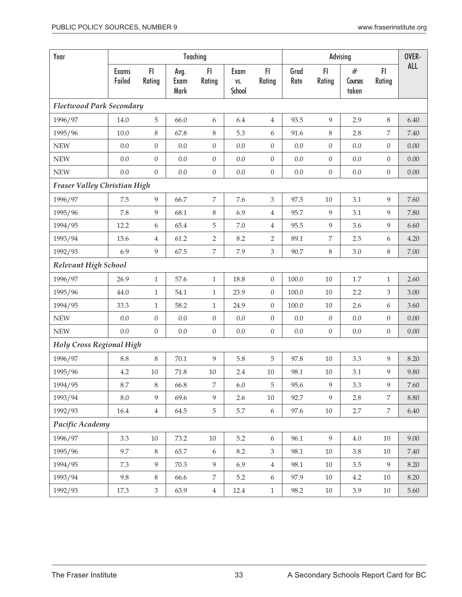| Year                            | Teaching        |                  |                      |                  |                       |                  |              | Advising         |                       |                  |          |  |  |
|---------------------------------|-----------------|------------------|----------------------|------------------|-----------------------|------------------|--------------|------------------|-----------------------|------------------|----------|--|--|
|                                 | Exams<br>Failed | F1<br>Rating     | Avg.<br>Exam<br>Mark | FI.<br>Rating    | Exam<br>VS.<br>School | FI.<br>Rating    | Grad<br>Rate | FI.<br>Rating    | #<br>Courses<br>taken | F1<br>Rating     | ALL      |  |  |
| <b>Fleetwood Park Secondary</b> |                 |                  |                      |                  |                       |                  |              |                  |                       |                  |          |  |  |
| 1996/97                         | 14.0            | 5                | 66.0                 | 6                | 6.4                   | $\overline{4}$   | 93.5         | 9                | 2.9                   | 8                | 6.40     |  |  |
| 1995/96                         | 10.0            | 8                | 67.8                 | 8                | 5.3                   | 6                | 91.6         | 8                | 2.8                   | 7                | 7.40     |  |  |
| <b>NEW</b>                      | 0.0             | $\boldsymbol{0}$ | $0.0\,$              | $\boldsymbol{0}$ | 0.0                   | $\boldsymbol{0}$ | 0.0          | $\boldsymbol{0}$ | 0.0                   | $\boldsymbol{0}$ | 0.00     |  |  |
| <b>NEW</b>                      | 0.0             | $\boldsymbol{0}$ | 0.0                  | $\boldsymbol{0}$ | 0.0                   | $\boldsymbol{0}$ | 0.0          | $\boldsymbol{0}$ | 0.0                   | $\boldsymbol{0}$ | 0.00     |  |  |
| <b>NEW</b>                      | 0.0             | $\boldsymbol{0}$ | 0.0                  | $\boldsymbol{0}$ | 0.0                   | $\boldsymbol{0}$ | 0.0          | $\boldsymbol{0}$ | $0.0\,$               | $\boldsymbol{0}$ | 0.00     |  |  |
| Fraser Valley Christian High    |                 |                  |                      |                  |                       |                  |              |                  |                       |                  |          |  |  |
| 1996/97                         | 7.5             | 9                | 66.7                 | $\boldsymbol{7}$ | 7.6                   | 3                | 97.5         | $10\,$           | 3.1                   | 9                | 7.60     |  |  |
| 1995/96                         | 7.8             | 9                | 68.1                 | 8                | 6.9                   | $\overline{4}$   | 95.7         | 9                | 3.1                   | 9                | 7.80     |  |  |
| 1994/95                         | 12.2            | 6                | 65.4                 | 5                | $7.0\,$               | $\overline{4}$   | 95.5         | 9                | 3.6                   | 9                | 6.60     |  |  |
| 1993/94                         | 15.6            | 4                | 61.2                 | $\overline{2}$   | 8.2                   | $\overline{2}$   | 89.1         | $\overline{7}$   | 2.5                   | 6                | 4.20     |  |  |
| 1992/93                         | 6.9             | 9                | 67.5                 | $\boldsymbol{7}$ | 7.9                   | $\mathfrak{Z}$   | 90.7         | $\,8\,$          | 3.0                   | $\,8\,$          | 7.00     |  |  |
| Relevant High School            |                 |                  |                      |                  |                       |                  |              |                  |                       |                  |          |  |  |
| 1996/97                         | 26.9            | $\mathbf{1}$     | 57.6                 | $\mathbf{1}$     | 18.8                  | $\boldsymbol{0}$ | 100.0        | 10               | $1.7\,$               | 1                | 2.60     |  |  |
| 1995/96                         | 44.0            | $\mathbf{1}$     | 54.1                 | $\mathbf{1}$     | 23.9                  | $\boldsymbol{0}$ | 100.0        | 10               | 2.2                   | 3                | 3.00     |  |  |
| 1994/95                         | 33.3            | $\mathbf{1}$     | 58.2                 | $\mathbf{1}$     | 24.9                  | $\boldsymbol{0}$ | 100.0        | 10               | 2.6                   | 6                | 3.60     |  |  |
| <b>NEW</b>                      | 0.0             | $\boldsymbol{0}$ | $0.0\,$              | $\boldsymbol{0}$ | $0.0\,$               | $\boldsymbol{0}$ | $0.0\,$      | $\boldsymbol{0}$ | $0.0\,$               | $\boldsymbol{0}$ | 0.00     |  |  |
| <b>NEW</b>                      | 0.0             | $\mathbf{0}$     | $0.0\,$              | $\boldsymbol{0}$ | $0.0\,$               | $\boldsymbol{0}$ | $0.0\,$      | $\boldsymbol{0}$ | $0.0\,$               | $\boldsymbol{0}$ | 0.00     |  |  |
| <b>Holy Cross Regional High</b> |                 |                  |                      |                  |                       |                  |              |                  |                       |                  |          |  |  |
| 1996/97                         | 8.8             | $\,8\,$          | 70.1                 | 9                | 5.8                   | 5                | 97.8         | $10\,$           | 3.3                   | 9                | 8.20     |  |  |
| 1995/96                         | 4.2             | $10\,$           | 71.8                 | $10\,$           | 2.4                   | $10\,$           | 98.1         | 10               | 3.1                   | 9                | 9.80     |  |  |
| 1994/95                         | 8.7             | 8                | 66.8                 | 7                | $6.0\,$               | 5                | 95.6         | 9                | 3.3                   | 9                | $7.60\,$ |  |  |
| 1993/94                         | $8.0\,$         | 9                | 69.6                 | 9                | 2.6                   | $10\,$           | 92.7         | 9                | 2.8                   | 7                | 8.80     |  |  |
| 1992/93                         | 16.4            | $\overline{4}$   | 64.5                 | $\mathbf 5$      | 5.7                   | 6                | 97.6         | $10\,$           | 2.7                   | $\overline{7}$   | 6.40     |  |  |
| Pacific Academy                 |                 |                  |                      |                  |                       |                  |              |                  |                       |                  |          |  |  |
| 1996/97                         | 3.3             | $10\,$           | 73.2                 | $10\,$           | $5.2\,$               | 6                | 96.1         | 9                | $4.0\,$               | $10\,$           | 9.00     |  |  |
| 1995/96                         | 9.7             | $8\,$            | 65.7                 | $\boldsymbol{6}$ | $8.2\,$               | $\mathfrak{Z}$   | 98.1         | $10\,$           | $3.8\,$               | $10\,$           | 7.40     |  |  |
| 1994/95                         | 7.3             | 9                | 70.3                 | 9                | 6.9                   | $\overline{4}$   | 98.1         | $10\,$           | 3.5                   | 9                | 8.20     |  |  |
| 1993/94                         | 9.8             | $8\,$            | 66.6                 | 7                | 5.2                   | $\boldsymbol{6}$ | 97.9         | 10               | 4.2                   | 10               | 8.20     |  |  |
| 1992/93                         | 17.3            | 3                | 63.9                 | $\,4$            | 12.4                  | $1\,$            | 98.2         | 10               | 3.9                   | 10               | 5.60     |  |  |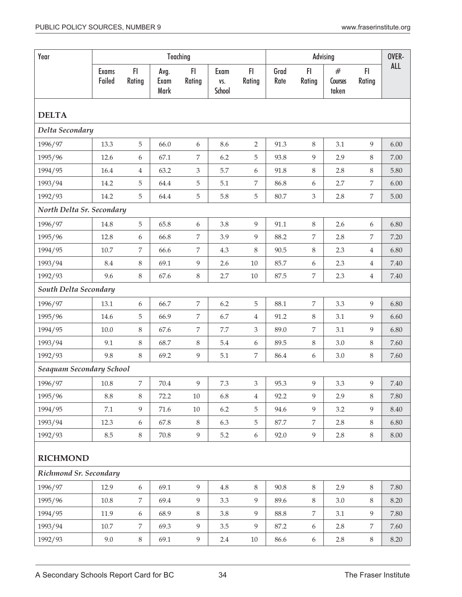| Year                      |                        |                |                      | Teaching         |                       | OVER-          |              |                  |                          |                |            |  |  |  |
|---------------------------|------------------------|----------------|----------------------|------------------|-----------------------|----------------|--------------|------------------|--------------------------|----------------|------------|--|--|--|
|                           | <b>Exams</b><br>Failed | F1<br>Rating   | Avg.<br>Exam<br>Mark | FI<br>Rating     | Exam<br>VS.<br>School | F1<br>Rating   | Grad<br>Rate | FI<br>Rating     | $\#$<br>Courses<br>taken | F1<br>Rating   | <b>ALL</b> |  |  |  |
| <b>DELTA</b>              |                        |                |                      |                  |                       |                |              |                  |                          |                |            |  |  |  |
| Delta Secondary           |                        |                |                      |                  |                       |                |              |                  |                          |                |            |  |  |  |
| 1996/97                   | 13.3                   | 5              | 66.0                 | 6                | 8.6                   | $\overline{2}$ | 91.3         | $\,8\,$          | 3.1                      | 9              | 6.00       |  |  |  |
| 1995/96                   | 12.6                   | 6              | 67.1                 | 7                | 6.2                   | 5              | 93.8         | 9                | 2.9                      | $\,8\,$        | 7.00       |  |  |  |
| 1994/95                   | 16.4                   | $\overline{4}$ | 63.2                 | 3                | 5.7                   | 6              | 91.8         | 8                | 2.8                      | $\,8\,$        | 5.80       |  |  |  |
| 1993/94                   | 14.2                   | 5              | 64.4                 | 5                | 5.1                   | 7              | 86.8         | 6                | 2.7                      | 7              | $6.00\,$   |  |  |  |
| 1992/93                   | 14.2                   | 5              | 64.4                 | 5                | 5.8                   | 5              | 80.7         | 3                | 2.8                      | $\overline{7}$ | 5.00       |  |  |  |
| North Delta Sr. Secondary |                        |                |                      |                  |                       |                |              |                  |                          |                |            |  |  |  |
| 1996/97                   | 14.8                   | 5              | 65.8                 | 6                | 3.8                   | 9              | 91.1         | 8                | 2.6                      | 6              | 6.80       |  |  |  |
| 1995/96                   | 12.8                   | 6              | 66.8                 | 7                | 3.9                   | 9              | 88.2         | 7                | 2.8                      | 7              | 7.20       |  |  |  |
| 1994/95                   | 10.7                   | 7              | 66.6                 | 7                | 4.3                   | $\,8\,$        | 90.5         | 8                | 2.3                      | $\overline{4}$ | 6.80       |  |  |  |
| 1993/94                   | 8.4                    | $\,8\,$        | 69.1                 | 9                | 2.6                   | $10\,$         | 85.7         | 6                | 2.3                      | $\overline{4}$ | 7.40       |  |  |  |
| 1992/93                   | 9.6                    | $\,8\,$        | 67.6                 | $\,8\,$          | 2.7                   | $10\,$         | 87.5         | 7                | 2.3                      | $\overline{4}$ | 7.40       |  |  |  |
| South Delta Secondary     |                        |                |                      |                  |                       |                |              |                  |                          |                |            |  |  |  |
| 1996/97                   | 13.1                   | 6              | 66.7                 | $\boldsymbol{7}$ | 6.2                   | 5              | 88.1         | 7                | 3.3                      | 9              | 6.80       |  |  |  |
| 1995/96                   | 14.6                   | 5              | 66.9                 | 7                | 6.7                   | 4              | 91.2         | 8                | 3.1                      | 9              | 6.60       |  |  |  |
| 1994/95                   | 10.0                   | $\,8\,$        | 67.6                 | $\boldsymbol{7}$ | 7.7                   | 3              | 89.0         | $\overline{7}$   | 3.1                      | 9              | 6.80       |  |  |  |
| 1993/94                   | 9.1                    | $\,8\,$        | 68.7                 | 8                | 5.4                   | 6              | 89.5         | $\,8\,$          | 3.0                      | $\,8\,$        | 7.60       |  |  |  |
| 1992/93                   | 9.8                    | 8              | 69.2                 | 9                | 5.1                   | $\overline{7}$ | 86.4         | $\boldsymbol{6}$ | 3.0                      | $\,8\,$        | 7.60       |  |  |  |
| Seaquam Secondary School  |                        |                |                      |                  |                       |                |              |                  |                          |                |            |  |  |  |
| 1996/97                   | $10.8\,$               | 7              | $70.4\,$             | 9                | $7.3\,$               | 3              | 95.3         | $\overline{9}$   | 3.3                      | $\overline{9}$ | $7.40\,$   |  |  |  |
| 1995/96                   | 8.8                    | 8              | 72.2                 | 10               | 6.8                   | $\overline{4}$ | 92.2         | 9                | 2.9                      | 8              | 7.80       |  |  |  |
| 1994/95                   | 7.1                    | 9              | 71.6                 | 10               | 6.2                   | 5              | 94.6         | 9                | 3.2                      | 9              | 8.40       |  |  |  |
| 1993/94                   | 12.3                   | 6              | 67.8                 | 8                | 6.3                   | 5              | 87.7         | 7                | 2.8                      | 8              | 6.80       |  |  |  |
| 1992/93                   | 8.5                    | 8              | 70.8                 | 9                | 5.2                   | 6              | 92.0         | 9                | 2.8                      | $\,8\,$        | 8.00       |  |  |  |
| <b>RICHMOND</b>           |                        |                |                      |                  |                       |                |              |                  |                          |                |            |  |  |  |
| Richmond Sr. Secondary    |                        |                |                      |                  |                       |                |              |                  |                          |                |            |  |  |  |
| 1996/97                   | 12.9                   | 6              | 69.1                 | 9                | 4.8                   | $8\,$          | 90.8         | 8                | 2.9                      | $8\,$          | 7.80       |  |  |  |
| 1995/96                   | 10.8                   | 7              | 69.4                 | 9                | 3.3                   | 9              | 89.6         | 8                | 3.0                      | $\,8\,$        | 8.20       |  |  |  |
| 1994/95                   | 11.9                   | 6              | 68.9                 | $\,8\,$          | 3.8                   | 9              | 88.8         | 7                | 3.1                      | 9              | 7.80       |  |  |  |
| 1993/94                   | 10.7                   | 7              | 69.3                 | 9                | 3.5                   | 9              | 87.2         | $\boldsymbol{6}$ | 2.8                      | 7              | 7.60       |  |  |  |
| 1992/93                   | 9.0                    | $8\,$          | 69.1                 | 9                | 2.4                   | $10\,$         | 86.6         | 6                | 2.8                      | 8              | 8.20       |  |  |  |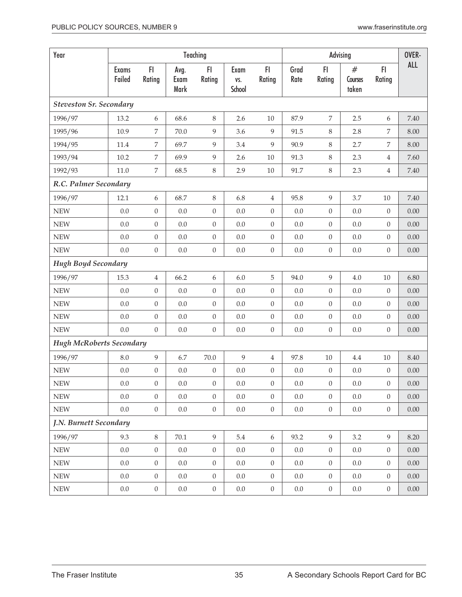| Year                            |                        |                  |                      | Teaching         |                       | OVER-            |              |                  |                       |                  |            |
|---------------------------------|------------------------|------------------|----------------------|------------------|-----------------------|------------------|--------------|------------------|-----------------------|------------------|------------|
|                                 | <b>Exams</b><br>Failed | F1<br>Rating     | Avg.<br>Exam<br>Mark | F1<br>Rating     | Exam<br>VS.<br>School | FI.<br>Rating    | Grad<br>Rate | FI<br>Rating     | #<br>Courses<br>taken | FI.<br>Rating    | <b>ALL</b> |
| <b>Steveston Sr. Secondary</b>  |                        |                  |                      |                  |                       |                  |              |                  |                       |                  |            |
| 1996/97                         | 13.2                   | 6                | 68.6                 | 8                | 2.6                   | 10               | 87.9         | $\overline{7}$   | 2.5                   | 6                | 7.40       |
| 1995/96                         | 10.9                   | 7                | 70.0                 | 9                | 3.6                   | 9                | 91.5         | 8                | 2.8                   | $\overline{7}$   | 8.00       |
| 1994/95                         | 11.4                   | 7                | 69.7                 | $\overline{9}$   | 3.4                   | 9                | 90.9         | $\,8\,$          | 2.7                   | $\overline{7}$   | 8.00       |
| 1993/94                         | 10.2                   | $\overline{7}$   | 69.9                 | $\overline{9}$   | 2.6                   | $10\,$           | 91.3         | $\,8\,$          | 2.3                   | $\overline{4}$   | 7.60       |
| 1992/93                         | 11.0                   | $\overline{7}$   | 68.5                 | $\,8\,$          | 2.9                   | $10\,$           | 91.7         | $\, 8$           | 2.3                   | $\overline{4}$   | 7.40       |
| R.C. Palmer Secondary           |                        |                  |                      |                  |                       |                  |              |                  |                       |                  |            |
| 1996/97                         | 12.1                   | 6                | 68.7                 | 8                | 6.8                   | $\overline{4}$   | 95.8         | $\overline{9}$   | 3.7                   | $10\,$           | 7.40       |
| <b>NEW</b>                      | 0.0                    | $\boldsymbol{0}$ | 0.0                  | $\boldsymbol{0}$ | $0.0\,$               | $\boldsymbol{0}$ | $0.0\,$      | $\boldsymbol{0}$ | $0.0\,$               | $\boldsymbol{0}$ | 0.00       |
| <b>NEW</b>                      | 0.0                    | $\boldsymbol{0}$ | 0.0                  | $\boldsymbol{0}$ | 0.0                   | $\boldsymbol{0}$ | 0.0          | $\boldsymbol{0}$ | 0.0                   | $\overline{0}$   | $0.00\,$   |
| <b>NEW</b>                      | 0.0                    | 0                | 0.0                  | $\boldsymbol{0}$ | 0.0                   | $\boldsymbol{0}$ | 0.0          | $\boldsymbol{0}$ | 0.0                   | $\overline{0}$   | $0.00\,$   |
| <b>NEW</b>                      | 0.0                    | $\boldsymbol{0}$ | $0.0\,$              | $\boldsymbol{0}$ | 0.0                   | $\boldsymbol{0}$ | $0.0\,$      | $\boldsymbol{0}$ | $0.0\,$               | $\overline{0}$   | 0.00       |
| <b>Hugh Boyd Secondary</b>      |                        |                  |                      |                  |                       |                  |              |                  |                       |                  |            |
| 1996/97                         | 15.3                   | $\overline{4}$   | 66.2                 | 6                | $6.0\,$               | 5                | 94.0         | $\overline{9}$   | $4.0\,$               | $10\,$           | 6.80       |
| <b>NEW</b>                      | 0.0                    | $\boldsymbol{0}$ | 0.0                  | $\boldsymbol{0}$ | 0.0                   | $\boldsymbol{0}$ | $0.0\,$      | $\boldsymbol{0}$ | 0.0                   | $\overline{0}$   | 0.00       |
| <b>NEW</b>                      | 0.0                    | $\boldsymbol{0}$ | 0.0                  | $\boldsymbol{0}$ | 0.0                   | $\boldsymbol{0}$ | $0.0\,$      | $\boldsymbol{0}$ | $0.0\,$               | $\overline{0}$   | $0.00\,$   |
| <b>NEW</b>                      | 0.0                    | $\boldsymbol{0}$ | 0.0                  | $\boldsymbol{0}$ | 0.0                   | $\boldsymbol{0}$ | $0.0\,$      | $\boldsymbol{0}$ | 0.0                   | $\boldsymbol{0}$ | $0.00\,$   |
| <b>NEW</b>                      | 0.0                    | $\overline{0}$   | 0.0                  | $\boldsymbol{0}$ | $0.0\,$               | $\boldsymbol{0}$ | $0.0\,$      | $\boldsymbol{0}$ | 0.0                   | $\overline{0}$   | $0.00\,$   |
| <b>Hugh McRoberts Secondary</b> |                        |                  |                      |                  |                       |                  |              |                  |                       |                  |            |
| 1996/97                         | 8.0                    | 9                | 6.7                  | 70.0             | 9                     | $\overline{4}$   | 97.8         | $10\,$           | 4.4                   | $10\,$           | 8.40       |
| <b>NEW</b>                      | 0.0                    | $\boldsymbol{0}$ | 0.0                  | $\boldsymbol{0}$ | 0.0                   | $\boldsymbol{0}$ | 0.0          | $\boldsymbol{0}$ | 0.0                   | $\overline{0}$   | $0.00\,$   |
| ${\rm NEW}$                     | 0.0                    | $\boldsymbol{0}$ | $0.0\,$              | $\overline{0}$   | $0.0\,$               | $\boldsymbol{0}$ | $0.0\,$      | $\boldsymbol{0}$ | $0.0\,$               | $\overline{0}$   | $0.00\,$   |
| ${\rm NEW}$                     | 0.0                    | $\overline{0}$   | 0.0                  | $\overline{0}$   | $0.0\,$               | $\overline{0}$   | 0.0          | $\overline{0}$   | 0.0                   | $\overline{0}$   | $0.00\,$   |
| <b>NEW</b>                      | 0.0                    | $\boldsymbol{0}$ | $0.0\,$              | $\overline{0}$   | $0.0\,$               | $\boldsymbol{0}$ | 0.0          | $\mathbf{0}$     | $0.0\,$               | $\overline{0}$   | $0.00\,$   |
| J.N. Burnett Secondary          |                        |                  |                      |                  |                       |                  |              |                  |                       |                  |            |
| 1996/97                         | 9.3                    | $8\,$            | $70.1\,$             | 9                | 5.4                   | 6                | 93.2         | 9                | 3.2                   | 9                | 8.20       |
| <b>NEW</b>                      | 0.0                    | $\mathbf{0}$     | 0.0                  | $\overline{0}$   | 0.0                   | $\overline{0}$   | 0.0          | $\overline{0}$   | 0.0                   | $\overline{0}$   | $0.00\,$   |
| <b>NEW</b>                      | 0.0                    | $\boldsymbol{0}$ | $0.0\,$              | $\boldsymbol{0}$ | 0.0                   | $\theta$         | $0.0\,$      | $\theta$         | 0.0                   | $\overline{0}$   | 0.00       |
| <b>NEW</b>                      | 0.0                    | $\boldsymbol{0}$ | 0.0                  | $\boldsymbol{0}$ | 0.0                   | $\theta$         | 0.0          | $\theta$         | 0.0                   | $\overline{0}$   | 0.00       |
| ${\rm NEW}$                     | 0.0                    | $\boldsymbol{0}$ | $0.0\,$              | $\boldsymbol{0}$ | $0.0\,$               | $\boldsymbol{0}$ | $0.0\,$      | $\boldsymbol{0}$ | $0.0\,$               | $\overline{0}$   | $0.00\,$   |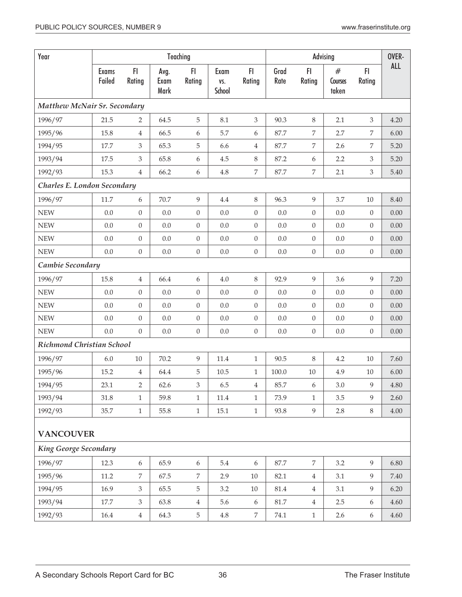| Year                         |                        |                  |                      | Teaching         |                       |                  |              | OVER-            |                       |                  |            |  |
|------------------------------|------------------------|------------------|----------------------|------------------|-----------------------|------------------|--------------|------------------|-----------------------|------------------|------------|--|
|                              | <b>Exams</b><br>Failed | F1<br>Rating     | Avg.<br>Exam<br>Mark | FI<br>Rating     | Exam<br>VS.<br>School | FI<br>Rating     | Grad<br>Rate | FI<br>Rating     | #<br>Courses<br>taken | FI.<br>Rating    | <b>ALL</b> |  |
| Matthew McNair Sr. Secondary |                        |                  |                      |                  |                       |                  |              |                  |                       |                  |            |  |
| 1996/97                      | 21.5                   | $\overline{2}$   | 64.5                 | 5                | 8.1                   | 3                | 90.3         | $\,8\,$          | 2.1                   | 3                | 4.20       |  |
| 1995/96                      | 15.8                   | $\overline{4}$   | 66.5                 | 6                | 5.7                   | 6                | 87.7         | $\overline{7}$   | 2.7                   | 7                | 6.00       |  |
| 1994/95                      | 17.7                   | 3                | 65.3                 | 5                | 6.6                   | 4                | 87.7         | 7                | 2.6                   | 7                | 5.20       |  |
| 1993/94                      | 17.5                   | 3                | 65.8                 | 6                | 4.5                   | $8\,$            | 87.2         | $\boldsymbol{6}$ | 2.2                   | 3                | 5.20       |  |
| 1992/93                      | 15.3                   | $\overline{4}$   | 66.2                 | 6                | $4.8\,$               | $\overline{7}$   | 87.7         | $\overline{7}$   | 2.1                   | 3                | 5.40       |  |
| Charles E. London Secondary  |                        |                  |                      |                  |                       |                  |              |                  |                       |                  |            |  |
| 1996/97                      | $11.7\,$               | 6                | 70.7                 | 9                | 4.4                   | 8                | 96.3         | 9                | 3.7                   | 10               | 8.40       |  |
| <b>NEW</b>                   | 0.0                    | $\mathbf{0}$     | 0.0                  | $\overline{0}$   | 0.0                   | $\boldsymbol{0}$ | 0.0          | $\theta$         | 0.0                   | $\boldsymbol{0}$ | 0.00       |  |
| <b>NEW</b>                   | 0.0                    | $\boldsymbol{0}$ | 0.0                  | $\overline{0}$   | 0.0                   | $\boldsymbol{0}$ | 0.0          | $\overline{0}$   | 0.0                   | $\boldsymbol{0}$ | 0.00       |  |
| <b>NEW</b>                   | 0.0                    | $\boldsymbol{0}$ | $0.0\,$              | $\boldsymbol{0}$ | $0.0\,$               | $\boldsymbol{0}$ | $0.0\,$      | $\boldsymbol{0}$ | 0.0                   | $\boldsymbol{0}$ | $0.00\,$   |  |
| <b>NEW</b>                   | 0.0                    | $\boldsymbol{0}$ | $0.0\,$              | $\boldsymbol{0}$ | 0.0                   | $\boldsymbol{0}$ | $0.0\,$      | $\boldsymbol{0}$ | $0.0\,$               | $\boldsymbol{0}$ | $0.00\,$   |  |
| Cambie Secondary             |                        |                  |                      |                  |                       |                  |              |                  |                       |                  |            |  |
| 1996/97                      | 15.8                   | $\overline{4}$   | 66.4                 | 6                | 4.0                   | 8                | 92.9         | 9                | 3.6                   | 9                | 7.20       |  |
| <b>NEW</b>                   | 0.0                    | $\boldsymbol{0}$ | 0.0                  | $\theta$         | 0.0                   | $\boldsymbol{0}$ | 0.0          | $\boldsymbol{0}$ | 0.0                   | $\overline{0}$   | 0.00       |  |
| <b>NEW</b>                   | 0.0                    | $\boldsymbol{0}$ | 0.0                  | $\theta$         | 0.0                   | $\boldsymbol{0}$ | 0.0          | $\theta$         | 0.0                   | $\boldsymbol{0}$ | 0.00       |  |
| <b>NEW</b>                   | 0.0                    | $\mathbf{0}$     | $0.0\,$              | $\boldsymbol{0}$ | 0.0                   | $\boldsymbol{0}$ | 0.0          | $\boldsymbol{0}$ | $0.0\,$               | $\boldsymbol{0}$ | $0.00\,$   |  |
| <b>NEW</b>                   | 0.0                    | $\boldsymbol{0}$ | 0.0                  | $\boldsymbol{0}$ | 0.0                   | $\boldsymbol{0}$ | $0.0\,$      | $\boldsymbol{0}$ | 0.0                   | $\boldsymbol{0}$ | 0.00       |  |
| Richmond Christian School    |                        |                  |                      |                  |                       |                  |              |                  |                       |                  |            |  |
| 1996/97                      | 6.0                    | $10\,$           | 70.2                 | $\overline{9}$   | 11.4                  | $\mathbf{1}$     | 90.5         | 8                | 4.2                   | 10               | 7.60       |  |
| 1995/96                      | 15.2                   | $\overline{4}$   | 64.4                 | 5                | 10.5                  | $\,1$            | 100.0        | $10\,$           | 4.9                   | 10               | 6.00       |  |
| 1994/95                      | 23.1                   | $\overline{2}$   | 62.6                 | 3                | 6.5                   | $\overline{4}$   | 85.7         | 6                | 3.0                   | 9                | 4.80       |  |
| 1993/94                      | 31.8                   | $\mathbf{1}$     | 59.8                 | $\mathbf{1}$     | $11.4\,$              | $\mathbf{1}$     | 73.9         | $\mathbf{1}$     | $3.5\,$               | 9                | 2.60       |  |
| 1992/93                      | 35.7                   | $1\,$            | 55.8                 | $\mathbf{1}$     | $15.1\,$              | $\mathbf{1}$     | 93.8         | 9                | $2.8\,$               | $8\,$            | 4.00       |  |
| <b>VANCOUVER</b>             |                        |                  |                      |                  |                       |                  |              |                  |                       |                  |            |  |
| <b>King George Secondary</b> |                        |                  |                      |                  |                       |                  |              |                  |                       |                  |            |  |
| 1996/97                      | 12.3                   | $\boldsymbol{6}$ | 65.9                 | 6                | 5.4                   | 6                | 87.7         | $\overline{7}$   | 3.2                   | 9                | 6.80       |  |
| 1995/96                      | $11.2\,$               | 7                | 67.5                 | 7                | 2.9                   | $10\,$           | 82.1         | $\,4\,$          | 3.1                   | 9                | 7.40       |  |
| 1994/95                      | 16.9                   | $\mathfrak{Z}$   | 65.5                 | 5                | 3.2                   | $10\,$           | $81.4\,$     | $\,4\,$          | 3.1                   | $\overline{9}$   | 6.20       |  |
| 1993/94                      | 17.7                   | $\mathfrak{Z}$   | 63.8                 | 4                | 5.6                   | 6                | $81.7\,$     | $\,4\,$          | 2.5                   | $\boldsymbol{6}$ | 4.60       |  |
| 1992/93                      | 16.4                   | $\overline{4}$   | 64.3                 | 5                | $4.8\,$               | $\,7$            | 74.1         | $\mathbf{1}$     | 2.6                   | $\boldsymbol{6}$ | 4.60       |  |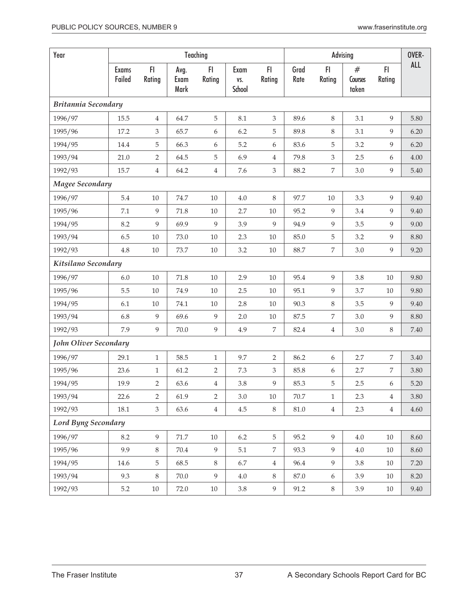| Year                       |                        |                |                      | Teaching       |                       | OVER-          |              |                |                       |                |            |
|----------------------------|------------------------|----------------|----------------------|----------------|-----------------------|----------------|--------------|----------------|-----------------------|----------------|------------|
|                            | <b>Exams</b><br>Failed | F1<br>Rating   | Avg.<br>Exam<br>Mark | FI<br>Rating   | Exam<br>VS.<br>School | F1<br>Rating   | Grad<br>Rate | FI.<br>Rating  | #<br>Courses<br>taken | FI.<br>Rating  | <b>ALL</b> |
| Britannia Secondary        |                        |                |                      |                |                       |                |              |                |                       |                |            |
| 1996/97                    | 15.5                   | $\overline{4}$ | 64.7                 | 5              | 8.1                   | 3              | 89.6         | $\,8\,$        | 3.1                   | 9              | 5.80       |
| 1995/96                    | 17.2                   | 3              | 65.7                 | 6              | 6.2                   | 5              | 89.8         | 8              | 3.1                   | 9              | 6.20       |
| 1994/95                    | 14.4                   | 5              | 66.3                 | 6              | 5.2                   | 6              | 83.6         | 5              | 3.2                   | 9              | 6.20       |
| 1993/94                    | 21.0                   | $\overline{2}$ | 64.5                 | 5              | 6.9                   | 4              | 79.8         | 3              | 2.5                   | 6              | 4.00       |
| 1992/93                    | 15.7                   | $\overline{4}$ | 64.2                 | $\overline{4}$ | 7.6                   | $\mathfrak{Z}$ | 88.2         | $\overline{7}$ | 3.0                   | 9              | 5.40       |
| Magee Secondary            |                        |                |                      |                |                       |                |              |                |                       |                |            |
| 1996/97                    | 5.4                    | $10\,$         | 74.7                 | $10\,$         | $4.0\,$               | $8\,$          | 97.7         | 10             | 3.3                   | 9              | 9.40       |
| 1995/96                    | 7.1                    | 9              | 71.8                 | $10\,$         | 2.7                   | $10\,$         | 95.2         | 9              | 3.4                   | 9              | 9.40       |
| 1994/95                    | 8.2                    | 9              | 69.9                 | 9              | 3.9                   | 9              | 94.9         | 9              | 3.5                   | 9              | 9.00       |
| 1993/94                    | 6.5                    | $10\,$         | 73.0                 | $10\,$         | 2.3                   | $10\,$         | 85.0         | $\mathbf 5$    | 3.2                   | 9              | 8.80       |
| 1992/93                    | 4.8                    | $10\,$         | 73.7                 | $10\,$         | 3.2                   | $10\,$         | 88.7         | $\overline{7}$ | $3.0\,$               | $\overline{9}$ | 9.20       |
| Kitsilano Secondary        |                        |                |                      |                |                       |                |              |                |                       |                |            |
| 1996/97                    | $6.0$                  | 10             | 71.8                 | $10\,$         | 2.9                   | $10\,$         | 95.4         | 9              | 3.8                   | $10\,$         | 9.80       |
| 1995/96                    | 5.5                    | 10             | 74.9                 | $10\,$         | 2.5                   | $10\,$         | 95.1         | $\overline{9}$ | 3.7                   | 10             | 9.80       |
| 1994/95                    | 6.1                    | $10\,$         | 74.1                 | $10\,$         | 2.8                   | $10\,$         | 90.3         | $\,8\,$        | 3.5                   | 9              | 9.40       |
| 1993/94                    | 6.8                    | 9              | 69.6                 | $\overline{9}$ | 2.0                   | $10\,$         | 87.5         | 7              | 3.0                   | 9              | 8.80       |
| 1992/93                    | 7.9                    | 9              | 70.0                 | 9              | 4.9                   | $\overline{7}$ | 82.4         | $\overline{4}$ | 3.0                   | $8\,$          | 7.40       |
| John Oliver Secondary      |                        |                |                      |                |                       |                |              |                |                       |                |            |
| 1996/97                    | 29.1                   | $\mathbf{1}$   | 58.5                 | $\mathbf{1}$   | 9.7                   | $\overline{2}$ | 86.2         | 6              | 2.7                   | $\overline{7}$ | 3.40       |
| 1995/96                    | 23.6                   | $\mathbf{1}$   | 61.2                 | $\overline{2}$ | 7.3                   | 3              | 85.8         | 6              | 2.7                   | 7              | 3.80       |
| 1994/95                    | 19.9                   | $\overline{2}$ | 63.6                 | $\overline{4}$ | 3.8                   | 9              | 85.3         | 5              | $2.5\,$               | 6              | 5.20       |
| 1993/94                    | 22.6                   | 2              | 61.9                 | 2              | 3.0                   | $10\,$         | 70.7         | $\mathbf{1}$   | 2.3                   | $\overline{4}$ | 3.80       |
| 1992/93                    | 18.1                   | $\mathfrak{Z}$ | 63.6                 | $\overline{4}$ | 4.5                   | $8\,$          | $81.0\,$     | $\overline{4}$ | 2.3                   | $\overline{4}$ | 4.60       |
| <b>Lord Byng Secondary</b> |                        |                |                      |                |                       |                |              |                |                       |                |            |
| 1996/97                    | 8.2                    | 9              | $71.7\,$             | $10\,$         | 6.2                   | 5              | 95.2         | 9              | $4.0\,$               | $10\,$         | 8.60       |
| 1995/96                    | 9.9                    | 8              | 70.4                 | 9              | 5.1                   | 7              | 93.3         | 9              | 4.0                   | 10             | 8.60       |
| 1994/95                    | 14.6                   | 5              | 68.5                 | $\,8\,$        | 6.7                   | $\overline{4}$ | 96.4         | 9              | 3.8                   | 10             | 7.20       |
| 1993/94                    | 9.3                    | 8              | 70.0                 | 9              | 4.0                   | 8              | 87.0         | 6              | 3.9                   | 10             | 8.20       |
| 1992/93                    | 5.2                    | $10\,$         | 72.0                 | $10\,$         | 3.8                   | 9              | 91.2         | $8\,$          | 3.9                   | 10             | 9.40       |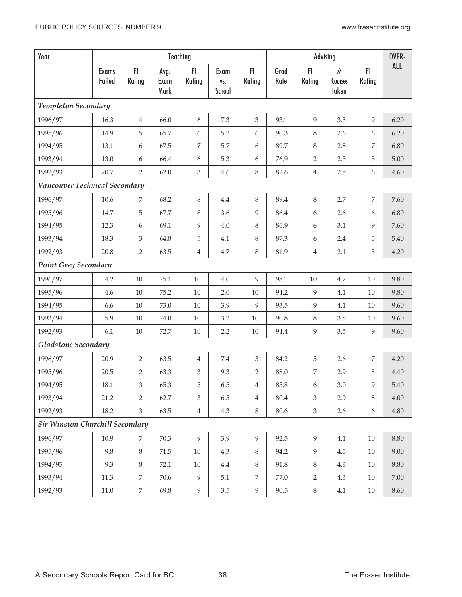| Year                                   |                        |                |                      | Teaching         | Advising              |                  |              |                  |                       |               |            |
|----------------------------------------|------------------------|----------------|----------------------|------------------|-----------------------|------------------|--------------|------------------|-----------------------|---------------|------------|
|                                        | <b>Exams</b><br>Failed | F1<br>Rating   | Avg.<br>Exam<br>Mark | FI<br>Rating     | Exam<br>VS.<br>School | FI.<br>Rating    | Grad<br>Rate | FI<br>Rating     | #<br>Courses<br>taken | FI.<br>Rating | <b>ALL</b> |
| <b>Templeton Secondary</b>             |                        |                |                      |                  |                       |                  |              |                  |                       |               |            |
| 1996/97                                | 16.3                   | 4              | 66.0                 | 6                | 7.3                   | 3                | 93.1         | 9                | 3.3                   | 9             | 6.20       |
| 1995/96                                | 14.9                   | 5              | 65.7                 | 6                | 5.2                   | 6                | 90.3         | 8                | 2.6                   | 6             | 6.20       |
| 1994/95                                | 13.1                   | 6              | 67.5                 | 7                | 5.7                   | 6                | 89.7         | $8\,$            | 2.8                   | 7             | 6.80       |
| 1993/94                                | 13.0                   | 6              | 66.4                 | $\boldsymbol{6}$ | 5.3                   | $\boldsymbol{6}$ | 76.9         | $\overline{2}$   | 2.5                   | 5             | 5.00       |
| 1992/93                                | 20.7                   | $\overline{2}$ | 62.0                 | $\mathfrak{Z}$   | 4.6                   | $8\,$            | 82.6         | $\overline{4}$   | 2.5                   | 6             | 4.60       |
| Vancouver Technical Secondary          |                        |                |                      |                  |                       |                  |              |                  |                       |               |            |
| 1996/97                                | 10.6                   | 7              | 68.2                 | $\,8\,$          | $4.4\,$               | $8\,$            | 89.4         | 8                | 2.7                   | 7             | 7.60       |
| 1995/96                                | 14.7                   | 5              | 67.7                 | 8                | 3.6                   | 9                | 86.4         | 6                | 2.6                   | 6             | 6.80       |
| 1994/95                                | 12.3                   | 6              | 69.1                 | $\overline{9}$   | $4.0\,$               | $8\,$            | 86.9         | 6                | 3.1                   | 9             | 7.60       |
| 1993/94                                | 18.3                   | 3              | 64.8                 | $\mathbf 5$      | 4.1                   | 8                | 87.3         | 6                | 2.4                   | 5             | 5.40       |
| 1992/93                                | 20.8                   | $\overline{2}$ | 63.5                 | $\,4$            | 4.7                   | $8\,$            | 81.9         | $\overline{4}$   | 2.1                   | 3             | 4.20       |
| <b>Point Grey Secondary</b>            |                        |                |                      |                  |                       |                  |              |                  |                       |               |            |
| 1996/97                                | 4.2                    | $10\,$         | 75.1                 | $10\,$           | $4.0\,$               | 9                | 98.1         | $10\,$           | 4.2                   | $10\,$        | 9.80       |
| 1995/96                                | 4.6                    | $10\,$         | 75.2                 | $10\,$           | 2.0                   | $10\,$           | 94.2         | 9                | 4.1                   | 10            | 9.80       |
| 1994/95                                | 6.6                    | 10             | 73.0                 | 10               | 3.9                   | 9                | 93.5         | 9                | 4.1                   | 10            | 9.60       |
| 1993/94                                | 5.9                    | $10\,$         | 74.0                 | $10\,$           | 3.2                   | $10\,$           | 90.8         | 8                | 3.8                   | $10\,$        | 9.60       |
| 1992/93                                | 6.1                    | $10\,$         | 72.7                 | $10\,$           | 2.2                   | $10\,$           | 94.4         | 9                | 3.5                   | 9             | 9.60       |
| <b>Gladstone Secondary</b>             |                        |                |                      |                  |                       |                  |              |                  |                       |               |            |
| 1996/97                                | 20.9                   | $\overline{2}$ | 63.5                 | $\overline{4}$   | $7.4\,$               | $\mathfrak{Z}$   | 84.2         | 5                | 2.6                   | 7             | 4.20       |
| 1995/96                                | 20.5                   | $\overline{2}$ | 63.3                 | 3                | 9.3                   | $\overline{2}$   | 88.0         | $\overline{7}$   | 2.9                   | 8             | 4.40       |
| 1994/95                                | $18.1\,$               | 3              | 65.3                 | 5                | $6.5\,$               | $\overline{4}$   | 85.8         | $\boldsymbol{6}$ | 3.0                   | 9             | $5.40\,$   |
| 1993/94                                | 21.2                   | 2              | 62.7                 | 3                | 6.5                   | $\overline{4}$   | 80.4         | 3                | 2.9                   | 8             | $4.00\,$   |
| 1992/93                                | 18.2                   | $\mathfrak{Z}$ | 63.5                 | $\,4$            | 4.3                   | $8\,$            | 80.6         | $\mathfrak{Z}$   | 2.6                   | 6             | 4.80       |
| <b>Sir Winston Churchill Secondary</b> |                        |                |                      |                  |                       |                  |              |                  |                       |               |            |
| 1996/97                                | 10.9                   | 7              | 70.3                 | 9                | 3.9                   | 9                | 92.5         | 9                | 4.1                   | 10            | 8.80       |
| 1995/96                                | 9.8                    | $8\,$          | 71.5                 | $10\,$           | 4.3                   | $8\,$            | 94.2         | 9                | 4.5                   | $10\,$        | 9.00       |
| 1994/95                                | 9.3                    | $\,8\,$        | 72.1                 | 10               | $4.4\,$               | 8                | 91.8         | 8                | 4.3                   | 10            | 8.80       |
| 1993/94                                | 11.3                   | 7              | 70.6                 | 9                | 5.1                   | 7                | 77.0         | $\overline{2}$   | 4.3                   | 10            | $7.00\,$   |
| 1992/93                                | $11.0\,$               | 7              | 69.8                 | $\boldsymbol{9}$ | $3.5\,$               | $\overline{9}$   | $90.5\,$     | $8\,$            | 4.1                   | 10            | 8.60       |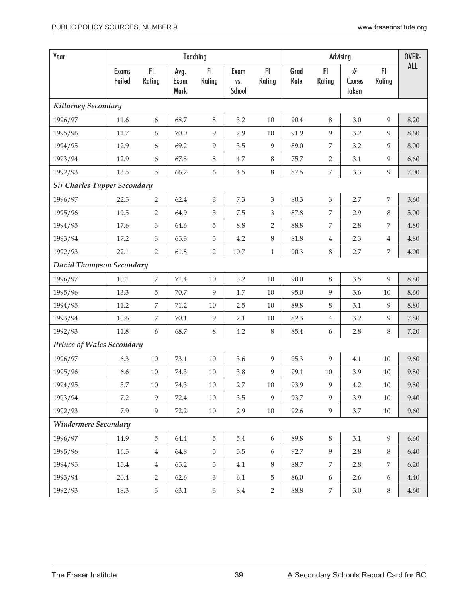| Year                                |                        |                  |                      | Teaching       |                       |                  |              |                  | Advising              |                | OVER- |
|-------------------------------------|------------------------|------------------|----------------------|----------------|-----------------------|------------------|--------------|------------------|-----------------------|----------------|-------|
|                                     | <b>Exams</b><br>Failed | FI<br>Rating     | Avg.<br>Exam<br>Mark | FI<br>Rating   | Exam<br>VS.<br>School | FI.<br>Rating    | Grad<br>Rate | FI.<br>Rating    | #<br>Courses<br>taken | FI<br>Rating   | ALL   |
| Killarney Secondary                 |                        |                  |                      |                |                       |                  |              |                  |                       |                |       |
| 1996/97                             | 11.6                   | 6                | 68.7                 | $\,8\,$        | 3.2                   | 10               | 90.4         | 8                | 3.0                   | 9              | 8.20  |
| 1995/96                             | 11.7                   | 6                | 70.0                 | $\overline{9}$ | 2.9                   | $10\,$           | 91.9         | 9                | 3.2                   | 9              | 8.60  |
| 1994/95                             | 12.9                   | 6                | 69.2                 | 9              | 3.5                   | 9                | 89.0         | $\overline{7}$   | 3.2                   | 9              | 8.00  |
| 1993/94                             | 12.9                   | 6                | 67.8                 | 8              | 4.7                   | $8\,$            | 75.7         | $\overline{2}$   | 3.1                   | 9              | 6.60  |
| 1992/93                             | 13.5                   | 5                | 66.2                 | 6              | $4.5\,$               | $\,8\,$          | 87.5         | $\boldsymbol{7}$ | 3.3                   | 9              | 7.00  |
| <b>Sir Charles Tupper Secondary</b> |                        |                  |                      |                |                       |                  |              |                  |                       |                |       |
| 1996/97                             | 22.5                   | $\overline{2}$   | 62.4                 | $\mathfrak{Z}$ | 7.3                   | $\mathfrak{Z}$   | 80.3         | $\mathfrak{Z}$   | 2.7                   | $\overline{7}$ | 3.60  |
| 1995/96                             | 19.5                   | $\overline{2}$   | 64.9                 | 5              | 7.5                   | 3                | 87.8         | 7                | 2.9                   | 8              | 5.00  |
| 1994/95                             | 17.6                   | 3                | 64.6                 | 5              | $8.8\,$               | $\overline{2}$   | 88.8         | 7                | 2.8                   | $\overline{7}$ | 4.80  |
| 1993/94                             | 17.2                   | $\mathfrak{Z}$   | 65.3                 | $\mathbf 5$    | 4.2                   | $8\,$            | 81.8         | $\overline{4}$   | 2.3                   | $\overline{4}$ | 4.80  |
| 1992/93                             | 22.1                   | $\overline{2}$   | 61.8                 | $\overline{2}$ | 10.7                  | $1\,$            | 90.3         | $8\,$            | 2.7                   | 7              | 4.00  |
| David Thompson Secondary            |                        |                  |                      |                |                       |                  |              |                  |                       |                |       |
| 1996/97                             | $10.1\,$               | 7                | 71.4                 | $10\,$         | 3.2                   | $10\,$           | 90.0         | 8                | 3.5                   | 9              | 8.80  |
| 1995/96                             | 13.3                   | 5                | 70.7                 | 9              | $1.7\,$               | $10\,$           | 95.0         | 9                | 3.6                   | $10\,$         | 8.60  |
| 1994/95                             | 11.2                   | 7                | 71.2                 | $10\,$         | 2.5                   | $10\,$           | 89.8         | $8\,$            | 3.1                   | 9              | 8.80  |
| 1993/94                             | $10.6\,$               | 7                | $70.1\,$             | $\overline{9}$ | 2.1                   | $10\,$           | 82.3         | $\overline{4}$   | 3.2                   | 9              | 7.80  |
| 1992/93                             | 11.8                   | $\boldsymbol{6}$ | 68.7                 | $\,8\,$        | 4.2                   | $\,8$            | 85.4         | $\boldsymbol{6}$ | 2.8                   | 8              | 7.20  |
| <b>Prince of Wales Secondary</b>    |                        |                  |                      |                |                       |                  |              |                  |                       |                |       |
| 1996/97                             | 6.3                    | $10\,$           | 73.1                 | $10\,$         | 3.6                   | 9                | 95.3         | 9                | 4.1                   | 10             | 9.60  |
| 1995/96                             | 6.6                    | $10\,$           | 74.3                 | $10\,$         | 3.8                   | 9                | 99.1         | 10               | 3.9                   | 10             | 9.80  |
| 1994/95                             | 5.7                    | 10               | 74.3                 | $10\,$         | $2.7\,$               | $10\,$           | 93.9         | 9                | $4.2\,$               | $10\,$         | 9.80  |
| 1993/94                             | 7.2                    | 9                | 72.4                 | 10             | 3.5                   | 9                | 93.7         | 9                | 3.9                   | 10             | 9.40  |
| 1992/93                             | 7.9                    | 9                | 72.2                 | $10\,$         | 2.9                   | $10\,$           | 92.6         | 9                | 3.7                   | $10\,$         | 9.60  |
| Windermere Secondary                |                        |                  |                      |                |                       |                  |              |                  |                       |                |       |
| 1996/97                             | 14.9                   | 5                | 64.4                 | $5\,$          | $5.4\,$               | $\boldsymbol{6}$ | 89.8         | 8                | 3.1                   | 9              | 6.60  |
| 1995/96                             | 16.5                   | $\overline{4}$   | 64.8                 | 5              | 5.5                   | 6                | 92.7         | 9                | 2.8                   | 8              | 6.40  |
| 1994/95                             | 15.4                   | $\overline{4}$   | 65.2                 | 5              | 4.1                   | $8\,$            | 88.7         | 7                | 2.8                   | 7              | 6.20  |
| 1993/94                             | 20.4                   | 2                | 62.6                 | 3              | 6.1                   | 5                | 86.0         | 6                | 2.6                   | 6              | 4.40  |
| 1992/93                             | 18.3                   | $\mathfrak{Z}$   | 63.1                 | $\mathfrak{Z}$ | $\!\!8.4$             | $\overline{2}$   | 88.8         | $\overline{7}$   | 3.0                   | $8\,$          | 4.60  |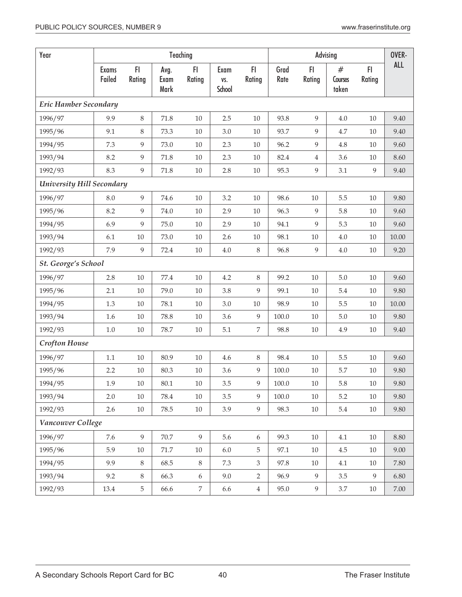| Year                             |                        |                |                      | Teaching       |                       |                  |              |                  | Advising              |              | OVER-    |
|----------------------------------|------------------------|----------------|----------------------|----------------|-----------------------|------------------|--------------|------------------|-----------------------|--------------|----------|
|                                  | <b>Exams</b><br>Failed | FI<br>Rating   | Avg.<br>Exam<br>Mark | FI<br>Rating   | Exam<br>VS.<br>School | FI<br>Rating     | Grad<br>Rate | FI.<br>Rating    | #<br>Courses<br>taken | F1<br>Rating | ALL      |
| <b>Eric Hamber Secondary</b>     |                        |                |                      |                |                       |                  |              |                  |                       |              |          |
| 1996/97                          | 9.9                    | 8              | 71.8                 | $10\,$         | 2.5                   | 10               | 93.8         | 9                | 4.0                   | 10           | 9.40     |
| 1995/96                          | 9.1                    | 8              | 73.3                 | 10             | 3.0                   | 10               | 93.7         | 9                | 4.7                   | 10           | 9.40     |
| 1994/95                          | 7.3                    | 9              | 73.0                 | $10\,$         | 2.3                   | $10\,$           | 96.2         | 9                | 4.8                   | 10           | 9.60     |
| 1993/94                          | 8.2                    | 9              | 71.8                 | $10\,$         | 2.3                   | 10               | 82.4         | $\,4$            | 3.6                   | 10           | 8.60     |
| 1992/93                          | 8.3                    | 9              | 71.8                 | $10\,$         | 2.8                   | $10\,$           | 95.3         | 9                | 3.1                   | 9            | 9.40     |
| <b>University Hill Secondary</b> |                        |                |                      |                |                       |                  |              |                  |                       |              |          |
| 1996/97                          | 8.0                    | 9              | 74.6                 | $10\,$         | 3.2                   | $10\,$           | 98.6         | $10\,$           | 5.5                   | 10           | 9.80     |
| 1995/96                          | 8.2                    | 9              | 74.0                 | $10\,$         | 2.9                   | $10\,$           | 96.3         | 9                | 5.8                   | 10           | 9.60     |
| 1994/95                          | 6.9                    | 9              | 75.0                 | $10\,$         | 2.9                   | $10\,$           | 94.1         | 9                | 5.3                   | 10           | 9.60     |
| 1993/94                          | 6.1                    | $10\,$         | 73.0                 | $10\,$         | 2.6                   | $10\,$           | 98.1         | $10\,$           | 4.0                   | 10           | 10.00    |
| 1992/93                          | 7.9                    | $\overline{9}$ | 72.4                 | $10\,$         | $4.0\,$               | $\,8\,$          | 96.8         | 9                | 4.0                   | $10\,$       | 9.20     |
| St. George's School              |                        |                |                      |                |                       |                  |              |                  |                       |              |          |
| 1996/97                          | 2.8                    | $10\,$         | 77.4                 | $10\,$         | 4.2                   | $\,8\,$          | 99.2         | $10\,$           | $5.0\,$               | 10           | 9.60     |
| 1995/96                          | 2.1                    | $10\,$         | 79.0                 | $10\,$         | 3.8                   | 9                | 99.1         | $10\,$           | 5.4                   | 10           | 9.80     |
| 1994/95                          | 1.3                    | 10             | 78.1                 | $10\,$         | 3.0                   | $10\,$           | 98.9         | 10               | 5.5                   | 10           | 10.00    |
| 1993/94                          | 1.6                    | $10\,$         | 78.8                 | $10\,$         | 3.6                   | $\boldsymbol{9}$ | 100.0        | $10\,$           | 5.0                   | 10           | 9.80     |
| 1992/93                          | $1.0\,$                | $10\,$         | 78.7                 | $10\,$         | 5.1                   | $\,7$            | 98.8         | $10\,$           | 4.9                   | 10           | 9.40     |
| <b>Crofton House</b>             |                        |                |                      |                |                       |                  |              |                  |                       |              |          |
| 1996/97                          | $1.1\,$                | 10             | 80.9                 | $10\,$         | 4.6                   | $\,8\,$          | 98.4         | 10               | 5.5                   | 10           | 9.60     |
| 1995/96                          | 2.2                    | $10\,$         | 80.3                 | $10\,$         | 3.6                   | 9                | 100.0        | 10               | 5.7                   | 10           | 9.80     |
| 1994/95                          | 1.9                    | $10\,$         | $80.1\,$             | $10\,$         | 3.5                   | $\boldsymbol{9}$ | $100.0\,$    | $10\,$           | $5.8\,$               | $10\,$       | $9.80\,$ |
| 1993/94                          | 2.0                    | 10             | 78.4                 | 10             | 3.5                   | 9                | $100.0\,$    | 10               | 5.2                   | 10           | 9.80     |
| 1992/93                          | 2.6                    | $10\,$         | 78.5                 | 10             | 3.9                   | 9                | 98.3         | 10               | 5.4                   | 10           | 9.80     |
| Vancouver College                |                        |                |                      |                |                       |                  |              |                  |                       |              |          |
| 1996/97                          | 7.6                    | 9              | 70.7                 | 9              | 5.6                   | 6                | 99.3         | 10               | 4.1                   | $10\,$       | 8.80     |
| 1995/96                          | 5.9                    | $10\,$         | $71.7\,$             | $10\,$         | $6.0\,$               | $\overline{5}$   | 97.1         | 10               | $4.5\,$               | $10\,$       | 9.00     |
| 1994/95                          | 9.9                    | 8              | 68.5                 | 8              | 7.3                   | 3                | 97.8         | 10               | 4.1                   | 10           | 7.80     |
| 1993/94                          | 9.2                    | 8              | 66.3                 | 6              | 9.0                   | $\overline{2}$   | 96.9         | 9                | 3.5                   | 9            | 6.80     |
| 1992/93                          | 13.4                   | 5              | 66.6                 | $\overline{7}$ | 6.6                   | $\overline{4}$   | 95.0         | $\boldsymbol{9}$ | $3.7\,$               | $10\,$       | $7.00\,$ |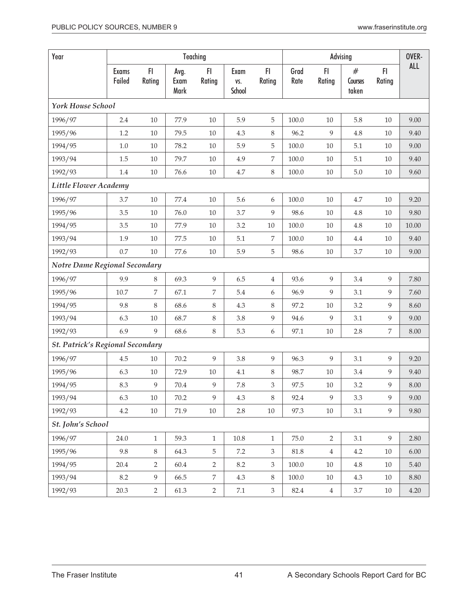| Year                                    |                 |                |                      | Teaching       |                       |                  |              |                | Advising                    |              | OVER-    |
|-----------------------------------------|-----------------|----------------|----------------------|----------------|-----------------------|------------------|--------------|----------------|-----------------------------|--------------|----------|
|                                         | Exams<br>Failed | FI<br>Rating   | Avg.<br>Exam<br>Mark | FI.<br>Rating  | Exam<br>VS.<br>School | FI.<br>Rating    | Grad<br>Rate | FI.<br>Rating  | $^{\#}$<br>Courses<br>taken | FI<br>Rating | ALL      |
| York House School                       |                 |                |                      |                |                       |                  |              |                |                             |              |          |
| 1996/97                                 | 2.4             | 10             | 77.9                 | 10             | 5.9                   | 5                | 100.0        | 10             | 5.8                         | 10           | 9.00     |
| 1995/96                                 | 1.2             | $10\,$         | 79.5                 | $10\,$         | 4.3                   | 8                | 96.2         | 9              | 4.8                         | 10           | 9.40     |
| 1994/95                                 | $1.0\,$         | $10\,$         | 78.2                 | $10\,$         | 5.9                   | 5                | $100.0\,$    | $10\,$         | 5.1                         | 10           | 9.00     |
| 1993/94                                 | 1.5             | 10             | 79.7                 | $10\,$         | 4.9                   | $\overline{7}$   | 100.0        | $10\,$         | 5.1                         | 10           | 9.40     |
| 1992/93                                 | $1.4\,$         | $10\,$         | 76.6                 | $10\,$         | 4.7                   | $8\,$            | 100.0        | $10\,$         | $5.0\,$                     | $10\,$       | 9.60     |
| Little Flower Academy                   |                 |                |                      |                |                       |                  |              |                |                             |              |          |
| 1996/97                                 | 3.7             | $10\,$         | 77.4                 | $10\,$         | 5.6                   | $\boldsymbol{6}$ | 100.0        | $10\,$         | 4.7                         | 10           | 9.20     |
| 1995/96                                 | 3.5             | 10             | 76.0                 | 10             | 3.7                   | 9                | 98.6         | $10\,$         | 4.8                         | 10           | 9.80     |
| 1994/95                                 | 3.5             | $10\,$         | 77.9                 | $10\,$         | 3.2                   | $10\,$           | $100.0\,$    | 10             | 4.8                         | $10\,$       | 10.00    |
| 1993/94                                 | 1.9             | $10\,$         | 77.5                 | $10\,$         | 5.1                   | 7                | 100.0        | 10             | 4.4                         | 10           | 9.40     |
| 1992/93                                 | 0.7             | 10             | 77.6                 | $10\,$         | 5.9                   | $\overline{5}$   | 98.6         | $10\,$         | 3.7                         | $10\,$       | 9.00     |
| Notre Dame Regional Secondary           |                 |                |                      |                |                       |                  |              |                |                             |              |          |
| 1996/97                                 | 9.9             | 8              | 69.3                 | 9              | 6.5                   | $\overline{4}$   | 93.6         | 9              | 3.4                         | 9            | 7.80     |
| 1995/96                                 | 10.7            | 7              | 67.1                 | $\overline{7}$ | 5.4                   | $\boldsymbol{6}$ | 96.9         | 9              | 3.1                         | 9            | 7.60     |
| 1994/95                                 | 9.8             | 8              | 68.6                 | $\,8\,$        | 4.3                   | $\,8\,$          | 97.2         | $10\,$         | 3.2                         | 9            | 8.60     |
| 1993/94                                 | 6.3             | $10\,$         | 68.7                 | $\,8\,$        | 3.8                   | $\overline{9}$   | 94.6         | 9              | 3.1                         | 9            | 9.00     |
| 1992/93                                 | 6.9             | 9              | 68.6                 | $\,8\,$        | 5.3                   | $\boldsymbol{6}$ | 97.1         | $10\,$         | 2.8                         | 7            | 8.00     |
| <b>St. Patrick's Regional Secondary</b> |                 |                |                      |                |                       |                  |              |                |                             |              |          |
| 1996/97                                 | 4.5             | 10             | 70.2                 | 9              | 3.8                   | 9                | 96.3         | 9              | 3.1                         | 9            | 9.20     |
| 1995/96                                 | 6.3             | $10\,$         | 72.9                 | $10\,$         | 4.1                   | $\,8\,$          | 98.7         | 10             | 3.4                         | 9            | 9.40     |
| 1994/95                                 | 8.3             | $\overline{9}$ | $70.4\,$             | 9              | $7.8\,$               | $\mathfrak{Z}$   | 97.5         | $10\,$         | 3.2                         | 9            | $8.00\,$ |
| 1993/94                                 | 6.3             | 10             | 70.2                 | 9              | 4.3                   | 8                | 92.4         | 9              | 3.3                         | 9            | 9.00     |
| 1992/93                                 | 4.2             | 10             | 71.9                 | 10             | 2.8                   | $10\,$           | 97.3         | 10             | 3.1                         | 9            | 9.80     |
| St. John's School                       |                 |                |                      |                |                       |                  |              |                |                             |              |          |
| 1996/97                                 | 24.0            | $\mathbf{1}$   | 59.3                 | $\mathbf{1}$   | $10.8\,$              | $\mathbf{1}$     | $75.0\,$     | $\overline{2}$ | 3.1                         | 9            | 2.80     |
| 1995/96                                 | 9.8             | 8              | 64.3                 | 5              | 7.2                   | 3                | 81.8         | $\overline{4}$ | 4.2                         | 10           | 6.00     |
| 1994/95                                 | 20.4            | 2              | 60.4                 | 2              | 8.2                   | 3                | 100.0        | 10             | 4.8                         | 10           | 5.40     |
| 1993/94                                 | 8.2             | 9              | 66.5                 | 7              | 4.3                   | 8                | 100.0        | 10             | 4.3                         | 10           | 8.80     |
| 1992/93                                 | 20.3            | $\overline{2}$ | 61.3                 | $\overline{2}$ | $7.1\,$               | $\mathfrak{Z}$   | 82.4         | $\overline{4}$ | 3.7                         | 10           | 4.20     |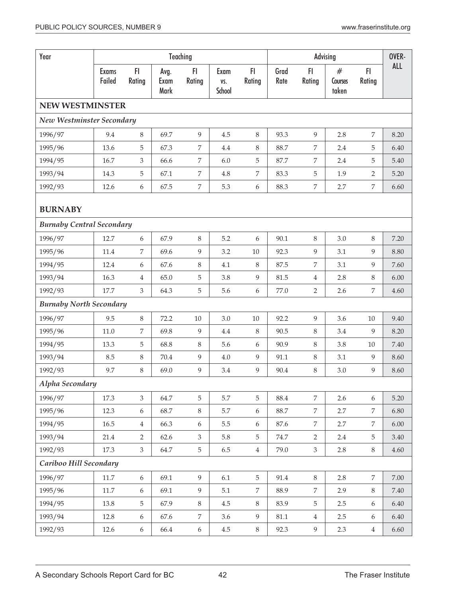| Year                             |                        |                  |                      | Teaching         |                       |                  |              |                | Advising              |                | OVER-      |
|----------------------------------|------------------------|------------------|----------------------|------------------|-----------------------|------------------|--------------|----------------|-----------------------|----------------|------------|
|                                  | <b>Exams</b><br>Failed | FI<br>Rating     | Avg.<br>Exam<br>Mark | FI.<br>Rating    | Exam<br>VS.<br>School | FI.<br>Rating    | Grad<br>Rate | FI<br>Rating   | #<br>Courses<br>taken | FI<br>Rating   | <b>ALL</b> |
| <b>NEW WESTMINSTER</b>           |                        |                  |                      |                  |                       |                  |              |                |                       |                |            |
| New Westminster Secondary        |                        |                  |                      |                  |                       |                  |              |                |                       |                |            |
| 1996/97                          | 9.4                    | 8                | 69.7                 | 9                | 4.5                   | $8\,$            | 93.3         | 9              | 2.8                   | 7              | 8.20       |
| 1995/96                          | 13.6                   | 5                | 67.3                 | 7                | 4.4                   | $\, 8$           | 88.7         | 7              | 2.4                   | 5              | 6.40       |
| 1994/95                          | 16.7                   | 3                | 66.6                 | 7                | 6.0                   | 5                | 87.7         | 7              | 2.4                   | 5              | 5.40       |
| 1993/94                          | 14.3                   | 5                | 67.1                 | 7                | 4.8                   | 7                | 83.3         | 5              | 1.9                   | 2              | 5.20       |
| 1992/93                          | 12.6                   | $\boldsymbol{6}$ | 67.5                 | $\boldsymbol{7}$ | 5.3                   | $\boldsymbol{6}$ | 88.3         | $\overline{7}$ | 2.7                   | 7              | 6.60       |
| <b>BURNABY</b>                   |                        |                  |                      |                  |                       |                  |              |                |                       |                |            |
| <b>Burnaby Central Secondary</b> |                        |                  |                      |                  |                       |                  |              |                |                       |                |            |
| 1996/97                          | 12.7                   | 6                | 67.9                 | 8                | 5.2                   | 6                | 90.1         | $\,8\,$        | 3.0                   | 8              | 7.20       |
| 1995/96                          | 11.4                   | 7                | 69.6                 | 9                | 3.2                   | 10               | 92.3         | 9              | 3.1                   | 9              | 8.80       |
| 1994/95                          | 12.4                   | 6                | 67.6                 | 8                | 4.1                   | 8                | 87.5         | 7              | 3.1                   | 9              | 7.60       |
| 1993/94                          | 16.3                   | $\overline{4}$   | 65.0                 | $\mathbf 5$      | 3.8                   | 9                | 81.5         | $\overline{4}$ | 2.8                   | 8              | 6.00       |
| 1992/93                          | 17.7                   | $\mathfrak{Z}$   | 64.3                 | $\mathbf 5$      | 5.6                   | 6                | 77.0         | $\overline{2}$ | 2.6                   | 7              | 4.60       |
| <b>Burnaby North Secondary</b>   |                        |                  |                      |                  |                       |                  |              |                |                       |                |            |
| 1996/97                          | 9.5                    | $\,8\,$          | 72.2                 | $10\,$           | $3.0\,$               | $10\,$           | 92.2         | 9              | $3.6\,$               | 10             | 9.40       |
| 1995/96                          | 11.0                   | 7                | 69.8                 | 9                | 4.4                   | $8\,$            | 90.5         | 8              | 3.4                   | 9              | 8.20       |
| 1994/95                          | 13.3                   | 5                | 68.8                 | 8                | 5.6                   | 6                | 90.9         | 8              | 3.8                   | 10             | 7.40       |
| 1993/94                          | 8.5                    | $\,8\,$          | 70.4                 | $\overline{9}$   | 4.0                   | 9                | 91.1         | 8              | 3.1                   | 9              | 8.60       |
| 1992/93                          | 9.7                    | $8\,$            | 69.0                 | $\overline{9}$   | 3.4                   | 9                | 90.4         | 8              | 3.0                   | 9              | 8.60       |
| Alpha Secondary                  |                        |                  |                      |                  |                       |                  |              |                |                       |                |            |
| 1996/97                          | 17.3                   | $\mathfrak{Z}$   | 64.7                 | 5                | 5.7                   | 5                | 88.4         | $\overline{7}$ | 2.6                   | 6              | 5.20       |
| 1995/96                          | 12.3                   | 6                | 68.7                 | $8\,$            | $5.7\,$               | 6                | 88.7         | $\overline{7}$ | 2.7                   | 7              | 6.80       |
| 1994/95                          | 16.5                   | $\overline{4}$   | 66.3                 | $\boldsymbol{6}$ | 5.5                   | 6                | 87.6         | 7              | 2.7                   | 7              | 6.00       |
| 1993/94                          | 21.4                   | $\overline{2}$   | 62.6                 | $\mathfrak{Z}$   | 5.8                   | 5                | 74.7         | $\overline{2}$ | 2.4                   | 5              | 3.40       |
| 1992/93                          | 17.3                   | $\mathfrak{Z}$   | 64.7                 | $\mathbf 5$      | 6.5                   | $\overline{4}$   | 79.0         | $\mathfrak{Z}$ | 2.8                   | $8\,$          | 4.60       |
| Cariboo Hill Secondary           |                        |                  |                      |                  |                       |                  |              |                |                       |                |            |
| 1996/97                          | $11.7\,$               | 6                | 69.1                 | 9                | 6.1                   | $\overline{5}$   | 91.4         | $8\,$          | 2.8                   | $\overline{7}$ | 7.00       |
| 1995/96                          | 11.7                   | $\boldsymbol{6}$ | 69.1                 | $\boldsymbol{9}$ | 5.1                   | $\overline{7}$   | 88.9         | $\overline{7}$ | 2.9                   | $8\,$          | 7.40       |
| 1994/95                          | 13.8                   | 5                | 67.9                 | 8                | $4.5\,$               | $8\,$            | 83.9         | 5              | 2.5                   | 6              | 6.40       |
| 1993/94                          | 12.8                   | $\boldsymbol{6}$ | 67.6                 | $\boldsymbol{7}$ | 3.6                   | 9                | $81.1\,$     | $\overline{4}$ | 2.5                   | 6              | $6.40\,$   |
| 1992/93                          | 12.6                   | 6                | 66.4                 | $\boldsymbol{6}$ | $4.5\,$               | $8\,$            | 92.3         | 9              | $2.3\phantom{0}$      | $\overline{4}$ | 6.60       |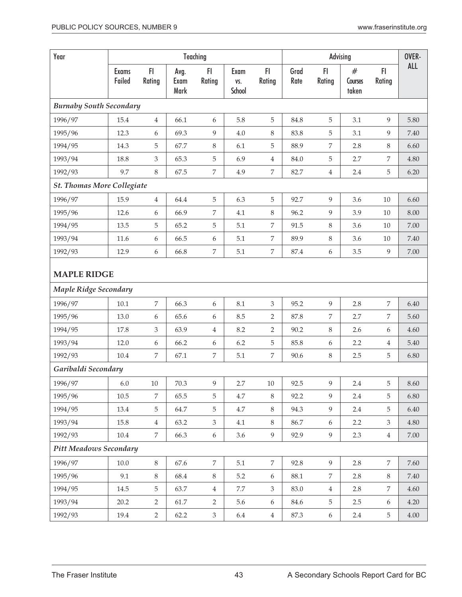| Year                              |                        |                |                      | Teaching         |                       |                  |              |                  | Advising                 |                | OVER-    |
|-----------------------------------|------------------------|----------------|----------------------|------------------|-----------------------|------------------|--------------|------------------|--------------------------|----------------|----------|
|                                   | <b>Exams</b><br>Failed | FI<br>Rating   | Avg.<br>Exam<br>Mark | F1<br>Rating     | Exam<br>VS.<br>School | FI.<br>Rating    | Grad<br>Rate | FI.<br>Rating    | $\#$<br>Courses<br>taken | FI<br>Rating   | ALL      |
| <b>Burnaby South Secondary</b>    |                        |                |                      |                  |                       |                  |              |                  |                          |                |          |
| 1996/97                           | 15.4                   | 4              | 66.1                 | 6                | 5.8                   | 5                | 84.8         | 5                | 3.1                      | 9              | 5.80     |
| 1995/96                           | 12.3                   | 6              | 69.3                 | 9                | 4.0                   | $\,8\,$          | 83.8         | 5                | 3.1                      | 9              | 7.40     |
| 1994/95                           | 14.3                   | 5              | 67.7                 | $\,8\,$          | 6.1                   | 5                | 88.9         | 7                | 2.8                      | 8              | 6.60     |
| 1993/94                           | 18.8                   | 3              | 65.3                 | 5                | 6.9                   | $\overline{4}$   | 84.0         | 5                | 2.7                      | $\overline{7}$ | 4.80     |
| 1992/93                           | 9.7                    | 8              | 67.5                 | 7                | 4.9                   | $\overline{7}$   | 82.7         | $\,4\,$          | 2.4                      | 5              | 6.20     |
| <b>St. Thomas More Collegiate</b> |                        |                |                      |                  |                       |                  |              |                  |                          |                |          |
| 1996/97                           | 15.9                   | $\overline{4}$ | 64.4                 | $\mathbf 5$      | 6.3                   | 5                | 92.7         | 9                | 3.6                      | 10             | 6.60     |
| 1995/96                           | 12.6                   | 6              | 66.9                 | 7                | 4.1                   | $\,8\,$          | 96.2         | 9                | 3.9                      | 10             | 8.00     |
| 1994/95                           | 13.5                   | 5              | 65.2                 | $\mathbf 5$      | 5.1                   | 7                | 91.5         | 8                | 3.6                      | 10             | 7.00     |
| 1993/94                           | 11.6                   | 6              | 66.5                 | 6                | $5.1\,$               | 7                | 89.9         | $\,8\,$          | 3.6                      | 10             | 7.40     |
| 1992/93                           | 12.9                   | 6              | 66.8                 | $\boldsymbol{7}$ | 5.1                   | 7                | 87.4         | $\boldsymbol{6}$ | 3.5                      | 9              | 7.00     |
| <b>MAPLE RIDGE</b>                |                        |                |                      |                  |                       |                  |              |                  |                          |                |          |
| <b>Maple Ridge Secondary</b>      |                        |                |                      |                  |                       |                  |              |                  |                          |                |          |
| 1996/97                           | 10.1                   | $\overline{7}$ | 66.3                 | 6                | 8.1                   | 3                | 95.2         | $\overline{9}$   | 2.8                      | 7              | 6.40     |
| 1995/96                           | 13.0                   | 6              | 65.6                 | 6                | 8.5                   | $\overline{2}$   | 87.8         | 7                | 2.7                      | $\overline{7}$ | 5.60     |
| 1994/95                           | 17.8                   | 3              | 63.9                 | $\overline{4}$   | 8.2                   | $\overline{2}$   | 90.2         | 8                | 2.6                      | 6              | 4.60     |
| 1993/94                           | 12.0                   | 6              | 66.2                 | 6                | 6.2                   | 5                | 85.8         | $\boldsymbol{6}$ | 2.2                      | 4              | 5.40     |
| 1992/93                           | 10.4                   | 7              | 67.1                 | 7                | 5.1                   | $\,7$            | 90.6         | $8\,$            | 2.5                      | 5              | 6.80     |
| Garibaldi Secondary               |                        |                |                      |                  |                       |                  |              |                  |                          |                |          |
| 1996/97                           | 6.0                    | 10             | 70.3                 | 9                | 2.7                   | 10               | 92.5         | 9                | 2.4                      | 5              | 8.60     |
| 1995/96                           | 10.5                   | 7              | 65.5                 | 5                | 4.7                   | $8\,$            | 92.2         | 9                | 2.4                      | 5              | 6.80     |
| 1994/95                           | 13.4                   | 5              | 64.7                 | 5                | 4.7                   | $\,8\,$          | 94.3         | 9                | 2.4                      | 5              | 6.40     |
| 1993/94                           | 15.8                   | $\overline{4}$ | 63.2                 | 3                | 4.1                   | 8                | 86.7         | 6                | 2.2                      | 3              | 4.80     |
| 1992/93                           | 10.4                   | 7              | 66.3                 | $\boldsymbol{6}$ | 3.6                   | 9                | 92.9         | 9                | 2.3                      | $\overline{4}$ | $7.00\,$ |
| <b>Pitt Meadows Secondary</b>     |                        |                |                      |                  |                       |                  |              |                  |                          |                |          |
| 1996/97                           | $10.0$                 | $8\,$          | 67.6                 | $\,7$            | 5.1                   | $\overline{7}$   | 92.8         | 9                | 2.8                      | $\overline{7}$ | 7.60     |
| 1995/96                           | 9.1                    | $8\,$          | 68.4                 | $\,8\,$          | 5.2                   | $\boldsymbol{6}$ | 88.1         | $\overline{7}$   | 2.8                      | $8\,$          | $7.40\,$ |
| 1994/95                           | 14.5                   | 5              | 63.7                 | $\,4\,$          | $7.7\,$               | $\mathfrak{Z}$   | 83.0         | $\overline{4}$   | 2.8                      | $\overline{7}$ | 4.60     |
| 1993/94                           | 20.2                   | $\overline{2}$ | 61.7                 | 2                | 5.6                   | $\boldsymbol{6}$ | 84.6         | 5                | 2.5                      | 6              | 4.20     |
| 1992/93                           | 19.4                   | $\overline{2}$ | 62.2                 | $\mathfrak{Z}$   | 6.4                   | $\overline{4}$   | 87.3         | 6                | 2.4                      | $\overline{5}$ | 4.00     |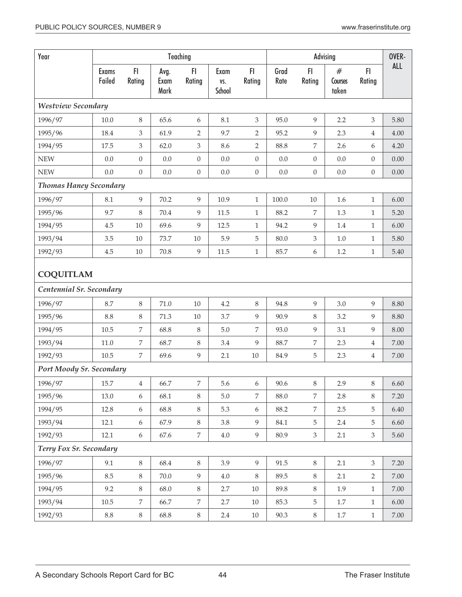| Year                          |                        |                  |                      | Teaching         |                       |                  |              |                             | Advising              |                  | OVER-      |
|-------------------------------|------------------------|------------------|----------------------|------------------|-----------------------|------------------|--------------|-----------------------------|-----------------------|------------------|------------|
|                               | <b>Exams</b><br>Failed | FI<br>Rating     | Avg.<br>Exam<br>Mark | F1<br>Rating     | Exam<br>VS.<br>School | FI.<br>Rating    | Grad<br>Rate | FI<br>Rating                | #<br>Courses<br>taken | F1<br>Rating     | <b>ALL</b> |
| <b>Westview Secondary</b>     |                        |                  |                      |                  |                       |                  |              |                             |                       |                  |            |
| 1996/97                       | 10.0                   | 8                | 65.6                 | 6                | 8.1                   | 3                | 95.0         | $\overline{9}$              | 2.2                   | 3                | 5.80       |
| 1995/96                       | 18.4                   | 3                | 61.9                 | $\overline{2}$   | 9.7                   | 2                | 95.2         | 9                           | 2.3                   | $\overline{4}$   | 4.00       |
| 1994/95                       | 17.5                   | 3                | 62.0                 | $\mathfrak{Z}$   | 8.6                   | $\overline{2}$   | 88.8         | 7                           | 2.6                   | 6                | 4.20       |
| <b>NEW</b>                    | 0.0                    | $\boldsymbol{0}$ | $0.0\,$              | $\boldsymbol{0}$ | 0.0                   | $\boldsymbol{0}$ | 0.0          | $\boldsymbol{0}$            | $0.0\,$               | $\theta$         | 0.00       |
| <b>NEW</b>                    | $0.0\,$                | $\boldsymbol{0}$ | 0.0                  | $\boldsymbol{0}$ | 0.0                   | $\boldsymbol{0}$ | $0.0\,$      | $\boldsymbol{0}$            | $0.0\,$               | $\boldsymbol{0}$ | 0.00       |
| <b>Thomas Haney Secondary</b> |                        |                  |                      |                  |                       |                  |              |                             |                       |                  |            |
| 1996/97                       | 8.1                    | 9                | 70.2                 | 9                | 10.9                  | $\mathbf{1}$     | 100.0        | $10\,$                      | 1.6                   | $\mathbf{1}$     | 6.00       |
| 1995/96                       | 9.7                    | 8                | 70.4                 | $\overline{9}$   | 11.5                  | $\mathbf{1}$     | 88.2         | $\overline{7}$              | 1.3                   | $\mathbf{1}$     | 5.20       |
| 1994/95                       | 4.5                    | $10\,$           | 69.6                 | 9                | 12.5                  | $\mathbf{1}$     | 94.2         | 9                           | $1.4\,$               | $\mathbf{1}$     | 6.00       |
| 1993/94                       | 3.5                    | 10               | 73.7                 | $10\,$           | 5.9                   | $\mathbf 5$      | 80.0         | $\ensuremath{\mathfrak{Z}}$ | $1.0\,$               | $\mathbf{1}$     | 5.80       |
| 1992/93                       | 4.5                    | $10\,$           | 70.8                 | $\overline{9}$   | 11.5                  | $\mathbf{1}$     | 85.7         | $\boldsymbol{6}$            | 1.2                   | $\mathbf{1}$     | 5.40       |
|                               | <b>COQUITLAM</b>       |                  |                      |                  |                       |                  |              |                             |                       |                  |            |
| Centennial Sr. Secondary      |                        |                  |                      |                  |                       |                  |              |                             |                       |                  |            |
| 1996/97                       | 8.7                    | 8                | 71.0                 | $10\,$           | 4.2                   | $\,8\,$          | 94.8         | 9                           | 3.0                   | 9                | 8.80       |
| 1995/96                       | 8.8                    | 8                | 71.3                 | $10\,$           | 3.7                   | $\overline{9}$   | 90.9         | 8                           | 3.2                   | 9                | 8.80       |
| 1994/95                       | 10.5                   | 7                | 68.8                 | 8                | $5.0\,$               | 7                | 93.0         | 9                           | 3.1                   | 9                | 8.00       |
| 1993/94                       | 11.0                   | 7                | 68.7                 | $\,8\,$          | 3.4                   | 9                | 88.7         | 7                           | 2.3                   | $\overline{4}$   | 7.00       |
| 1992/93                       | 10.5                   | 7                | 69.6                 | 9                | 2.1                   | $10\,$           | 84.9         | $\mathbf 5$                 | 2.3                   | $\overline{4}$   | 7.00       |
| Port Moody Sr. Secondary      |                        |                  |                      |                  |                       |                  |              |                             |                       |                  |            |
| 1996/97                       | 15.7                   | $\overline{4}$   | 66.7                 | 7                | 5.6                   | $\boldsymbol{6}$ | 90.6         | $\,8\,$                     | 2.9                   | $8\,$            | 6.60       |
| 1995/96                       | 13.0                   | 6                | 68.1                 | 8                | 5.0                   | 7                | 88.0         | 7                           | 2.8                   | 8                | 7.20       |
| 1994/95                       | 12.8                   | 6                | 68.8                 | $\,8\,$          | 5.3                   | 6                | 88.2         | 7                           | 2.5                   | 5                | 6.40       |
| 1993/94                       | 12.1                   | 6                | 67.9                 | 8                | 3.8                   | 9                | 84.1         | 5                           | 2.4                   | 5                | 6.60       |
| 1992/93                       | 12.1                   | $\boldsymbol{6}$ | 67.6                 | 7                | 4.0                   | $\overline{9}$   | 80.9         | 3                           | 2.1                   | $\mathfrak{Z}$   | 5.60       |
| Terry Fox Sr. Secondary       |                        |                  |                      |                  |                       |                  |              |                             |                       |                  |            |
| 1996/97                       | 9.1                    | $8\,$            | 68.4                 | 8                | 3.9                   | 9                | 91.5         | $8\,$                       | 2.1                   | $\mathfrak{Z}$   | 7.20       |
| 1995/96                       | 8.5                    | $\,8\,$          | 70.0                 | 9                | 4.0                   | $8\,$            | 89.5         | $8\,$                       | 2.1                   | $\overline{2}$   | $7.00\,$   |
| 1994/95                       | 9.2                    | 8                | 68.0                 | $\,8\,$          | 2.7                   | $10\,$           | 89.8         | $8\,$                       | 1.9                   | $\mathbf{1}$     | 7.00       |
| 1993/94                       | $10.5\,$               | $\overline{7}$   | 66.7                 | 7                | 2.7                   | $10\,$           | 85.3         | $5\phantom{.}$              | 1.7                   | $\mathbf{1}$     | $6.00\,$   |
| 1992/93                       | $8.8\,$                | $8\,$            | 68.8                 | $8\,$            | 2.4                   | $10\,$           | 90.3         | $8\,$                       | 1.7                   | $\mathbf{1}$     | 7.00       |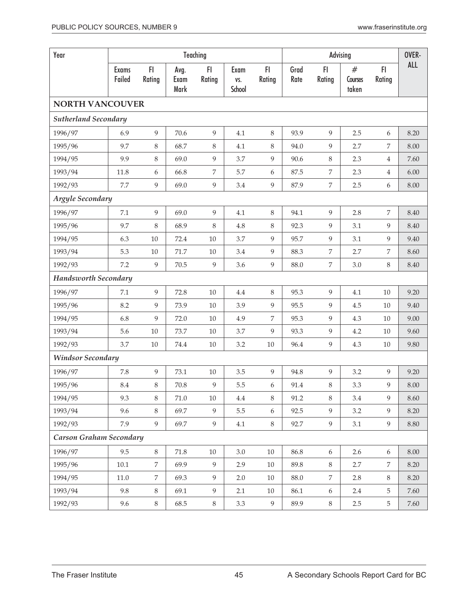| Year                        |                        |                |                      | Teaching       |                       |                  |              |                  | Advising              |                | OVER- |
|-----------------------------|------------------------|----------------|----------------------|----------------|-----------------------|------------------|--------------|------------------|-----------------------|----------------|-------|
|                             | <b>Exams</b><br>Failed | FI<br>Rating   | Avg.<br>Exam<br>Mark | FI<br>Rating   | Exam<br>VS.<br>School | FI.<br>Rating    | Grad<br>Rate | FI<br>Rating     | #<br>Courses<br>taken | FI.<br>Rating  | ALL   |
| <b>NORTH VANCOUVER</b>      |                        |                |                      |                |                       |                  |              |                  |                       |                |       |
| <b>Sutherland Secondary</b> |                        |                |                      |                |                       |                  |              |                  |                       |                |       |
| 1996/97                     | 6.9                    | 9              | 70.6                 | 9              | 4.1                   | $\,8\,$          | 93.9         | 9                | 2.5                   | 6              | 8.20  |
| 1995/96                     | 9.7                    | 8              | 68.7                 | $\,8\,$        | 4.1                   | $\, 8$           | 94.0         | $\overline{9}$   | 2.7                   | 7              | 8.00  |
| 1994/95                     | 9.9                    | 8              | 69.0                 | 9              | 3.7                   | $\overline{9}$   | 90.6         | $\,8\,$          | 2.3                   | $\overline{4}$ | 7.60  |
| 1993/94                     | 11.8                   | 6              | 66.8                 | 7              | 5.7                   | $\boldsymbol{6}$ | 87.5         | $\overline{7}$   | 2.3                   | $\overline{4}$ | 6.00  |
| 1992/93                     | 7.7                    | 9              | 69.0                 | 9              | 3.4                   | $\overline{9}$   | 87.9         | 7                | 2.5                   | 6              | 8.00  |
| <b>Argyle Secondary</b>     |                        |                |                      |                |                       |                  |              |                  |                       |                |       |
| 1996/97                     | 7.1                    | 9              | 69.0                 | 9              | 4.1                   | 8                | 94.1         | 9                | 2.8                   | $\overline{7}$ | 8.40  |
| 1995/96                     | 9.7                    | 8              | 68.9                 | 8              | 4.8                   | $\,8\,$          | 92.3         | 9                | 3.1                   | 9              | 8.40  |
| 1994/95                     | 6.3                    | 10             | 72.4                 | 10             | 3.7                   | 9                | 95.7         | 9                | 3.1                   | 9              | 9.40  |
| 1993/94                     | 5.3                    | $10\,$         | 71.7                 | $10\,$         | 3.4                   | 9                | 88.3         | $\overline{7}$   | 2.7                   | $\overline{7}$ | 8.60  |
| 1992/93                     | 7.2                    | 9              | 70.5                 | 9              | 3.6                   | 9                | 88.0         | $\overline{7}$   | 3.0                   | 8              | 8.40  |
| <b>Handsworth Secondary</b> |                        |                |                      |                |                       |                  |              |                  |                       |                |       |
| 1996/97                     | 7.1                    | 9              | 72.8                 | $10\,$         | 4.4                   | $\,8\,$          | 95.3         | 9                | 4.1                   | 10             | 9.20  |
| 1995/96                     | 8.2                    | 9              | 73.9                 | $10\,$         | 3.9                   | 9                | 95.5         | 9                | 4.5                   | 10             | 9.40  |
| 1994/95                     | 6.8                    | 9              | 72.0                 | $10\,$         | 4.9                   | 7                | 95.3         | 9                | 4.3                   | 10             | 9.00  |
| 1993/94                     | 5.6                    | 10             | 73.7                 | 10             | 3.7                   | 9                | 93.3         | 9                | 4.2                   | 10             | 9.60  |
| 1992/93                     | 3.7                    | 10             | 74.4                 | 10             | 3.2                   | $10\,$           | 96.4         | $\overline{9}$   | 4.3                   | 10             | 9.80  |
| <b>Windsor Secondary</b>    |                        |                |                      |                |                       |                  |              |                  |                       |                |       |
| 1996/97                     | 7.8                    | 9              | 73.1                 | $10\,$         | 3.5                   | 9                | 94.8         | 9                | 3.2                   | 9              | 9.20  |
| 1995/96                     | $\ \, 8.4$             | $\,8\,$        | $70.8\,$             | 9              | 5.5                   | $\boldsymbol{6}$ | 91.4         | $\,8\,$          | 3.3                   | 9              | 8.00  |
| 1994/95                     | 9.3                    | $8\,$          | 71.0                 | $10\,$         | $4.4\,$               | $\,8\,$          | 91.2         | $\,8\,$          | 3.4                   | 9              | 8.60  |
| 1993/94                     | 9.6                    | $8\,$          | 69.7                 | $\overline{9}$ | 5.5                   | 6                | 92.5         | 9                | 3.2                   | 9              | 8.20  |
| 1992/93                     | 7.9                    | 9              | 69.7                 | 9              | $4.1\,$               | $8\,$            | 92.7         | $\overline{9}$   | 3.1                   | 9              | 8.80  |
| Carson Graham Secondary     |                        |                |                      |                |                       |                  |              |                  |                       |                |       |
| 1996/97                     | 9.5                    | $8\,$          | 71.8                 | $10\,$         | 3.0                   | $10\,$           | 86.8         | $\boldsymbol{6}$ | 2.6                   | $6\,$          | 8.00  |
| 1995/96                     | $10.1\,$               | $\overline{7}$ | 69.9                 | 9              | 2.9                   | $10\,$           | 89.8         | $\,8\,$          | 2.7                   | $\overline{7}$ | 8.20  |
| 1994/95                     | $11.0$                 | $\overline{7}$ | 69.3                 | 9              | 2.0                   | $10\,$           | 88.0         | $\overline{7}$   | 2.8                   | 8              | 8.20  |
| 1993/94                     | 9.8                    | 8              | 69.1                 | 9              | 2.1                   | $10\,$           | 86.1         | $\boldsymbol{6}$ | 2.4                   | 5              | 7.60  |
| 1992/93                     | 9.6                    | $8\,$          | 68.5                 | $8\,$          | 3.3                   | 9                | 89.9         | $8\,$            | $2.5\,$               | 5              | 7.60  |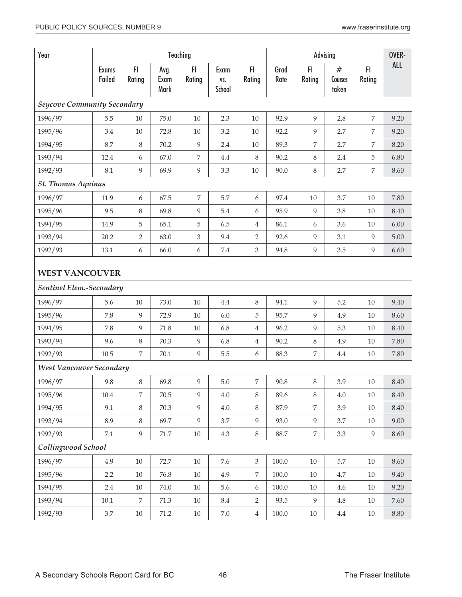| Year                               |                        |                |                      | Teaching                    |                       |                  |              |              | Advising              |                | OVER-      |
|------------------------------------|------------------------|----------------|----------------------|-----------------------------|-----------------------|------------------|--------------|--------------|-----------------------|----------------|------------|
|                                    | <b>Exams</b><br>Failed | FI<br>Rating   | Avg.<br>Exam<br>Mark | FI<br>Rating                | Exam<br>VS.<br>School | FI.<br>Rating    | Grad<br>Rate | F1<br>Rating | #<br>Courses<br>taken | F1<br>Rating   | <b>ALL</b> |
| <b>Seycove Community Secondary</b> |                        |                |                      |                             |                       |                  |              |              |                       |                |            |
| 1996/97                            | 5.5                    | $10\,$         | 75.0                 | $10\,$                      | 2.3                   | $10\,$           | 92.9         | 9            | 2.8                   | $\overline{7}$ | 9.20       |
| 1995/96                            | 3.4                    | $10\,$         | 72.8                 | 10                          | 3.2                   | 10               | 92.2         | 9            | 2.7                   | 7              | 9.20       |
| 1994/95                            | 8.7                    | 8              | 70.2                 | 9                           | 2.4                   | $10\,$           | 89.3         | 7            | 2.7                   | 7              | 8.20       |
| 1993/94                            | 12.4                   | 6              | 67.0                 | 7                           | 4.4                   | $\,8\,$          | 90.2         | 8            | 2.4                   | 5              | 6.80       |
| 1992/93                            | 8.1                    | 9              | 69.9                 | $\overline{9}$              | 3.3                   | $10\,$           | 90.0         | 8            | 2.7                   | 7              | 8.60       |
| <b>St. Thomas Aquinas</b>          |                        |                |                      |                             |                       |                  |              |              |                       |                |            |
| 1996/97                            | 11.9                   | 6              | 67.5                 | $\overline{7}$              | 5.7                   | $\boldsymbol{6}$ | 97.4         | 10           | 3.7                   | 10             | 7.80       |
| 1995/96                            | 9.5                    | 8              | 69.8                 | $\overline{9}$              | 5.4                   | 6                | 95.9         | 9            | 3.8                   | $10\,$         | 8.40       |
| 1994/95                            | 14.9                   | 5              | 65.1                 | 5                           | 6.5                   | $\overline{4}$   | 86.1         | 6            | 3.6                   | $10\,$         | 6.00       |
| 1993/94                            | 20.2                   | 2              | 63.0                 | $\ensuremath{\mathfrak{Z}}$ | 9.4                   | 2                | 92.6         | 9            | 3.1                   | 9              | 5.00       |
| 1992/93                            | 13.1                   | 6              | 66.0                 | 6                           | $7.4\,$               | $\mathfrak{Z}$   | 94.8         | 9            | 3.5                   | 9              | 6.60       |
| <b>WEST VANCOUVER</b>              |                        |                |                      |                             |                       |                  |              |              |                       |                |            |
| Sentinel Elem.-Secondary           |                        |                |                      |                             |                       |                  |              |              |                       |                |            |
| 1996/97                            | 5.6                    | $10\,$         | 73.0                 | $10\,$                      | $4.4\,$               | $\,8\,$          | 94.1         | 9            | 5.2                   | 10             | 9.40       |
| 1995/96                            | 7.8                    | 9              | 72.9                 | $10\,$                      | $6.0\,$               | 5                | 95.7         | 9            | 4.9                   | $10\,$         | 8.60       |
| 1994/95                            | 7.8                    | 9              | 71.8                 | $10\,$                      | 6.8                   | $\overline{4}$   | 96.2         | 9            | 5.3                   | 10             | 8.40       |
| 1993/94                            | 9.6                    | 8              | 70.3                 | 9                           | 6.8                   | $\overline{4}$   | 90.2         | $\,8\,$      | 4.9                   | $10\,$         | 7.80       |
| 1992/93                            | 10.5                   | $\overline{7}$ | 70.1                 | 9                           | 5.5                   | 6                | 88.3         | 7            | 4.4                   | 10             | 7.80       |
| West Vancouver Secondary           |                        |                |                      |                             |                       |                  |              |              |                       |                |            |
| 1996/97                            | 9.8                    | 8              | 69.8                 | 9                           | 5.0                   | 7                | 90.8         | 8            | 3.9                   | 10             | 8.40       |
| 1995/96                            | $10.4\,$               | 7              | 70.5                 | 9                           | 4.0                   | 8                | 89.6         | 8            | 4.0                   | 10             | 8.40       |
| 1994/95                            | 9.1                    | 8              | 70.3                 | 9                           | 4.0                   | 8                | 87.9         | 7            | 3.9                   | 10             | 8.40       |
| 1993/94                            | 8.9                    | 8              | 69.7                 | 9                           | 3.7                   | $\overline{9}$   | 93.0         | 9            | 3.7                   | $10\,$         | 9.00       |
| 1992/93                            | 7.1                    | 9              | $71.7\,$             | $10\,$                      | 4.3                   | $8\,$            | 88.7         | $\,7$        | 3.3                   | 9              | 8.60       |
| Collingwood School                 |                        |                |                      |                             |                       |                  |              |              |                       |                |            |
| 1996/97                            | 4.9                    | $10\,$         | 72.7                 | $10\,$                      | 7.6                   | $\mathfrak{Z}$   | $100.0\,$    | $10\,$       | $5.7\,$               | $10\,$         | 8.60       |
| 1995/96                            | 2.2                    | $10\,$         | 76.8                 | $10\,$                      | 4.9                   | $\overline{7}$   | $100.0\,$    | $10\,$       | 4.7                   | $10\,$         | 9.40       |
| 1994/95                            | 2.4                    | $10\,$         | 74.0                 | $10\,$                      | 5.6                   | $\boldsymbol{6}$ | $100.0\,$    | $10\,$       | 4.6                   | $10\,$         | 9.20       |
| 1993/94                            | $10.1\,$               | 7              | 71.3                 | $10\,$                      | $\!\!8.4$             | $\overline{2}$   | 93.5         | 9            | $4.8\,$               | 10             | $7.60\,$   |
| 1992/93                            | 3.7                    | $10\,$         | 71.2                 | $10\,$                      | $7.0\,$               | $\overline{4}$   | 100.0        | 10           | 4.4                   | 10             | $8.80\,$   |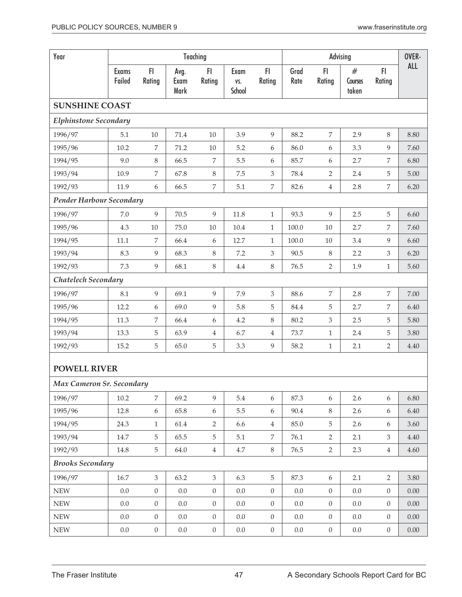| Year                         |                        |                  |                      | Teaching         |                       |                  |              |                  | Advising              |                  | OVER-      |
|------------------------------|------------------------|------------------|----------------------|------------------|-----------------------|------------------|--------------|------------------|-----------------------|------------------|------------|
|                              | <b>Exams</b><br>Failed | F1<br>Rating     | Avg.<br>Exam<br>Mark | FI<br>Rating     | Exam<br>VS.<br>School | FI.<br>Rating    | Grad<br>Rate | FI<br>Rating     | #<br>Courses<br>taken | FI<br>Rating     | <b>ALL</b> |
| <b>SUNSHINE COAST</b>        |                        |                  |                      |                  |                       |                  |              |                  |                       |                  |            |
| <b>Elphinstone Secondary</b> |                        |                  |                      |                  |                       |                  |              |                  |                       |                  |            |
| 1996/97                      | 5.1                    | $10\,$           | 71.4                 | $10\,$           | 3.9                   | $\overline{9}$   | 88.2         | 7                | 2.9                   | 8                | 8.80       |
| 1995/96                      | 10.2                   | 7                | 71.2                 | $10\,$           | 5.2                   | 6                | 86.0         | $\boldsymbol{6}$ | 3.3                   | 9                | 7.60       |
| 1994/95                      | 9.0                    | 8                | 66.5                 | 7                | 5.5                   | 6                | 85.7         | 6                | 2.7                   | 7                | 6.80       |
| 1993/94                      | 10.9                   | 7                | 67.8                 | $\,8\,$          | $7.5\,$               | $\mathfrak{Z}$   | 78.4         | $\sqrt{2}$       | 2.4                   | 5                | 5.00       |
| 1992/93                      | 11.9                   | 6                | 66.5                 | 7                | 5.1                   | 7                | 82.6         | $\,4\,$          | 2.8                   | $\,7$            | 6.20       |
| Pender Harbour Secondary     |                        |                  |                      |                  |                       |                  |              |                  |                       |                  |            |
| 1996/97                      | 7.0                    | 9                | 70.5                 | 9                | 11.8                  | $\mathbf{1}$     | 93.3         | 9                | 2.5                   | 5                | 6.60       |
| 1995/96                      | 4.3                    | $10\,$           | 75.0                 | $10\,$           | 10.4                  | $\mathbf{1}$     | 100.0        | $10\,$           | 2.7                   | 7                | 7.60       |
| 1994/95                      | 11.1                   | $\overline{7}$   | 66.4                 | 6                | 12.7                  | $\mathbf{1}$     | 100.0        | 10               | 3.4                   | 9                | 6.60       |
| 1993/94                      | 8.3                    | 9                | 68.3                 | 8                | 7.2                   | 3                | 90.5         | 8                | 2.2                   | 3                | 6.20       |
| 1992/93                      | 7.3                    | 9                | 68.1                 | 8                | $4.4\,$               | $\,8\,$          | 76.5         | $\overline{2}$   | 1.9                   | $\mathbf{1}$     | 5.60       |
| Chatelech Secondary          |                        |                  |                      |                  |                       |                  |              |                  |                       |                  |            |
| 1996/97                      | 8.1                    | 9                | 69.1                 | 9                | 7.9                   | $\overline{3}$   | 88.6         | $\overline{7}$   | 2.8                   | $\overline{7}$   | 7.00       |
| 1995/96                      | 12.2                   | 6                | 69.0                 | 9                | 5.8                   | 5                | 84.4         | 5                | 2.7                   | 7                | 6.40       |
| 1994/95                      | 11.3                   | 7                | 66.4                 | 6                | 4.2                   | $\,8\,$          | 80.2         | $\mathfrak{Z}$   | 2.5                   | 5                | 5.80       |
| 1993/94                      | 13.3                   | 5                | 63.9                 | 4                | 6.7                   | $\overline{4}$   | 73.7         | $\mathbf{1}$     | 2.4                   | 5                | 3.80       |
| 1992/93                      | 15.2                   | 5                | 65.0                 | 5                | 3.3                   | $\overline{9}$   | 58.2         | $\mathbf{1}$     | 2.1                   | 2                | 4.40       |
| <b>POWELL RIVER</b>          |                        |                  |                      |                  |                       |                  |              |                  |                       |                  |            |
| Max Cameron Sr. Secondary    |                        |                  |                      |                  |                       |                  |              |                  |                       |                  |            |
| 1996/97                      | 10.2                   | $\overline{7}$   | 69.2                 | 9                | 5.4                   | $\boldsymbol{6}$ | 87.3         | $\boldsymbol{6}$ | 2.6                   | 6                | 6.80       |
| 1995/96                      | 12.8                   | 6                | 65.8                 | 6                | 5.5                   | 6                | $90.4\,$     | $\,8\,$          | $2.6\phantom{0}$      | 6                | 6.40       |
| 1994/95                      | 24.3                   | $\mathbf{1}$     | 61.4                 | $\overline{2}$   | 6.6                   | $\overline{4}$   | 85.0         | 5                | 2.6                   | $6\,$            | 3.60       |
| 1993/94                      | 14.7                   | 5                | 65.5                 | 5                | 5.1                   | 7                | 76.1         | $\overline{2}$   | 2.1                   | 3                | 4.40       |
| 1992/93                      | 14.8                   | 5                | 64.0                 | $\overline{4}$   | $4.7\,$               | 8                | $76.5\,$     | $\overline{2}$   | 2.3                   | $\overline{4}$   | 4.60       |
| <b>Brooks Secondary</b>      |                        |                  |                      |                  |                       |                  |              |                  |                       |                  |            |
| 1996/97                      | 16.7                   | $\mathfrak{Z}$   | 63.2                 | $\mathfrak{Z}$   | 6.3                   | $\overline{5}$   | 87.3         | $\boldsymbol{6}$ | 2.1                   | $\overline{2}$   | 3.80       |
| <b>NEW</b>                   | 0.0                    | $\boldsymbol{0}$ | $0.0\,$              | $\boldsymbol{0}$ | $0.0\,$               | $\overline{0}$   | $0.0\,$      | $\boldsymbol{0}$ | $0.0\,$               | $\overline{0}$   | 0.00       |
| <b>NEW</b>                   | $0.0\,$                | $\boldsymbol{0}$ | 0.0                  | $\boldsymbol{0}$ | $0.0\,$               | $\overline{0}$   | $0.0\,$      | $\boldsymbol{0}$ | 0.0                   | $\overline{0}$   | $0.00\,$   |
| <b>NEW</b>                   | 0.0                    | $\boldsymbol{0}$ | $0.0\,$              | $\boldsymbol{0}$ | $0.0\,$               | $\boldsymbol{0}$ | $0.0\,$      | $\boldsymbol{0}$ | $0.0\,$               | $\boldsymbol{0}$ | $0.00\,$   |
| <b>NEW</b>                   | 0.0                    | $\boldsymbol{0}$ | $0.0\,$              | $\boldsymbol{0}$ | 0.0                   | $\boldsymbol{0}$ | $0.0\,$      | $\boldsymbol{0}$ | $0.0\,$               | $\overline{0}$   | $0.00\,$   |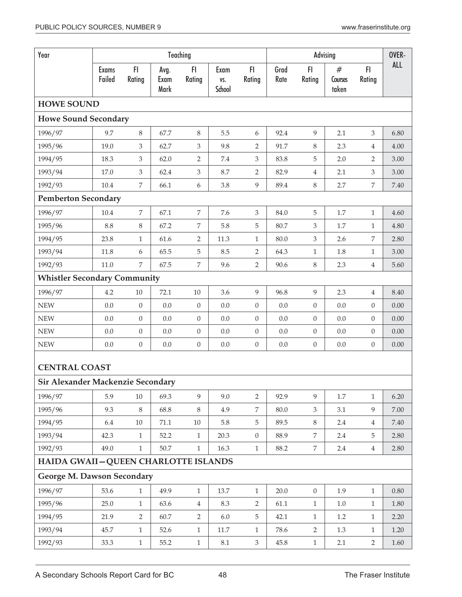| Year                                  |                        |                  |                      | Teaching         |                       |                  |              |                  | Advising              |                  | OVER-      |
|---------------------------------------|------------------------|------------------|----------------------|------------------|-----------------------|------------------|--------------|------------------|-----------------------|------------------|------------|
|                                       | <b>Exams</b><br>Failed | F1<br>Rating     | Avg.<br>Exam<br>Mark | FI.<br>Rating    | Exam<br>VS.<br>School | FI<br>Rating     | Grad<br>Rate | FI<br>Rating     | #<br>Courses<br>taken | FI.<br>Rating    | <b>ALL</b> |
| <b>HOWE SOUND</b>                     |                        |                  |                      |                  |                       |                  |              |                  |                       |                  |            |
| <b>Howe Sound Secondary</b>           |                        |                  |                      |                  |                       |                  |              |                  |                       |                  |            |
| 1996/97                               | 9.7                    | 8                | 67.7                 | 8                | 5.5                   | 6                | 92.4         | 9                | 2.1                   | 3                | 6.80       |
| 1995/96                               | 19.0                   | 3                | 62.7                 | 3                | 9.8                   | 2                | 91.7         | 8                | 2.3                   | $\overline{4}$   | 4.00       |
| 1994/95                               | 18.3                   | 3                | 62.0                 | $\overline{2}$   | 7.4                   | $\mathfrak{Z}$   | 83.8         | $\mathbf 5$      | 2.0                   | $\overline{2}$   | 3.00       |
| 1993/94                               | 17.0                   | 3                | 62.4                 | $\mathfrak{Z}$   | 8.7                   | $\overline{2}$   | 82.9         | $\sqrt{4}$       | 2.1                   | 3                | 3.00       |
| 1992/93                               | 10.4                   | $\overline{7}$   | 66.1                 | 6                | 3.8                   | 9                | 89.4         | $\,8\,$          | 2.7                   | 7                | 7.40       |
| <b>Pemberton Secondary</b>            |                        |                  |                      |                  |                       |                  |              |                  |                       |                  |            |
| 1996/97                               | 10.4                   | 7                | 67.1                 | $\overline{7}$   | 7.6                   | $\overline{3}$   | 84.0         | 5                | 1.7                   | $\mathbf{1}$     | 4.60       |
| 1995/96                               | 8.8                    | 8                | 67.2                 | 7                | 5.8                   | 5                | 80.7         | 3                | 1.7                   | $\mathbf{1}$     | 4.80       |
| 1994/95                               | 23.8                   | $\mathbf{1}$     | 61.6                 | $\overline{2}$   | 11.3                  | $\mathbf{1}$     | 80.0         | 3                | 2.6                   | $\overline{7}$   | 2.80       |
| 1993/94                               | 11.8                   | 6                | 65.5                 | 5                | 8.5                   | $\overline{2}$   | 64.3         | $\mathbf{1}$     | 1.8                   | $\mathbf{1}$     | 3.00       |
| 1992/93                               | 11.0                   | 7                | 67.5                 | $\overline{7}$   | 9.6                   | $\overline{2}$   | 90.6         | $\,8\,$          | 2.3                   | $\overline{4}$   | 5.60       |
| <b>Whistler Secondary Community</b>   |                        |                  |                      |                  |                       |                  |              |                  |                       |                  |            |
| 1996/97                               | 4.2                    | $10\,$           | 72.1                 | $10\,$           | 3.6                   | 9                | 96.8         | 9                | 2.3                   | $\overline{4}$   | 8.40       |
| <b>NEW</b>                            | 0.0                    | $\boldsymbol{0}$ | 0.0                  | $\boldsymbol{0}$ | 0.0                   | $\boldsymbol{0}$ | 0.0          | $\boldsymbol{0}$ | 0.0                   | $\mathbf{0}$     | 0.00       |
| <b>NEW</b>                            | 0.0                    | $\boldsymbol{0}$ | 0.0                  | $\theta$         | 0.0                   | $\boldsymbol{0}$ | 0.0          | $\boldsymbol{0}$ | 0.0                   | $\overline{0}$   | 0.00       |
| <b>NEW</b>                            | 0.0                    | $\overline{0}$   | 0.0                  | $\boldsymbol{0}$ | 0.0                   | $\boldsymbol{0}$ | 0.0          | $\theta$         | 0.0                   | $\boldsymbol{0}$ | 0.00       |
| <b>NEW</b>                            | 0.0                    | $\boldsymbol{0}$ | 0.0                  | $\boldsymbol{0}$ | 0.0                   | $\boldsymbol{0}$ | $0.0\,$      | $\boldsymbol{0}$ | 0.0                   | $\boldsymbol{0}$ | $0.00\,$   |
| <b>CENTRAL COAST</b>                  |                        |                  |                      |                  |                       |                  |              |                  |                       |                  |            |
| Sir Alexander Mackenzie Secondary     |                        |                  |                      |                  |                       |                  |              |                  |                       |                  |            |
| 1996/97                               | 5.9                    | 10               | 69.3                 | 9                | 9.0                   | $\overline{2}$   | 92.9         | 9                | 1.7                   | $\mathbf{1}$     | 6.20       |
| 1995/96                               | 9.3                    | $\,8\,$          | 68.8                 | 8                | 4.9                   | 7                | 80.0         | $\mathfrak{Z}$   | 3.1                   | 9                | 7.00       |
| 1994/95                               | 6.4                    | $10\,$           | 71.1                 | $10\,$           | 5.8                   | 5                | 89.5         | $\,8\,$          | 2.4                   | $\overline{4}$   | 7.40       |
| 1993/94                               | 42.3                   | $\mathbf{1}$     | 52.2                 | 1                | 20.3                  | $\boldsymbol{0}$ | 88.9         | 7                | 2.4                   | 5                | 2.80       |
| 1992/93                               | 49.0                   | $\mathbf{1}$     | 50.7                 | $\mathbf{1}$     | 16.3                  | $\mathbf{1}$     | 88.2         | $\overline{7}$   | 2.4                   | $\overline{4}$   | 2.80       |
| HAIDA GWAII - QUEEN CHARLOTTE ISLANDS |                        |                  |                      |                  |                       |                  |              |                  |                       |                  |            |
| George M. Dawson Secondary            |                        |                  |                      |                  |                       |                  |              |                  |                       |                  |            |
| 1996/97                               | 53.6                   | $\mathbf{1}$     | 49.9                 | $\mathbf{1}$     | 13.7                  | $\mathbf{1}$     | 20.0         | $\boldsymbol{0}$ | 1.9                   | $\mathbf{1}$     | $0.80\,$   |
| 1995/96                               | 25.0                   | $\mathbf{1}$     | 63.6                 | $\overline{4}$   | 8.3                   | $\overline{2}$   | 61.1         | $\mathbf{1}$     | $1.0\,$               | $\mathbf{1}$     | 1.80       |
| 1994/95                               | 21.9                   | $\overline{2}$   | 60.7                 | $\overline{2}$   | 6.0                   | 5                | 42.1         | $\mathbf{1}$     | 1.2                   | $\mathbf{1}$     | 2.20       |
| 1993/94                               | 45.7                   | $\mathbf{1}$     | 52.6                 | $\mathbf{1}$     | $11.7\,$              | $\mathbf{1}$     | 78.6         | $\overline{2}$   | 1.3                   | $\mathbf{1}$     | 1.20       |
| 1992/93                               | 33.3                   | $\mathbf{1}$     | 55.2                 | $\mathbf{1}$     | $8.1\,$               | $\mathfrak{Z}$   | 45.8         | $\mathbf{1}$     | 2.1                   | $\overline{2}$   | 1.60       |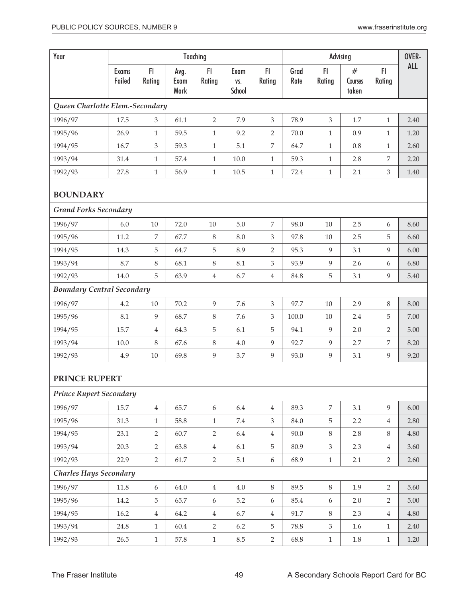| Year                                                   |                        |                |                      | Teaching         |                       |                  |              |                | Advising              |                | OVER-      |
|--------------------------------------------------------|------------------------|----------------|----------------------|------------------|-----------------------|------------------|--------------|----------------|-----------------------|----------------|------------|
|                                                        | <b>Exams</b><br>Failed | FI<br>Rating   | Avg.<br>Exam<br>Mark | FI.<br>Rating    | Exam<br>VS.<br>School | FI.<br>Rating    | Grad<br>Rate | FI.<br>Rating  | #<br>Courses<br>taken | FI.<br>Rating  | <b>ALL</b> |
| Queen Charlotte Elem.-Secondary                        |                        |                |                      |                  |                       |                  |              |                |                       |                |            |
| 1996/97                                                | 17.5                   | 3              | 61.1                 | $\overline{2}$   | 7.9                   | 3                | 78.9         | 3              | 1.7                   | $\mathbf{1}$   | 2.40       |
| 1995/96                                                | 26.9                   | $\mathbf{1}$   | 59.5                 | $\mathbf{1}$     | 9.2                   | $\overline{2}$   | 70.0         | $\mathbf{1}$   | 0.9                   | $\mathbf{1}$   | 1.20       |
| 1994/95                                                | 16.7                   | 3              | 59.3                 | $\mathbf{1}$     | 5.1                   | $\overline{7}$   | 64.7         | $\mathbf{1}$   | 0.8                   | $\mathbf{1}$   | 2.60       |
| 1993/94                                                | 31.4                   | $\mathbf{1}$   | 57.4                 | $\mathbf{1}$     | 10.0                  | $\mathbf{1}$     | 59.3         | $\mathbf{1}$   | 2.8                   | 7              | 2.20       |
| 1992/93                                                | 27.8                   | $\mathbf{1}$   | 56.9                 | $\mathbf{1}$     | $10.5\,$              | $1\,$            | 72.4         | $\mathbf{1}$   | 2.1                   | 3              | 1.40       |
| <b>BOUNDARY</b>                                        |                        |                |                      |                  |                       |                  |              |                |                       |                |            |
| <b>Grand Forks Secondary</b>                           |                        |                |                      |                  |                       |                  |              |                |                       |                |            |
| 1996/97                                                | 6.0                    | $10\,$         | 72.0                 | $10\,$           | $5.0\,$               | $\overline{7}$   | 98.0         | 10             | 2.5                   | 6              | 8.60       |
| 1995/96                                                | 11.2                   | 7              | 67.7                 | $\,8\,$          | 8.0                   | 3                | 97.8         | 10             | 2.5                   | 5              | 6.60       |
| 1994/95                                                | 14.3                   | 5              | 64.7                 | 5                | 8.9                   | $\overline{2}$   | 95.3         | 9              | 3.1                   | 9              | 6.00       |
| 1993/94                                                | 8.7                    | 8              | 68.1                 | $\,8\,$          | 8.1                   | $\mathfrak{Z}$   | 93.9         | 9              | 2.6                   | 6              | 6.80       |
| 1992/93                                                | 14.0                   | 5              | 63.9                 | $\overline{4}$   | 6.7                   | $\overline{4}$   | 84.8         | 5              | 3.1                   | 9              | 5.40       |
| <b>Boundary Central Secondary</b>                      |                        |                |                      |                  |                       |                  |              |                |                       |                |            |
| 1996/97                                                | 4.2                    | $10\,$         | 70.2                 | 9                | 7.6                   | 3                | 97.7         | $10\,$         | 2.9                   | $\,8\,$        | 8.00       |
| 1995/96                                                | 8.1                    | 9              | 68.7                 | $8\phantom{1}$   | 7.6                   | 3                | 100.0        | 10             | 2.4                   | 5              | 7.00       |
| 1994/95                                                | 15.7                   | 4              | 64.3                 | 5                | 6.1                   | 5                | 94.1         | 9              | 2.0                   | 2              | 5.00       |
| 1993/94                                                | 10.0                   | 8              | 67.6                 | $8\phantom{1}$   | 4.0                   | 9                | 92.7         | 9              | 2.7                   | 7              | 8.20       |
| 1992/93                                                | 4.9                    | 10             | 69.8                 | 9                | 3.7                   | $\overline{9}$   | 93.0         | 9              | 3.1                   | 9              | 9.20       |
| <b>PRINCE RUPERT</b><br><b>Prince Rupert Secondary</b> |                        |                |                      |                  |                       |                  |              |                |                       |                |            |
|                                                        |                        |                |                      |                  |                       |                  |              |                |                       |                |            |
| 1996/97                                                | 15.7                   | $\,4\,$        | 65.7                 | $\boldsymbol{6}$ | 6.4                   | $\,4\,$          | 89.3         | $\overline{7}$ | 3.1                   | 9              | 6.00       |
| 1995/96                                                | 31.3                   | $\mathbf{1}$   | 58.8                 | $\mathbf{1}$     | $7.4\,$               | $\mathfrak{Z}$   | 84.0         | 5              | 2.2                   | $\overline{4}$ | 2.80       |
| 1994/95                                                | 23.1                   | $\overline{2}$ | 60.7                 | 2                | 6.4                   | $\overline{4}$   | 90.0         | $8\,$          | 2.8                   | $8\,$          | 4.80       |
| 1993/94                                                | 20.3                   | $\overline{2}$ | 63.8                 | $\overline{4}$   | 6.1                   | $\mathbf 5$      | 80.9         | 3              | 2.3                   | $\overline{4}$ | 3.60       |
| 1992/93                                                | 22.9                   | $\overline{2}$ | 61.7                 | $\overline{2}$   | $5.1\,$               | $\boldsymbol{6}$ | 68.9         | $\mathbf{1}$   | 2.1                   | $\overline{2}$ | 2.60       |
| <b>Charles Hays Secondary</b>                          |                        |                |                      |                  |                       |                  |              |                |                       |                |            |
| 1996/97                                                | 11.8                   | 6              | 64.0                 | $\overline{4}$   | 4.0                   | $8\,$            | 89.5         | $8\,$          | 1.9                   | $\overline{2}$ | 5.60       |
| 1995/96                                                | 14.2                   | 5              | 65.7                 | $\boldsymbol{6}$ | $5.2\,$               | $\boldsymbol{6}$ | 85.4         | 6              | 2.0                   | $\overline{2}$ | 5.00       |
| 1994/95                                                | 16.2                   | $\overline{4}$ | 64.2                 | $\,4\,$          | 6.7                   | $\overline{4}$   | 91.7         | 8              | 2.3                   | $\overline{4}$ | 4.80       |
| 1993/94                                                | 24.8                   | $\mathbf{1}$   | 60.4                 | $\overline{2}$   | 6.2                   | 5                | 78.8         | $\mathfrak{Z}$ | 1.6                   | $\mathbf{1}$   | 2.40       |
| 1992/93                                                | 26.5                   | $\mathbf{1}$   | 57.8                 | $1\,$            | $8.5\,$               | $\overline{2}$   | 68.8         | $\mathbf{1}$   | $1.8\,$               | $\mathbf{1}$   | 1.20       |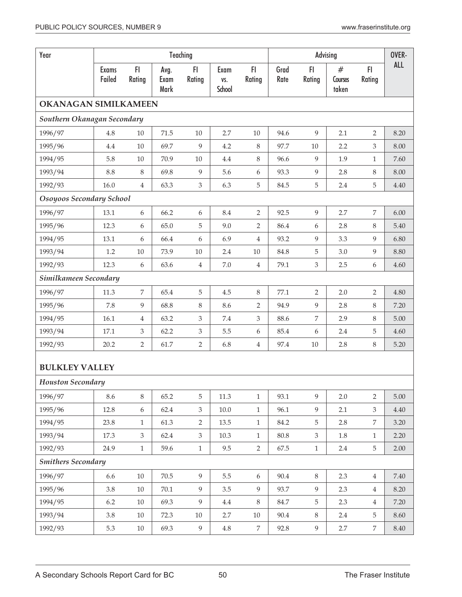| Year                        |                        |                |                      | Teaching       |                       |                  |              |                | Advising              |                  | OVER-      |
|-----------------------------|------------------------|----------------|----------------------|----------------|-----------------------|------------------|--------------|----------------|-----------------------|------------------|------------|
|                             | <b>Exams</b><br>Failed | FI<br>Rating   | Avg.<br>Exam<br>Mark | F1<br>Rating   | Exam<br>VS.<br>School | FI.<br>Rating    | Grad<br>Rate | FI<br>Rating   | #<br>Courses<br>taken | FI<br>Rating     | <b>ALL</b> |
| <b>OKANAGAN SIMILKAMEEN</b> |                        |                |                      |                |                       |                  |              |                |                       |                  |            |
| Southern Okanagan Secondary |                        |                |                      |                |                       |                  |              |                |                       |                  |            |
| 1996/97                     | 4.8                    | $10\,$         | 71.5                 | $10\,$         | 2.7                   | $10\,$           | 94.6         | 9              | 2.1                   | $\overline{2}$   | 8.20       |
| 1995/96                     | 4.4                    | $10\,$         | 69.7                 | $\overline{9}$ | 4.2                   | 8                | 97.7         | 10             | 2.2                   | $\mathfrak{Z}$   | 8.00       |
| 1994/95                     | 5.8                    | $10\,$         | 70.9                 | $10\,$         | 4.4                   | $\,8\,$          | 96.6         | 9              | 1.9                   | $\mathbf{1}$     | 7.60       |
| 1993/94                     | 8.8                    | $\,8\,$        | 69.8                 | $\overline{9}$ | 5.6                   | $\boldsymbol{6}$ | 93.3         | $\overline{9}$ | 2.8                   | 8                | 8.00       |
| 1992/93                     | 16.0                   | $\overline{4}$ | 63.3                 | 3              | 6.3                   | $\mathbf 5$      | 84.5         | 5              | 2.4                   | 5                | 4.40       |
| Osoyoos Secondary School    |                        |                |                      |                |                       |                  |              |                |                       |                  |            |
| 1996/97                     | 13.1                   | 6              | 66.2                 | 6              | 8.4                   | $\overline{2}$   | 92.5         | 9              | 2.7                   | $\overline{7}$   | 6.00       |
| 1995/96                     | 12.3                   | 6              | 65.0                 | 5              | 9.0                   | 2                | 86.4         | 6              | 2.8                   | 8                | 5.40       |
| 1994/95                     | 13.1                   | 6              | 66.4                 | 6              | 6.9                   | $\overline{4}$   | 93.2         | 9              | 3.3                   | 9                | 6.80       |
| 1993/94                     | 1.2                    | $10\,$         | 73.9                 | $10\,$         | 2.4                   | $10\,$           | 84.8         | 5              | 3.0                   | 9                | 8.80       |
| 1992/93                     | 12.3                   | 6              | 63.6                 | $\overline{4}$ | $7.0\,$               | $\,4\,$          | 79.1         | $\mathfrak{Z}$ | 2.5                   | $\boldsymbol{6}$ | 4.60       |
| Similkameen Secondary       |                        |                |                      |                |                       |                  |              |                |                       |                  |            |
| 1996/97                     | 11.3                   | 7              | 65.4                 | $\overline{5}$ | 4.5                   | $\,8\,$          | 77.1         | $\overline{2}$ | 2.0                   | $\overline{2}$   | 4.80       |
| 1995/96                     | 7.8                    | 9              | 68.8                 | $\,8\,$        | 8.6                   | $\overline{2}$   | 94.9         | 9              | 2.8                   | $8\,$            | 7.20       |
| 1994/95                     | 16.1                   | 4              | 63.2                 | 3              | $7.4\,$               | $\mathfrak{Z}$   | 88.6         | $\overline{7}$ | 2.9                   | 8                | 5.00       |
| 1993/94                     | 17.1                   | 3              | 62.2                 | 3              | 5.5                   | $\boldsymbol{6}$ | 85.4         | 6              | 2.4                   | 5                | 4.60       |
| 1992/93                     | 20.2                   | 2              | 61.7                 | $\overline{2}$ | 6.8                   | $\,4\,$          | 97.4         | $10\,$         | 2.8                   | $8\,$            | 5.20       |
| <b>BULKLEY VALLEY</b>       |                        |                |                      |                |                       |                  |              |                |                       |                  |            |
| <b>Houston Secondary</b>    |                        |                |                      |                |                       |                  |              |                |                       |                  |            |
| 1996/97                     | 8.6                    | $\,8\,$        | 65.2                 | 5              | 11.3                  | $\mathbf{1}$     | 93.1         | 9              | 2.0                   | $\overline{2}$   | 5.00       |
| 1995/96                     | 12.8                   | 6              | 62.4                 | $\mathfrak{Z}$ | $10.0\,$              | $\mathbf{1}$     | 96.1         | $\overline{9}$ | 2.1                   | $\mathfrak{Z}$   | 4.40       |
| 1994/95                     | 23.8                   | $\mathbf{1}$   | 61.3                 | $\overline{2}$ | 13.5                  | $\mathbf{1}$     | 84.2         | $\mathbf 5$    | 2.8                   | $\overline{7}$   | 3.20       |
| 1993/94                     | 17.3                   | 3              | 62.4                 | $\mathfrak{Z}$ | 10.3                  | $\mathbf{1}$     | 80.8         | $\mathfrak{Z}$ | 1.8                   | $\mathbf{1}$     | 2.20       |
| 1992/93                     | 24.9                   | $\mathbf{1}$   | 59.6                 | $\mathbf{1}$   | 9.5                   | $\overline{2}$   | 67.5         | $\,1\,$        | 2.4                   | $\overline{5}$   | 2.00       |
| <b>Smithers Secondary</b>   |                        |                |                      |                |                       |                  |              |                |                       |                  |            |
| 1996/97                     | 6.6                    | $10\,$         | 70.5                 | $\overline{9}$ | 5.5                   | 6                | 90.4         | $\,8\,$        | 2.3                   | $\overline{4}$   | 7.40       |
| 1995/96                     | 3.8                    | $10\,$         | 70.1                 | 9              | 3.5                   | $\overline{9}$   | 93.7         | $\overline{9}$ | 2.3                   | $\overline{4}$   | 8.20       |
| 1994/95                     | 6.2                    | $10\,$         | 69.3                 | $\overline{9}$ | $4.4\,$               | $\,8\,$          | 84.7         | $\mathbf 5$    | 2.3                   | $\overline{4}$   | 7.20       |
| 1993/94                     | 3.8                    | $10\,$         | 72.3                 | $10\,$         | 2.7                   | $10\,$           | 90.4         | $\,8\,$        | 2.4                   | 5                | 8.60       |
| 1992/93                     | 5.3                    | 10             | 69.3                 | $\overline{9}$ | $4.8\,$               | $\overline{7}$   | 92.8         | $\overline{9}$ | 2.7                   | $\overline{7}$   | 8.40       |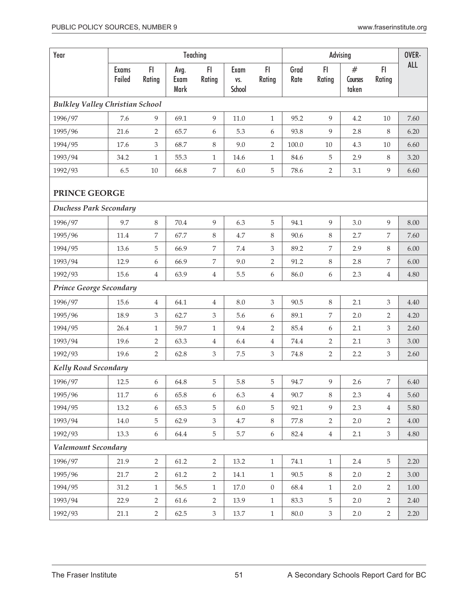| Year                                   |                        |                  |                      | Teaching       |                       |                |              | Advising         | OVER-                 |                  |            |
|----------------------------------------|------------------------|------------------|----------------------|----------------|-----------------------|----------------|--------------|------------------|-----------------------|------------------|------------|
|                                        | <b>Exams</b><br>Failed | FI<br>Rating     | Avg.<br>Exam<br>Mark | FI<br>Rating   | Exam<br>VS.<br>School | FI.<br>Rating  | Grad<br>Rate | F1<br>Rating     | #<br>Courses<br>taken | FI.<br>Rating    | <b>ALL</b> |
| <b>Bulkley Valley Christian School</b> |                        |                  |                      |                |                       |                |              |                  |                       |                  |            |
| 1996/97                                | 7.6                    | 9                | 69.1                 | 9              | 11.0                  | 1              | 95.2         | 9                | 4.2                   | 10               | 7.60       |
| 1995/96                                | 21.6                   | $\overline{2}$   | 65.7                 | 6              | 5.3                   | 6              | 93.8         | 9                | 2.8                   | 8                | 6.20       |
| 1994/95                                | 17.6                   | 3                | 68.7                 | 8              | 9.0                   | $\overline{2}$ | 100.0        | 10               | 4.3                   | $10\,$           | 6.60       |
| 1993/94                                | 34.2                   | $\mathbf{1}$     | 55.3                 | $1\,$          | 14.6                  | $\mathbf{1}$   | 84.6         | $\mathbf 5$      | 2.9                   | $8\,$            | 3.20       |
| 1992/93                                | 6.5                    | $10\,$           | 66.8                 | 7              | $6.0\,$               | 5              | 78.6         | $\overline{2}$   | 3.1                   | 9                | 6.60       |
| PRINCE GEORGE                          |                        |                  |                      |                |                       |                |              |                  |                       |                  |            |
| <b>Duchess Park Secondary</b>          |                        |                  |                      |                |                       |                |              |                  |                       |                  |            |
| 1996/97                                | 9.7                    | 8                | 70.4                 | 9              | 6.3                   | 5              | 94.1         | 9                | 3.0                   | 9                | 8.00       |
| 1995/96                                | 11.4                   | 7                | 67.7                 | 8              | 4.7                   | $\,8\,$        | 90.6         | $\,8\,$          | 2.7                   | $\boldsymbol{7}$ | 7.60       |
| 1994/95                                | 13.6                   | 5                | 66.9                 | 7              | 7.4                   | 3              | 89.2         | 7                | 2.9                   | 8                | 6.00       |
| 1993/94                                | 12.9                   | 6                | 66.9                 | 7              | 9.0                   | $\overline{2}$ | 91.2         | $\,8\,$          | 2.8                   | 7                | 6.00       |
| 1992/93                                | 15.6                   | 4                | 63.9                 | 4              | 5.5                   | 6              | 86.0         | $\boldsymbol{6}$ | 2.3                   | $\overline{4}$   | 4.80       |
| <b>Prince George Secondary</b>         |                        |                  |                      |                |                       |                |              |                  |                       |                  |            |
| 1996/97                                | 15.6                   | 4                | 64.1                 | $\overline{4}$ | 8.0                   | 3              | 90.5         | $\,8\,$          | 2.1                   | $\mathfrak{Z}$   | 4.40       |
| 1995/96                                | 18.9                   | 3                | 62.7                 | 3              | 5.6                   | 6              | 89.1         | 7                | 2.0                   | 2                | 4.20       |
| 1994/95                                | 26.4                   | $\mathbf{1}$     | 59.7                 | $\mathbf{1}$   | 9.4                   | 2              | 85.4         | $\boldsymbol{6}$ | 2.1                   | 3                | 2.60       |
| 1993/94                                | 19.6                   | 2                | 63.3                 | 4              | 6.4                   | 4              | 74.4         | $\overline{2}$   | 2.1                   | 3                | 3.00       |
| 1992/93                                | 19.6                   | $\overline{2}$   | 62.8                 | 3              | 7.5                   | 3              | 74.8         | $\sqrt{2}$       | 2.2                   | $\mathfrak{Z}$   | 2.60       |
| <b>Kelly Road Secondary</b>            |                        |                  |                      |                |                       |                |              |                  |                       |                  |            |
| 1996/97                                | 12.5                   | $\boldsymbol{6}$ | 64.8                 | 5              | 5.8                   | 5              | 94.7         | 9                | 2.6                   | 7                | 6.40       |
| 1995/96                                | 11.7                   | 6                | 65.8                 | 6              | 6.3                   | $\overline{4}$ | 90.7         | 8                | 2.3                   | $\overline{4}$   | 5.60       |
| 1994/95                                | 13.2                   | 6                | 65.3                 | 5              | 6.0                   | 5              | 92.1         | 9                | 2.3                   | $\overline{4}$   | 5.80       |
| 1993/94                                | 14.0                   | 5                | 62.9                 | 3              | 4.7                   | $8\,$          | 77.8         | $\overline{2}$   | 2.0                   | 2                | 4.00       |
| 1992/93                                | 13.3                   | 6                | 64.4                 | 5              | 5.7                   | $6\,$          | 82.4         | $\overline{4}$   | 2.1                   | $\mathfrak{Z}$   | 4.80       |
| Valemount Secondary                    |                        |                  |                      |                |                       |                |              |                  |                       |                  |            |
| 1996/97                                | 21.9                   | $\overline{2}$   | 61.2                 | $\overline{2}$ | 13.2                  | $\mathbf{1}$   | 74.1         | $\mathbf{1}$     | 2.4                   | $\overline{5}$   | 2.20       |
| 1995/96                                | 21.7                   | $\overline{2}$   | 61.2                 | $\overline{2}$ | 14.1                  | $\mathbf{1}$   | 90.5         | $8\,$            | 2.0                   | $\overline{2}$   | 3.00       |
| 1994/95                                | 31.2                   | $\mathbf{1}$     | 56.5                 | $\mathbf{1}$   | 17.0                  | $\overline{0}$ | 68.4         | $\,1\,$          | 2.0                   | $\overline{2}$   | 1.00       |
| 1993/94                                | 22.9                   | 2                | 61.6                 | $\overline{2}$ | 13.9                  | $\mathbf{1}$   | 83.3         | $\overline{5}$   | 2.0                   | 2                | 2.40       |
| 1992/93                                | 21.1                   | $\overline{2}$   | 62.5                 | $\mathfrak{Z}$ | 13.7                  | $\mathbf{1}$   | $80.0\,$     | $\mathfrak{Z}$   | 2.0                   | $\overline{2}$   | 2.20       |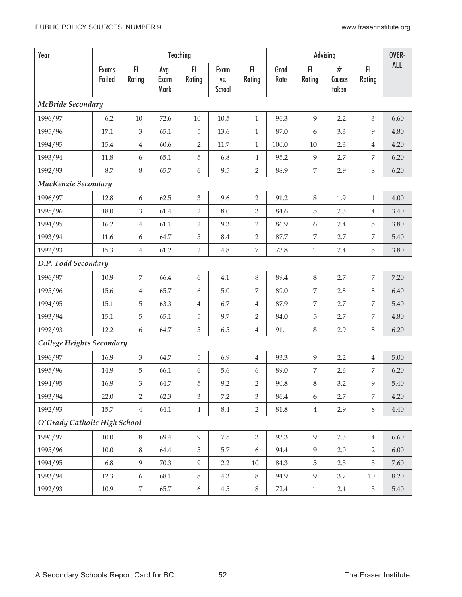| Year                         |                        |                |                      | Teaching         |                       |                  |              | Advising         | OVER-                 |                |            |
|------------------------------|------------------------|----------------|----------------------|------------------|-----------------------|------------------|--------------|------------------|-----------------------|----------------|------------|
|                              | <b>Exams</b><br>Failed | FI<br>Rating   | Avg.<br>Exam<br>Mark | FI<br>Rating     | Exam<br>VS.<br>School | FI.<br>Rating    | Grad<br>Rate | FI<br>Rating     | #<br>Courses<br>taken | FI<br>Rating   | <b>ALL</b> |
| <b>McBride Secondary</b>     |                        |                |                      |                  |                       |                  |              |                  |                       |                |            |
| 1996/97                      | 6.2                    | 10             | 72.6                 | 10               | 10.5                  | $\mathbf{1}$     | 96.3         | 9                | 2.2                   | 3              | 6.60       |
| 1995/96                      | 17.1                   | 3              | 65.1                 | 5                | 13.6                  | $\mathbf{1}$     | 87.0         | 6                | 3.3                   | 9              | 4.80       |
| 1994/95                      | 15.4                   | $\overline{4}$ | 60.6                 | $\overline{2}$   | $11.7\,$              | $\mathbf{1}$     | 100.0        | $10\,$           | 2.3                   | 4              | 4.20       |
| 1993/94                      | 11.8                   | 6              | 65.1                 | 5                | 6.8                   | $\overline{4}$   | 95.2         | 9                | 2.7                   | 7              | 6.20       |
| 1992/93                      | 8.7                    | $\,8\,$        | 65.7                 | 6                | 9.5                   | $\overline{2}$   | 88.9         | $\,7$            | 2.9                   | $8\,$          | 6.20       |
| MacKenzie Secondary          |                        |                |                      |                  |                       |                  |              |                  |                       |                |            |
| 1996/97                      | 12.8                   | 6              | 62.5                 | 3                | 9.6                   | $\overline{2}$   | 91.2         | 8                | 1.9                   | 1              | 4.00       |
| 1995/96                      | 18.0                   | $\mathfrak{Z}$ | 61.4                 | $\overline{2}$   | 8.0                   | $\mathfrak{Z}$   | 84.6         | 5                | 2.3                   | $\overline{4}$ | 3.40       |
| 1994/95                      | 16.2                   | 4              | 61.1                 | 2                | 9.3                   | $\overline{2}$   | 86.9         | 6                | 2.4                   | 5              | 3.80       |
| 1993/94                      | 11.6                   | 6              | 64.7                 | $\mathbf 5$      | 8.4                   | $\overline{2}$   | 87.7         | $\boldsymbol{7}$ | 2.7                   | 7              | 5.40       |
| 1992/93                      | 15.3                   | $\overline{4}$ | 61.2                 | 2                | $4.8\,$               | $\overline{7}$   | 73.8         | $\mathbf{1}$     | 2.4                   | 5              | 3.80       |
| D.P. Todd Secondary          |                        |                |                      |                  |                       |                  |              |                  |                       |                |            |
| 1996/97                      | 10.9                   | 7              | 66.4                 | $\boldsymbol{6}$ | 4.1                   | $8\,$            | 89.4         | $\,8\,$          | 2.7                   | 7              | 7.20       |
| 1995/96                      | 15.6                   | 4              | 65.7                 | 6                | $5.0\,$               | $\boldsymbol{7}$ | 89.0         | $\overline{7}$   | 2.8                   | 8              | 6.40       |
| 1994/95                      | 15.1                   | 5              | 63.3                 | 4                | 6.7                   | $\overline{4}$   | 87.9         | $\boldsymbol{7}$ | 2.7                   | 7              | 5.40       |
| 1993/94                      | 15.1                   | 5              | 65.1                 | 5                | 9.7                   | $\overline{2}$   | 84.0         | 5                | 2.7                   | $\overline{7}$ | 4.80       |
| 1992/93                      | 12.2                   | 6              | 64.7                 | 5                | 6.5                   | $\,4\,$          | 91.1         | $8\,$            | 2.9                   | $8\,$          | 6.20       |
| College Heights Secondary    |                        |                |                      |                  |                       |                  |              |                  |                       |                |            |
| 1996/97                      | 16.9                   | 3              | 64.7                 | 5                | 6.9                   | $\overline{4}$   | 93.3         | 9                | 2.2                   | 4              | 5.00       |
| 1995/96                      | 14.9                   | 5              | 66.1                 | 6                | 5.6                   | 6                | 89.0         | 7                | 2.6                   | 7              | 6.20       |
| 1994/95                      | 16.9                   | $\mathfrak{Z}$ | 64.7                 | 5                | 9.2                   | $\overline{2}$   | 90.8         | $\,8\,$          | 3.2                   | 9              | $5.40\,$   |
| 1993/94                      | 22.0                   | 2              | 62.3                 | 3                | $7.2\,$               | $\mathfrak{Z}$   | 86.4         | $6\,$            | 2.7                   | 7              | 4.20       |
| 1992/93                      | 15.7                   | $\overline{4}$ | 64.1                 | $\overline{4}$   | 8.4                   | $\overline{2}$   | 81.8         | $\overline{4}$   | 2.9                   | 8              | 4.40       |
| O'Grady Catholic High School |                        |                |                      |                  |                       |                  |              |                  |                       |                |            |
| 1996/97                      | $10.0\,$               | $8\,$          | 69.4                 | $\overline{9}$   | 7.5                   | $\mathfrak{Z}$   | 93.3         | 9                | 2.3                   | $\overline{4}$ | 6.60       |
| 1995/96                      | $10.0\,$               | $8\,$          | 64.4                 | $\mathbf 5$      | 5.7                   | 6                | 94.4         | 9                | 2.0                   | $\overline{2}$ | 6.00       |
| 1994/95                      | 6.8                    | 9              | 70.3                 | 9                | 2.2                   | $10\,$           | 84.3         | 5                | 2.5                   | 5              | 7.60       |
| 1993/94                      | 12.3                   | 6              | 68.1                 | 8                | 4.3                   | $8\,$            | 94.9         | 9                | 3.7                   | 10             | 8.20       |
| 1992/93                      | 10.9                   | 7              | 65.7                 | $\boldsymbol{6}$ | $4.5\,$               | $8\,$            | 72.4         | $1\,$            | $2.4\,$               | 5              | 5.40       |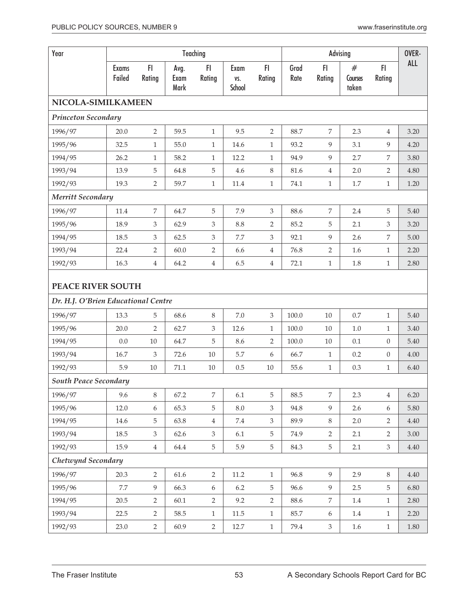| Year                                |                        |                |                      | Teaching         |                       |                | Advising     |                |                       |                | OVER-      |
|-------------------------------------|------------------------|----------------|----------------------|------------------|-----------------------|----------------|--------------|----------------|-----------------------|----------------|------------|
|                                     | <b>Exams</b><br>Failed | F1<br>Rating   | Avg.<br>Exam<br>Mark | FI.<br>Rating    | Exam<br>VS.<br>School | FI<br>Rating   | Grad<br>Rate | FI.<br>Rating  | #<br>Courses<br>taken | F1<br>Rating   | <b>ALL</b> |
| NICOLA-SIMILKAMEEN                  |                        |                |                      |                  |                       |                |              |                |                       |                |            |
| <b>Princeton Secondary</b>          |                        |                |                      |                  |                       |                |              |                |                       |                |            |
| 1996/97                             | 20.0                   | $\overline{2}$ | 59.5                 | $\mathbf{1}$     | 9.5                   | $\overline{2}$ | 88.7         | 7              | 2.3                   | $\overline{4}$ | 3.20       |
| 1995/96                             | 32.5                   | $\mathbf{1}$   | 55.0                 | $\mathbf{1}$     | 14.6                  | $\mathbf{1}$   | 93.2         | 9              | 3.1                   | 9              | 4.20       |
| 1994/95                             | 26.2                   | $\mathbf{1}$   | 58.2                 | 1                | 12.2                  | $\mathbf{1}$   | 94.9         | 9              | 2.7                   | 7              | 3.80       |
| 1993/94                             | 13.9                   | 5              | 64.8                 | $\mathbf 5$      | 4.6                   | $\,8\,$        | 81.6         | 4              | 2.0                   | 2              | 4.80       |
| 1992/93                             | 19.3                   | $\overline{2}$ | 59.7                 | $\mathbf{1}$     | 11.4                  | $1\,$          | 74.1         | $\mathbf{1}$   | $1.7\,$               | $\mathbf{1}$   | 1.20       |
| Merritt Secondary                   |                        |                |                      |                  |                       |                |              |                |                       |                |            |
| 1996/97                             | 11.4                   | 7              | 64.7                 | $\mathbf 5$      | 7.9                   | $\mathfrak{Z}$ | 88.6         | 7              | 2.4                   | 5              | 5.40       |
| 1995/96                             | 18.9                   | 3              | 62.9                 | 3                | 8.8                   | $\overline{2}$ | 85.2         | 5              | 2.1                   | 3              | 3.20       |
| 1994/95                             | 18.5                   | $\mathfrak{Z}$ | 62.5                 | 3                | 7.7                   | $\mathfrak{Z}$ | 92.1         | 9              | 2.6                   | 7              | 5.00       |
| 1993/94                             | 22.4                   | 2              | 60.0                 | 2                | 6.6                   | $\overline{4}$ | 76.8         | $\overline{2}$ | 1.6                   | $\mathbf{1}$   | 2.20       |
| 1992/93                             | 16.3                   | $\overline{4}$ | 64.2                 | $\overline{4}$   | 6.5                   | $\overline{4}$ | 72.1         | $\mathbf{1}$   | 1.8                   | $\mathbf{1}$   | 2.80       |
| <b>PEACE RIVER SOUTH</b>            |                        |                |                      |                  |                       |                |              |                |                       |                |            |
| Dr. H.J. O'Brien Educational Centre |                        |                |                      |                  |                       |                |              |                |                       |                |            |
| 1996/97                             | 13.3                   | 5              | 68.6                 | 8                | $7.0\,$               | $\mathfrak{Z}$ | 100.0        | 10             | 0.7                   | $\mathbf{1}$   | 5.40       |
| 1995/96                             | 20.0                   | $\overline{2}$ | 62.7                 | 3                | 12.6                  | $\mathbf{1}$   | 100.0        | 10             | 1.0                   | $\mathbf{1}$   | 3.40       |
| 1994/95                             | 0.0                    | 10             | 64.7                 | 5                | 8.6                   | $\overline{2}$ | 100.0        | 10             | 0.1                   | $\theta$       | 5.40       |
| 1993/94                             | 16.7                   | 3              | 72.6                 | 10               | 5.7                   | 6              | 66.7         | $\mathbf{1}$   | 0.2                   | $\overline{0}$ | 4.00       |
| 1992/93                             | 5.9                    | $10\,$         | 71.1                 | 10               | 0.5                   | $10\,$         | 55.6         | $\mathbf{1}$   | 0.3                   | $\mathbf{1}$   | 6.40       |
| <b>South Peace Secondary</b>        |                        |                |                      |                  |                       |                |              |                |                       |                |            |
| 1996/97                             | 9.6                    | $8\,$          | 67.2                 | $\overline{7}$   | 6.1                   | 5              | 88.5         | $\overline{7}$ | 2.3                   | $\overline{4}$ | 6.20       |
| 1995/96                             | 12.0                   | $6\,$          | 65.3                 | $\mathbf 5$      | $8.0\,$               | $\mathfrak{Z}$ | 94.8         | $\overline{9}$ | 2.6                   | 6              | 5.80       |
| 1994/95                             | 14.6                   | 5              | 63.8                 | $\,4\,$          | $7.4\,$               | $\mathfrak{Z}$ | 89.9         | $8\,$          | 2.0                   | $\overline{2}$ | 4.40       |
| 1993/94                             | 18.5                   | 3              | 62.6                 | $\mathfrak{Z}$   | 6.1                   | $\overline{5}$ | 74.9         | $\overline{2}$ | 2.1                   | $\overline{2}$ | 3.00       |
| 1992/93                             | 15.9                   | $\overline{4}$ | 64.4                 | $\mathbf 5$      | 5.9                   | $\overline{5}$ | 84.3         | 5              | 2.1                   | $\mathfrak{Z}$ | 4.40       |
| Chetwynd Secondary                  |                        |                |                      |                  |                       |                |              |                |                       |                |            |
| 1996/97                             | 20.3                   | $\overline{2}$ | 61.6                 | $\overline{2}$   | 11.2                  | $\mathbf{1}$   | 96.8         | 9              | 2.9                   | 8              | 4.40       |
| 1995/96                             | 7.7                    | 9              | 66.3                 | $\boldsymbol{6}$ | 6.2                   | 5              | 96.6         | 9              | 2.5                   | 5              | 6.80       |
| 1994/95                             | 20.5                   | $\overline{2}$ | 60.1                 | $\overline{2}$   | 9.2                   | $\overline{2}$ | 88.6         | 7              | 1.4                   | $\mathbf{1}$   | 2.80       |
| 1993/94                             | 22.5                   | $\overline{2}$ | 58.5                 | $\mathbf{1}$     | 11.5                  | $\mathbf{1}$   | 85.7         | 6              | $1.4\,$               | $\mathbf{1}$   | 2.20       |
| 1992/93                             | 23.0                   | $\overline{2}$ | 60.9                 | $\overline{2}$   | 12.7                  | $\mathbf{1}$   | 79.4         | $\mathfrak{Z}$ | 1.6                   | $\mathbf{1}$   | $1.80\,$   |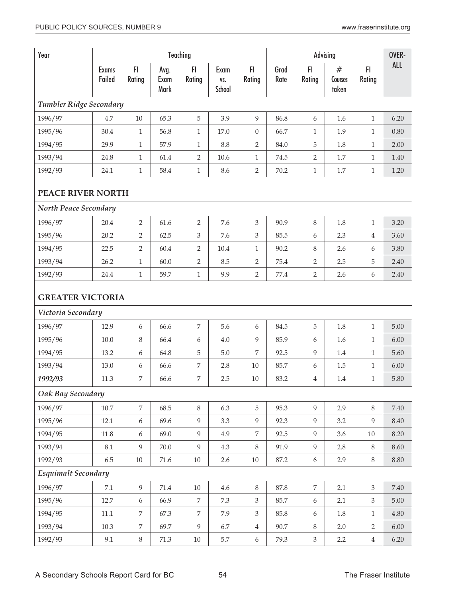| Year                                          |                 |                  |                      | Teaching         |                       |                | Advising     |                  |                       |                | OVER-      |
|-----------------------------------------------|-----------------|------------------|----------------------|------------------|-----------------------|----------------|--------------|------------------|-----------------------|----------------|------------|
|                                               | Exams<br>Failed | F1<br>Rating     | Avg.<br>Exam<br>Mark | F1<br>Rating     | Exam<br>VS.<br>School | FI.<br>Rating  | Grad<br>Rate | F1<br>Rating     | #<br>Courses<br>taken | F1<br>Rating   | <b>ALL</b> |
| Tumbler Ridge Secondary                       |                 |                  |                      |                  |                       |                |              |                  |                       |                |            |
| 1996/97                                       | 4.7             | $10\,$           | 65.3                 | $\overline{5}$   | 3.9                   | 9              | 86.8         | 6                | 1.6                   | $\mathbf{1}$   | 6.20       |
| 1995/96                                       | 30.4            | $\mathbf{1}$     | 56.8                 | $\mathbf{1}$     | 17.0                  | $\overline{0}$ | 66.7         | $\mathbf{1}$     | 1.9                   | $\mathbf{1}$   | 0.80       |
| 1994/95                                       | 29.9            | $\mathbf{1}$     | 57.9                 | $\mathbf{1}$     | 8.8                   | $\overline{2}$ | 84.0         | 5                | 1.8                   | $\mathbf{1}$   | 2.00       |
| 1993/94                                       | 24.8            | $\mathbf{1}$     | 61.4                 | $\overline{2}$   | 10.6                  | $\mathbf{1}$   | 74.5         | $\overline{2}$   | 1.7                   | $\mathbf{1}$   | 1.40       |
| 1992/93                                       | 24.1            | $\mathbf{1}$     | 58.4                 | $1\,$            | 8.6                   | $\overline{2}$ | 70.2         | $\mathbf{1}$     | $1.7\,$               | $\mathbf{1}$   | 1.20       |
| <b>PEACE RIVER NORTH</b>                      |                 |                  |                      |                  |                       |                |              |                  |                       |                |            |
| North Peace Secondary                         |                 |                  |                      |                  |                       |                |              |                  |                       |                |            |
| 1996/97                                       | 20.4            | $\overline{2}$   | 61.6                 | $\overline{2}$   | 7.6                   | $\mathfrak{Z}$ | 90.9         | 8                | 1.8                   | $\mathbf{1}$   | 3.20       |
| 1995/96                                       | 20.2            | $\overline{2}$   | 62.5                 | 3                | 7.6                   | $\mathfrak{Z}$ | 85.5         | 6                | 2.3                   | $\overline{4}$ | 3.60       |
| 1994/95                                       | 22.5            | $\overline{2}$   | 60.4                 | $\sqrt{2}$       | 10.4                  | $\mathbf{1}$   | 90.2         | 8                | 2.6                   | 6              | 3.80       |
| 1993/94                                       | 26.2            | $\mathbf{1}$     | 60.0                 | $\overline{2}$   | 8.5                   | $\overline{2}$ | 75.4         | $\overline{2}$   | 2.5                   | 5              | 2.40       |
| 1992/93                                       | 24.4            | $\mathbf{1}$     | 59.7                 | $\mathbf{1}$     | 9.9                   | $\overline{2}$ | 77.4         | $\overline{2}$   | 2.6                   | 6              | 2.40       |
| <b>GREATER VICTORIA</b><br>Victoria Secondary |                 |                  |                      |                  |                       |                |              |                  |                       |                |            |
| 1996/97                                       | 12.9            | $\boldsymbol{6}$ | 66.6                 | $\overline{7}$   | 5.6                   | 6              | 84.5         | 5                | 1.8                   | $\mathbf{1}$   | 5.00       |
| 1995/96                                       | 10.0            | 8                | 66.4                 | 6                | 4.0                   | 9              | 85.9         | 6                | 1.6                   | $\mathbf{1}$   | 6.00       |
| 1994/95                                       | 13.2            | 6                | 64.8                 | $\mathbf 5$      | $5.0\,$               | $\overline{7}$ | 92.5         | 9                | 1.4                   | $\mathbf{1}$   | 5.60       |
| 1993/94                                       | 13.0            | 6                | 66.6                 | $\boldsymbol{7}$ | 2.8                   | $10\,$         | 85.7         | 6                | $1.5\,$               | $\mathbf{1}$   | 6.00       |
| 1992/93                                       | 11.3            | 7                | 66.6                 | $\overline{7}$   | 2.5                   | $10\,$         | 83.2         | $\overline{4}$   | $1.4\,$               | 1              | 5.80       |
| Oak Bay Secondary                             |                 |                  |                      |                  |                       |                |              |                  |                       |                |            |
| 1996/97                                       | $10.7\,$        | $\overline{7}$   | 68.5                 | $8\,$            | 6.3                   | $5\phantom{.}$ | 95.3         | 9                | 2.9                   | 8              | $7.40\,$   |
| 1995/96                                       | 12.1            | 6                | 69.6                 | 9                | 3.3                   | 9              | 92.3         | 9                | 3.2                   | 9              | 8.40       |
| 1994/95                                       | 11.8            | 6                | 69.0                 | $\overline{9}$   | 4.9                   | $\overline{7}$ | 92.5         | 9                | 3.6                   | $10\,$         | 8.20       |
| 1993/94                                       | 8.1             | 9                | 70.0                 | 9                | 4.3                   | 8              | 91.9         | 9                | 2.8                   | 8              | 8.60       |
| 1992/93                                       | 6.5             | 10               | 71.6                 | 10               | 2.6                   | $10\,$         | 87.2         | $6\,$            | 2.9                   | 8              | 8.80       |
| <b>Esquimalt Secondary</b>                    |                 |                  |                      |                  |                       |                |              |                  |                       |                |            |
| 1996/97                                       | $7.1\,$         | 9                | 71.4                 | 10               | 4.6                   | 8              | 87.8         | $\overline{7}$   | 2.1                   | $\mathfrak{Z}$ | 7.40       |
| 1995/96                                       | 12.7            | 6                | 66.9                 | 7                | 7.3                   | $\mathfrak{Z}$ | 85.7         | $\boldsymbol{6}$ | 2.1                   | 3              | 5.00       |
| 1994/95                                       | 11.1            | 7                | 67.3                 | 7                | 7.9                   | 3              | 85.8         | 6                | 1.8                   | $\mathbf{1}$   | 4.80       |
| 1993/94                                       | 10.3            | $\overline{7}$   | 69.7                 | 9                | 6.7                   | $\overline{4}$ | 90.7         | 8                | 2.0                   | $\overline{2}$ | $6.00\,$   |
| 1992/93                                       | 9.1             | $8\,$            | 71.3                 | $10\,$           | 5.7                   | 6              | 79.3         | $\mathfrak{Z}$   | $2.2\,$               | $\overline{4}$ | 6.20       |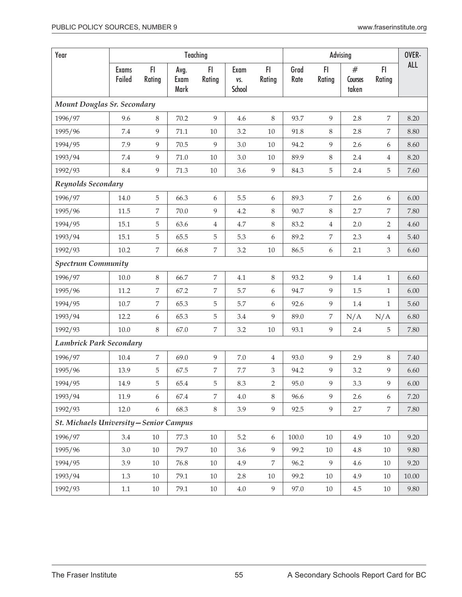| Year                                    |                        |                |                      | Teaching         |                       |                  |              |                  | Advising              | FI.<br>Rating    | OVER-      |
|-----------------------------------------|------------------------|----------------|----------------------|------------------|-----------------------|------------------|--------------|------------------|-----------------------|------------------|------------|
|                                         | <b>Exams</b><br>Failed | FI<br>Rating   | Avg.<br>Exam<br>Mark | FI<br>Rating     | Exam<br>VS.<br>School | FI<br>Rating     | Grad<br>Rate | FI<br>Rating     | #<br>Courses<br>taken |                  | <b>ALL</b> |
| Mount Douglas Sr. Secondary             |                        |                |                      |                  |                       |                  |              |                  |                       |                  |            |
| 1996/97                                 | 9.6                    | 8              | 70.2                 | 9                | 4.6                   | 8                | 93.7         | 9                | 2.8                   | 7                | 8.20       |
| 1995/96                                 | 7.4                    | 9              | 71.1                 | $10\,$           | 3.2                   | $10\,$           | 91.8         | 8                | 2.8                   | 7                | 8.80       |
| 1994/95                                 | 7.9                    | 9              | 70.5                 | 9                | 3.0                   | $10\,$           | 94.2         | 9                | 2.6                   | 6                | 8.60       |
| 1993/94                                 | 7.4                    | 9              | 71.0                 | 10               | 3.0                   | $10\,$           | 89.9         | $8\,$            | 2.4                   | $\overline{4}$   | 8.20       |
| 1992/93                                 | 8.4                    | 9              | 71.3                 | $10\,$           | 3.6                   | $\overline{9}$   | 84.3         | 5                | 2.4                   | 5                | 7.60       |
| Reynolds Secondary                      |                        |                |                      |                  |                       |                  |              |                  |                       |                  |            |
| 1996/97                                 | 14.0                   | 5              | 66.3                 | 6                | 5.5                   | $\boldsymbol{6}$ | 89.3         | $\overline{7}$   | 2.6                   | $\boldsymbol{6}$ | 6.00       |
| 1995/96                                 | 11.5                   | 7              | 70.0                 | 9                | 4.2                   | $\,8\,$          | 90.7         | $8\,$            | 2.7                   | $\overline{7}$   | 7.80       |
| 1994/95                                 | 15.1                   | 5              | 63.6                 | $\overline{4}$   | 4.7                   | $\,8\,$          | 83.2         | $\,4\,$          | 2.0                   | 2                | 4.60       |
| 1993/94                                 | 15.1                   | 5              | 65.5                 | 5                | 5.3                   | $\boldsymbol{6}$ | 89.2         | 7                | 2.3                   | $\overline{4}$   | 5.40       |
| 1992/93                                 | 10.2                   | $\overline{7}$ | 66.8                 | $\boldsymbol{7}$ | 3.2                   | $10\,$           | 86.5         | $\boldsymbol{6}$ | 2.1                   | $\mathfrak{Z}$   | 6.60       |
| <b>Spectrum Community</b>               |                        |                |                      |                  |                       |                  |              |                  |                       |                  |            |
| 1996/97                                 | $10.0\,$               | $\,8\,$        | 66.7                 | 7                | 4.1                   | $\, 8$           | 93.2         | 9                | 1.4                   | $\mathbf{1}$     | 6.60       |
| 1995/96                                 | 11.2                   | 7              | 67.2                 | 7                | 5.7                   | $\boldsymbol{6}$ | 94.7         | $\overline{9}$   | 1.5                   | $\mathbf{1}$     | 6.00       |
| 1994/95                                 | $10.7\,$               | 7              | 65.3                 | 5                | 5.7                   | $\boldsymbol{6}$ | 92.6         | 9                | 1.4                   | $\mathbf{1}$     | 5.60       |
| 1993/94                                 | 12.2                   | 6              | 65.3                 | 5                | 3.4                   | 9                | 89.0         | $\boldsymbol{7}$ | N/A                   | N/A              | 6.80       |
| 1992/93                                 | 10.0                   | $\,8\,$        | 67.0                 | 7                | 3.2                   | $10\,$           | 93.1         | 9                | 2.4                   | 5                | 7.80       |
| Lambrick Park Secondary                 |                        |                |                      |                  |                       |                  |              |                  |                       |                  |            |
| 1996/97                                 | 10.4                   | 7              | 69.0                 | 9                | $7.0\,$               | $\overline{4}$   | 93.0         | 9                | 2.9                   | 8                | 7.40       |
| 1995/96                                 | 13.9                   | 5              | 67.5                 | 7                | 7.7                   | 3                | 94.2         | 9                | 3.2                   | 9                | 6.60       |
| 1994/95                                 | 14.9                   | 5              | 65.4                 | 5                | 8.3                   | $\overline{2}$   | 95.0         | 9                | 3.3                   | $\overline{9}$   | $6.00\,$   |
| 1993/94                                 | 11.9                   | 6              | 67.4                 | 7                | 4.0                   | 8                | 96.6         | 9                | 2.6                   | 6                | 7.20       |
| 1992/93                                 | 12.0                   | 6              | 68.3                 | 8                | 3.9                   | $\overline{9}$   | 92.5         | 9                | 2.7                   | 7                | 7.80       |
| St. Michaels University - Senior Campus |                        |                |                      |                  |                       |                  |              |                  |                       |                  |            |
| 1996/97                                 | 3.4                    | $10\,$         | 77.3                 | $10\,$           | $5.2\,$               | 6                | $100.0\,$    | $10\,$           | 4.9                   | $10\,$           | 9.20       |
| 1995/96                                 | 3.0                    | 10             | 79.7                 | $10\,$           | 3.6                   | 9                | 99.2         | 10               | 4.8                   | 10               | 9.80       |
| 1994/95                                 | 3.9                    | $10\,$         | 76.8                 | 10               | 4.9                   | 7                | 96.2         | 9                | 4.6                   | 10               | 9.20       |
| 1993/94                                 | 1.3                    | 10             | 79.1                 | 10               | 2.8                   | 10               | 99.2         | 10               | 4.9                   | 10               | 10.00      |
| 1992/93                                 | 1.1                    | $10\,$         | 79.1                 | $10\,$           | $4.0\,$               | $\overline{9}$   | 97.0         | $10\,$           | $4.5\,$               | 10               | 9.80       |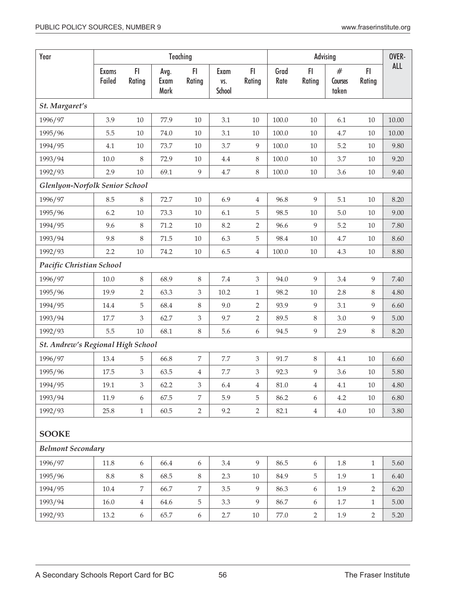| Year                              | Teaching               |                           | Advising             |                             | OVER-                 |                             |              |                  |                             |                |          |
|-----------------------------------|------------------------|---------------------------|----------------------|-----------------------------|-----------------------|-----------------------------|--------------|------------------|-----------------------------|----------------|----------|
|                                   | <b>Exams</b><br>Failed | F1<br>Rating              | Avg.<br>Exam<br>Mark | FI<br>Rating                | Exam<br>VS.<br>School | FI.<br>Rating               | Grad<br>Rate | FI<br>Rating     | $^{\#}$<br>Courses<br>taken | F1<br>Rating   | ALL      |
| St. Margaret's                    |                        |                           |                      |                             |                       |                             |              |                  |                             |                |          |
| 1996/97                           | 3.9                    | 10                        | 77.9                 | $10\,$                      | 3.1                   | 10                          | 100.0        | 10               | 6.1                         | 10             | 10.00    |
| 1995/96                           | 5.5                    | $10\,$                    | 74.0                 | $10\,$                      | 3.1                   | 10                          | 100.0        | 10               | 4.7                         | 10             | 10.00    |
| 1994/95                           | 4.1                    | $10\,$                    | 73.7                 | $10\,$                      | 3.7                   | 9                           | 100.0        | 10               | 5.2                         | 10             | 9.80     |
| 1993/94                           | $10.0\,$               | 8                         | 72.9                 | $10\,$                      | 4.4                   | $\,8\,$                     | 100.0        | $10\,$           | 3.7                         | 10             | 9.20     |
| 1992/93                           | 2.9                    | 10                        | 69.1                 | 9                           | 4.7                   | $\,8\,$                     | 100.0        | $10\,$           | 3.6                         | 10             | 9.40     |
| Glenlyon-Norfolk Senior School    |                        |                           |                      |                             |                       |                             |              |                  |                             |                |          |
| 1996/97                           | 8.5                    | 8                         | 72.7                 | $10\,$                      | 6.9                   | $\overline{4}$              | 96.8         | 9                | 5.1                         | 10             | 8.20     |
| 1995/96                           | 6.2                    | $10\,$                    | 73.3                 | $10\,$                      | 6.1                   | 5                           | 98.5         | 10               | $5.0\,$                     | 10             | 9.00     |
| 1994/95                           | 9.6                    | 8                         | 71.2                 | $10\,$                      | 8.2                   | $\overline{2}$              | 96.6         | 9                | 5.2                         | 10             | 7.80     |
| 1993/94                           | 9.8                    | $8\,$                     | 71.5                 | $10\,$                      | 6.3                   | $\mathbf 5$                 | 98.4         | $10\,$           | 4.7                         | 10             | 8.60     |
| 1992/93                           | 2.2                    | $10\,$                    | 74.2                 | $10\,$                      | 6.5                   | $\,4$                       | 100.0        | $10\,$           | $4.3\,$                     | 10             | 8.80     |
| Pacific Christian School          |                        |                           |                      |                             |                       |                             |              |                  |                             |                |          |
| 1996/97                           | $10.0$                 | 8                         | 68.9                 | 8                           | 7.4                   | $\mathfrak{Z}$              | 94.0         | 9                | 3.4                         | 9              | 7.40     |
| 1995/96                           | 19.9                   | $\overline{2}$            | 63.3                 | 3                           | 10.2                  | $\mathbf{1}$                | 98.2         | 10               | 2.8                         | 8              | 4.80     |
| 1994/95                           | 14.4                   | 5                         | 68.4                 | 8                           | 9.0                   | $\overline{2}$              | 93.9         | 9                | 3.1                         | 9              | 6.60     |
| 1993/94                           | 17.7                   | $\mathfrak{Z}$            | 62.7                 | $\ensuremath{\mathfrak{Z}}$ | 9.7                   | $\sqrt{2}$                  | 89.5         | $\,8\,$          | 3.0                         | 9              | 5.00     |
| 1992/93                           | 5.5                    | $10\,$                    | 68.1                 | $\,8\,$                     | 5.6                   | $\boldsymbol{6}$            | 94.5         | $\overline{9}$   | 2.9                         | 8              | 8.20     |
| St. Andrew's Regional High School |                        |                           |                      |                             |                       |                             |              |                  |                             |                |          |
| 1996/97                           | 13.4                   | 5                         | 66.8                 | 7                           | $7.7\,$               | $\ensuremath{\mathsf{3}}$   | 91.7         | 8                | 4.1                         | 10             | 6.60     |
| 1995/96                           | 17.5                   | $\mathfrak{Z}$            | 63.5                 | 4                           | 7.7                   | $\ensuremath{\mathfrak{Z}}$ | 92.3         | 9                | 3.6                         | 10             | 5.80     |
| 1994/95                           | 19.1                   | $\ensuremath{\mathsf{3}}$ | 62.2                 | 3                           | 6.4                   | $\,4\,$                     | $81.0\,$     | $\overline{4}$   | 4.1                         | 10             | $4.80\,$ |
| 1993/94                           | 11.9                   | 6                         | 67.5                 | $\overline{7}$              | 5.9                   | 5                           | 86.2         | 6                | 4.2                         | 10             | 6.80     |
| 1992/93                           | 25.8                   | $1\,$                     | 60.5                 | $\overline{2}$              | 9.2                   | $\overline{2}$              | 82.1         | $\overline{4}$   | 4.0                         | $10\,$         | 3.80     |
| <b>SOOKE</b>                      |                        |                           |                      |                             |                       |                             |              |                  |                             |                |          |
| <b>Belmont Secondary</b>          |                        |                           |                      |                             |                       |                             |              |                  |                             |                |          |
| 1996/97                           | 11.8                   | 6                         | 66.4                 | 6                           | 3.4                   | 9                           | 86.5         | $\boldsymbol{6}$ | $1.8\,$                     | $\mathbf{1}$   | 5.60     |
| 1995/96                           | 8.8                    | $8\,$                     | 68.5                 | $\,8\,$                     | 2.3                   | $10\,$                      | 84.9         | 5                | 1.9                         | $\mathbf{1}$   | 6.40     |
| 1994/95                           | 10.4                   | $\overline{7}$            | 66.7                 | 7                           | 3.5                   | $\overline{9}$              | 86.3         | $\boldsymbol{6}$ | 1.9                         | $\overline{2}$ | 6.20     |
| 1993/94                           | $16.0$                 | $\overline{4}$            | 64.6                 | $\mathbf 5$                 | 3.3                   | 9                           | 86.7         | 6                | 1.7                         | $\mathbf{1}$   | 5.00     |
| 1992/93                           | 13.2                   | 6                         | 65.7                 | $\boldsymbol{6}$            | $2.7\,$               | $10\,$                      | 77.0         | $\overline{2}$   | 1.9                         | $\overline{2}$ | 5.20     |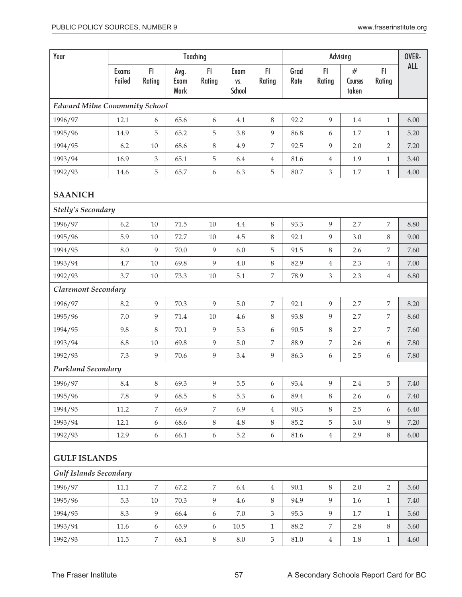| Year                                 |                        |                  |                      | Teaching         |                       |                  |              | Advising                    |                       |                | OVER-    |
|--------------------------------------|------------------------|------------------|----------------------|------------------|-----------------------|------------------|--------------|-----------------------------|-----------------------|----------------|----------|
|                                      | <b>Exams</b><br>Failed | FI<br>Rating     | Avg.<br>Exam<br>Mark | FI<br>Rating     | Exam<br>VS.<br>School | FI.<br>Rating    | Grad<br>Rate | FI.<br>Rating               | #<br>Courses<br>taken | F1<br>Rating   | ALL      |
| <b>Edward Milne Community School</b> |                        |                  |                      |                  |                       |                  |              |                             |                       |                |          |
| 1996/97                              | 12.1                   | 6                | 65.6                 | 6                | 4.1                   | 8                | 92.2         | 9                           | 1.4                   | $\mathbf{1}$   | 6.00     |
| 1995/96                              | 14.9                   | 5                | 65.2                 | 5                | 3.8                   | $\boldsymbol{9}$ | 86.8         | 6                           | 1.7                   | $\mathbf{1}$   | 5.20     |
| 1994/95                              | 6.2                    | 10               | 68.6                 | 8                | 4.9                   | $\overline{7}$   | 92.5         | 9                           | 2.0                   | 2              | 7.20     |
| 1993/94                              | 16.9                   | $\mathfrak{Z}$   | 65.1                 | 5                | 6.4                   | $\overline{4}$   | 81.6         | 4                           | 1.9                   | $\mathbf{1}$   | 3.40     |
| 1992/93                              | 14.6                   | 5                | 65.7                 | 6                | 6.3                   | $\mathbf 5$      | 80.7         | $\ensuremath{\mathfrak{Z}}$ | $1.7\,$               | $\mathbf{1}$   | 4.00     |
| <b>SAANICH</b>                       |                        |                  |                      |                  |                       |                  |              |                             |                       |                |          |
| <b>Stelly's Secondary</b>            |                        |                  |                      |                  |                       |                  |              |                             |                       |                |          |
| 1996/97                              | 6.2                    | 10               | 71.5                 | $10\,$           | 4.4                   | 8                | 93.3         | 9                           | 2.7                   | 7              | 8.80     |
| 1995/96                              | 5.9                    | $10\,$           | 72.7                 | $10\,$           | 4.5                   | 8                | 92.1         | 9                           | 3.0                   | 8              | 9.00     |
| 1994/95                              | 8.0                    | 9                | 70.0                 | $\overline{9}$   | 6.0                   | $\mathbf 5$      | 91.5         | 8                           | 2.6                   | 7              | 7.60     |
| 1993/94                              | 4.7                    | 10               | 69.8                 | 9                | 4.0                   | $\,8\,$          | 82.9         | $\overline{4}$              | 2.3                   | $\overline{4}$ | 7.00     |
| 1992/93                              | 3.7                    | 10               | 73.3                 | $10\,$           | 5.1                   | $\overline{7}$   | 78.9         | $\mathfrak{Z}$              | 2.3                   | $\overline{4}$ | 6.80     |
| <b>Claremont Secondary</b>           |                        |                  |                      |                  |                       |                  |              |                             |                       |                |          |
| 1996/97                              | 8.2                    | 9                | 70.3                 | 9                | 5.0                   | $\overline{7}$   | 92.1         | 9                           | 2.7                   | $\overline{7}$ | 8.20     |
| 1995/96                              | 7.0                    | 9                | 71.4                 | $10\,$           | 4.6                   | $\,8\,$          | 93.8         | 9                           | 2.7                   | 7              | 8.60     |
| 1994/95                              | 9.8                    | $8\,$            | 70.1                 | $\overline{9}$   | 5.3                   | $\boldsymbol{6}$ | 90.5         | 8                           | 2.7                   | 7              | 7.60     |
| 1993/94                              | 6.8                    | $10\,$           | 69.8                 | 9                | 5.0                   | 7                | 88.9         | 7                           | 2.6                   | 6              | 7.80     |
| 1992/93                              | 7.3                    | 9                | 70.6                 | 9                | 3.4                   | $\overline{9}$   | 86.3         | 6                           | 2.5                   | 6              | 7.80     |
| <b>Parkland Secondary</b>            |                        |                  |                      |                  |                       |                  |              |                             |                       |                |          |
| 1996/97                              | $\!\!8.4$              | $\, 8$           | 69.3                 | 9                | $5.5\,$               | $\boldsymbol{6}$ | 93.4         | 9                           | $2.4\,$               | 5              | $7.40\,$ |
| 1995/96                              | 7.8                    | 9                | 68.5                 | 8                | 5.3                   | 6                | 89.4         | 8                           | 2.6                   | 6              | 7.40     |
| 1994/95                              | 11.2                   | 7                | 66.9                 | 7                | 6.9                   | $\overline{4}$   | 90.3         | $8\,$                       | 2.5                   | 6              | 6.40     |
| 1993/94                              | 12.1                   | 6                | 68.6                 | 8                | $4.8\,$               | $8\,$            | 85.2         | 5                           | 3.0                   | 9              | 7.20     |
| 1992/93                              | 12.9                   | $\boldsymbol{6}$ | 66.1                 | 6                | $5.2\,$               | $\boldsymbol{6}$ | $81.6\,$     | $\overline{4}$              | 2.9                   | 8              | $6.00\,$ |
| <b>GULF ISLANDS</b>                  |                        |                  |                      |                  |                       |                  |              |                             |                       |                |          |
| <b>Gulf Islands Secondary</b>        |                        |                  |                      |                  |                       |                  |              |                             |                       |                |          |
| 1996/97                              | 11.1                   | $\overline{7}$   | 67.2                 | 7                | 6.4                   | $\overline{4}$   | 90.1         | $8\,$                       | 2.0                   | $\overline{2}$ | 5.60     |
| 1995/96                              | 5.3                    | $10\,$           | 70.3                 | 9                | 4.6                   | $\,8\,$          | 94.9         | 9                           | 1.6                   | $\mathbf{1}$   | 7.40     |
| 1994/95                              | 8.3                    | 9                | 66.4                 | 6                | $7.0\,$               | $\mathfrak{Z}$   | 95.3         | 9                           | 1.7                   | $\mathbf{1}$   | 5.60     |
| 1993/94                              | $11.6\,$               | 6                | 65.9                 | $\boldsymbol{6}$ | $10.5\,$              | $\mathbf{1}$     | 88.2         | 7                           | 2.8                   | 8              | 5.60     |
| 1992/93                              | $11.5\,$               | $\boldsymbol{7}$ | 68.1                 | $8\,$            | $8.0\,$               | $\mathfrak{Z}$   | $81.0\,$     | $\overline{4}$              | 1.8                   | $\mathbf{1}$   | $4.60\,$ |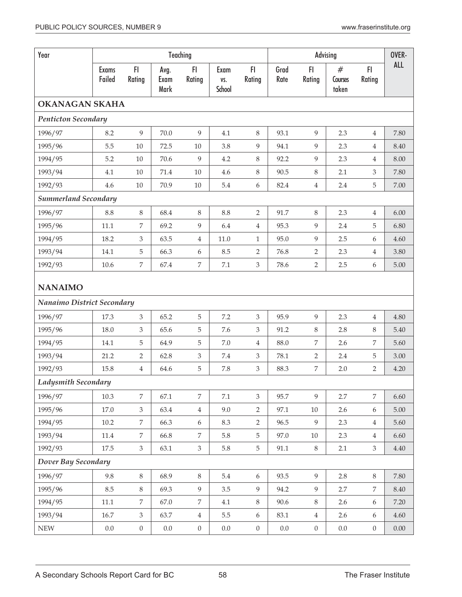| Year                        |                        |                  |                      | Teaching<br>Advising |                       |                  |              |                  |                       | OVER-          |            |
|-----------------------------|------------------------|------------------|----------------------|----------------------|-----------------------|------------------|--------------|------------------|-----------------------|----------------|------------|
|                             | <b>Exams</b><br>Failed | FI.<br>Rating    | Avg.<br>Exam<br>Mark | FI<br>Rating         | Exam<br>VS.<br>School | F1<br>Rating     | Grad<br>Rate | FI<br>Rating     | #<br>Courses<br>taken | F1<br>Rating   | <b>ALL</b> |
| <b>OKANAGAN SKAHA</b>       |                        |                  |                      |                      |                       |                  |              |                  |                       |                |            |
| <b>Penticton Secondary</b>  |                        |                  |                      |                      |                       |                  |              |                  |                       |                |            |
| 1996/97                     | 8.2                    | 9                | 70.0                 | 9                    | 4.1                   | $\,8\,$          | 93.1         | 9                | 2.3                   | $\overline{4}$ | 7.80       |
| 1995/96                     | 5.5                    | 10               | 72.5                 | 10                   | 3.8                   | 9                | 94.1         | 9                | 2.3                   | $\overline{4}$ | 8.40       |
| 1994/95                     | 5.2                    | 10               | 70.6                 | 9                    | 4.2                   | $8\,$            | 92.2         | 9                | 2.3                   | $\overline{4}$ | 8.00       |
| 1993/94                     | 4.1                    | 10               | 71.4                 | 10                   | 4.6                   | $8\,$            | 90.5         | $8\,$            | 2.1                   | 3              | 7.80       |
| 1992/93                     | 4.6                    | $10\,$           | 70.9                 | $10\,$               | 5.4                   | $\boldsymbol{6}$ | 82.4         | $\overline{4}$   | 2.4                   | 5              | 7.00       |
| <b>Summerland Secondary</b> |                        |                  |                      |                      |                       |                  |              |                  |                       |                |            |
| 1996/97                     | 8.8                    | $\,8\,$          | 68.4                 | $\,8\,$              | 8.8                   | $\overline{2}$   | 91.7         | $8\,$            | 2.3                   | $\overline{4}$ | 6.00       |
| 1995/96                     | 11.1                   | 7                | 69.2                 | $\overline{9}$       | 6.4                   | $\overline{4}$   | 95.3         | 9                | 2.4                   | 5              | 6.80       |
| 1994/95                     | 18.2                   | $\mathfrak{Z}$   | 63.5                 | $\overline{4}$       | 11.0                  | $\mathbf{1}$     | 95.0         | 9                | 2.5                   | 6              | 4.60       |
| 1993/94                     | 14.1                   | 5                | 66.3                 | 6                    | 8.5                   | $\overline{2}$   | 76.8         | $\overline{2}$   | 2.3                   | $\overline{4}$ | 3.80       |
| 1992/93                     | 10.6                   | $\overline{7}$   | 67.4                 | $\boldsymbol{7}$     | 7.1                   | $\mathfrak{Z}$   | 78.6         | $\overline{2}$   | 2.5                   | 6              | 5.00       |
| <b>NANAIMO</b>              |                        |                  |                      |                      |                       |                  |              |                  |                       |                |            |
| Nanaimo District Secondary  |                        |                  |                      |                      |                       |                  |              |                  |                       |                |            |
| 1996/97                     | 17.3                   | $\mathfrak{Z}$   | 65.2                 | 5                    | 7.2                   | $\mathfrak{Z}$   | 95.9         | 9                | 2.3                   | $\overline{4}$ | 4.80       |
| 1995/96                     | 18.0                   | 3                | 65.6                 | $\mathbf 5$          | 7.6                   | 3                | 91.2         | 8                | 2.8                   | 8              | 5.40       |
| 1994/95                     | 14.1                   | $\overline{5}$   | 64.9                 | 5                    | 7.0                   | $\overline{4}$   | 88.0         | $\overline{7}$   | 2.6                   | 7              | 5.60       |
| 1993/94                     | 21.2                   | $\overline{2}$   | 62.8                 | $\mathfrak{Z}$       | 7.4                   | 3                | 78.1         | $\overline{2}$   | 2.4                   | 5              | 3.00       |
| 1992/93                     | 15.8                   | $\overline{4}$   | 64.6                 | 5                    | 7.8                   | $\mathfrak{Z}$   | 88.3         | $\boldsymbol{7}$ | 2.0                   | $\overline{2}$ | 4.20       |
| <b>Ladysmith Secondary</b>  |                        |                  |                      |                      |                       |                  |              |                  |                       |                |            |
| 1996/97                     | 10.3                   | $\overline{7}$   | 67.1                 | $\overline{7}$       | $7.1\,$               | $\mathfrak{Z}$   | 95.7         | 9                | 2.7                   | $\overline{7}$ | 6.60       |
| 1995/96                     | 17.0                   | $\mathfrak{Z}$   | 63.4                 | $\,4\,$              | 9.0                   | $\overline{2}$   | 97.1         | 10               | 2.6                   | 6              | 5.00       |
| 1994/95                     | $10.2\,$               | $\overline{7}$   | 66.3                 | $\boldsymbol{6}$     | 8.3                   | $\overline{2}$   | 96.5         | 9                | 2.3                   | $\overline{4}$ | 5.60       |
| 1993/94                     | $11.4\,$               | 7                | 66.8                 | 7                    | 5.8                   | 5                | 97.0         | 10               | 2.3                   | $\overline{4}$ | 6.60       |
| 1992/93                     | 17.5                   | $\mathfrak{Z}$   | 63.1                 | $\mathfrak{Z}$       | 5.8                   | $\overline{5}$   | 91.1         | $8\,$            | 2.1                   | $\mathfrak{Z}$ | 4.40       |
| Dover Bay Secondary         |                        |                  |                      |                      |                       |                  |              |                  |                       |                |            |
| 1996/97                     | 9.8                    | $8\,$            | 68.9                 | $\, 8$               | 5.4                   | $6\,$            | 93.5         | 9                | 2.8                   | $8\,$          | 7.80       |
| 1995/96                     | 8.5                    | $\,8\,$          | 69.3                 | $\overline{9}$       | $3.5\,$               | 9                | 94.2         | 9                | 2.7                   | 7              | 8.40       |
| 1994/95                     | 11.1                   | $\overline{7}$   | 67.0                 | $\boldsymbol{7}$     | 4.1                   | $8\,$            | 90.6         | $8\,$            | 2.6                   | 6              | 7.20       |
| 1993/94                     | 16.7                   | $\mathfrak{Z}$   | 63.7                 | $\overline{4}$       | 5.5                   | $\boldsymbol{6}$ | 83.1         | $\overline{4}$   | 2.6                   | 6              | 4.60       |
| <b>NEW</b>                  | $0.0\,$                | $\boldsymbol{0}$ | $0.0\,$              | $\boldsymbol{0}$     | $0.0\,$               | $\boldsymbol{0}$ | $0.0\,$      | $\overline{0}$   | $0.0\,$               | $\overline{0}$ | $0.00\,$   |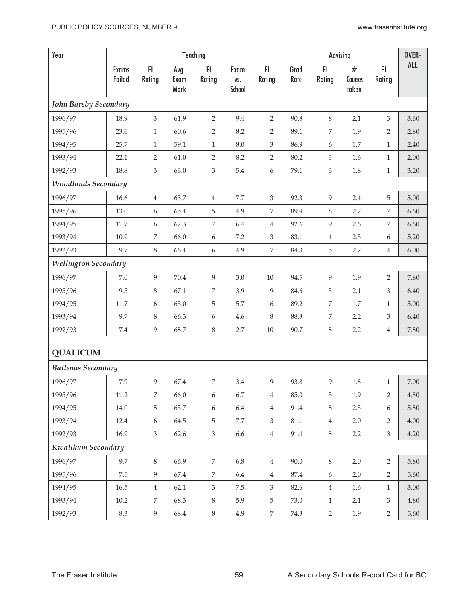| Year                         |                        |                  |                      | Teaching       |                       |                  |              |                | Advising              | OVER-          |            |
|------------------------------|------------------------|------------------|----------------------|----------------|-----------------------|------------------|--------------|----------------|-----------------------|----------------|------------|
|                              | <b>Exams</b><br>Failed | F<br>Rating      | Avg.<br>Exam<br>Mark | F1<br>Rating   | Exam<br>VS.<br>School | F1<br>Rating     | Grad<br>Rate | FI.<br>Rating  | #<br>Courses<br>taken | F1<br>Rating   | <b>ALL</b> |
| <b>John Barsby Secondary</b> |                        |                  |                      |                |                       |                  |              |                |                       |                |            |
| 1996/97                      | 18.9                   | 3                | 61.9                 | $\overline{2}$ | 9.4                   | $\overline{2}$   | 90.8         | 8              | 2.1                   | 3              | 3.60       |
| 1995/96                      | 23.6                   | $\mathbf{1}$     | 60.6                 | $\overline{2}$ | 8.2                   | 2                | 89.1         | 7              | 1.9                   | 2              | 2.80       |
| 1994/95                      | 25.7                   | $\mathbf{1}$     | 59.1                 | $\mathbf{1}$   | $8.0\,$               | $\mathfrak{Z}$   | 86.9         | 6              | $1.7\,$               | $\mathbf{1}$   | 2.40       |
| 1993/94                      | 22.1                   | $\overline{2}$   | 61.0                 | $\overline{2}$ | 8.2                   | $\overline{2}$   | 80.2         | 3              | 1.6                   | $\mathbf{1}$   | 2.00       |
| 1992/93                      | 18.8                   | 3                | 63.0                 | $\mathfrak{Z}$ | 5.4                   | $\boldsymbol{6}$ | 79.1         | $\mathfrak{Z}$ | 1.8                   | $\mathbf{1}$   | 3.20       |
| <b>Woodlands Secondary</b>   |                        |                  |                      |                |                       |                  |              |                |                       |                |            |
| 1996/97                      | 16.6                   | 4                | 63.7                 | $\overline{4}$ | $7.7\,$               | $\mathfrak{Z}$   | 92.3         | 9              | 2.4                   | 5              | 5.00       |
| 1995/96                      | 13.0                   | $\boldsymbol{6}$ | 65.4                 | $\mathbf 5$    | 4.9                   | $\overline{7}$   | 89.9         | $\,8\,$        | 2.7                   | 7              | 6.60       |
| 1994/95                      | 11.7                   | 6                | 67.3                 | 7              | 6.4                   | $\overline{4}$   | 92.6         | 9              | 2.6                   | 7              | 6.60       |
| 1993/94                      | 10.9                   | 7                | 66.0                 | 6              | 7.2                   | $\mathfrak{Z}$   | 83.1         | $\overline{4}$ | 2.5                   | 6              | 5.20       |
| 1992/93                      | 9.7                    | 8                | 66.4                 | 6              | 4.9                   | $\boldsymbol{7}$ | 84.3         | 5              | 2.2                   | $\overline{4}$ | 6.00       |
| <b>Wellington Secondary</b>  |                        |                  |                      |                |                       |                  |              |                |                       |                |            |
| 1996/97                      | 7.0                    | 9                | 70.4                 | $\overline{9}$ | 3.0                   | 10               | 94.5         | 9              | 1.9                   | $\overline{2}$ | 7.80       |
| 1995/96                      | 9.5                    | $\,8\,$          | 67.1                 | 7              | 3.9                   | 9                | 84.6         | 5              | 2.1                   | $\mathfrak{Z}$ | 6.40       |
| 1994/95                      | 11.7                   | 6                | 65.0                 | 5              | 5.7                   | 6                | 89.2         | $\overline{7}$ | $1.7\,$               | $\mathbf{1}$   | 5.00       |
| 1993/94                      | 9.7                    | 8                | 66.3                 | 6              | 4.6                   | 8                | 88.3         | $\overline{7}$ | 2.2                   | $\mathfrak{Z}$ | 6.40       |
| 1992/93                      | 7.4                    | 9                | 68.7                 | 8              | 2.7                   | $10\,$           | 90.7         | $\,8\,$        | 2.2                   | $\overline{4}$ | 7.80       |
| <b>QUALICUM</b>              |                        |                  |                      |                |                       |                  |              |                |                       |                |            |
| <b>Ballenas Secondary</b>    |                        |                  |                      |                |                       |                  |              |                |                       |                |            |
| 1996/97                      | 7.9                    | 9                | 67.4                 | 7              | 3.4                   | 9                | 93.8         | 9              | $1.8\,$               | $\mathbf{1}$   | $7.00\,$   |
| 1995/96                      | 11.2                   | 7                | 66.0                 | 6              | 6.7                   | $\overline{4}$   | 85.0         | 5              | 1.9                   | $\overline{2}$ | 4.80       |
| 1994/95                      | 14.0                   | 5                | 65.7                 | 6              | 6.4                   | $\overline{4}$   | 91.4         | $8\,$          | 2.5                   | 6              | 5.80       |
| 1993/94                      | 12.4                   | $6\,$            | 64.5                 | 5              | $7.7\,$               | $\mathfrak{Z}$   | 81.1         | $\overline{4}$ | 2.0                   | $\overline{2}$ | 4.00       |
| 1992/93                      | 16.9                   | $\mathfrak{Z}$   | 62.6                 | $\mathfrak{Z}$ | 6.6                   | $\,4$            | 91.4         | $8\,$          | 2.2                   | $\mathfrak{Z}$ | 4.20       |
| Kwalikum Secondary           |                        |                  |                      |                |                       |                  |              |                |                       |                |            |
| 1996/97                      | 9.7                    | $8\,$            | 66.9                 | $\overline{7}$ | 6.8                   | $\overline{4}$   | 90.0         | $8\,$          | 2.0                   | $\overline{2}$ | 5.80       |
| 1995/96                      | 7.5                    | 9                | 67.4                 | $\overline{7}$ | 6.4                   | $\overline{4}$   | 87.4         | 6              | 2.0                   | $\overline{2}$ | 5.60       |
| 1994/95                      | 16.5                   | $\overline{4}$   | 62.1                 | $\mathfrak{Z}$ | $7.5\,$               | $\mathfrak{Z}$   | 82.6         | $\overline{4}$ | 1.6                   | $\mathbf{1}$   | 3.00       |
| 1993/94                      | 10.2                   | $\overline{7}$   | 68.3                 | $\,8\,$        | 5.9                   | 5                | 73.0         | $\mathbf{1}$   | 2.1                   | 3              | $4.80\,$   |
| 1992/93                      | 8.3                    | 9                | 68.4                 | $8\,$          | 4.9                   | $\overline{7}$   | 74.3         | $\overline{2}$ | 1.9                   | $\overline{2}$ | 5.60       |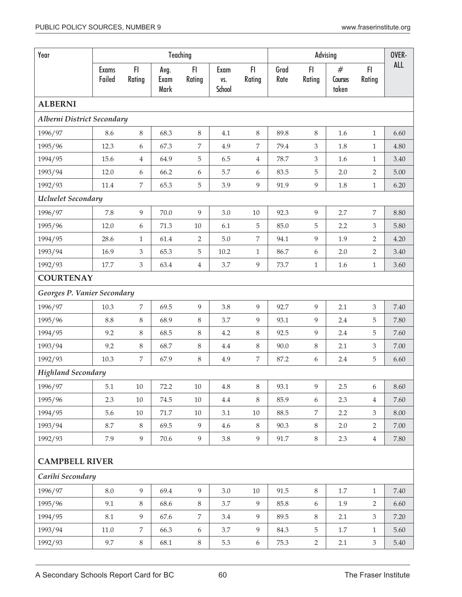| Year                              |                        |                |                      | Teaching       |                       |                  |              |                  | Advising              | OVER-          |            |
|-----------------------------------|------------------------|----------------|----------------------|----------------|-----------------------|------------------|--------------|------------------|-----------------------|----------------|------------|
|                                   | <b>Exams</b><br>Failed | FI<br>Rating   | Avg.<br>Exam<br>Mark | FI.<br>Rating  | Exam<br>VS.<br>School | FI.<br>Rating    | Grad<br>Rate | FI.<br>Rating    | #<br>Courses<br>taken | F1<br>Rating   | <b>ALL</b> |
| <b>ALBERNI</b>                    |                        |                |                      |                |                       |                  |              |                  |                       |                |            |
| <b>Alberni District Secondary</b> |                        |                |                      |                |                       |                  |              |                  |                       |                |            |
| 1996/97                           | 8.6                    | 8              | 68.3                 | $8\,$          | 4.1                   | $\,8\,$          | 89.8         | 8                | 1.6                   | $\mathbf{1}$   | 6.60       |
| 1995/96                           | 12.3                   | 6              | 67.3                 | 7              | 4.9                   | 7                | 79.4         | 3                | 1.8                   | $\mathbf{1}$   | 4.80       |
| 1994/95                           | 15.6                   | 4              | 64.9                 | 5              | 6.5                   | $\overline{4}$   | 78.7         | $\mathfrak{Z}$   | 1.6                   | $\mathbf{1}$   | 3.40       |
| 1993/94                           | 12.0                   | 6              | 66.2                 | 6              | 5.7                   | 6                | 83.5         | $\mathbf 5$      | 2.0                   | $\overline{2}$ | 5.00       |
| 1992/93                           | 11.4                   | 7              | 65.3                 | 5              | 3.9                   | $\overline{9}$   | 91.9         | 9                | 1.8                   | $\mathbf{1}$   | 6.20       |
| Ucluelet Secondary                |                        |                |                      |                |                       |                  |              |                  |                       |                |            |
| 1996/97                           | 7.8                    | 9              | 70.0                 | 9              | 3.0                   | $10\,$           | 92.3         | 9                | 2.7                   | 7              | 8.80       |
| 1995/96                           | 12.0                   | 6              | 71.3                 | $10\,$         | 6.1                   | 5                | 85.0         | 5                | 2.2                   | 3              | 5.80       |
| 1994/95                           | 28.6                   | $\mathbf{1}$   | 61.4                 | $\overline{2}$ | 5.0                   | 7                | 94.1         | 9                | 1.9                   | $\overline{2}$ | 4.20       |
| 1993/94                           | 16.9                   | 3              | 65.3                 | 5              | 10.2                  | $\mathbf{1}$     | 86.7         | 6                | 2.0                   | $\overline{2}$ | 3.40       |
| 1992/93                           | 17.7                   | 3              | 63.4                 | $\overline{4}$ | 3.7                   | $\overline{9}$   | 73.7         | $\mathbf{1}$     | 1.6                   | $\mathbf{1}$   | 3.60       |
| <b>COURTENAY</b>                  |                        |                |                      |                |                       |                  |              |                  |                       |                |            |
| Georges P. Vanier Secondary       |                        |                |                      |                |                       |                  |              |                  |                       |                |            |
| 1996/97                           | 10.3                   | 7              | 69.5                 | 9              | 3.8                   | 9                | 92.7         | 9                | 2.1                   | 3              | 7.40       |
| 1995/96                           | 8.8                    | 8              | 68.9                 | $8\,$          | 3.7                   | 9                | 93.1         | 9                | 2.4                   | 5              | 7.80       |
| 1994/95                           | 9.2                    | 8              | 68.5                 | $8\,$          | 4.2                   | $\,8\,$          | 92.5         | 9                | 2.4                   | 5              | 7.60       |
| 1993/94                           | 9.2                    | 8              | 68.7                 | $8\,$          | 4.4                   | 8                | 90.0         | $\,8\,$          | 2.1                   | $\mathfrak{Z}$ | 7.00       |
| 1992/93                           | 10.3                   | $\overline{7}$ | 67.9                 | 8              | 4.9                   | 7                | 87.2         | $\boldsymbol{6}$ | 2.4                   | 5              | 6.60       |
| <b>Highland Secondary</b>         |                        |                |                      |                |                       |                  |              |                  |                       |                |            |
| 1996/97                           | 5.1                    | $10\,$         | 72.2                 | $10\,$         | 4.8                   | 8                | 93.1         | 9                | 2.5                   | 6              | 8.60       |
| 1995/96                           | 2.3                    | $10\,$         | 74.5                 | $10\,$         | $4.4\,$               | $8\,$            | 85.9         | 6                | 2.3                   | $\overline{4}$ | 7.60       |
| 1994/95                           | 5.6                    | $10\,$         | 71.7                 | $10\,$         | 3.1                   | $10\,$           | 88.5         | 7                | 2.2                   | 3              | 8.00       |
| 1993/94                           | 8.7                    | 8              | 69.5                 | 9              | 4.6                   | $\,8\,$          | 90.3         | 8                | 2.0                   | $\overline{2}$ | 7.00       |
| 1992/93                           | 7.9                    | 9              | 70.6                 | 9              | $3.8\,$               | $\overline{9}$   | 91.7         | $8\,$            | 2.3                   | $\overline{4}$ | 7.80       |
| <b>CAMPBELL RIVER</b>             |                        |                |                      |                |                       |                  |              |                  |                       |                |            |
| Carihi Secondary                  |                        |                |                      |                |                       |                  |              |                  |                       |                |            |
| 1996/97                           | $8.0\,$                | 9              | 69.4                 | $\overline{9}$ | $3.0\,$               | $10\,$           | 91.5         | $8\,$            | $1.7\,$               | $\mathbf{1}$   | 7.40       |
| 1995/96                           | 9.1                    | 8              | 68.6                 | 8              | 3.7                   | 9                | 85.8         | $\boldsymbol{6}$ | 1.9                   | $\overline{2}$ | 6.60       |
| 1994/95                           | 8.1                    | 9              | 67.6                 | 7              | 3.4                   | $\overline{9}$   | 89.5         | $\,8\,$          | 2.1                   | 3              | 7.20       |
| 1993/94                           | $11.0\,$               | 7              | 66.3                 | 6              | 3.7                   | 9                | 84.3         | $\mathbf 5$      | 1.7                   | $\mathbf{1}$   | 5.60       |
| 1992/93                           | 9.7                    | $\,8$          | 68.1                 | $8\,$          | 5.3                   | $\boldsymbol{6}$ | 75.3         | $\overline{2}$   | 2.1                   | $\mathfrak{Z}$ | 5.40       |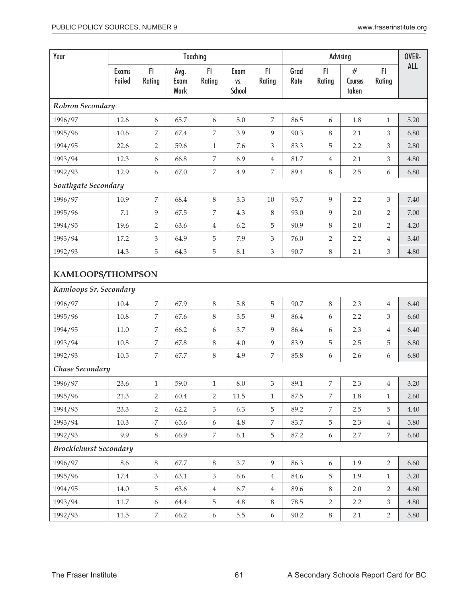| Year                          |                        |                |                      | Teaching         |                       |                |              |                  | Advising              | OVER-          |          |
|-------------------------------|------------------------|----------------|----------------------|------------------|-----------------------|----------------|--------------|------------------|-----------------------|----------------|----------|
|                               | <b>Exams</b><br>Failed | F1<br>Rating   | Avg.<br>Exam<br>Mark | FI<br>Rating     | Exam<br>VS.<br>School | FI.<br>Rating  | Grad<br>Rate | F1<br>Rating     | #<br>Courses<br>taken | FI.<br>Rating  | ALL      |
| Robron Secondary              |                        |                |                      |                  |                       |                |              |                  |                       |                |          |
| 1996/97                       | 12.6                   | 6              | 65.7                 | 6                | $5.0\,$               | $\overline{7}$ | 86.5         | 6                | 1.8                   | $\mathbf{1}$   | 5.20     |
| 1995/96                       | 10.6                   | 7              | 67.4                 | $\boldsymbol{7}$ | 3.9                   | 9              | 90.3         | 8                | 2.1                   | 3              | 6.80     |
| 1994/95                       | 22.6                   | $\overline{2}$ | 59.6                 | $\mathbf{1}$     | 7.6                   | $\mathfrak{Z}$ | 83.3         | 5                | 2.2                   | 3              | 2.80     |
| 1993/94                       | 12.3                   | 6              | 66.8                 | $\overline{7}$   | 6.9                   | $\,4$          | 81.7         | $\overline{4}$   | 2.1                   | 3              | 4.80     |
| 1992/93                       | 12.9                   | 6              | 67.0                 | 7                | 4.9                   | $\overline{7}$ | 89.4         | 8                | 2.5                   | 6              | 6.80     |
| Southgate Secondary           |                        |                |                      |                  |                       |                |              |                  |                       |                |          |
| 1996/97                       | 10.9                   | $\overline{7}$ | 68.4                 | $\,8\,$          | 3.3                   | 10             | 93.7         | 9                | 2.2                   | 3              | 7.40     |
| 1995/96                       | 7.1                    | 9              | 67.5                 | 7                | 4.3                   | $\,8\,$        | 93.0         | 9                | 2.0                   | $\overline{2}$ | 7.00     |
| 1994/95                       | 19.6                   | 2              | 63.6                 | $\overline{4}$   | 6.2                   | 5              | 90.9         | 8                | 2.0                   | $\overline{2}$ | 4.20     |
| 1993/94                       | 17.2                   | 3              | 64.9                 | 5                | 7.9                   | $\mathfrak{Z}$ | 76.0         | 2                | 2.2                   | 4              | 3.40     |
| 1992/93                       | 14.3                   | 5              | 64.3                 | $\mathbf 5$      | 8.1                   | $\mathfrak{Z}$ | 90.7         | $\,8\,$          | 2.1                   | 3              | 4.80     |
|                               | KAMLOOPS/THOMPSON      |                |                      |                  |                       |                |              |                  |                       |                |          |
| Kamloops Sr. Secondary        |                        |                |                      |                  |                       |                |              |                  |                       |                |          |
| 1996/97                       | 10.4                   | $\overline{7}$ | 67.9                 | 8                | 5.8                   | 5              | 90.7         | 8                | 2.3                   | $\overline{4}$ | 6.40     |
| 1995/96                       | 10.8                   | $\overline{7}$ | 67.6                 | $\,8\,$          | 3.5                   | 9              | 86.4         | 6                | 2.2                   | 3              | 6.60     |
| 1994/95                       | 11.0                   | 7              | 66.2                 | 6                | 3.7                   | $\overline{9}$ | 86.4         | $\boldsymbol{6}$ | 2.3                   | $\overline{4}$ | 6.40     |
| 1993/94                       | 10.8                   | 7              | 67.8                 | $\,8\,$          | $4.0\,$               | $\overline{9}$ | 83.9         | 5                | 2.5                   | 5              | 6.80     |
| 1992/93                       | 10.5                   | 7              | 67.7                 | 8                | 4.9                   | $\overline{7}$ | 85.8         | 6                | 2.6                   | 6              | 6.80     |
| Chase Secondary               |                        |                |                      |                  |                       |                |              |                  |                       |                |          |
| 1996/97                       | 23.6                   | 1              | 59.0                 | 1                | 8.0                   | 3              | 89.1         | 7                | 2.3                   | 4              | 3.20     |
| 1995/96                       | 21.3                   | 2              | 60.4                 | $\overline{2}$   | 11.5                  | $\mathbf{1}$   | 87.5         | 7                | 1.8                   | $\mathbf{1}$   | 2.60     |
| 1994/95                       | 23.3                   | $\overline{2}$ | 62.2                 | $\mathfrak{Z}$   | 6.3                   | $\overline{5}$ | 89.2         | 7                | 2.5                   | 5              | 4.40     |
| 1993/94                       | 10.3                   | 7              | 65.6                 | 6                | $4.8\,$               | 7              | 83.7         | 5                | 2.3                   | $\overline{4}$ | 5.80     |
| 1992/93                       | 9.9                    | $8\,$          | 66.9                 | $\overline{7}$   | 6.1                   | $\overline{5}$ | 87.2         | 6                | 2.7                   | $\overline{7}$ | 6.60     |
| <b>Brocklehurst Secondary</b> |                        |                |                      |                  |                       |                |              |                  |                       |                |          |
| 1996/97                       | 8.6                    | $8\,$          | 67.7                 | $\,8\,$          | 3.7                   | 9              | 86.3         | $\boldsymbol{6}$ | 1.9                   | $\overline{2}$ | 6.60     |
| 1995/96                       | 17.4                   | $\mathfrak{Z}$ | 63.1                 | 3                | 6.6                   | $\overline{4}$ | 84.6         | 5                | 1.9                   | $\mathbf{1}$   | 3.20     |
| 1994/95                       | 14.0                   | 5              | 63.6                 | $\,4\,$          | 6.7                   | $\overline{4}$ | 89.6         | $8\,$            | 2.0                   | $\overline{2}$ | 4.60     |
| 1993/94                       | $11.7\,$               | 6              | 64.4                 | 5                | $4.8\,$               | 8              | 78.5         | $\overline{2}$   | 2.2                   | 3              | $4.80\,$ |
| 1992/93                       | $11.5\,$               | 7              | 66.2                 | 6                | 5.5                   | 6              | 90.2         | $8\,$            | 2.1                   | $\overline{2}$ | 5.80     |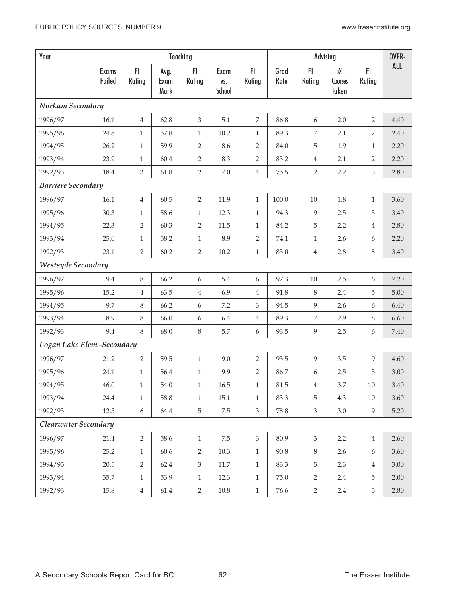| Year                       |                 |                |                      | Teaching       |                       |                  |              |                | OVER-                 |                |            |
|----------------------------|-----------------|----------------|----------------------|----------------|-----------------------|------------------|--------------|----------------|-----------------------|----------------|------------|
|                            | Exams<br>Failed | FI<br>Rating   | Avg.<br>Exam<br>Mark | FI<br>Rating   | Exam<br>VS.<br>School | FI.<br>Rating    | Grad<br>Rate | FI<br>Rating   | #<br>Courses<br>taken | FI<br>Rating   | <b>ALL</b> |
| Norkam Secondary           |                 |                |                      |                |                       |                  |              |                |                       |                |            |
| 1996/97                    | 16.1            | $\overline{4}$ | 62.8                 | $\mathfrak{Z}$ | 5.1                   | $\boldsymbol{7}$ | 86.8         | 6              | 2.0                   | $\overline{2}$ | 4.40       |
| 1995/96                    | 24.8            | $\mathbf{1}$   | 57.8                 | $\mathbf{1}$   | 10.2                  | $\mathbf{1}$     | 89.3         | 7              | 2.1                   | 2              | 2.40       |
| 1994/95                    | 26.2            | $\mathbf{1}$   | 59.9                 | $\overline{2}$ | 8.6                   | $\overline{2}$   | 84.0         | 5              | 1.9                   | $\mathbf{1}$   | 2.20       |
| 1993/94                    | 23.9            | $\mathbf{1}$   | 60.4                 | $\overline{2}$ | 8.3                   | $\overline{2}$   | 83.2         | $\overline{4}$ | 2.1                   | $\overline{2}$ | 2.20       |
| 1992/93                    | 18.4            | 3              | 61.8                 | $\overline{2}$ | $7.0\,$               | $\overline{4}$   | 75.5         | $\overline{2}$ | 2.2                   | 3              | 2.80       |
| <b>Barriere Secondary</b>  |                 |                |                      |                |                       |                  |              |                |                       |                |            |
| 1996/97                    | 16.1            | $\overline{4}$ | 60.5                 | $\overline{2}$ | 11.9                  | $\mathbf{1}$     | 100.0        | $10\,$         | $1.8\,$               | $\mathbf{1}$   | 3.60       |
| 1995/96                    | 30.3            | $\mathbf{1}$   | 58.6                 | $\mathbf{1}$   | 12.3                  | $\mathbf{1}$     | 94.3         | 9              | 2.5                   | 5              | 3.40       |
| 1994/95                    | 22.3            | $\overline{2}$ | 60.3                 | 2              | 11.5                  | $\mathbf{1}$     | 84.2         | 5              | 2.2                   | 4              | 2.80       |
| 1993/94                    | 25.0            | $\mathbf{1}$   | 58.2                 | $\mathbf{1}$   | 8.9                   | $\overline{2}$   | 74.1         | $\mathbf{1}$   | 2.6                   | 6              | 2.20       |
| 1992/93                    | 23.1            | $\overline{2}$ | 60.2                 | $\overline{2}$ | $10.2\,$              | $\mathbf{1}$     | 83.0         | $\overline{4}$ | 2.8                   | 8              | 3.40       |
| Westsyde Secondary         |                 |                |                      |                |                       |                  |              |                |                       |                |            |
| 1996/97                    | 9.4             | 8              | 66.2                 | 6              | 5.4                   | 6                | 97.3         | 10             | 2.5                   | 6              | 7.20       |
| 1995/96                    | 15.2            | 4              | 63.5                 | $\overline{4}$ | 6.9                   | $\overline{4}$   | 91.8         | $\,8\,$        | 2.4                   | 5              | 5.00       |
| 1994/95                    | 9.7             | 8              | 66.2                 | 6              | 7.2                   | 3                | 94.5         | 9              | 2.6                   | 6              | 6.40       |
| 1993/94                    | 8.9             | 8              | 66.0                 | 6              | 6.4                   | $\overline{4}$   | 89.3         | $\overline{7}$ | 2.9                   | $8\,$          | 6.60       |
| 1992/93                    | 9.4             | 8              | 68.0                 | $\,8\,$        | 5.7                   | 6                | 93.5         | 9              | 2.5                   | 6              | 7.40       |
| Logan Lake Elem.-Secondary |                 |                |                      |                |                       |                  |              |                |                       |                |            |
| 1996/97                    | 21.2            | $\overline{2}$ | 59.5                 | $\mathbf{1}$   | 9.0                   | $\overline{2}$   | 93.5         | 9              | 3.5                   | 9              | 4.60       |
| 1995/96                    | 24.1            | $\mathbf{1}$   | 56.4                 | $\mathbf{1}$   | 9.9                   | $\overline{2}$   | 86.7         | 6              | 2.5                   | 5              | 3.00       |
| 1994/95                    | 46.0            | $\mathbf{1}$   | 54.0                 | $\mathbf{1}$   | $16.5\,$              | $\mathbf{1}$     | $81.5\,$     | $\overline{4}$ | 3.7                   | $10\,$         | $3.40\,$   |
| 1993/94                    | 24.4            | $\mathbf{1}$   | 58.8                 | $\mathbf{1}$   | 15.1                  | $1\,$            | 83.3         | 5              | 4.3                   | 10             | 3.60       |
| 1992/93                    | 12.5            | 6              | 64.4                 | 5              | $7.5\,$               | $\mathfrak{Z}$   | 78.8         | $\mathfrak{Z}$ | 3.0                   | 9              | 5.20       |
| Clearwater Secondary       |                 |                |                      |                |                       |                  |              |                |                       |                |            |
| 1996/97                    | 21.4            | $\overline{2}$ | 58.6                 | $\mathbf{1}$   | 7.5                   | $\mathfrak{Z}$   | 80.9         | $\mathfrak{Z}$ | 2.2                   | $\overline{4}$ | 2.60       |
| 1995/96                    | 25.2            | $\mathbf{1}$   | 60.6                 | 2              | 10.3                  | $\mathbf{1}$     | 90.8         | $8\,$          | 2.6                   | 6              | 3.60       |
| 1994/95                    | 20.5            | 2              | 62.4                 | 3              | 11.7                  | $\mathbf{1}$     | 83.3         | 5              | 2.3                   | $\overline{4}$ | 3.00       |
| 1993/94                    | 35.7            | $\mathbf{1}$   | 53.9                 | $\mathbf{1}$   | 12.3                  | $\mathbf{1}$     | 75.0         | $\overline{2}$ | 2.4                   | 5              | 2.00       |
| 1992/93                    | $15.8\,$        | $\overline{4}$ | 61.4                 | $\overline{2}$ | $10.8\,$              | $\mathbf{1}$     | 76.6         | $\overline{2}$ | 2.4                   | 5              | 2.80       |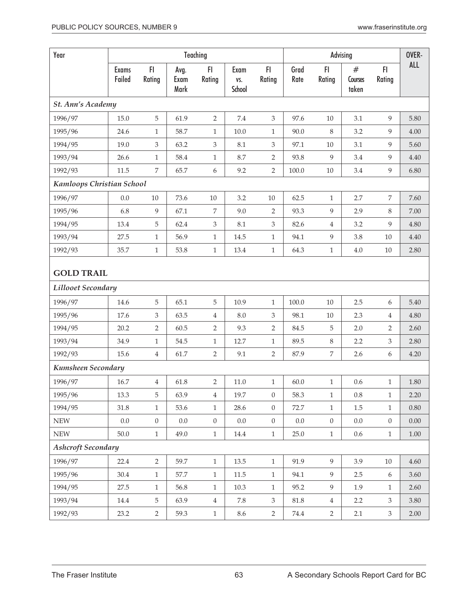| Year                      |                        |                         |                      | Teaching       |                       | OVER-            |              |                  |                       |                |            |  |
|---------------------------|------------------------|-------------------------|----------------------|----------------|-----------------------|------------------|--------------|------------------|-----------------------|----------------|------------|--|
|                           | <b>Exams</b><br>Failed | F1<br>Rating            | Avg.<br>Exam<br>Mark | F1<br>Rating   | Exam<br>VS.<br>School | F1<br>Rating     | Grad<br>Rate | F1<br>Rating     | #<br>Courses<br>taken | F1<br>Rating   | <b>ALL</b> |  |
| <b>St. Ann's Academy</b>  |                        |                         |                      |                |                       |                  |              |                  |                       |                |            |  |
| 1996/97                   | 15.0                   | 5                       | 61.9                 | $\overline{2}$ | 7.4                   | $\mathfrak{Z}$   | 97.6         | $10\,$           | 3.1                   | 9              | 5.80       |  |
| 1995/96                   | 24.6                   | $\mathbf{1}$            | 58.7                 | $\mathbf{1}$   | 10.0                  | $\mathbf{1}$     | 90.0         | $\,8\,$          | 3.2                   | 9              | 4.00       |  |
| 1994/95                   | 19.0                   | 3                       | 63.2                 | $\mathfrak{Z}$ | 8.1                   | $\mathfrak{Z}$   | 97.1         | $10\,$           | 3.1                   | 9              | 5.60       |  |
| 1993/94                   | 26.6                   | $\mathbf{1}$            | 58.4                 | $1\,$          | 8.7                   | $\overline{2}$   | 93.8         | $\overline{9}$   | 3.4                   | 9              | 4.40       |  |
| 1992/93                   | 11.5                   | 7                       | 65.7                 | 6              | 9.2                   | $\overline{2}$   | 100.0        | $10\,$           | 3.4                   | 9              | 6.80       |  |
| Kamloops Christian School |                        |                         |                      |                |                       |                  |              |                  |                       |                |            |  |
| 1996/97                   | 0.0                    | $10\,$                  | 73.6                 | $10\,$         | 3.2                   | $10\,$           | 62.5         | $\mathbf{1}$     | 2.7                   | $\overline{7}$ | 7.60       |  |
| 1995/96                   | 6.8                    | 9                       | 67.1                 | 7              | 9.0                   | 2                | 93.3         | 9                | 2.9                   | 8              | 7.00       |  |
| 1994/95                   | 13.4                   | 5                       | 62.4                 | 3              | 8.1                   | 3                | 82.6         | $\overline{4}$   | 3.2                   | 9              | 4.80       |  |
| 1993/94                   | 27.5                   | $\mathbf{1}$            | 56.9                 | $1\,$          | 14.5                  | $\,1\,$          | 94.1         | $\boldsymbol{9}$ | 3.8                   | 10             | 4.40       |  |
| 1992/93                   | 35.7                   | $\mathbf{1}$            | 53.8                 | $1\,$          | 13.4                  | $\,1\,$          | 64.3         | $1\,$            | $4.0\,$               | $10\,$         | 2.80       |  |
| <b>GOLD TRAIL</b>         |                        |                         |                      |                |                       |                  |              |                  |                       |                |            |  |
| Lillooet Secondary        |                        |                         |                      |                |                       |                  |              |                  |                       |                |            |  |
| 1996/97                   | 14.6                   | 5                       | 65.1                 | 5              | 10.9                  | $\mathbf{1}$     | 100.0        | $10\,$           | 2.5                   | 6              | 5.40       |  |
| 1995/96                   | 17.6                   | 3                       | 63.5                 | 4              | 8.0                   | 3                | 98.1         | $10\,$           | 2.3                   | $\overline{4}$ | 4.80       |  |
| 1994/95                   | 20.2                   | 2                       | 60.5                 | $\overline{2}$ | 9.3                   | 2                | 84.5         | 5                | 2.0                   | $\overline{2}$ | 2.60       |  |
| 1993/94                   | 34.9                   | 1                       | 54.5                 | $\mathbf{1}$   | 12.7                  | $\mathbf{1}$     | 89.5         | $\,8\,$          | 2.2                   | 3              | 2.80       |  |
| 1992/93                   | 15.6                   | $\overline{4}$          | 61.7                 | $\overline{2}$ | 9.1                   | $\sqrt{2}$       | 87.9         | $\,7$            | 2.6                   | 6              | 4.20       |  |
| Kumsheen Secondary        |                        |                         |                      |                |                       |                  |              |                  |                       |                |            |  |
| 1996/97                   | $16.7\,$               | $\overline{\mathbf{4}}$ | 61.8                 | 2              | $11.0\,$              | $\mathbf{1}$     | 60.0         | $\mathbf{1}$     | 0.6                   | 1              | 1.80       |  |
| 1995/96                   | 13.3                   | 5                       | 63.9                 | $\overline{4}$ | 19.7                  | $\boldsymbol{0}$ | 58.3         | $\mathbf{1}$     | $0.8\,$               | $\mathbf{1}$   | 2.20       |  |
| 1994/95                   | 31.8                   | $\mathbf{1}$            | 53.6                 | $\mathbf{1}$   | 28.6                  | $\boldsymbol{0}$ | 72.7         | $\mathbf{1}$     | 1.5                   | $\mathbf{1}$   | $0.80\,$   |  |
| ${\rm NEW}$               | $0.0\,$                | $\boldsymbol{0}$        | $0.0\,$              | $\overline{0}$ | $0.0\,$               | $\boldsymbol{0}$ | $0.0\,$      | $\boldsymbol{0}$ | $0.0\,$               | $\overline{0}$ | 0.00       |  |
| ${\rm NEW}$               | 50.0                   | $\,1$                   | 49.0                 | $1\,$          | 14.4                  | $\mathbf{1}$     | 25.0         | $\,1\,$          | $0.6\,$               | $\mathbf{1}$   | $1.00\,$   |  |
| <b>Ashcroft Secondary</b> |                        |                         |                      |                |                       |                  |              |                  |                       |                |            |  |
| 1996/97                   | 22.4                   | $\overline{2}$          | 59.7                 | $\mathbf{1}$   | 13.5                  | $\mathbf{1}$     | 91.9         | 9                | 3.9                   | 10             | 4.60       |  |
| 1995/96                   | 30.4                   | $\mathbf{1}$            | 57.7                 | $1\,$          | 11.5                  | $1\,$            | 94.1         | $\overline{9}$   | 2.5                   | 6              | 3.60       |  |
| 1994/95                   | 27.5                   | $\mathbf{1}$            | 56.8                 | $\mathbf{1}$   | 10.3                  | $\mathbf{1}$     | 95.2         | 9                | 1.9                   | $\mathbf{1}$   | 2.60       |  |
| 1993/94                   | 14.4                   | 5                       | 63.9                 | $\overline{4}$ | 7.8                   | $\mathfrak{Z}$   | $81.8\,$     | $\overline{4}$   | 2.2                   | 3              | 3.80       |  |
| 1992/93                   | 23.2                   | $\overline{2}$          | 59.3                 | $\mathbf{1}$   | 8.6                   | $\overline{2}$   | 74.4         | $\overline{2}$   | 2.1                   | $\mathfrak{Z}$ | 2.00       |  |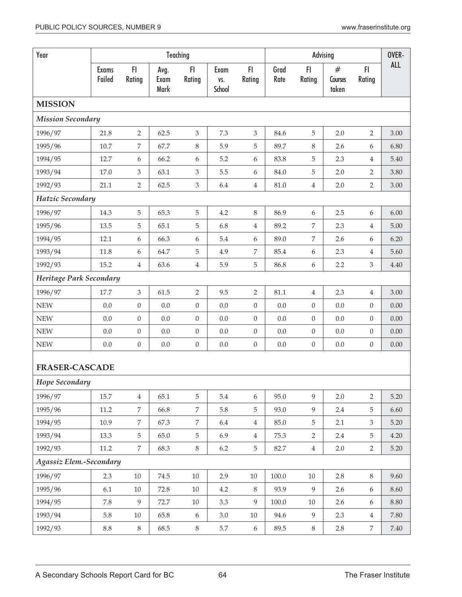| Year                     |                        |                  |                      | Teaching         |                       | OVER-            |              |                  |                       |                  |            |
|--------------------------|------------------------|------------------|----------------------|------------------|-----------------------|------------------|--------------|------------------|-----------------------|------------------|------------|
|                          | <b>Exams</b><br>Failed | FI<br>Rating     | Avg.<br>Exam<br>Mark | FI.<br>Rating    | Exam<br>VS.<br>School | FI.<br>Rating    | Grad<br>Rate | F1<br>Rating     | #<br>Courses<br>taken | FI.<br>Rating    | <b>ALL</b> |
| <b>MISSION</b>           |                        |                  |                      |                  |                       |                  |              |                  |                       |                  |            |
| <b>Mission Secondary</b> |                        |                  |                      |                  |                       |                  |              |                  |                       |                  |            |
| 1996/97                  | 21.8                   | $\overline{2}$   | 62.5                 | $\mathfrak{Z}$   | 7.3                   | 3                | 84.6         | $\mathbf 5$      | 2.0                   | $\overline{2}$   | 3.00       |
| 1995/96                  | 10.7                   | 7                | 67.7                 | $\,8\,$          | 5.9                   | 5                | 89.7         | 8                | 2.6                   | $\boldsymbol{6}$ | 6.80       |
| 1994/95                  | 12.7                   | 6                | 66.2                 | 6                | 5.2                   | 6                | 83.8         | 5                | 2.3                   | $\overline{4}$   | 5.40       |
| 1993/94                  | 17.0                   | 3                | 63.1                 | $\mathfrak{Z}$   | 5.5                   | 6                | 84.0         | $\mathbf 5$      | 2.0                   | $\overline{2}$   | 3.80       |
| 1992/93                  | 21.1                   | $\overline{2}$   | 62.5                 | $\mathfrak{Z}$   | 6.4                   | $\overline{4}$   | $81.0\,$     | $\overline{4}$   | 2.0                   | $\overline{2}$   | 3.00       |
| Hatzic Secondary         |                        |                  |                      |                  |                       |                  |              |                  |                       |                  |            |
| 1996/97                  | 14.3                   | 5                | 65.3                 | $\sqrt{5}$       | 4.2                   | $\,8\,$          | 86.9         | 6                | 2.5                   | 6                | 6.00       |
| 1995/96                  | 13.5                   | 5                | 65.1                 | 5                | 6.8                   | 4                | 89.2         | $\overline{7}$   | 2.3                   | $\overline{4}$   | 5.00       |
| 1994/95                  | 12.1                   | 6                | 66.3                 | 6                | 5.4                   | 6                | 89.0         | $\overline{7}$   | 2.6                   | 6                | 6.20       |
| 1993/94                  | 11.8                   | 6                | 64.7                 | 5                | 4.9                   | 7                | 85.4         | 6                | 2.3                   | $\overline{4}$   | 5.60       |
| 1992/93                  | 15.2                   | 4                | 63.6                 | $\overline{4}$   | 5.9                   | $\mathbf 5$      | 86.8         | 6                | 2.2                   | 3                | 4.40       |
| Heritage Park Secondary  |                        |                  |                      |                  |                       |                  |              |                  |                       |                  |            |
| 1996/97                  | 17.7                   | $\mathfrak{Z}$   | 61.5                 | $\overline{2}$   | 9.5                   | $\overline{2}$   | 81.1         | $\overline{4}$   | 2.3                   | $\overline{4}$   | 3.00       |
| <b>NEW</b>               | 0.0                    | $\boldsymbol{0}$ | 0.0                  | $\boldsymbol{0}$ | 0.0                   | $\boldsymbol{0}$ | 0.0          | $\boldsymbol{0}$ | 0.0                   | $\boldsymbol{0}$ | 0.00       |
| <b>NEW</b>               | 0.0                    | $\boldsymbol{0}$ | $0.0\,$              | $\boldsymbol{0}$ | 0.0                   | $\boldsymbol{0}$ | 0.0          | $\boldsymbol{0}$ | 0.0                   | $\boldsymbol{0}$ | 0.00       |
| <b>NEW</b>               | 0.0                    | $\overline{0}$   | 0.0                  | $\boldsymbol{0}$ | 0.0                   | $\boldsymbol{0}$ | 0.0          | $\boldsymbol{0}$ | 0.0                   | $\overline{0}$   | 0.00       |
| <b>NEW</b>               | 0.0                    | $\boldsymbol{0}$ | 0.0                  | $\boldsymbol{0}$ | 0.0                   | $\boldsymbol{0}$ | $0.0\,$      | $\boldsymbol{0}$ | 0.0                   | $\boldsymbol{0}$ | 0.00       |
| <b>FRASER-CASCADE</b>    |                        |                  |                      |                  |                       |                  |              |                  |                       |                  |            |
| Hope Secondary           |                        |                  |                      |                  |                       |                  |              |                  |                       |                  |            |
| 1996/97                  | 15.7                   | $\overline{4}$   | 65.1                 | 5                | 5.4                   | 6                | 95.0         | 9                | 2.0                   | $\overline{2}$   | 5.20       |
| 1995/96                  | 11.2                   | 7                | 66.8                 | $\overline{7}$   | 5.8                   | 5                | 93.0         | $\overline{9}$   | 2.4                   | 5                | 6.60       |
| 1994/95                  | 10.9                   | 7                | 67.3                 | 7                | 6.4                   | $\overline{4}$   | 85.0         | $\mathbf 5$      | 2.1                   | 3                | 5.20       |
| 1993/94                  | 13.3                   | 5                | 65.0                 | $\mathbf 5$      | 6.9                   | $\overline{4}$   | 75.3         | $\overline{2}$   | 2.4                   | 5                | 4.20       |
| 1992/93                  | 11.2                   | 7                | 68.3                 | $\,8\,$          | 6.2                   | 5                | 82.7         | $\overline{4}$   | 2.0                   | $\overline{2}$   | 5.20       |
| Agassiz Elem.-Secondary  |                        |                  |                      |                  |                       |                  |              |                  |                       |                  |            |
| 1996/97                  | 2.3                    | 10               | 74.5                 | $10\,$           | 2.9                   | $10\,$           | 100.0        | $10\,$           | 2.8                   | $\,8\,$          | 9.60       |
| 1995/96                  | 6.1                    | 10               | 72.8                 | 10               | 4.2                   | 8                | 93.9         | 9                | 2.6                   | 6                | 8.60       |
| 1994/95                  | 7.8                    | 9                | 72.7                 | $10\,$           | 3.3                   | 9                | $100.0\,$    | $10\,$           | 2.6                   | $\boldsymbol{6}$ | $8.80\,$   |
| 1993/94                  | 5.8                    | $10\,$           | 65.8                 | 6                | $3.0\,$               | 10               | 94.6         | $\overline{9}$   | 2.3                   | $\,4\,$          | 7.80       |
| 1992/93                  | $\!\!\!\!\!8.8$        | $8\,$            | 68.5                 | $8\,$            | 5.7                   | $\boldsymbol{6}$ | 89.5         | $8\,$            | 2.8                   | $\,7$            | 7.40       |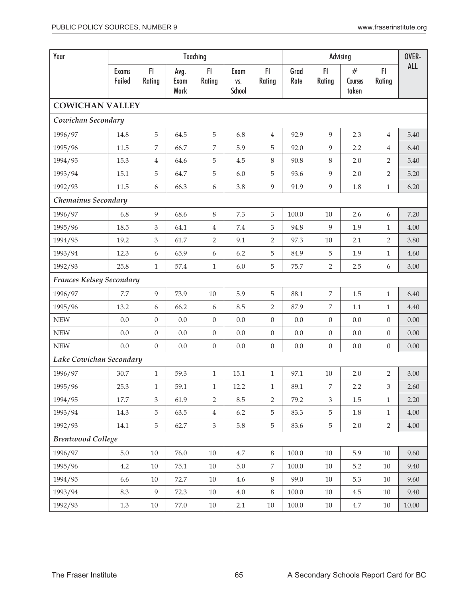| Year                     |                        |                  |                      | Teaching         |                       |                  |              |                  | Advising              |                  | OVER-      |  |
|--------------------------|------------------------|------------------|----------------------|------------------|-----------------------|------------------|--------------|------------------|-----------------------|------------------|------------|--|
|                          | <b>Exams</b><br>Failed | F<br>Rating      | Avg.<br>Exam<br>Mark | F1<br>Rating     | Exam<br>VS.<br>School | FI.<br>Rating    | Grad<br>Rate | FI.<br>Rating    | #<br>Courses<br>taken | F1<br>Rating     | <b>ALL</b> |  |
| <b>COWICHAN VALLEY</b>   |                        |                  |                      |                  |                       |                  |              |                  |                       |                  |            |  |
| Cowichan Secondary       |                        |                  |                      |                  |                       |                  |              |                  |                       |                  |            |  |
| 1996/97                  | 14.8                   | 5                | 64.5                 | $\sqrt{5}$       | 6.8                   | $\overline{4}$   | 92.9         | 9                | 2.3                   | 4                | 5.40       |  |
| 1995/96                  | 11.5                   | 7                | 66.7                 | 7                | 5.9                   | 5                | 92.0         | 9                | 2.2                   | 4                | 6.40       |  |
| 1994/95                  | 15.3                   | 4                | 64.6                 | 5                | 4.5                   | $\,8\,$          | 90.8         | 8                | 2.0                   | 2                | 5.40       |  |
| 1993/94                  | 15.1                   | 5                | 64.7                 | 5                | 6.0                   | 5                | 93.6         | 9                | 2.0                   | 2                | 5.20       |  |
| 1992/93                  | 11.5                   | 6                | 66.3                 | 6                | 3.8                   | $\overline{9}$   | 91.9         | 9                | 1.8                   | $\mathbf{1}$     | 6.20       |  |
| Chemainus Secondary      |                        |                  |                      |                  |                       |                  |              |                  |                       |                  |            |  |
| 1996/97                  | 6.8                    | 9                | 68.6                 | 8                | 7.3                   | 3                | 100.0        | 10               | 2.6                   | 6                | 7.20       |  |
| 1995/96                  | 18.5                   | 3                | 64.1                 | $\overline{4}$   | 7.4                   | $\mathfrak{Z}$   | 94.8         | 9                | 1.9                   | $\mathbf{1}$     | 4.00       |  |
| 1994/95                  | 19.2                   | 3                | 61.7                 | 2                | 9.1                   | $\overline{2}$   | 97.3         | 10               | 2.1                   | 2                | 3.80       |  |
| 1993/94                  | 12.3                   | 6                | 65.9                 | 6                | 6.2                   | 5                | 84.9         | 5                | 1.9                   | $\mathbf{1}$     | 4.60       |  |
| 1992/93                  | 25.8                   | $\mathbf{1}$     | 57.4                 | $\mathbf{1}$     | 6.0                   | 5                | 75.7         | $\overline{2}$   | 2.5                   | 6                | 3.00       |  |
| Frances Kelsey Secondary |                        |                  |                      |                  |                       |                  |              |                  |                       |                  |            |  |
| 1996/97                  | 7.7                    | 9                | 73.9                 | $10\,$           | 5.9                   | 5                | 88.1         | $\overline{7}$   | 1.5                   | $\mathbf{1}$     | 6.40       |  |
| 1995/96                  | 13.2                   | 6                | 66.2                 | 6                | 8.5                   | $\overline{2}$   | 87.9         | 7                | 1.1                   | $\mathbf{1}$     | 4.40       |  |
| <b>NEW</b>               | 0.0                    | $\boldsymbol{0}$ | $0.0\,$              | $\boldsymbol{0}$ | 0.0                   | $\boldsymbol{0}$ | $0.0\,$      | $\overline{0}$   | 0.0                   | $\boldsymbol{0}$ | 0.00       |  |
| <b>NEW</b>               | 0.0                    | $\overline{0}$   | 0.0                  | $\boldsymbol{0}$ | 0.0                   | $\boldsymbol{0}$ | 0.0          | $\boldsymbol{0}$ | 0.0                   | $\overline{0}$   | 0.00       |  |
| <b>NEW</b>               | 0.0                    | $\overline{0}$   | 0.0                  | $\boldsymbol{0}$ | 0.0                   | $\boldsymbol{0}$ | 0.0          | $\boldsymbol{0}$ | 0.0                   | $\overline{0}$   | 0.00       |  |
| Lake Cowichan Secondary  |                        |                  |                      |                  |                       |                  |              |                  |                       |                  |            |  |
| 1996/97                  | 30.7                   | $\mathbf{1}$     | 59.3                 | $\mathbf{1}$     | 15.1                  | $\mathbf{1}$     | 97.1         | $10\,$           | 2.0                   | $\overline{2}$   | 3.00       |  |
| 1995/96                  | 25.3                   | 1                | 59.1                 | 1                | 12.2                  | $\mathbf{1}$     | 89.1         | 7                | 2.2                   | 3                | 2.60       |  |
| 1994/95                  | 17.7                   | 3                | 61.9                 | $\overline{2}$   | 8.5                   | $\overline{2}$   | 79.2         | $\mathfrak{Z}$   | $1.5\,$               | $\mathbf{1}$     | 2.20       |  |
| 1993/94                  | 14.3                   | 5                | 63.5                 | $\overline{4}$   | $6.2\,$               | $\mathbf 5$      | 83.3         | $\overline{5}$   | 1.8                   | $\mathbf{1}$     | 4.00       |  |
| 1992/93                  | 14.1                   | 5                | 62.7                 | $\mathfrak{Z}$   | 5.8                   | $\mathbf 5$      | 83.6         | $\overline{5}$   | 2.0                   | $\overline{2}$   | $4.00\,$   |  |
| <b>Brentwood College</b> |                        |                  |                      |                  |                       |                  |              |                  |                       |                  |            |  |
| 1996/97                  | $5.0\,$                | $10\,$           | 76.0                 | $10\,$           | $4.7\,$               | $\,8\,$          | $100.0\,$    | $10\,$           | 5.9                   | 10               | 9.60       |  |
| 1995/96                  | 4.2                    | $10\,$           | 75.1                 | $10\,$           | $5.0\,$               | $\overline{7}$   | $100.0\,$    | 10               | 5.2                   | 10               | 9.40       |  |
| 1994/95                  | 6.6                    | $10\,$           | 72.7                 | $10\,$           | 4.6                   | $8\,$            | 99.0         | $10\,$           | 5.3                   | $10\,$           | 9.60       |  |
| 1993/94                  | 8.3                    | 9                | 72.3                 | $10\,$           | $4.0\,$               | $8\,$            | $100.0\,$    | 10               | 4.5                   | 10               | 9.40       |  |
| 1992/93                  | 1.3                    | $10\,$           | 77.0                 | $10\,$           | 2.1                   | $10\,$           | 100.0        | 10               | 4.7                   | 10               | $10.00\,$  |  |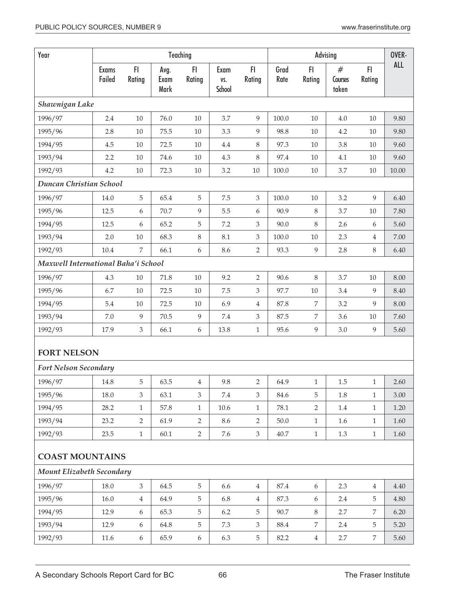| Year                                |                        |                |                      | Teaching       |                       |                             |              |                | Advising              |                | OVER-      |
|-------------------------------------|------------------------|----------------|----------------------|----------------|-----------------------|-----------------------------|--------------|----------------|-----------------------|----------------|------------|
|                                     | <b>Exams</b><br>Failed | FI<br>Rating   | Avg.<br>Exam<br>Mark | FI<br>Rating   | Exam<br>VS.<br>School | FI.<br>Rating               | Grad<br>Rate | FI<br>Rating   | #<br>Courses<br>taken | FI<br>Rating   | <b>ALL</b> |
| Shawnigan Lake                      |                        |                |                      |                |                       |                             |              |                |                       |                |            |
| 1996/97                             | 2.4                    | 10             | 76.0                 | $10\,$         | 3.7                   | 9                           | 100.0        | 10             | 4.0                   | 10             | 9.80       |
| 1995/96                             | 2.8                    | $10\,$         | 75.5                 | $10\,$         | 3.3                   | $\boldsymbol{9}$            | 98.8         | 10             | 4.2                   | 10             | 9.80       |
| 1994/95                             | 4.5                    | $10\,$         | 72.5                 | 10             | 4.4                   | 8                           | 97.3         | 10             | 3.8                   | 10             | 9.60       |
| 1993/94                             | 2.2                    | $10\,$         | 74.6                 | $10\,$         | 4.3                   | $\,8\,$                     | 97.4         | 10             | 4.1                   | $10\,$         | 9.60       |
| 1992/93                             | 4.2                    | $10\,$         | 72.3                 | $10\,$         | 3.2                   | $10\,$                      | 100.0        | $10\,$         | 3.7                   | $10\,$         | 10.00      |
| Duncan Christian School             |                        |                |                      |                |                       |                             |              |                |                       |                |            |
| 1996/97                             | 14.0                   | 5              | 65.4                 | 5              | $7.5\,$               | 3                           | 100.0        | $10\,$         | 3.2                   | 9              | 6.40       |
| 1995/96                             | 12.5                   | 6              | 70.7                 | 9              | 5.5                   | 6                           | 90.9         | 8              | 3.7                   | 10             | 7.80       |
| 1994/95                             | 12.5                   | 6              | 65.2                 | 5              | 7.2                   | 3                           | 90.0         | 8              | 2.6                   | 6              | 5.60       |
| 1993/94                             | 2.0                    | $10\,$         | 68.3                 | $\, 8$         | 8.1                   | 3                           | 100.0        | 10             | 2.3                   | 4              | 7.00       |
| 1992/93                             | 10.4                   | $\overline{7}$ | 66.1                 | 6              | 8.6                   | $\overline{2}$              | 93.3         | 9              | 2.8                   | 8              | 6.40       |
| Maxwell International Baha'i School |                        |                |                      |                |                       |                             |              |                |                       |                |            |
| 1996/97                             | 4.3                    | $10\,$         | 71.8                 | $10\,$         | 9.2                   | 2                           | 90.6         | $\,8\,$        | 3.7                   | 10             | 8.00       |
| 1995/96                             | 6.7                    | $10\,$         | 72.5                 | $10\,$         | $7.5\,$               | 3                           | 97.7         | $10\,$         | 3.4                   | 9              | 8.40       |
| 1994/95                             | 5.4                    | $10\,$         | 72.5                 | $10\,$         | 6.9                   | $\overline{4}$              | 87.8         | 7              | 3.2                   | 9              | 8.00       |
| 1993/94                             | 7.0                    | 9              | 70.5                 | 9              | $7.4\,$               | $\ensuremath{\mathfrak{Z}}$ | 87.5         | 7              | 3.6                   | $10\,$         | 7.60       |
| 1992/93                             | 17.9                   | 3              | 66.1                 | 6              | 13.8                  | $\mathbf{1}$                | 95.6         | $\overline{9}$ | 3.0                   | 9              | 5.60       |
| <b>FORT NELSON</b>                  |                        |                |                      |                |                       |                             |              |                |                       |                |            |
| Fort Nelson Secondary               |                        |                |                      |                |                       |                             |              |                |                       |                |            |
| 1996/97                             | 14.8                   | 5              | 63.5                 | 4              | 9.8                   | 2                           | 64.9         | 1              | $1.5\,$               | 1              | 2.60       |
| 1995/96                             | 18.0                   | 3              | 63.1                 | 3              | 7.4                   | 3                           | 84.6         | 5              | 1.8                   | 1              | 3.00       |
| 1994/95                             | 28.2                   | 1              | 57.8                 | $\mathbf{1}$   | 10.6                  | $\mathbf{1}$                | 78.1         | $\overline{2}$ | 1.4                   | $\mathbf{1}$   | 1.20       |
| 1993/94                             | 23.2                   | 2              | 61.9                 | 2              | 8.6                   | $\overline{2}$              | 50.0         | $\mathbf{1}$   | 1.6                   | $\mathbf{1}$   | 1.60       |
| 1992/93                             | 23.5                   | $\mathbf{1}$   | 60.1                 | $\overline{2}$ | 7.6                   | $\mathfrak{Z}$              | 40.7         | $\mathbf{1}$   | 1.3                   | $\mathbf{1}$   | 1.60       |
| <b>COAST MOUNTAINS</b>              |                        |                |                      |                |                       |                             |              |                |                       |                |            |
| Mount Elizabeth Secondary           |                        |                |                      |                |                       |                             |              |                |                       |                |            |
| 1996/97                             | 18.0                   | 3              | 64.5                 | 5              | 6.6                   | $\overline{4}$              | 87.4         | 6              | 2.3                   | $\overline{4}$ | 4.40       |
| 1995/96                             | 16.0                   | $\overline{4}$ | 64.9                 | 5              | 6.8                   | $\overline{4}$              | 87.3         | 6              | 2.4                   | 5              | 4.80       |
| 1994/95                             | 12.9                   | 6              | 65.3                 | 5              | 6.2                   | 5                           | 90.7         | 8              | 2.7                   | 7              | 6.20       |
| 1993/94                             | 12.9                   | 6              | 64.8                 | 5              | 7.3                   | $\mathfrak{Z}$              | 88.4         | 7              | 2.4                   | 5              | 5.20       |
| 1992/93                             | 11.6                   | 6              | 65.9                 | 6              | 6.3                   | $\mathbf 5$                 | 82.2         | $\overline{4}$ | 2.7                   | 7              | 5.60       |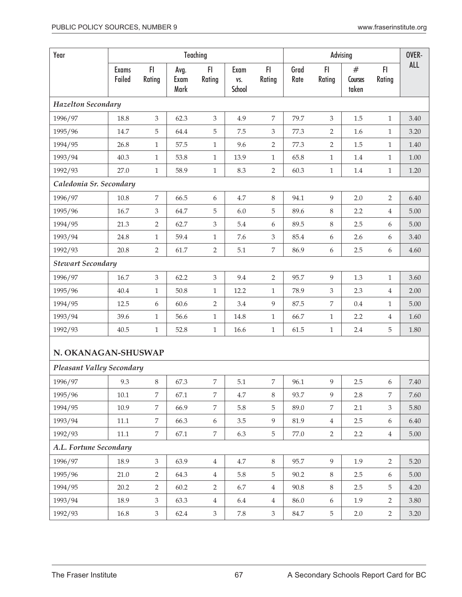| Year                             |                        |                |                      | Teaching       |                       | OVER-                       |              |                  |                       |                |            |
|----------------------------------|------------------------|----------------|----------------------|----------------|-----------------------|-----------------------------|--------------|------------------|-----------------------|----------------|------------|
|                                  | <b>Exams</b><br>Failed | F<br>Rating    | Avg.<br>Exam<br>Mark | F<br>Rating    | Exam<br>VS.<br>School | F1<br>Rating                | Grad<br>Rate | F1<br>Rating     | #<br>Courses<br>taken | F1<br>Rating   | <b>ALL</b> |
| <b>Hazelton Secondary</b>        |                        |                |                      |                |                       |                             |              |                  |                       |                |            |
| 1996/97                          | 18.8                   | 3              | 62.3                 | 3              | 4.9                   | 7                           | 79.7         | 3                | 1.5                   | $\mathbf{1}$   | 3.40       |
| 1995/96                          | 14.7                   | 5              | 64.4                 | 5              | 7.5                   | 3                           | 77.3         | 2                | 1.6                   | $\mathbf{1}$   | 3.20       |
| 1994/95                          | 26.8                   | $\mathbf{1}$   | 57.5                 | $\mathbf{1}$   | 9.6                   | $\overline{2}$              | 77.3         | $\overline{2}$   | 1.5                   | $\mathbf{1}$   | 1.40       |
| 1993/94                          | 40.3                   | $\mathbf{1}$   | 53.8                 | $1\,$          | 13.9                  | $\mathbf{1}$                | 65.8         | $\mathbf{1}$     | $1.4\,$               | $\mathbf{1}$   | 1.00       |
| 1992/93                          | 27.0                   | $\mathbf{1}$   | 58.9                 | $\mathbf{1}$   | 8.3                   | $\overline{2}$              | 60.3         | $1\,$            | $1.4\,$               | $\mathbf{1}$   | 1.20       |
| Caledonia Sr. Secondary          |                        |                |                      |                |                       |                             |              |                  |                       |                |            |
| 1996/97                          | 10.8                   | 7              | 66.5                 | 6              | 4.7                   | $\,8\,$                     | 94.1         | 9                | 2.0                   | $\overline{2}$ | 6.40       |
| 1995/96                          | 16.7                   | 3              | 64.7                 | 5              | 6.0                   | 5                           | 89.6         | $\,8\,$          | 2.2                   | $\overline{4}$ | 5.00       |
| 1994/95                          | 21.3                   | $\overline{2}$ | 62.7                 | 3              | 5.4                   | 6                           | 89.5         | $\,8\,$          | 2.5                   | 6              | 5.00       |
| 1993/94                          | 24.8                   | $\mathbf{1}$   | 59.4                 | $1\,$          | 7.6                   | $\ensuremath{\mathfrak{Z}}$ | 85.4         | 6                | 2.6                   | 6              | 3.40       |
| 1992/93                          | 20.8                   | $\overline{2}$ | 61.7                 | $\sqrt{2}$     | 5.1                   | $\overline{7}$              | 86.9         | $\boldsymbol{6}$ | 2.5                   | 6              | 4.60       |
| <b>Stewart Secondary</b>         |                        |                |                      |                |                       |                             |              |                  |                       |                |            |
| 1996/97                          | 16.7                   | 3              | 62.2                 | 3              | 9.4                   | $\overline{2}$              | 95.7         | 9                | 1.3                   | $\mathbf{1}$   | 3.60       |
| 1995/96                          | 40.4                   | $\mathbf{1}$   | 50.8                 | $1\,$          | 12.2                  | $\mathbf{1}$                | 78.9         | $\mathfrak{Z}$   | 2.3                   | $\overline{4}$ | 2.00       |
| 1994/95                          | 12.5                   | 6              | 60.6                 | $\overline{2}$ | 3.4                   | $\overline{9}$              | 87.5         | $\overline{7}$   | 0.4                   | $\mathbf{1}$   | 5.00       |
| 1993/94                          | 39.6                   | $\mathbf{1}$   | 56.6                 | $\mathbf{1}$   | 14.8                  | $\mathbf{1}$                | 66.7         | $\mathbf{1}$     | 2.2                   | $\overline{4}$ | 1.60       |
| 1992/93                          | 40.5                   | $\mathbf{1}$   | 52.8                 | $\mathbf{1}$   | 16.6                  | $\mathbf{1}$                | 61.5         | $\mathbf{1}$     | 2.4                   | 5              | 1.80       |
| N. OKANAGAN-SHUSWAP              |                        |                |                      |                |                       |                             |              |                  |                       |                |            |
| <b>Pleasant Valley Secondary</b> |                        |                |                      |                |                       |                             |              |                  |                       |                |            |
| 1996/97                          | 9.3                    | 8              | 67.3                 | 7              | 5.1                   | 7                           | 96.1         | $\overline{9}$   | $2.5\,$               | 6              | 7.40       |
| 1995/96                          | 10.1                   | 7              | 67.1                 | $\overline{7}$ | 4.7                   | $\,8\,$                     | 93.7         | 9                | 2.8                   | 7              | 7.60       |
| 1994/95                          | 10.9                   | $\overline{7}$ | 66.9                 | $\overline{7}$ | 5.8                   | 5                           | 89.0         | $\overline{7}$   | 2.1                   | $\mathfrak{Z}$ | 5.80       |
| 1993/94                          | $11.1\,$               | $\overline{7}$ | 66.3                 | 6              | 3.5                   | $\overline{9}$              | 81.9         | $\,4\,$          | 2.5                   | 6              | 6.40       |
| 1992/93                          | $11.1\,$               | $\overline{7}$ | 67.1                 | 7              | 6.3                   | $\overline{5}$              | 77.0         | $\overline{2}$   | 2.2                   | $\overline{4}$ | 5.00       |
| A.L. Fortune Secondary           |                        |                |                      |                |                       |                             |              |                  |                       |                |            |
| 1996/97                          | 18.9                   | $\mathfrak{Z}$ | 63.9                 | $\overline{4}$ | 4.7                   | 8                           | 95.7         | $\overline{9}$   | 1.9                   | $\overline{2}$ | 5.20       |
| 1995/96                          | 21.0                   | $\overline{2}$ | 64.3                 | $\overline{4}$ | 5.8                   | $\mathbf 5$                 | 90.2         | $\,8\,$          | 2.5                   | 6              | 5.00       |
| 1994/95                          | 20.2                   | $\overline{2}$ | 60.2                 | $\overline{2}$ | 6.7                   | $\overline{4}$              | 90.8         | $\,8\,$          | 2.5                   | 5              | 4.20       |
| 1993/94                          | 18.9                   | 3              | 63.3                 | $\overline{4}$ | 6.4                   | $\overline{4}$              | 86.0         | $\boldsymbol{6}$ | 1.9                   | $\overline{2}$ | 3.80       |
| 1992/93                          | 16.8                   | 3              | 62.4                 | $\mathfrak{Z}$ | 7.8                   | 3                           | 84.7         | $\overline{5}$   | 2.0                   | $\overline{2}$ | 3.20       |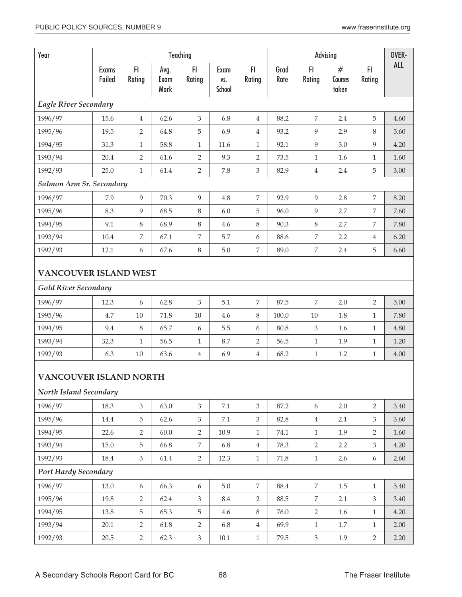| Year                          |                        |                |                      | Teaching         |                       |                  |              |                  | Advising              |                | OVER-      |  |
|-------------------------------|------------------------|----------------|----------------------|------------------|-----------------------|------------------|--------------|------------------|-----------------------|----------------|------------|--|
|                               | <b>Exams</b><br>Failed | FI<br>Rating   | Avg.<br>Exam<br>Mark | F1<br>Rating     | Exam<br>VS.<br>School | FI.<br>Rating    | Grad<br>Rate | F1<br>Rating     | #<br>Courses<br>taken | F1<br>Rating   | <b>ALL</b> |  |
| <b>Eagle River Secondary</b>  |                        |                |                      |                  |                       |                  |              |                  |                       |                |            |  |
| 1996/97                       | 15.6                   | $\overline{4}$ | 62.6                 | $\mathfrak{Z}$   | 6.8                   | $\overline{4}$   | 88.2         | $\overline{7}$   | 2.4                   | 5              | 4.60       |  |
| 1995/96                       | 19.5                   | $\overline{2}$ | 64.8                 | 5                | 6.9                   | $\overline{4}$   | 93.2         | 9                | 2.9                   | 8              | 5.60       |  |
| 1994/95                       | 31.3                   | $\mathbf{1}$   | 58.8                 | $\mathbf{1}$     | 11.6                  | $\mathbf{1}$     | 92.1         | 9                | 3.0                   | 9              | 4.20       |  |
| 1993/94                       | 20.4                   | $\overline{2}$ | 61.6                 | 2                | 9.3                   | $\overline{2}$   | 73.5         | $\mathbf{1}$     | 1.6                   | $\mathbf{1}$   | 1.60       |  |
| 1992/93                       | 25.0                   | 1              | 61.4                 | 2                | 7.8                   | $\mathfrak{Z}$   | 82.9         | $\overline{4}$   | 2.4                   | 5              | 3.00       |  |
| Salmon Arm Sr. Secondary      |                        |                |                      |                  |                       |                  |              |                  |                       |                |            |  |
| 1996/97                       | 7.9                    | 9              | 70.3                 | 9                | 4.8                   | $\overline{7}$   | 92.9         | 9                | 2.8                   | 7              | 8.20       |  |
| 1995/96                       | 8.3                    | 9              | 68.5                 | 8                | 6.0                   | 5                | 96.0         | 9                | 2.7                   | 7              | 7.60       |  |
| 1994/95                       | 9.1                    | 8              | 68.9                 | 8                | 4.6                   | $\,8\,$          | 90.3         | 8                | 2.7                   | 7              | 7.80       |  |
| 1993/94                       | 10.4                   | 7              | 67.1                 | $\boldsymbol{7}$ | 5.7                   | $\boldsymbol{6}$ | 88.6         | $\boldsymbol{7}$ | 2.2                   | 4              | 6.20       |  |
| 1992/93                       | 12.1                   | 6              | 67.6                 | $\,8\,$          | 5.0                   | $\boldsymbol{7}$ | 89.0         | $\boldsymbol{7}$ | 2.4                   | 5              | 6.60       |  |
| <b>VANCOUVER ISLAND WEST</b>  |                        |                |                      |                  |                       |                  |              |                  |                       |                |            |  |
| <b>Gold River Secondary</b>   |                        |                |                      |                  |                       |                  |              |                  |                       |                |            |  |
| 1996/97                       | 12.3                   | 6              | 62.8                 | 3                | 5.1                   | $\overline{7}$   | 87.5         | $\overline{7}$   | 2.0                   | $\overline{2}$ | 5.00       |  |
| 1995/96                       | 4.7                    | $10\,$         | 71.8                 | $10\,$           | 4.6                   | $\,8\,$          | 100.0        | 10               | 1.8                   | 1              | 7.80       |  |
| 1994/95                       | 9.4                    | 8              | 65.7                 | 6                | 5.5                   | $\boldsymbol{6}$ | 80.8         | 3                | 1.6                   | $\mathbf{1}$   | 4.80       |  |
| 1993/94                       | 32.3                   | $\mathbf{1}$   | 56.5                 | $\mathbf{1}$     | 8.7                   | $\overline{2}$   | 56.5         | $\mathbf{1}$     | 1.9                   | 1              | 1.20       |  |
| 1992/93                       | 6.3                    | $10\,$         | 63.6                 | $\overline{4}$   | 6.9                   | $\,4\,$          | 68.2         | 1                | 1.2                   | $\mathbf{1}$   | 4.00       |  |
| <b>VANCOUVER ISLAND NORTH</b> |                        |                |                      |                  |                       |                  |              |                  |                       |                |            |  |
| North Island Secondary        |                        |                |                      |                  |                       |                  |              |                  |                       |                |            |  |
| 1996/97                       | 18.3                   | $\mathfrak{Z}$ | 63.0                 | $\mathfrak{Z}$   | $7.1\,$               | $\mathfrak{Z}$   | 87.2         | $6\,$            | 2.0                   | $\overline{2}$ | 3.40       |  |
| 1995/96                       | 14.4                   | 5              | 62.6                 | 3                | 7.1                   | $\mathfrak{Z}$   | 82.8         | $\overline{4}$   | 2.1                   | 3              | 3.60       |  |
| 1994/95                       | 22.6                   | 2              | 60.0                 | $\overline{2}$   | 10.9                  | $\mathbf{1}$     | 74.1         | $\mathbf{1}$     | 1.9                   | $\overline{2}$ | 1.60       |  |
| 1993/94                       | 15.0                   | 5              | 66.8                 | $\overline{7}$   | 6.8                   | $\overline{4}$   | 78.3         | $\overline{2}$   | 2.2                   | 3              | 4.20       |  |
| 1992/93                       | 18.4                   | $\mathfrak{Z}$ | 61.4                 | $\overline{2}$   | 12.3                  | $\mathbf{1}$     | 71.8         | $\mathbf{1}$     | 2.6                   | 6              | 2.60       |  |
| <b>Port Hardy Secondary</b>   |                        |                |                      |                  |                       |                  |              |                  |                       |                |            |  |
| 1996/97                       | 13.0                   | 6              | 66.3                 | 6                | $5.0\,$               | $\overline{7}$   | 88.4         | 7                | 1.5                   | $\mathbf{1}$   | 5.40       |  |
| 1995/96                       | 19.8                   | $\overline{2}$ | 62.4                 | $\mathfrak{Z}$   | $\!\!8.4$             | $\overline{2}$   | 88.5         | $\overline{7}$   | 2.1                   | $\mathfrak{Z}$ | 3.40       |  |
| 1994/95                       | 13.8                   | 5              | 65.3                 | $\mathbf 5$      | 4.6                   | $8\,$            | 76.0         | $\overline{2}$   | 1.6                   | $\mathbf{1}$   | 4.20       |  |
| 1993/94                       | 20.1                   | 2              | 61.8                 | $\overline{2}$   | 6.8                   | $\overline{4}$   | 69.9         | $\mathbf{1}$     | 1.7                   | $\mathbf{1}$   | 2.00       |  |
| 1992/93                       | 20.5                   | $\overline{2}$ | 62.3                 | $\mathfrak{Z}$   | $10.1\,$              | $\mathbf{1}$     | 79.5         | $\mathfrak{Z}$   | 1.9                   | $\overline{2}$ | 2.20       |  |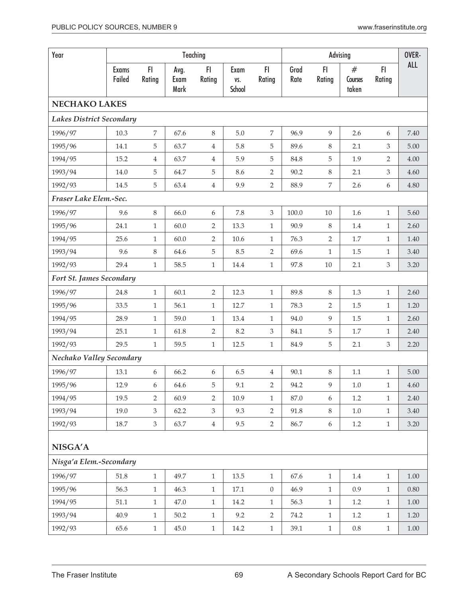| Year                            |                        |                |                      | Teaching       |                       |                  |              |                  | Advising              |                | OVER-      |
|---------------------------------|------------------------|----------------|----------------------|----------------|-----------------------|------------------|--------------|------------------|-----------------------|----------------|------------|
|                                 | <b>Exams</b><br>Failed | F1<br>Rating   | Avg.<br>Exam<br>Mark | FI<br>Rating   | Exam<br>VS.<br>School | FI<br>Rating     | Grad<br>Rate | FI<br>Rating     | #<br>Courses<br>taken | FI<br>Rating   | <b>ALL</b> |
| NECHAKO LAKES                   |                        |                |                      |                |                       |                  |              |                  |                       |                |            |
| <b>Lakes District Secondary</b> |                        |                |                      |                |                       |                  |              |                  |                       |                |            |
| 1996/97                         | 10.3                   | $\overline{7}$ | 67.6                 | 8              | 5.0                   | 7                | 96.9         | 9                | 2.6                   | 6              | 7.40       |
| 1995/96                         | 14.1                   | 5              | 63.7                 | 4              | 5.8                   | 5                | 89.6         | $\,8\,$          | 2.1                   | 3              | 5.00       |
| 1994/95                         | 15.2                   | 4              | 63.7                 | 4              | 5.9                   | 5                | 84.8         | 5                | 1.9                   | $\overline{2}$ | 4.00       |
| 1993/94                         | 14.0                   | 5              | 64.7                 | 5              | 8.6                   | 2                | 90.2         | $\,8\,$          | 2.1                   | $\mathfrak{Z}$ | 4.60       |
| 1992/93                         | 14.5                   | 5              | 63.4                 | $\overline{4}$ | 9.9                   | $\overline{2}$   | 88.9         | $\overline{7}$   | 2.6                   | 6              | 4.80       |
| Fraser Lake Elem.-Sec.          |                        |                |                      |                |                       |                  |              |                  |                       |                |            |
| 1996/97                         | 9.6                    | $\,8\,$        | 66.0                 | 6              | 7.8                   | 3                | 100.0        | 10               | 1.6                   | $\mathbf{1}$   | 5.60       |
| 1995/96                         | 24.1                   | $\mathbf{1}$   | 60.0                 | 2              | 13.3                  | $\mathbf{1}$     | 90.9         | 8                | 1.4                   | $\mathbf{1}$   | 2.60       |
| 1994/95                         | 25.6                   | $\mathbf{1}$   | 60.0                 | 2              | 10.6                  | $\mathbf{1}$     | 76.3         | 2                | 1.7                   | $\mathbf{1}$   | 1.40       |
| 1993/94                         | 9.6                    | 8              | 64.6                 | 5              | 8.5                   | $\overline{2}$   | 69.6         | $\mathbf{1}$     | 1.5                   | $\mathbf{1}$   | 3.40       |
| 1992/93                         | 29.4                   | $\mathbf{1}$   | 58.5                 | $\mathbf{1}$   | 14.4                  | $\mathbf{1}$     | 97.8         | $10\,$           | 2.1                   | 3              | 3.20       |
| Fort St. James Secondary        |                        |                |                      |                |                       |                  |              |                  |                       |                |            |
| 1996/97                         | 24.8                   | $\mathbf{1}$   | 60.1                 | $\overline{2}$ | 12.3                  | $\mathbf{1}$     | 89.8         | 8                | 1.3                   | $\mathbf{1}$   | 2.60       |
| 1995/96                         | 33.5                   | $\mathbf{1}$   | 56.1                 | $\mathbf{1}$   | 12.7                  | $\mathbf{1}$     | 78.3         | $\overline{2}$   | 1.5                   | $\mathbf{1}$   | 1.20       |
| 1994/95                         | 28.9                   | $\mathbf{1}$   | 59.0                 | $\mathbf{1}$   | 13.4                  | $\mathbf{1}$     | 94.0         | 9                | $1.5\,$               | $\mathbf{1}$   | 2.60       |
| 1993/94                         | 25.1                   | 1              | 61.8                 | 2              | 8.2                   | 3                | 84.1         | 5                | 1.7                   | $\mathbf{1}$   | 2.40       |
| 1992/93                         | 29.5                   | $\mathbf{1}$   | 59.5                 | $\mathbf{1}$   | 12.5                  | $\mathbf{1}$     | 84.9         | 5                | 2.1                   | $\mathfrak{Z}$ | 2.20       |
| Nechako Valley Secondary        |                        |                |                      |                |                       |                  |              |                  |                       |                |            |
| 1996/97                         | 13.1                   | 6              | 66.2                 | 6              | 6.5                   | 4                | 90.1         | $\,8\,$          | 1.1                   | $\mathbf{1}$   | 5.00       |
| 1995/96                         | 12.9                   | 6              | 64.6                 | 5              | 9.1                   | 2                | 94.2         | 9                | 1.0                   | 1              | 4.60       |
| 1994/95                         | 19.5                   | $\overline{2}$ | 60.9                 | $\overline{2}$ | 10.9                  | $\mathbf{1}$     | 87.0         | 6                | $1.2\,$               | $\mathbf{1}$   | 2.40       |
| 1993/94                         | 19.0                   | 3              | 62.2                 | $\mathfrak{Z}$ | 9.3                   | $\overline{2}$   | 91.8         | 8                | 1.0                   | $\mathbf{1}$   | 3.40       |
| 1992/93                         | 18.7                   | $\mathfrak{Z}$ | 63.7                 | $\overline{4}$ | 9.5                   | $\overline{2}$   | 86.7         | $\boldsymbol{6}$ | $1.2\,$               | $\mathbf{1}$   | 3.20       |
| NISGA'A                         |                        |                |                      |                |                       |                  |              |                  |                       |                |            |
| Nisga'a Elem.-Secondary         |                        |                |                      |                |                       |                  |              |                  |                       |                |            |
| 1996/97                         | 51.8                   | $\mathbf{1}$   | 49.7                 | $1\,$          | 13.5                  | $\mathbf{1}$     | 67.6         | $\mathbf{1}$     | 1.4                   | $\mathbf{1}$   | $1.00\,$   |
| 1995/96                         | 56.3                   | $\mathbf{1}$   | 46.3                 | $\mathbf{1}$   | 17.1                  | $\boldsymbol{0}$ | 46.9         | $\mathbf{1}$     | 0.9                   | $\mathbf{1}$   | $0.80\,$   |
| 1994/95                         | 51.1                   | $\mathbf{1}$   | 47.0                 | $\mathbf{1}$   | 14.2                  | $\mathbf{1}$     | 56.3         | $\mathbf{1}$     | 1.2                   | $\mathbf{1}$   | $1.00\,$   |
| 1993/94                         | 40.9                   | $\mathbf{1}$   | 50.2                 | $\mathbf{1}$   | 9.2                   | $\overline{2}$   | 74.2         | $\mathbf{1}$     | 1.2                   | $\mathbf{1}$   | 1.20       |
| 1992/93                         | 65.6                   | $\mathbf{1}$   | 45.0                 | $\mathbf{1}$   | 14.2                  | $\mathbf{1}$     | 39.1         | $\mathbf{1}$     | $0.8\,$               | $\mathbf{1}$   | 1.00       |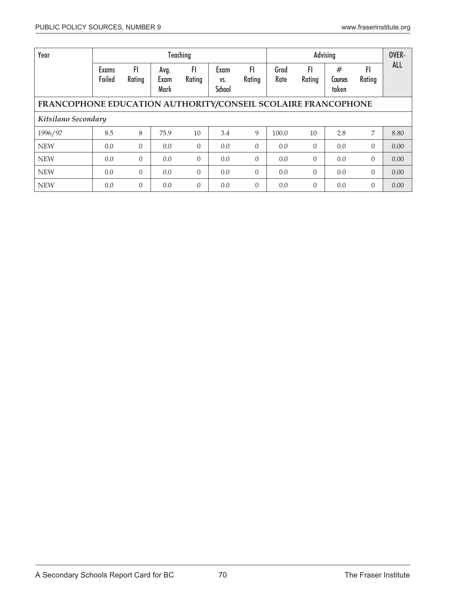| Year                                                         |                        |                |                      | Teaching        |                              | OVER-        |              |                |                       |              |            |  |
|--------------------------------------------------------------|------------------------|----------------|----------------------|-----------------|------------------------------|--------------|--------------|----------------|-----------------------|--------------|------------|--|
|                                                              | <b>Exams</b><br>Failed | FI.<br>Rating  | Avg.<br>Exam<br>Mark | FI<br>Rating    | Exam<br>VS.<br><b>School</b> | FI<br>Rating | Grad<br>Rate | FI<br>Rating   | #<br>Courses<br>taken | FI<br>Rating | <b>ALL</b> |  |
| FRANCOPHONE EDUCATION AUTHORITY/CONSEIL SCOLAIRE FRANCOPHONE |                        |                |                      |                 |                              |              |              |                |                       |              |            |  |
| Kitsilano Secondary                                          |                        |                |                      |                 |                              |              |              |                |                       |              |            |  |
| 1996/97                                                      | 8.5                    | 8              | 75.9                 | 10 <sup>1</sup> | 3.4                          | 9            | 100.0        | 10             | 2.8                   | 7            | 8.80       |  |
| <b>NEW</b>                                                   | 0.0                    | $\Omega$       | 0.0                  | $\overline{0}$  | 0.0                          | $\theta$     | 0.0          | $\theta$       | 0.0                   | $\Omega$     | 0.00       |  |
| <b>NEW</b>                                                   | 0.0                    | $\theta$       | 0.0                  | $\Omega$        | 0.0                          | $\theta$     | 0.0          | $\theta$       | 0.0                   | $\Omega$     | 0.00       |  |
| <b>NEW</b>                                                   | 0.0                    | $\theta$       | 0.0                  | $\Omega$        | 0.0                          | $\theta$     | 0.0          | $\theta$       | 0.0                   | $\Omega$     | 0.00       |  |
| <b>NEW</b>                                                   | 0.0                    | $\overline{0}$ | 0.0                  | $\theta$        | 0.0                          | $\theta$     | 0.0          | $\overline{0}$ | 0.0                   | $\theta$     | 0.00       |  |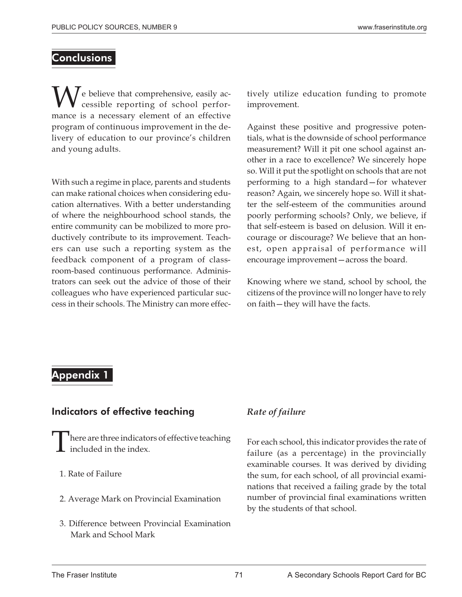## **Conclusions**

We believe that comprehensive, easily ac-<br>ressible reporting of school perfor-<br>mange is a persensy element of an effective cessible reporting of school performance is a necessary element of an effective program of continuous improvement in the delivery of education to our province's children and young adults.

With such a regime in place, parents and students can make rational choices when considering education alternatives. With a better understanding of where the neighbourhood school stands, the entire community can be mobilized to more productively contribute to its improvement. Teachers can use such a reporting system as the feedback component of a program of classroom-based continuous performance. Administrators can seek out the advice of those of their colleagues who have experienced particular success in their schools. The Ministry can more effectively utilize education funding to promote improvement.

Against these positive and progressive potentials, what is the downside of school performance measurement? Will it pit one school against another in a race to excellence? We sincerely hope so. Will it put the spotlight on schools that are not performing to a high standard—for whatever reason? Again, we sincerely hope so. Will it shatter the self-esteem of the communities around poorly performing schools? Only, we believe, if that self-esteem is based on delusion. Will it encourage or discourage? We believe that an honest, open appraisal of performance will encourage improvement—across the board.

Knowing where we stand, school by school, the citizens of the province will no longer have to rely on faith—they will have the facts.

# Appendix 1

## Indicators of effective teaching

- here are three indicators of effective teaching included in the index.
- 1. Rate of Failure
- 2. Average Mark on Provincial Examination
- 3. Difference between Provincial Examination Mark and School Mark

# *Rate of failure*

For each school, this indicator provides the rate of failure (as a percentage) in the provincially examinable courses. It was derived by dividing the sum, for each school, of all provincial examinations that received a failing grade by the total number of provincial final examinations written by the students of that school.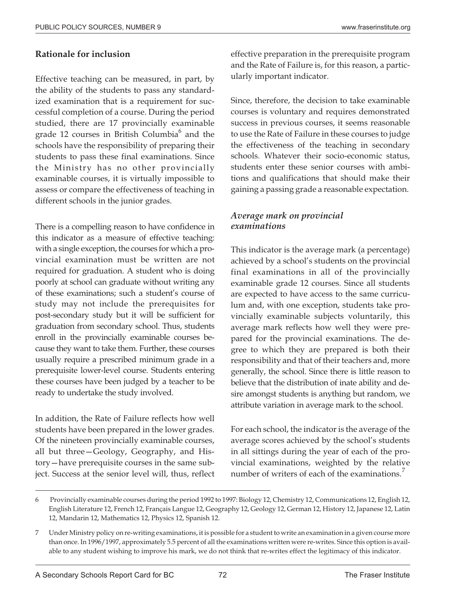#### **Rationale for inclusion**

Effective teaching can be measured, in part, by the ability of the students to pass any standardized examination that is a requirement for successful completion of a course. During the period studied, there are 17 provincially examinable grade 12 courses in British Columbia $<sup>6</sup>$  and the</sup> schools have the responsibility of preparing their students to pass these final examinations. Since the Ministry has no other provincially examinable courses, it is virtually impossible to assess or compare the effectiveness of teaching in different schools in the junior grades.

There is a compelling reason to have confidence in this indicator as a measure of effective teaching: with a single exception, the courses for which a provincial examination must be written are not required for graduation. A student who is doing poorly at school can graduate without writing any of these examinations; such a student's course of study may not include the prerequisites for post-secondary study but it will be sufficient for graduation from secondary school. Thus, students enroll in the provincially examinable courses because they want to take them. Further, these courses usually require a prescribed minimum grade in a prerequisite lower-level course. Students entering these courses have been judged by a teacher to be ready to undertake the study involved.

In addition, the Rate of Failure reflects how well students have been prepared in the lower grades. Of the nineteen provincially examinable courses, all but three—Geology, Geography, and History—have prerequisite courses in the same subject. Success at the senior level will, thus, reflect effective preparation in the prerequisite program and the Rate of Failure is, for this reason, a particularly important indicator.

Since, therefore, the decision to take examinable courses is voluntary and requires demonstrated success in previous courses, it seems reasonable to use the Rate of Failure in these courses to judge the effectiveness of the teaching in secondary schools. Whatever their socio-economic status, students enter these senior courses with ambitions and qualifications that should make their gaining a passing grade a reasonable expectation.

#### *Average mark on provincial examinations*

This indicator is the average mark (a percentage) achieved by a school's students on the provincial final examinations in all of the provincially examinable grade 12 courses. Since all students are expected to have access to the same curriculum and, with one exception, students take provincially examinable subjects voluntarily, this average mark reflects how well they were prepared for the provincial examinations. The degree to which they are prepared is both their responsibility and that of their teachers and, more generally, the school. Since there is little reason to believe that the distribution of inate ability and desire amongst students is anything but random, we attribute variation in average mark to the school.

For each school, the indicator is the average of the average scores achieved by the school's students in all sittings during the year of each of the provincial examinations, weighted by the relative number of writers of each of the examinations.<sup>7</sup>

<sup>6</sup> Provincially examinable courses during the period 1992 to 1997: Biology 12, Chemistry 12, Communications 12, English 12, English Literature 12, French 12, Français Langue 12, Geography 12, Geology 12, German 12, History 12, Japanese 12, Latin 12, Mandarin 12, Mathematics 12, Physics 12, Spanish 12.

<sup>7</sup> Under Ministry policy on re-writing examinations, it is possible for a student to write an examination in a given course more than once. In 1996/1997, approximately 5.5 percent of all the examinations written were re-writes. Since this option is available to any student wishing to improve his mark, we do not think that re-writes effect the legitimacy of this indicator.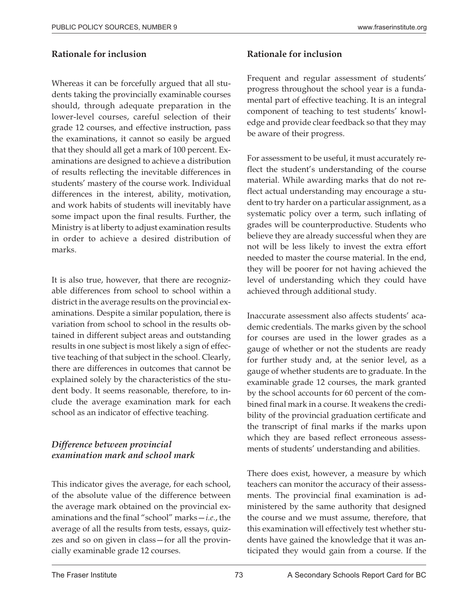#### **Rationale for inclusion**

Whereas it can be forcefully argued that all students taking the provincially examinable courses should, through adequate preparation in the lower-level courses, careful selection of their grade 12 courses, and effective instruction, pass the examinations, it cannot so easily be argued that they should all get a mark of 100 percent. Examinations are designed to achieve a distribution of results reflecting the inevitable differences in students' mastery of the course work. Individual differences in the interest, ability, motivation, and work habits of students will inevitably have some impact upon the final results. Further, the Ministry is at liberty to adjust examination results in order to achieve a desired distribution of marks.

It is also true, however, that there are recognizable differences from school to school within a district in the average results on the provincial examinations. Despite a similar population, there is variation from school to school in the results obtained in different subject areas and outstanding results in one subject is most likely a sign of effective teaching of that subject in the school. Clearly, there are differences in outcomes that cannot be explained solely by the characteristics of the student body. It seems reasonable, therefore, to include the average examination mark for each school as an indicator of effective teaching.

### *Difference between provincial examination mark and school mark*

This indicator gives the average, for each school, of the absolute value of the difference between the average mark obtained on the provincial examinations and the final "school" marks—*i.e.*, the average of all the results from tests, essays, quizzes and so on given in class—for all the provincially examinable grade 12 courses.

## **Rationale for inclusion**

Frequent and regular assessment of students' progress throughout the school year is a fundamental part of effective teaching. It is an integral component of teaching to test students' knowledge and provide clear feedback so that they may be aware of their progress.

For assessment to be useful, it must accurately reflect the student's understanding of the course material. While awarding marks that do not reflect actual understanding may encourage a student to try harder on a particular assignment, as a systematic policy over a term, such inflating of grades will be counterproductive. Students who believe they are already successful when they are not will be less likely to invest the extra effort needed to master the course material. In the end, they will be poorer for not having achieved the level of understanding which they could have achieved through additional study.

Inaccurate assessment also affects students' academic credentials. The marks given by the school for courses are used in the lower grades as a gauge of whether or not the students are ready for further study and, at the senior level, as a gauge of whether students are to graduate. In the examinable grade 12 courses, the mark granted by the school accounts for 60 percent of the combined final mark in a course. It weakens the credibility of the provincial graduation certificate and the transcript of final marks if the marks upon which they are based reflect erroneous assessments of students' understanding and abilities.

There does exist, however, a measure by which teachers can monitor the accuracy of their assessments. The provincial final examination is administered by the same authority that designed the course and we must assume, therefore, that this examination will effectively test whether students have gained the knowledge that it was anticipated they would gain from a course. If the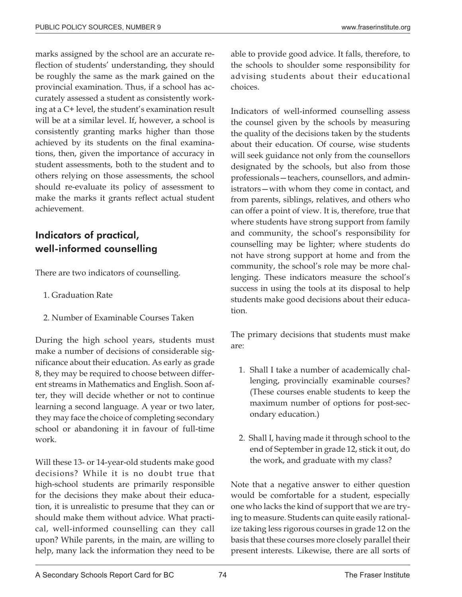marks assigned by the school are an accurate reflection of students' understanding, they should be roughly the same as the mark gained on the provincial examination. Thus, if a school has accurately assessed a student as consistently working at a C+ level, the student's examination result will be at a similar level. If, however, a school is consistently granting marks higher than those achieved by its students on the final examinations, then, given the importance of accuracy in student assessments, both to the student and to others relying on those assessments, the school should re-evaluate its policy of assessment to make the marks it grants reflect actual student achievement.

# Indicators of practical, well-informed counselling

There are two indicators of counselling.

- 1. Graduation Rate
- 2. Number of Examinable Courses Taken

During the high school years, students must make a number of decisions of considerable significance about their education. As early as grade 8, they may be required to choose between different streams in Mathematics and English. Soon after, they will decide whether or not to continue learning a second language. A year or two later, they may face the choice of completing secondary school or abandoning it in favour of full-time work.

Will these 13- or 14-year-old students make good decisions? While it is no doubt true that high-school students are primarily responsible for the decisions they make about their education, it is unrealistic to presume that they can or should make them without advice. What practical, well-informed counselling can they call upon? While parents, in the main, are willing to help, many lack the information they need to be

able to provide good advice. It falls, therefore, to the schools to shoulder some responsibility for advising students about their educational choices.

Indicators of well-informed counselling assess the counsel given by the schools by measuring the quality of the decisions taken by the students about their education. Of course, wise students will seek guidance not only from the counsellors designated by the schools, but also from those professionals—teachers, counsellors, and administrators—with whom they come in contact, and from parents, siblings, relatives, and others who can offer a point of view. It is, therefore, true that where students have strong support from family and community, the school's responsibility for counselling may be lighter; where students do not have strong support at home and from the community, the school's role may be more challenging. These indicators measure the school's success in using the tools at its disposal to help students make good decisions about their education.

The primary decisions that students must make are:

- 1. Shall I take a number of academically challenging, provincially examinable courses? (These courses enable students to keep the maximum number of options for post-secondary education.)
- 2. Shall I, having made it through school to the end of September in grade 12, stick it out, do the work, and graduate with my class?

Note that a negative answer to either question would be comfortable for a student, especially one who lacks the kind of support that we are trying to measure. Students can quite easily rationalize taking less rigorous courses in grade 12 on the basis that these courses more closely parallel their present interests. Likewise, there are all sorts of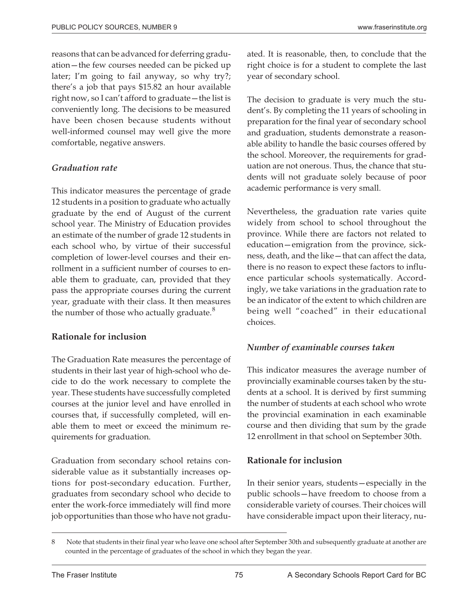reasons that can be advanced for deferring graduation—the few courses needed can be picked up later; I'm going to fail anyway, so why try?; there's a job that pays \$15.82 an hour available right now, so I can't afford to graduate—the list is conveniently long. The decisions to be measured have been chosen because students without well-informed counsel may well give the more comfortable, negative answers.

### *Graduation rate*

This indicator measures the percentage of grade 12 students in a position to graduate who actually graduate by the end of August of the current school year. The Ministry of Education provides an estimate of the number of grade 12 students in each school who, by virtue of their successful completion of lower-level courses and their enrollment in a sufficient number of courses to enable them to graduate, can, provided that they pass the appropriate courses during the current year, graduate with their class. It then measures the number of those who actually graduate.<sup>8</sup>

### **Rationale for inclusion**

The Graduation Rate measures the percentage of students in their last year of high-school who decide to do the work necessary to complete the year. These students have successfully completed courses at the junior level and have enrolled in courses that, if successfully completed, will enable them to meet or exceed the minimum requirements for graduation.

Graduation from secondary school retains considerable value as it substantially increases options for post-secondary education. Further, graduates from secondary school who decide to enter the work-force immediately will find more job opportunities than those who have not graduated. It is reasonable, then, to conclude that the right choice is for a student to complete the last year of secondary school.

The decision to graduate is very much the student's. By completing the 11 years of schooling in preparation for the final year of secondary school and graduation, students demonstrate a reasonable ability to handle the basic courses offered by the school. Moreover, the requirements for graduation are not onerous. Thus, the chance that students will not graduate solely because of poor academic performance is very small.

Nevertheless, the graduation rate varies quite widely from school to school throughout the province. While there are factors not related to education—emigration from the province, sickness, death, and the like—that can affect the data, there is no reason to expect these factors to influence particular schools systematically. Accordingly, we take variations in the graduation rate to be an indicator of the extent to which children are being well "coached" in their educational choices.

### *Number of examinable courses taken*

This indicator measures the average number of provincially examinable courses taken by the students at a school. It is derived by first summing the number of students at each school who wrote the provincial examination in each examinable course and then dividing that sum by the grade 12 enrollment in that school on September 30th.

### **Rationale for inclusion**

In their senior years, students—especially in the public schools—have freedom to choose from a considerable variety of courses. Their choices will have considerable impact upon their literacy, nu-

<sup>8</sup> Note that students in their final year who leave one school after September 30th and subsequently graduate at another are counted in the percentage of graduates of the school in which they began the year.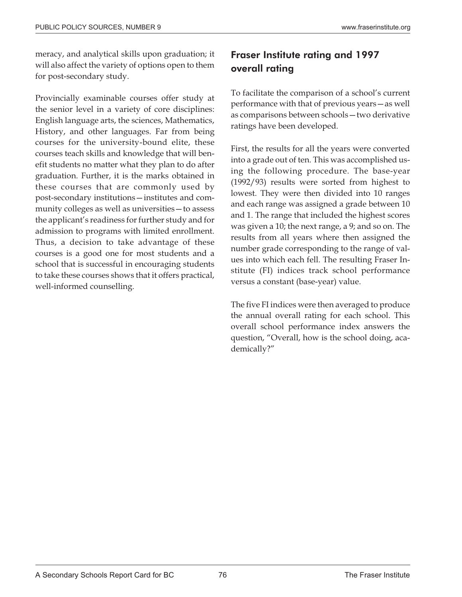meracy, and analytical skills upon graduation; it will also affect the variety of options open to them for post-secondary study.

Provincially examinable courses offer study at the senior level in a variety of core disciplines: English language arts, the sciences, Mathematics, History, and other languages. Far from being courses for the university-bound elite, these courses teach skills and knowledge that will benefit students no matter what they plan to do after graduation. Further, it is the marks obtained in these courses that are commonly used by post-secondary institutions—institutes and community colleges as well as universities—to assess the applicant's readiness for further study and for admission to programs with limited enrollment. Thus, a decision to take advantage of these courses is a good one for most students and a school that is successful in encouraging students to take these courses shows that it offers practical, well-informed counselling.

# Fraser Institute rating and 1997 overall rating

To facilitate the comparison of a school's current performance with that of previous years—as well as comparisons between schools—two derivative ratings have been developed.

First, the results for all the years were converted into a grade out of ten. This was accomplished using the following procedure. The base-year (1992/93) results were sorted from highest to lowest. They were then divided into 10 ranges and each range was assigned a grade between 10 and 1. The range that included the highest scores was given a 10; the next range, a 9; and so on. The results from all years where then assigned the number grade corresponding to the range of values into which each fell. The resulting Fraser Institute (FI) indices track school performance versus a constant (base-year) value.

The five FI indices were then averaged to produce the annual overall rating for each school. This overall school performance index answers the question, "Overall, how is the school doing, academically?"